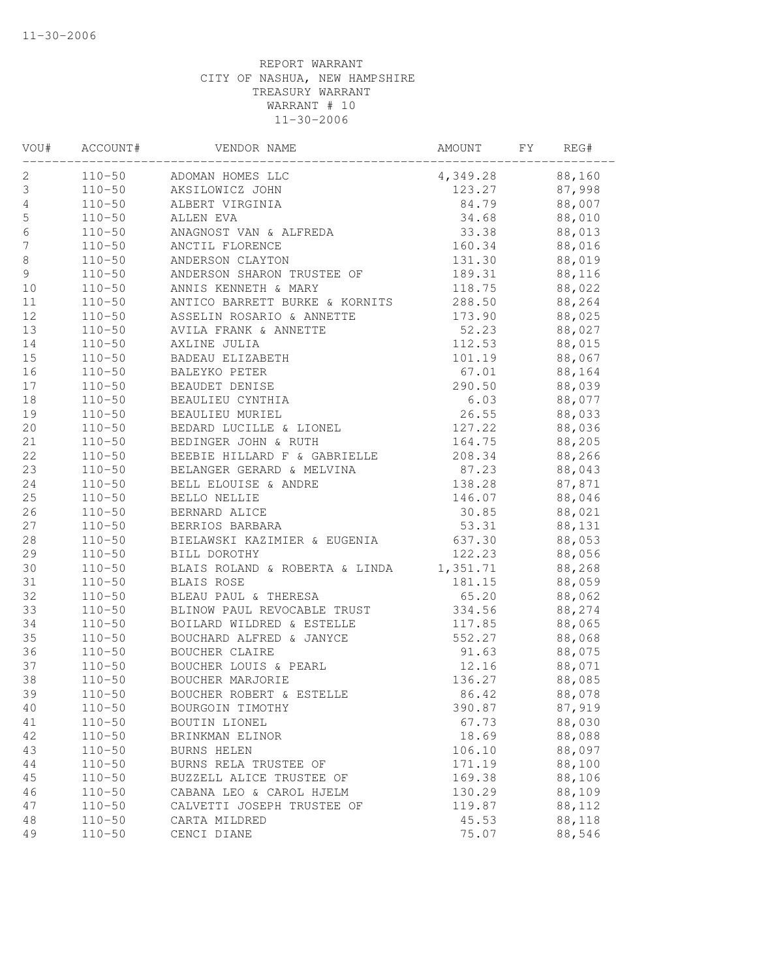| VOU#             | ACCOUNT#   | VENDOR NAME                                                                               | AMOUNT          | FY | REG#   |
|------------------|------------|-------------------------------------------------------------------------------------------|-----------------|----|--------|
| 2                |            | 110-50 ADOMAN HOMES LLC                                                                   | 4,349.28 88,160 |    |        |
| $\mathsf 3$      |            | 110-50 AKSILOWICZ JOHN                                                                    | 123.27          |    | 87,998 |
| $\sqrt{4}$       | $110 - 50$ | ALBERT VIRGINIA                                                                           | 84.79           |    | 88,007 |
| 5                | $110 - 50$ | ALLEN EVA                                                                                 | 34.68           |    | 88,010 |
| $\sqrt{6}$       | $110 - 50$ | ANAGNOST VAN & ALFREDA                                                                    | 33.38           |    | 88,013 |
| $\boldsymbol{7}$ | $110 - 50$ | ANCTIL FLORENCE                                                                           | 160.34          |    | 88,016 |
| 8                | $110 - 50$ | ANDERSON CLAYTON                                                                          | 131.30          |    | 88,019 |
| $\mathsf 9$      | $110 - 50$ | ANDERSON SHARON TRUSTEE OF                                                                | 189.31          |    | 88,116 |
| $10$             | $110 - 50$ | ANNIS KENNETH & MARY                                                                      | 118.75          |    | 88,022 |
| 11               | $110 - 50$ | ANTICO BARRETT BURKE & KORNITS                                                            | 288.50          |    | 88,264 |
| 12               | $110 - 50$ | ASSELIN ROSARIO & ANNETTE                                                                 | 173.90          |    | 88,025 |
| 13               | $110 - 50$ | AVILA FRANK & ANNETTE                                                                     | 52.23           |    | 88,027 |
| 14               | $110 - 50$ | AXLINE JULIA                                                                              | 112.53          |    | 88,015 |
| 15               | $110 - 50$ | BADEAU ELIZABETH                                                                          | 101.19          |    | 88,067 |
| 16               | $110 - 50$ | BALEYKO PETER                                                                             | 67.01           |    | 88,164 |
| 17               | $110 - 50$ | BEAUDET DENISE                                                                            | 290.50          |    | 88,039 |
| 18               | $110 - 50$ | BEAULIEU CYNTHIA                                                                          | 6.03            |    | 88,077 |
| 19               | $110 - 50$ | BEAULIEU MURIEL                                                                           | 26.55           |    | 88,033 |
| 20               | $110 - 50$ | BEDARD LUCILLE & LIONEL                                                                   | 127.22          |    | 88,036 |
| 21               | $110 - 50$ | BEDINGER JOHN & RUTH                                                                      | 164.75          |    | 88,205 |
| 22               | $110 - 50$ | BEEBIE HILLARD F & GABRIELLE                                                              | 208.34          |    | 88,266 |
| 23               | $110 - 50$ |                                                                                           | 87.23           |    | 88,043 |
| 24               | $110 - 50$ | BEEBIE HILLAKD r a OILLILLE<br>BELANGER GERARD & MELVINA<br>BELL ELOUISE & ANDRE<br>----- | 138.28          |    | 87,871 |
| 25               | $110 - 50$ |                                                                                           | 146.07          |    | 88,046 |
| 26               | $110 - 50$ | BERNARD ALICE                                                                             | 30.85           |    | 88,021 |
| 27               | $110 - 50$ | BERRIOS BARBARA                                                                           | 53.31           |    | 88,131 |
| $2\,8$           | $110 - 50$ | BIELAWSKI KAZIMIER & EUGENIA 637.30                                                       |                 |    | 88,053 |
| 29               | $110 - 50$ | BILL DOROTHY                                                                              | 122.23          |    | 88,056 |
| 30               | $110 - 50$ | BLAIS ROLAND & ROBERTA & LINDA 1,351.71                                                   |                 |    | 88,268 |
| 31               | $110 - 50$ | BLAIS ROSE                                                                                | 181.15          |    | 88,059 |
| 32               | $110 - 50$ | BLEAU PAUL & THERESA                                                                      | 65.20           |    | 88,062 |
| 33               | $110 - 50$ | BLINOW PAUL REVOCABLE TRUST                                                               | 334.56          |    | 88,274 |
| 34               | $110 - 50$ | BOILARD WILDRED & ESTELLE                                                                 | 117.85          |    | 88,065 |
| 35               | $110 - 50$ | BOUCHARD ALFRED & JANYCE                                                                  | 552.27          |    | 88,068 |
| 36               | $110 - 50$ | <b>BOUCHER CLAIRE</b>                                                                     | 91.63           |    | 88,075 |
| 37               | $110 - 50$ | BOUCHER LOUIS & PEARL                                                                     | 12.16           |    | 88,071 |
| 38               | $110 - 50$ | BOUCHER MARJORIE                                                                          | 136.27          |    | 88,085 |
| 39               | $110 - 50$ | BOUCHER ROBERT & ESTELLE                                                                  | 86.42           |    | 88,078 |
| 40               | $110 - 50$ | BOURGOIN TIMOTHY                                                                          | 390.87          |    | 87,919 |
| 41               | $110 - 50$ | BOUTIN LIONEL                                                                             | 67.73           |    | 88,030 |
| 42               | $110 - 50$ | BRINKMAN ELINOR                                                                           | 18.69           |    | 88,088 |
| 43               | $110 - 50$ | <b>BURNS HELEN</b>                                                                        | 106.10          |    | 88,097 |
| 44               | $110 - 50$ | BURNS RELA TRUSTEE OF                                                                     | 171.19          |    | 88,100 |
| 45               | $110 - 50$ | BUZZELL ALICE TRUSTEE OF                                                                  | 169.38          |    | 88,106 |
| 46               | $110 - 50$ | CABANA LEO & CAROL HJELM                                                                  | 130.29          |    | 88,109 |
| 47               | $110 - 50$ | CALVETTI JOSEPH TRUSTEE OF                                                                | 119.87          |    | 88,112 |
| 48               | $110 - 50$ | CARTA MILDRED                                                                             | 45.53           |    | 88,118 |
| 49               | $110 - 50$ | CENCI DIANE                                                                               | 75.07           |    | 88,546 |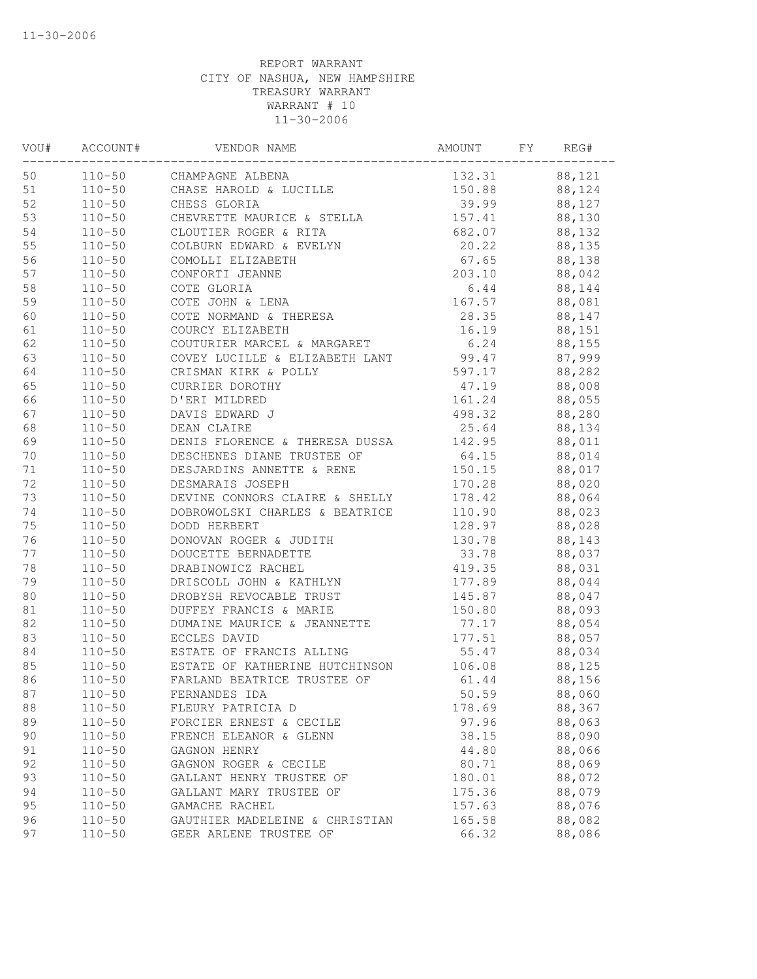| VOU#   | ACCOUNT#   | VENDOR NAME                                | AMOUNT | FΥ | REG#   |
|--------|------------|--------------------------------------------|--------|----|--------|
| 50     | $110 - 50$ | CHAMPAGNE ALBENA<br>CHASE HAROLD & LUCILLE | 132.31 |    | 88,121 |
| 51     | $110 - 50$ |                                            | 150.88 |    | 88,124 |
| 52     | $110 - 50$ | CHESS GLORIA                               | 39.99  |    | 88,127 |
| 53     | $110 - 50$ | CHEVRETTE MAURICE & STELLA                 | 157.41 |    | 88,130 |
| 54     | $110 - 50$ | CLOUTIER ROGER & RITA                      | 682.07 |    | 88,132 |
| 55     | $110 - 50$ | COLBURN EDWARD & EVELYN                    | 20.22  |    | 88,135 |
| 56     | $110 - 50$ | COMOLLI ELIZABETH                          | 67.65  |    | 88,138 |
| 57     | $110 - 50$ | CONFORTI JEANNE                            | 203.10 |    | 88,042 |
| 58     | $110 - 50$ | COTE GLORIA                                | 6.44   |    | 88,144 |
| 59     | $110 - 50$ | COTE JOHN & LENA                           | 167.57 |    | 88,081 |
| 60     | $110 - 50$ | COTE NORMAND & THERESA                     | 28.35  |    | 88,147 |
| 61     | $110 - 50$ | COURCY ELIZABETH                           | 16.19  |    | 88,151 |
| 62     | $110 - 50$ | COUTURIER MARCEL & MARGARET                | 6.24   |    | 88,155 |
| 63     | $110 - 50$ | COVEY LUCILLE & ELIZABETH LANT             | 99.47  |    | 87,999 |
| 64     | $110 - 50$ | CRISMAN KIRK & POLLY                       | 597.17 |    | 88,282 |
| 65     | $110 - 50$ | CURRIER DOROTHY                            | 47.19  |    | 88,008 |
| 66     | $110 - 50$ | D'ERI MILDRED                              | 161.24 |    | 88,055 |
| 67     | $110 - 50$ | DAVIS EDWARD J                             | 498.32 |    | 88,280 |
| 68     | $110 - 50$ | DEAN CLAIRE                                | 25.64  |    | 88,134 |
| 69     | $110 - 50$ | DENIS FLORENCE & THERESA DUSSA             | 142.95 |    | 88,011 |
| 70     | $110 - 50$ | DESCHENES DIANE TRUSTEE OF                 | 64.15  |    | 88,014 |
| 71     | $110 - 50$ | DESJARDINS ANNETTE & RENE                  | 150.15 |    | 88,017 |
| 72     | $110 - 50$ | DESMARAIS JOSEPH                           | 170.28 |    | 88,020 |
| 73     | $110 - 50$ | DEVINE CONNORS CLAIRE & SHELLY             | 178.42 |    | 88,064 |
| 74     | $110 - 50$ | DOBROWOLSKI CHARLES & BEATRICE             | 110.90 |    | 88,023 |
| 75     | $110 - 50$ | DODD HERBERT                               | 128.97 |    | 88,028 |
| 76     | $110 - 50$ | DONOVAN ROGER & JUDITH                     | 130.78 |    | 88,143 |
| 77     | $110 - 50$ | DOUCETTE BERNADETTE                        | 33.78  |    | 88,037 |
| 78     | $110 - 50$ | DRABINOWICZ RACHEL                         | 419.35 |    | 88,031 |
| 79     | $110 - 50$ | DRISCOLL JOHN & KATHLYN                    | 177.89 |    | 88,044 |
| 80     | $110 - 50$ | DROBYSH REVOCABLE TRUST                    | 145.87 |    | 88,047 |
| 81     | $110 - 50$ | DUFFEY FRANCIS & MARIE                     | 150.80 |    | 88,093 |
| 82     | $110 - 50$ | DUMAINE MAURICE & JEANNETTE                | 77.17  |    | 88,054 |
| 83     | $110 - 50$ | ECCLES DAVID                               | 177.51 |    | 88,057 |
| $8\,4$ | $110 - 50$ | ESTATE OF FRANCIS ALLING                   | 55.47  |    | 88,034 |
| 85     | $110 - 50$ | ESTATE OF KATHERINE HUTCHINSON             | 106.08 |    | 88,125 |
| 86     | $110 - 50$ | FARLAND BEATRICE TRUSTEE OF                | 61.44  |    | 88,156 |
| 87     | $110 - 50$ | FERNANDES IDA                              | 50.59  |    | 88,060 |
| 88     | $110 - 50$ | FLEURY PATRICIA D                          | 178.69 |    | 88,367 |
| 89     | $110 - 50$ | FORCIER ERNEST & CECILE                    | 97.96  |    | 88,063 |
| 90     | $110 - 50$ | FRENCH ELEANOR & GLENN                     | 38.15  |    | 88,090 |
| 91     | $110 - 50$ | GAGNON HENRY                               | 44.80  |    | 88,066 |
| 92     | $110 - 50$ | GAGNON ROGER & CECILE                      | 80.71  |    | 88,069 |
| 93     | $110 - 50$ | GALLANT HENRY TRUSTEE OF                   | 180.01 |    | 88,072 |
| 94     | $110 - 50$ | GALLANT MARY TRUSTEE OF                    | 175.36 |    | 88,079 |
| 95     | $110 - 50$ | GAMACHE RACHEL                             | 157.63 |    | 88,076 |
| 96     | $110 - 50$ | GAUTHIER MADELEINE & CHRISTIAN             | 165.58 |    | 88,082 |
| 97     | $110 - 50$ | GEER ARLENE TRUSTEE OF                     | 66.32  |    | 88,086 |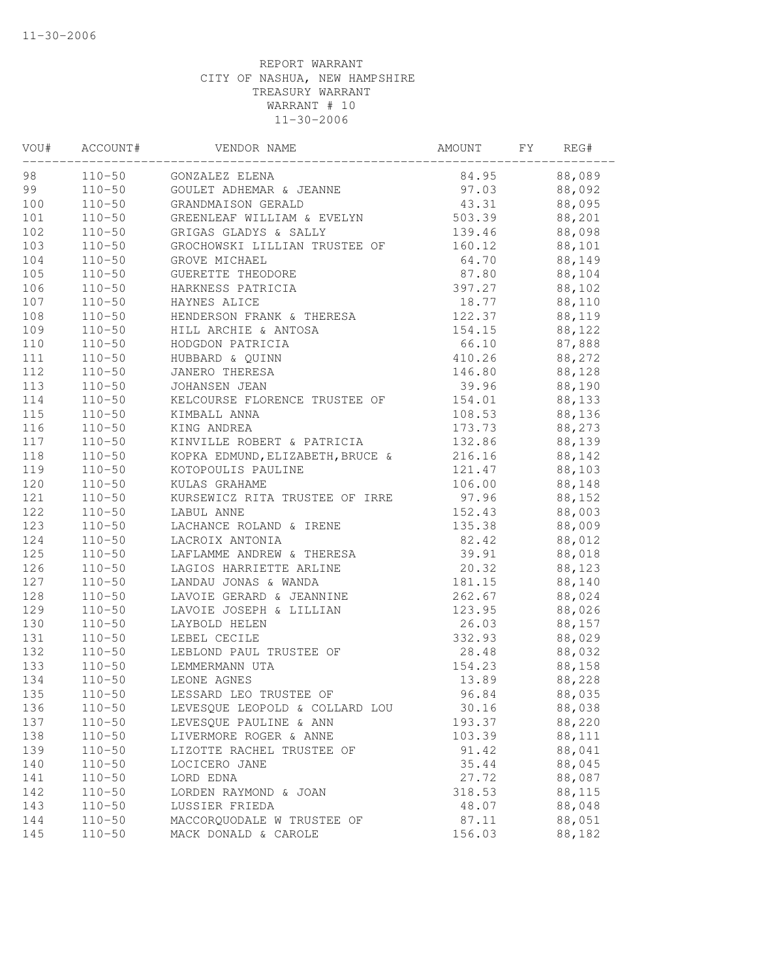| VOU# | ACCOUNT#   | VENDOR NAME                      | AMOUNT | FY | REG#   |
|------|------------|----------------------------------|--------|----|--------|
| 98   |            | 110-50 GONZALEZ ELENA            | 84.95  |    | 88,089 |
| 99   |            | 110-50 GOULET ADHEMAR & JEANNE   | 97.03  |    | 88,092 |
| 100  | $110 - 50$ | GRANDMAISON GERALD               | 43.31  |    | 88,095 |
| 101  | $110 - 50$ | GREENLEAF WILLIAM & EVELYN       | 503.39 |    | 88,201 |
| 102  | $110 - 50$ | GRIGAS GLADYS & SALLY            | 139.46 |    | 88,098 |
| 103  | $110 - 50$ | GROCHOWSKI LILLIAN TRUSTEE OF    | 160.12 |    | 88,101 |
| 104  | $110 - 50$ | GROVE MICHAEL                    | 64.70  |    | 88,149 |
| 105  | $110 - 50$ | GUERETTE THEODORE                | 87.80  |    | 88,104 |
| 106  | $110 - 50$ | HARKNESS PATRICIA                | 397.27 |    | 88,102 |
| 107  | $110 - 50$ | HAYNES ALICE                     | 18.77  |    | 88,110 |
| 108  | $110 - 50$ | HENDERSON FRANK & THERESA        | 122.37 |    | 88,119 |
| 109  | $110 - 50$ | HILL ARCHIE & ANTOSA             | 154.15 |    | 88,122 |
| 110  | $110 - 50$ | HODGDON PATRICIA                 | 66.10  |    | 87,888 |
| 111  | $110 - 50$ | HUBBARD & QUINN                  | 410.26 |    | 88,272 |
| 112  | $110 - 50$ | JANERO THERESA                   | 146.80 |    | 88,128 |
| 113  | $110 - 50$ | JOHANSEN JEAN                    | 39.96  |    | 88,190 |
| 114  | $110 - 50$ | KELCOURSE FLORENCE TRUSTEE OF    | 154.01 |    | 88,133 |
| 115  | $110 - 50$ | KIMBALL ANNA                     | 108.53 |    | 88,136 |
| 116  | $110 - 50$ | KING ANDREA                      | 173.73 |    | 88,273 |
| 117  | $110 - 50$ | KINVILLE ROBERT & PATRICIA       | 132.86 |    | 88,139 |
| 118  | $110 - 50$ | KOPKA EDMUND, ELIZABETH, BRUCE & | 216.16 |    | 88,142 |
| 119  | $110 - 50$ | KOTOPOULIS PAULINE               | 121.47 |    | 88,103 |
| 120  | $110 - 50$ | KULAS GRAHAME                    | 106.00 |    | 88,148 |
| 121  | $110 - 50$ | KURSEWICZ RITA TRUSTEE OF IRRE   | 97.96  |    | 88,152 |
| 122  | $110 - 50$ | LABUL ANNE                       | 152.43 |    | 88,003 |
| 123  | $110 - 50$ | LACHANCE ROLAND & IRENE          | 135.38 |    | 88,009 |
| 124  | $110 - 50$ | LACROIX ANTONIA                  | 82.42  |    | 88,012 |
| 125  | $110 - 50$ | LAFLAMME ANDREW & THERESA        | 39.91  |    | 88,018 |
| 126  | $110 - 50$ | LAGIOS HARRIETTE ARLINE          | 20.32  |    | 88,123 |
| 127  | $110 - 50$ | LANDAU JONAS & WANDA             | 181.15 |    | 88,140 |
| 128  | $110 - 50$ | LAVOIE GERARD & JEANNINE         | 262.67 |    | 88,024 |
| 129  | $110 - 50$ | LAVOIE JOSEPH & LILLIAN          | 123.95 |    | 88,026 |
| 130  | $110 - 50$ | LAYBOLD HELEN                    | 26.03  |    | 88,157 |
| 131  | $110 - 50$ | LEBEL CECILE                     | 332.93 |    | 88,029 |
| 132  | $110 - 50$ | LEBLOND PAUL TRUSTEE OF          | 28.48  |    | 88,032 |
| 133  | $110 - 50$ | LEMMERMANN UTA                   | 154.23 |    | 88,158 |
| 134  | $110 - 50$ | LEONE AGNES                      | 13.89  |    | 88,228 |
| 135  | $110 - 50$ | LESSARD LEO TRUSTEE OF           | 96.84  |    | 88,035 |
| 136  | $110 - 50$ | LEVESQUE LEOPOLD & COLLARD LOU   | 30.16  |    | 88,038 |
| 137  | $110 - 50$ | LEVESQUE PAULINE & ANN           | 193.37 |    | 88,220 |
| 138  | $110 - 50$ | LIVERMORE ROGER & ANNE           | 103.39 |    | 88,111 |
| 139  | $110 - 50$ | LIZOTTE RACHEL TRUSTEE OF        | 91.42  |    | 88,041 |
| 140  | $110 - 50$ | LOCICERO JANE                    | 35.44  |    | 88,045 |
| 141  | $110 - 50$ | LORD EDNA                        | 27.72  |    | 88,087 |
| 142  | $110 - 50$ | LORDEN RAYMOND & JOAN            | 318.53 |    | 88,115 |
| 143  | $110 - 50$ | LUSSIER FRIEDA                   | 48.07  |    | 88,048 |
| 144  | $110 - 50$ | MACCORQUODALE W TRUSTEE OF       | 87.11  |    | 88,051 |
| 145  | $110 - 50$ | MACK DONALD & CAROLE             | 156.03 |    | 88,182 |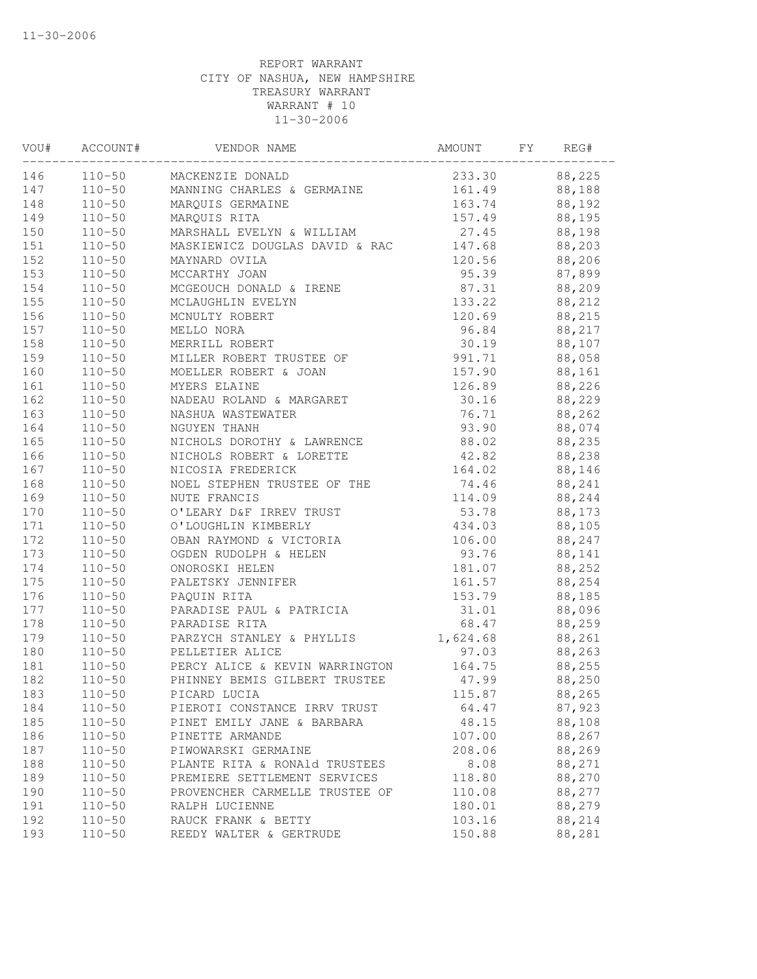| VOU# | ACCOUNT#   | VENDOR NAME                    | AMOUNT   | FY | REG#   |
|------|------------|--------------------------------|----------|----|--------|
| 146  |            | 110-50 MACKENZIE DONALD        | 233.30   |    | 88,225 |
| 147  | $110 - 50$ | MANNING CHARLES & GERMAINE     | 161.49   |    | 88,188 |
| 148  | $110 - 50$ | MARQUIS GERMAINE               | 163.74   |    | 88,192 |
| 149  | $110 - 50$ | MARQUIS RITA                   | 157.49   |    | 88,195 |
| 150  | $110 - 50$ | MARSHALL EVELYN & WILLIAM      | 27.45    |    | 88,198 |
| 151  | $110 - 50$ | MASKIEWICZ DOUGLAS DAVID & RAC | 147.68   |    | 88,203 |
| 152  | $110 - 50$ | MAYNARD OVILA                  | 120.56   |    | 88,206 |
| 153  | $110 - 50$ | MCCARTHY JOAN                  | 95.39    |    | 87,899 |
| 154  | $110 - 50$ | MCGEOUCH DONALD & IRENE        | 87.31    |    | 88,209 |
| 155  | $110 - 50$ | MCLAUGHLIN EVELYN              | 133.22   |    | 88,212 |
| 156  | $110 - 50$ | MCNULTY ROBERT                 | 120.69   |    | 88,215 |
| 157  | $110 - 50$ | MELLO NORA                     | 96.84    |    | 88,217 |
| 158  | $110 - 50$ | MERRILL ROBERT                 | 30.19    |    | 88,107 |
| 159  | $110 - 50$ | MILLER ROBERT TRUSTEE OF       | 991.71   |    | 88,058 |
| 160  | $110 - 50$ | MOELLER ROBERT & JOAN          | 157.90   |    | 88,161 |
| 161  | $110 - 50$ | MYERS ELAINE                   | 126.89   |    | 88,226 |
| 162  | $110 - 50$ | NADEAU ROLAND & MARGARET       | 30.16    |    | 88,229 |
| 163  | $110 - 50$ | NASHUA WASTEWATER              | 76.71    |    | 88,262 |
| 164  | $110 - 50$ | NGUYEN THANH                   | 93.90    |    | 88,074 |
| 165  | $110 - 50$ | NICHOLS DOROTHY & LAWRENCE     | 88.02    |    | 88,235 |
| 166  | $110 - 50$ | NICHOLS ROBERT & LORETTE       | 42.82    |    | 88,238 |
| 167  | $110 - 50$ | NICOSIA FREDERICK              | 164.02   |    | 88,146 |
| 168  | $110 - 50$ | NOEL STEPHEN TRUSTEE OF THE    | 74.46    |    | 88,241 |
| 169  | $110 - 50$ | NUTE FRANCIS                   | 114.09   |    | 88,244 |
| 170  | $110 - 50$ | O'LEARY D&F IRREV TRUST        | 53.78    |    | 88,173 |
| 171  | $110 - 50$ | O'LOUGHLIN KIMBERLY            | 434.03   |    | 88,105 |
| 172  | $110 - 50$ | OBAN RAYMOND & VICTORIA        | 106.00   |    | 88,247 |
| 173  | $110 - 50$ | OGDEN RUDOLPH & HELEN          | 93.76    |    | 88,141 |
| 174  | $110 - 50$ | ONOROSKI HELEN                 | 181.07   |    | 88,252 |
| 175  | $110 - 50$ | PALETSKY JENNIFER              | 161.57   |    | 88,254 |
| 176  | $110 - 50$ | PAQUIN RITA                    | 153.79   |    | 88,185 |
| 177  | $110 - 50$ | PARADISE PAUL & PATRICIA       | 31.01    |    | 88,096 |
| 178  | $110 - 50$ | PARADISE RITA                  | 68.47    |    | 88,259 |
| 179  | $110 - 50$ | PARZYCH STANLEY & PHYLLIS      | 1,624.68 |    | 88,261 |
| 180  | $110 - 50$ | PELLETIER ALICE                | 97.03    |    | 88,263 |
| 181  | $110 - 50$ | PERCY ALICE & KEVIN WARRINGTON | 164.75   |    | 88,255 |
| 182  | $110 - 50$ | PHINNEY BEMIS GILBERT TRUSTEE  | 47.99    |    | 88,250 |
| 183  | $110 - 50$ | PICARD LUCIA                   | 115.87   |    | 88,265 |
| 184  | $110 - 50$ | PIEROTI CONSTANCE IRRV TRUST   | 64.47    |    | 87,923 |
| 185  | $110 - 50$ | PINET EMILY JANE & BARBARA     | 48.15    |    | 88,108 |
| 186  | $110 - 50$ | PINETTE ARMANDE                | 107.00   |    | 88,267 |
| 187  | $110 - 50$ | PIWOWARSKI GERMAINE            | 208.06   |    | 88,269 |
| 188  | $110 - 50$ | PLANTE RITA & RONAld TRUSTEES  | 8.08     |    | 88,271 |
| 189  | $110 - 50$ | PREMIERE SETTLEMENT SERVICES   | 118.80   |    | 88,270 |
| 190  | $110 - 50$ | PROVENCHER CARMELLE TRUSTEE OF | 110.08   |    | 88,277 |
| 191  | $110 - 50$ | RALPH LUCIENNE                 | 180.01   |    | 88,279 |
| 192  | $110 - 50$ | RAUCK FRANK & BETTY            | 103.16   |    | 88,214 |
| 193  | $110 - 50$ | REEDY WALTER & GERTRUDE        | 150.88   |    | 88,281 |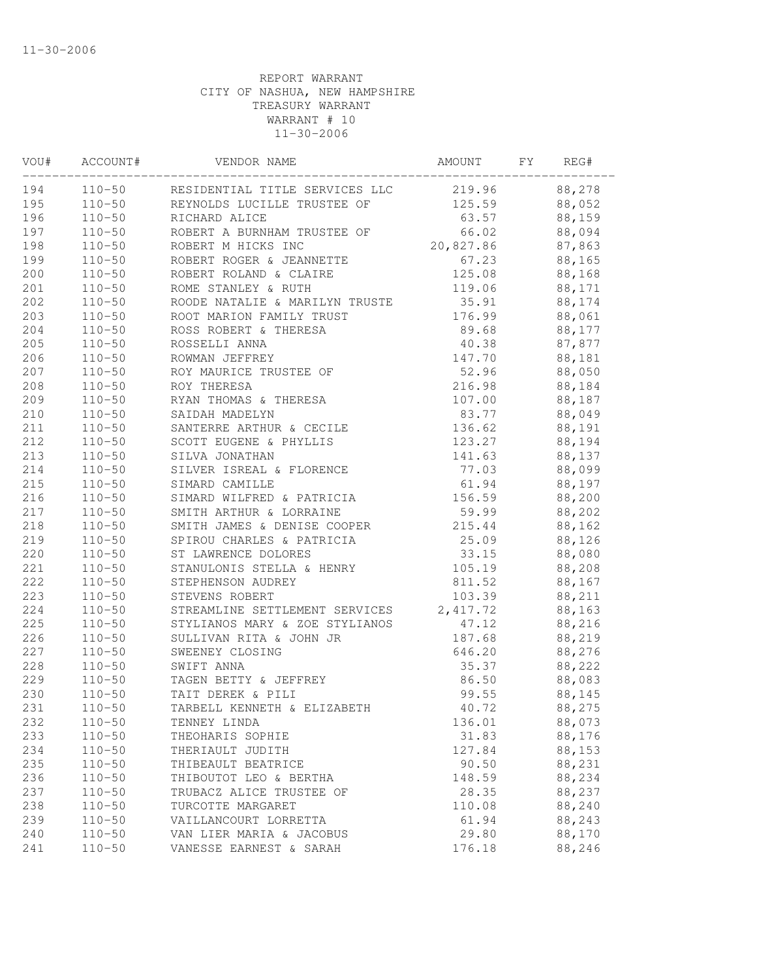| VOU#  | ACCOUNT#   | VENDOR NAME                             | AMOUNT    | FY | REG#   |
|-------|------------|-----------------------------------------|-----------|----|--------|
| 194   |            | 110-50 RESIDENTIAL TITLE SERVICES LLC   | 219.96    |    | 88,278 |
| 195   |            | 110-50 REYNOLDS LUCILLE TRUSTEE OF      | 125.59    |    | 88,052 |
| 196   | $110 - 50$ | RICHARD ALICE                           | 63.57     |    | 88,159 |
| 197   | $110 - 50$ | ROBERT A BURNHAM TRUSTEE OF             | 66.02     |    | 88,094 |
| 198   | $110 - 50$ | ROBERT M HICKS INC                      | 20,827.86 |    | 87,863 |
| 199   | $110 - 50$ | ROBERT ROGER & JEANNETTE                | 67.23     |    | 88,165 |
| 200   | $110 - 50$ | ROBERT ROLAND & CLAIRE                  | 125.08    |    | 88,168 |
| 201   | $110 - 50$ | ROME STANLEY & RUTH                     | 119.06    |    | 88,171 |
| 202   | $110 - 50$ | ROODE NATALIE & MARILYN TRUSTE          | 35.91     |    | 88,174 |
| 203   | $110 - 50$ | ROOT MARION FAMILY TRUST                | 176.99    |    | 88,061 |
| 204   | $110 - 50$ | ROSS ROBERT & THERESA                   | 89.68     |    | 88,177 |
| 205   | $110 - 50$ | ROSSELLI ANNA                           | 40.38     |    | 87,877 |
| 206   | $110 - 50$ | ROWMAN JEFFREY                          | 147.70    |    | 88,181 |
| 207   | $110 - 50$ | ROY MAURICE TRUSTEE OF                  | 52.96     |    | 88,050 |
| 208   | $110 - 50$ | ROY THERESA                             | 216.98    |    | 88,184 |
| 209   | $110 - 50$ | RYAN THOMAS & THERESA                   | 107.00    |    | 88,187 |
| $210$ | $110 - 50$ | SAIDAH MADELYN                          | 83.77     |    | 88,049 |
| 211   | $110 - 50$ | SANTERRE ARTHUR & CECILE                | 136.62    |    | 88,191 |
| 212   | $110 - 50$ | SCOTT EUGENE & PHYLLIS                  | 123.27    |    | 88,194 |
| 213   | $110 - 50$ | SILVA JONATHAN                          | 141.63    |    | 88,137 |
| 214   | $110 - 50$ | SILVER ISREAL & FLORENCE                | 77.03     |    | 88,099 |
| 215   | $110 - 50$ | SIMARD CAMILLE                          | 61.94     |    | 88,197 |
| 216   | $110 - 50$ | SIMARD WILFRED & PATRICIA               | 156.59    |    | 88,200 |
| 217   | $110 - 50$ | SMITH ARTHUR & LORRAINE                 | 59.99     |    | 88,202 |
| 218   | $110 - 50$ | SMITH JAMES & DENISE COOPER             | 215.44    |    | 88,162 |
| 219   | $110 - 50$ | SPIROU CHARLES & PATRICIA               | 25.09     |    | 88,126 |
| 220   | $110 - 50$ | ST LAWRENCE DOLORES                     | 33.15     |    | 88,080 |
| 221   | $110 - 50$ | STANULONIS STELLA & HENRY               | 105.19    |    | 88,208 |
| 222   | $110 - 50$ | STEPHENSON AUDREY                       | 811.52    |    | 88,167 |
| 223   | $110 - 50$ | STEVENS ROBERT                          | 103.39    |    | 88,211 |
| 224   | $110 - 50$ | STREAMLINE SETTLEMENT SERVICES 2,417.72 |           |    | 88,163 |
| 225   | $110 - 50$ | STYLIANOS MARY & ZOE STYLIANOS          | 47.12     |    | 88,216 |
| 226   | $110 - 50$ | SULLIVAN RITA & JOHN JR                 | 187.68    |    | 88,219 |
| 227   | $110 - 50$ | SWEENEY CLOSING                         | 646.20    |    | 88,276 |
| 228   | $110 - 50$ | SWIFT ANNA                              | 35.37     |    | 88,222 |
| 229   | $110 - 50$ | TAGEN BETTY & JEFFREY                   | 86.50     |    | 88,083 |
| 230   | $110 - 50$ | TAIT DEREK & PILI                       | 99.55     |    | 88,145 |
| 231   | $110 - 50$ | TARBELL KENNETH & ELIZABETH             | 40.72     |    | 88,275 |
| 232   | $110 - 50$ | TENNEY LINDA                            | 136.01    |    | 88,073 |
| 233   | $110 - 50$ | THEOHARIS SOPHIE                        | 31.83     |    | 88,176 |
| 234   | $110 - 50$ | THERIAULT JUDITH                        | 127.84    |    | 88,153 |
| 235   | $110 - 50$ | THIBEAULT BEATRICE                      | 90.50     |    | 88,231 |
| 236   | $110 - 50$ | THIBOUTOT LEO & BERTHA                  | 148.59    |    | 88,234 |
| 237   | $110 - 50$ | TRUBACZ ALICE TRUSTEE OF                | 28.35     |    | 88,237 |
| 238   | $110 - 50$ | TURCOTTE MARGARET                       | 110.08    |    | 88,240 |
| 239   | $110 - 50$ | VAILLANCOURT LORRETTA                   | 61.94     |    | 88,243 |
| 240   | $110 - 50$ | VAN LIER MARIA & JACOBUS                | 29.80     |    | 88,170 |
| 241   | $110 - 50$ | VANESSE EARNEST & SARAH                 | 176.18    |    | 88,246 |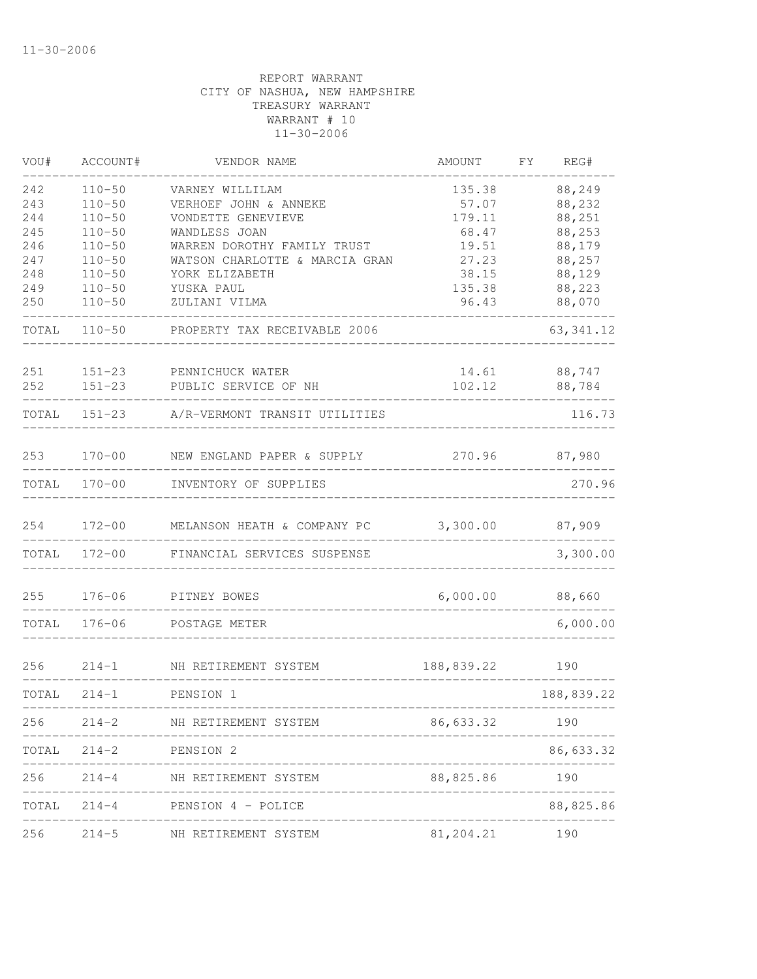| VOU#  | ACCOUNT#   | VENDOR NAME                                     | AMOUNT                  | FΥ | REG#       |
|-------|------------|-------------------------------------------------|-------------------------|----|------------|
| 242   | $110 - 50$ | VARNEY WILLILAM                                 | 135.38                  |    | 88,249     |
| 243   | $110 - 50$ | VERHOEF JOHN & ANNEKE                           | 57.07                   |    | 88,232     |
| 244   | $110 - 50$ | VONDETTE GENEVIEVE                              | 179.11                  |    | 88,251     |
| 245   | $110 - 50$ | WANDLESS JOAN                                   | 68.47                   |    | 88,253     |
| 246   | $110 - 50$ | WARREN DOROTHY FAMILY TRUST                     | 19.51                   |    | 88,179     |
| 247   | $110 - 50$ | WATSON CHARLOTTE & MARCIA GRAN                  | 27.23                   |    | 88,257     |
| 248   | $110 - 50$ | YORK ELIZABETH                                  | 38.15                   |    | 88,129     |
| 249   | $110 - 50$ | YUSKA PAUL                                      | 135.38                  |    | 88,223     |
| 250   | $110 - 50$ | ZULIANI VILMA                                   | 96.43                   |    | 88,070     |
| TOTAL | $110 - 50$ | PROPERTY TAX RECEIVABLE 2006                    |                         |    | 63, 341.12 |
| 251   | $151 - 23$ | PENNICHUCK WATER                                | 14.61                   |    | 88,747     |
| 252   | $151 - 23$ | PUBLIC SERVICE OF NH                            | 102.12                  |    | 88,784     |
| TOTAL | $151 - 23$ | A/R-VERMONT TRANSIT UTILITIES                   |                         |    | 116.73     |
| 253   | $170 - 00$ | NEW ENGLAND PAPER & SUPPLY                      | 270.96                  |    | 87,980     |
| TOTAL | $170 - 00$ | INVENTORY OF SUPPLIES                           |                         |    | 270.96     |
| 254   | $172 - 00$ | MELANSON HEATH & COMPANY PC                     | 3,300.00                |    | 87,909     |
| TOTAL | $172 - 00$ | FINANCIAL SERVICES SUSPENSE                     |                         |    | 3,300.00   |
| 255   | $176 - 06$ | PITNEY BOWES                                    | 6,000.00                |    | 88,660     |
| TOTAL | $176 - 06$ | POSTAGE METER                                   |                         |    | 6,000.00   |
| 256   | $214 - 1$  | NH RETIREMENT SYSTEM                            | 188,839.22              |    | 190        |
| TOTAL | $214 - 1$  | PENSION 1                                       |                         |    | 188,839.22 |
| 256   |            | 214-2 NH RETIREMENT SYSTEM                      | 86,633.32               |    | 190        |
|       |            | TOTAL 214-2 PENSION 2                           |                         |    | 86,633.32  |
| 256   |            | 214-4 NH RETIREMENT SYSTEM                      | 88,825.86 190           |    |            |
|       |            | TOTAL 214-4 PENSION 4 - POLICE<br>------------- | ----------------------- |    | 88,825.86  |
| 256   |            | 214-5 NH RETIREMENT SYSTEM                      | 81,204.21               |    | 190        |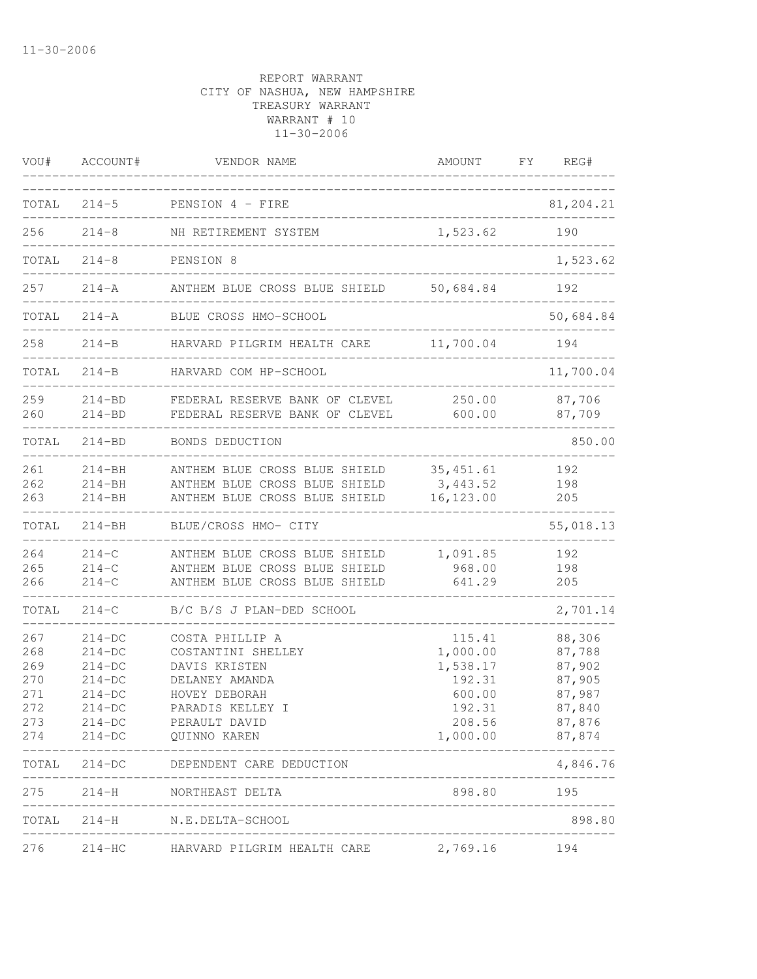| VOU#                                                 | ACCOUNT#                                                                                       | VENDOR NAME                                                                                                                                    | AMOUNT                                                                             | FY | REG#                                                                         |
|------------------------------------------------------|------------------------------------------------------------------------------------------------|------------------------------------------------------------------------------------------------------------------------------------------------|------------------------------------------------------------------------------------|----|------------------------------------------------------------------------------|
| TOTAL                                                | $214 - 5$                                                                                      | PENSION 4 - FIRE                                                                                                                               |                                                                                    |    | 81,204.21                                                                    |
| 256                                                  | $214 - 8$                                                                                      | NH RETIREMENT SYSTEM                                                                                                                           | 1,523.62                                                                           |    | 190                                                                          |
| TOTAL                                                | $214 - 8$                                                                                      | PENSION 8                                                                                                                                      |                                                                                    |    | 1,523.62                                                                     |
| 257                                                  | $214 - A$                                                                                      | ANTHEM BLUE CROSS BLUE SHIELD                                                                                                                  | 50,684.84                                                                          |    | 192                                                                          |
| TOTAL                                                | $214 - A$                                                                                      | BLUE CROSS HMO-SCHOOL                                                                                                                          |                                                                                    |    | 50,684.84                                                                    |
| 258                                                  | $214-B$                                                                                        | HARVARD PILGRIM HEALTH CARE                                                                                                                    | 11,700.04                                                                          |    | 194                                                                          |
| TOTAL                                                | $214 - B$                                                                                      | HARVARD COM HP-SCHOOL                                                                                                                          |                                                                                    |    | 11,700.04                                                                    |
| 259<br>260                                           | $214 - BD$<br>$214 - BD$                                                                       | FEDERAL RESERVE BANK OF CLEVEL<br>FEDERAL RESERVE BANK OF CLEVEL                                                                               | 250.00<br>600.00                                                                   |    | 87,706<br>87,709                                                             |
| TOTAL                                                | $214 - BD$                                                                                     | BONDS DEDUCTION                                                                                                                                |                                                                                    |    | 850.00                                                                       |
| 261<br>262<br>263                                    | $214 - BH$<br>$214 - BH$<br>$214 - BH$                                                         | ANTHEM BLUE CROSS BLUE SHIELD<br>ANTHEM BLUE CROSS BLUE SHIELD<br>ANTHEM BLUE CROSS BLUE SHIELD                                                | 35, 451.61<br>3, 443.52<br>16, 123.00                                              |    | 192<br>198<br>205                                                            |
| TOTAL                                                | $214 - BH$                                                                                     | BLUE/CROSS HMO- CITY                                                                                                                           |                                                                                    |    | 55,018.13                                                                    |
| 264<br>265<br>266<br>TOTAL                           | $214 - C$<br>$214-C$<br>$214 - C$<br>$214 - C$                                                 | ANTHEM BLUE CROSS BLUE SHIELD<br>ANTHEM BLUE CROSS BLUE SHIELD<br>ANTHEM BLUE CROSS BLUE SHIELD<br>B/C B/S J PLAN-DED SCHOOL                   | 1,091.85<br>968.00<br>641.29                                                       |    | 192<br>198<br>205<br>2,701.14                                                |
| 267<br>268<br>269<br>270<br>271<br>272<br>273<br>274 | $214-DC$<br>$214-DC$<br>$214-DC$<br>$214-DC$<br>$214-DC$<br>$214 - DC$<br>$214-DC$<br>$214-DC$ | COSTA PHILLIP A<br>COSTANTINI SHELLEY<br>DAVIS KRISTEN<br>DELANEY AMANDA<br>HOVEY DEBORAH<br>PARADIS KELLEY I<br>PERAULT DAVID<br>QUINNO KAREN | 115.41<br>1,000.00<br>1,538.17<br>192.31<br>600.00<br>192.31<br>208.56<br>1,000.00 |    | 88,306<br>87,788<br>87,902<br>87,905<br>87,987<br>87,840<br>87,876<br>87,874 |
| TOTAL                                                |                                                                                                | 214-DC DEPENDENT CARE DEDUCTION                                                                                                                |                                                                                    |    | 4,846.76                                                                     |
| 275                                                  |                                                                                                | 214-H NORTHEAST DELTA<br>----------------------                                                                                                | 898.80 195                                                                         |    |                                                                              |
| TOTAL                                                |                                                                                                | 214-H N.E.DELTA-SCHOOL                                                                                                                         |                                                                                    |    | 898.80                                                                       |
| 276                                                  |                                                                                                | 214-HC HARVARD PILGRIM HEALTH CARE                                                                                                             | 2,769.16                                                                           |    | 194                                                                          |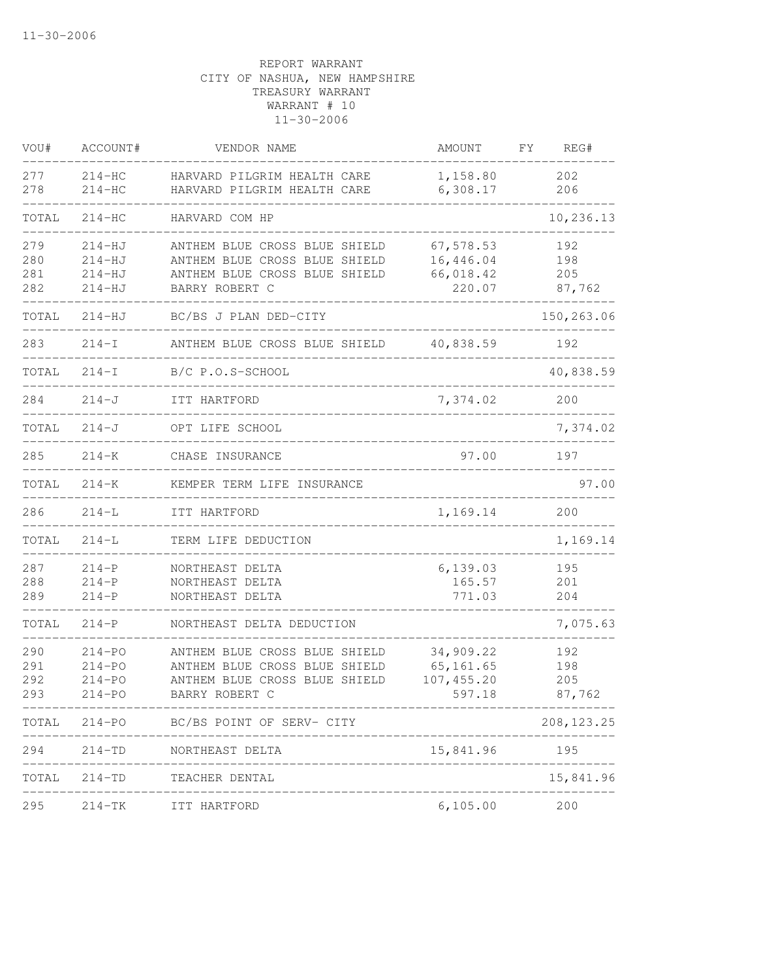| VOU#                     | ACCOUNT#                                             | VENDOR NAME                                                                                                       | AMOUNT                                          | FΥ<br>REG#                  |
|--------------------------|------------------------------------------------------|-------------------------------------------------------------------------------------------------------------------|-------------------------------------------------|-----------------------------|
| 277<br>278               | $214-HC$<br>$214-HC$                                 | HARVARD PILGRIM HEALTH CARE<br>HARVARD PILGRIM HEALTH CARE                                                        | 1,158.80<br>6,308.17                            | 202<br>206                  |
| TOTAL                    | $214-HC$                                             | HARVARD COM HP                                                                                                    |                                                 | 10,236.13                   |
| 279<br>280<br>281<br>282 | $214 - HJ$<br>$214 - HJ$<br>$214 - HJ$<br>$214 - HJ$ | ANTHEM BLUE CROSS BLUE SHIELD<br>ANTHEM BLUE CROSS BLUE SHIELD<br>ANTHEM BLUE CROSS BLUE SHIELD<br>BARRY ROBERT C | 67,578.53<br>16,446.04<br>66,018.42<br>220.07   | 192<br>198<br>205<br>87,762 |
| TOTAL                    | $214 - HJ$                                           | BC/BS J PLAN DED-CITY                                                                                             |                                                 | 150,263.06                  |
| 283                      | $214 - I$                                            | ANTHEM BLUE CROSS BLUE SHIELD                                                                                     | 40,838.59                                       | 192                         |
| TOTAL                    | $214 - I$                                            | B/C P.O.S-SCHOOL                                                                                                  |                                                 | 40,838.59                   |
| 284                      | $214 - J$                                            | ITT HARTFORD                                                                                                      | 7,374.02                                        | 200                         |
| TOTAL                    | $214-J$                                              | OPT LIFE SCHOOL                                                                                                   |                                                 | 7,374.02                    |
| 285                      | $214 - K$                                            | CHASE INSURANCE                                                                                                   | 97.00                                           | 197                         |
| TOTAL                    | $214 - K$                                            | KEMPER TERM LIFE INSURANCE                                                                                        |                                                 | 97.00                       |
| 286                      | $214 - L$                                            | ITT HARTFORD                                                                                                      | 1,169.14                                        | 200                         |
| TOTAL                    | $214 - L$                                            | TERM LIFE DEDUCTION                                                                                               |                                                 | 1,169.14                    |
| 287<br>288<br>289        | $214-P$<br>$214 - P$<br>$214-P$                      | NORTHEAST DELTA<br>NORTHEAST DELTA<br>NORTHEAST DELTA                                                             | 6, 139.03<br>165.57<br>771.03                   | 195<br>201<br>204           |
| TOTAL                    | $214-P$                                              | NORTHEAST DELTA DEDUCTION                                                                                         |                                                 | 7,075.63                    |
| 290<br>291<br>292<br>293 | $214 - PO$<br>$214 - PQ$<br>$214 - PO$<br>$214 - PO$ | ANTHEM BLUE CROSS BLUE SHIELD<br>ANTHEM BLUE CROSS BLUE SHIELD<br>ANTHEM BLUE CROSS BLUE SHIELD<br>BARRY ROBERT C | 34,909.22<br>65, 161.65<br>107,455.20<br>597.18 | 192<br>198<br>205<br>87,762 |
| TOTAL                    |                                                      | 214-PO BC/BS POINT OF SERV- CITY                                                                                  |                                                 | 208, 123. 25                |
| 294                      | $214 - TD$                                           | NORTHEAST DELTA<br>____________________                                                                           | 15,841.96                                       | 195                         |
| TOTAL                    |                                                      | 214-TD TEACHER DENTAL                                                                                             |                                                 | 15,841.96                   |
| 295                      | $214-TK$                                             | ITT HARTFORD                                                                                                      | 6,105.00                                        | 200                         |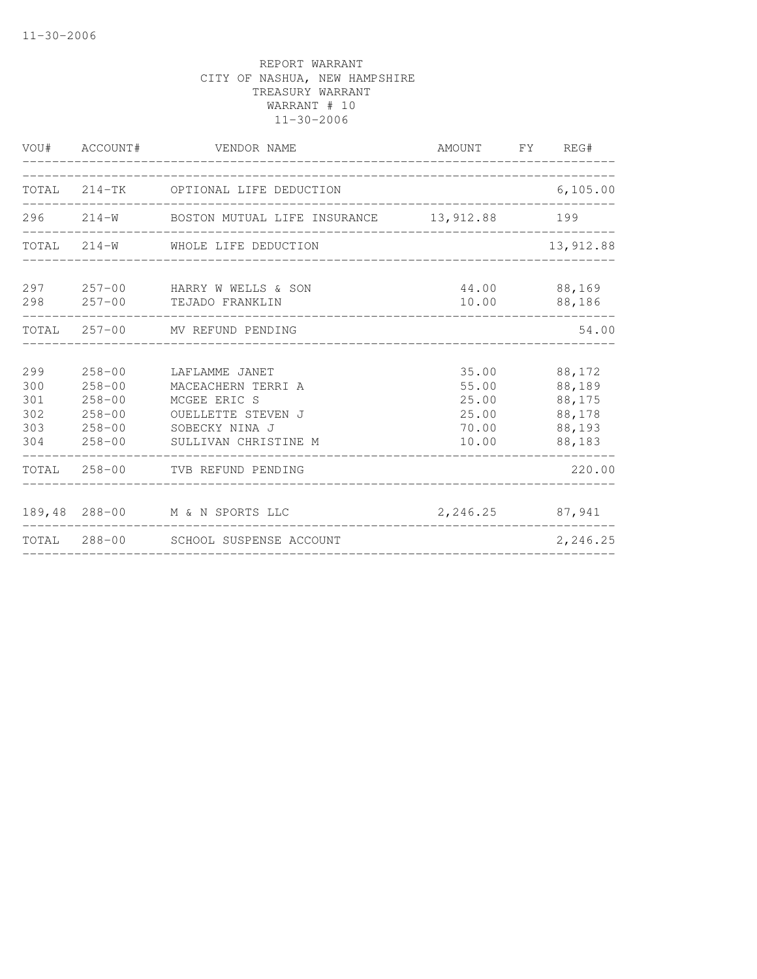|                                        | VOU# ACCOUNT#                                                                    | VENDOR NAME                                                                                                          | AMOUNT FY REG#                                     |                                                          |
|----------------------------------------|----------------------------------------------------------------------------------|----------------------------------------------------------------------------------------------------------------------|----------------------------------------------------|----------------------------------------------------------|
|                                        |                                                                                  | TOTAL 214-TK OPTIONAL LIFE DEDUCTION                                                                                 |                                                    | 6,105.00                                                 |
|                                        |                                                                                  | 296 214-W BOSTON MUTUAL LIFE INSURANCE 13,912.88 199                                                                 |                                                    |                                                          |
|                                        |                                                                                  | TOTAL 214-W WHOLE LIFE DEDUCTION                                                                                     |                                                    | 13,912.88                                                |
|                                        |                                                                                  | 297 257-00 HARRY W WELLS & SON<br>298 257-00 TEJADO FRANKLIN                                                         | 44.00                                              | 88,169<br>10.00 88,186                                   |
|                                        |                                                                                  | TOTAL 257-00 MV REFUND PENDING                                                                                       |                                                    | 54.00                                                    |
| 299<br>300<br>301<br>302<br>303<br>304 | $258 - 00$<br>$258 - 00$<br>$258 - 00$<br>$258 - 00$<br>$258 - 00$<br>$258 - 00$ | LAFLAMME JANET<br>MACEACHERN TERRI A<br>MCGEE ERIC S<br>OUELLETTE STEVEN J<br>SOBECKY NINA J<br>SULLIVAN CHRISTINE M | 35.00<br>55.00<br>25.00<br>25.00<br>70.00<br>10.00 | 88,172<br>88,189<br>88,175<br>88,178<br>88,193<br>88,183 |
|                                        |                                                                                  | TOTAL 258-00 TVB REFUND PENDING                                                                                      |                                                    | 220.00                                                   |
|                                        |                                                                                  | 189,48 288-00 M & N SPORTS LLC<br>TOTAL 288-00 SCHOOL SUSPENSE ACCOUNT                                               | 2,246.25 87,941                                    |                                                          |
|                                        |                                                                                  |                                                                                                                      |                                                    | 2,246.25                                                 |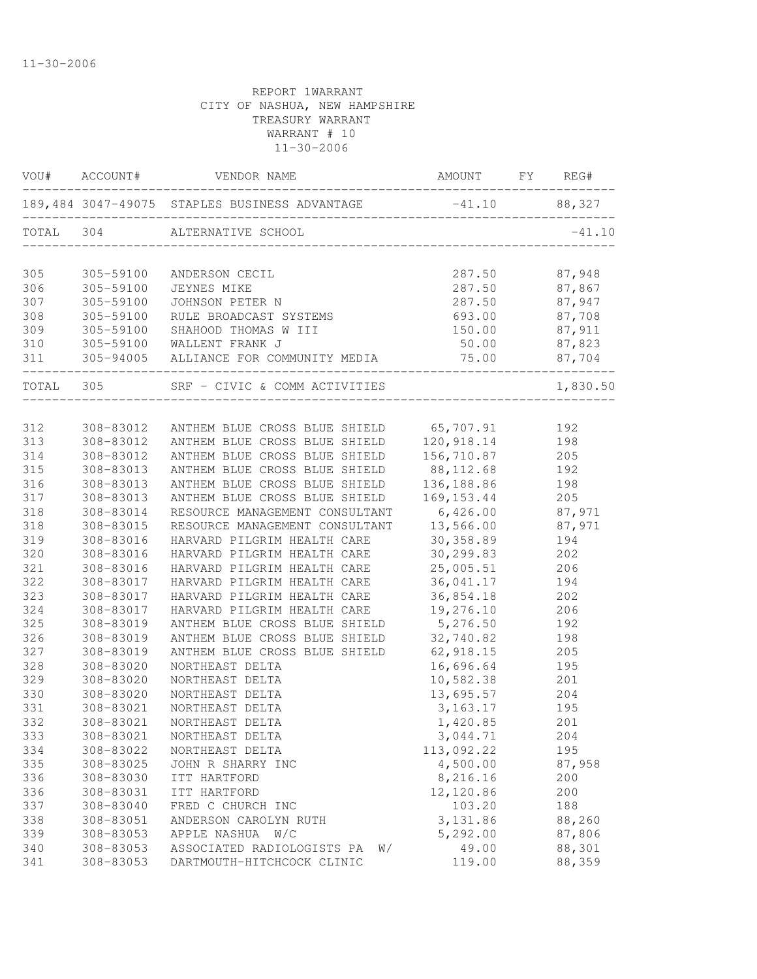|            |                        | VOU# ACCOUNT# VENDOR NAME                                   | AMOUNT FY REG#           |                                                 |
|------------|------------------------|-------------------------------------------------------------|--------------------------|-------------------------------------------------|
|            |                        | 189,484 3047-49075 STAPLES BUSINESS ADVANTAGE -41.10 88,327 |                          |                                                 |
|            |                        | TOTAL 304 ALTERNATIVE SCHOOL                                |                          | $-41.10$                                        |
| 305        |                        | 305-59100 ANDERSON CECIL                                    |                          | 287.50 87,948<br>287.50 87,867<br>287.50 87,947 |
| 306        | 305-59100              | JEYNES MIKE                                                 |                          |                                                 |
| 307        | 305-59100              | JOHNSON PETER N                                             |                          |                                                 |
| 308        | 305-59100              | RULE BROADCAST SYSTEMS 693.00 87,708                        |                          |                                                 |
| 309        |                        | 305-59100 SHAHOOD THOMAS W III                              | 150.00 87,911            |                                                 |
|            |                        | 310 305-59100 WALLENT FRANK J                               | 50.00 87,823             |                                                 |
|            |                        |                                                             | _______________________  |                                                 |
|            |                        | TOTAL 305 SRF - CIVIC & COMM ACTIVITIES                     |                          | 1,830.50                                        |
| 312        |                        | 308-83012 ANTHEM BLUE CROSS BLUE SHIELD 65,707.91 192       |                          |                                                 |
| 313        |                        | 308-83012 ANTHEM BLUE CROSS BLUE SHIELD 120, 918.14         |                          | 198                                             |
| 314        | 308-83012              | ANTHEM BLUE CROSS BLUE SHIELD 156,710.87                    |                          | 205                                             |
| 315        | 308-83013              | ANTHEM BLUE CROSS BLUE SHIELD 88,112.68                     |                          | 192                                             |
| 316        | 308-83013              | ANTHEM BLUE CROSS BLUE SHIELD                               | 136,188.86               | 198                                             |
| 317        | 308-83013              | ANTHEM BLUE CROSS BLUE SHIELD                               | 169, 153. 44             | 205                                             |
| 318        | 308-83014              | RESOURCE MANAGEMENT CONSULTANT                              | 6,426.00 87,971          |                                                 |
| 318        | 308-83015              | RESOURCE MANAGEMENT CONSULTANT 13,566.00 87,971             |                          |                                                 |
| 319        | 308-83016              | HARVARD PILGRIM HEALTH CARE                                 | 30,358.89                | 194                                             |
| 320        | 308-83016              | HARVARD PILGRIM HEALTH CARE<br>HARVARD PILGRIM HEALTH CARE  | 30, 299.83               | 202                                             |
| 321        | 308-83016              | HARVARD PILGRIM HEALTH CARE 25,005.51                       |                          | 206                                             |
| 322        | 308-83017              | HARVARD PILGRIM HEALTH CARE                                 | 36,041.17                | 194                                             |
| 323        | 308-83017              | HARVARD PILGRIM HEALTH CARE                                 | 36,854.18                | 202                                             |
| 324        | 308-83017              | HARVARD PILGRIM HEALTH CARE                                 | 19,276.10                | 206                                             |
| 325        | 308-83019              | ANTHEM BLUE CROSS BLUE SHIELD                               | 5,276.50                 | 192                                             |
| 326        | 308-83019              | ANTHEM BLUE CROSS BLUE SHIELD                               | 32,740.82                | 198                                             |
| 327        | 308-83019              | ANTHEM BLUE CROSS BLUE SHIELD                               | 62, 918.15<br>16, 696.64 | 205                                             |
| 328        | 308-83020              | NORTHEAST DELTA                                             |                          | 195                                             |
| 329        | 308-83020              | NORTHEAST DELTA                                             | 10,582.38                | 201                                             |
| 330        | 308-83020              | NORTHEAST DELTA                                             | 13,695.57                | 204                                             |
| 331        | 308-83021              | NORTHEAST DELTA                                             | 3, 163. 17               | 195                                             |
| 332        | 308-83021              | NORTHEAST DELTA                                             | 1,420.85                 | 201                                             |
| 333        | 308-83021              | NORTHEAST DELTA                                             | 3,044.71                 | 204                                             |
| 334        | 308-83022              | NORTHEAST DELTA                                             | 113,092.22               | 195                                             |
| 335        | 308-83025              | JOHN R SHARRY INC                                           | 4,500.00                 | 87,958                                          |
| 336        | 308-83030              | ITT HARTFORD                                                | 8,216.16                 | 200                                             |
| 336        | 308-83031              | ITT HARTFORD                                                | 12,120.86                | 200                                             |
| 337        | 308-83040              | FRED C CHURCH INC                                           | 103.20                   | 188                                             |
| 338        | 308-83051              | ANDERSON CAROLYN RUTH                                       | 3,131.86                 | 88,260                                          |
| 339        | 308-83053              | APPLE NASHUA<br>W/C<br>ASSOCIATED RADIOLOGISTS PA           | 5,292.00                 | 87,806<br>88,301                                |
| 340<br>341 | 308-83053<br>308-83053 | W/<br>DARTMOUTH-HITCHCOCK CLINIC                            | 49.00<br>119.00          | 88,359                                          |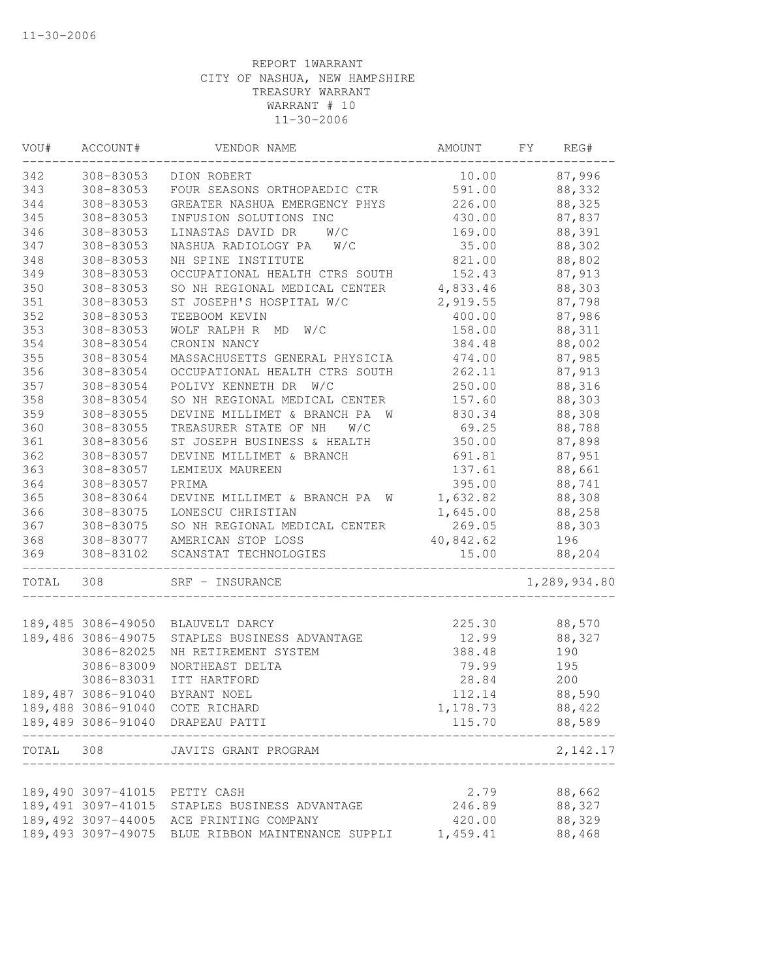| WOU#  | ACCOUNT#                      | VENDOR NAME                                                                              | AMOUNT             | FY<br>REG#       |
|-------|-------------------------------|------------------------------------------------------------------------------------------|--------------------|------------------|
| 342   | 308-83053                     | DION ROBERT                                                                              | 10.00              | 87,996           |
| 343   | 308-83053                     | FOUR SEASONS ORTHOPAEDIC CTR                                                             | 591.00             | 88,332           |
| 344   | 308-83053                     | GREATER NASHUA EMERGENCY PHYS                                                            | 226.00             | 88,325           |
| 345   | 308-83053                     | INFUSION SOLUTIONS INC                                                                   | 430.00             | 87,837           |
| 346   | 308-83053                     | LINASTAS DAVID DR<br>W/C                                                                 | 169.00             | 88,391           |
| 347   | 308-83053                     | NASHUA RADIOLOGY PA<br>W/C                                                               | 35.00              | 88,302           |
| 348   | 308-83053                     | NH SPINE INSTITUTE                                                                       | 821.00             | 88,802           |
| 349   | 308-83053                     | OCCUPATIONAL HEALTH CTRS SOUTH                                                           | 152.43             | 87,913           |
| 350   | 308-83053                     | SO NH REGIONAL MEDICAL CENTER                                                            | 4,833.46           | 88,303           |
| 351   | 308-83053                     | ST JOSEPH'S HOSPITAL W/C                                                                 | 2,919.55           | 87,798           |
| 352   | 308-83053                     | TEEBOOM KEVIN                                                                            | 400.00             | 87,986           |
| 353   | 308-83053                     | WOLF RALPH R<br>W/C<br>MD                                                                | 158.00             | 88,311           |
| 354   | 308-83054                     | CRONIN NANCY                                                                             | 384.48             | 88,002           |
| 355   | 308-83054                     | MASSACHUSETTS GENERAL PHYSICIA                                                           | 474.00             | 87,985           |
| 356   | 308-83054                     | OCCUPATIONAL HEALTH CTRS SOUTH                                                           | 262.11             | 87,913           |
| 357   | 308-83054                     | POLIVY KENNETH DR<br>W/C                                                                 | 250.00             | 88,316           |
| 358   | 308-83054                     | SO NH REGIONAL MEDICAL CENTER                                                            | 157.60             | 88,303           |
| 359   | 308-83055                     | DEVINE MILLIMET & BRANCH PA W                                                            | 830.34             | 88,308           |
| 360   | 308-83055                     | TREASURER STATE OF NH<br>W/C                                                             | 69.25              | 88,788           |
| 361   | 308-83056                     | ST JOSEPH BUSINESS & HEALTH                                                              | 350.00             | 87,898           |
| 362   | 308-83057                     | DEVINE MILLIMET & BRANCH                                                                 | 691.81             | 87,951           |
| 363   | 308-83057                     | LEMIEUX MAUREEN                                                                          | 137.61             | 88,661           |
| 364   | 308-83057                     | PRIMA                                                                                    | 395.00             | 88,741           |
| 365   | 308-83064                     | DEVINE MILLIMET & BRANCH PA<br>W                                                         | 1,632.82           | 88,308           |
| 366   | 308-83075                     | LONESCU CHRISTIAN                                                                        | 1,645.00           | 88,258           |
| 367   | 308-83075                     | SO NH REGIONAL MEDICAL CENTER                                                            | 269.05             | 88,303           |
| 368   |                               | 308-83077 AMERICAN STOP LOSS                                                             | 40,842.62          | 196              |
| 369   | 308-83102                     | SCANSTAT TECHNOLOGIES                                                                    | 15.00              | 88,204           |
| TOTAL | 308                           | SRF - INSURANCE                                                                          |                    | 1,289,934.80     |
|       |                               | 189,485 3086-49050 BLAUVELT DARCY                                                        | 225.30             | 88,570           |
|       | 189,486 3086-49075            | STAPLES BUSINESS ADVANTAGE                                                               | 12.99              | 88,327           |
|       | 3086-82025                    | NH RETIREMENT SYSTEM                                                                     | 388.48             | 190              |
|       | 3086-83009                    | NORTHEAST DELTA                                                                          | 79.99              | 195              |
|       | 3086-83031                    | ITT HARTFORD                                                                             | 28.84              | 200              |
|       |                               | 189,487 3086-91040 BYRANT NOEL                                                           | 112.14             | 88,590           |
|       |                               | 189,488 3086-91040 COTE RICHARD                                                          |                    |                  |
|       |                               | 189,489 3086-91040 DRAPEAU PATTI                                                         | 1,178.73<br>115.70 | 88,422<br>88,589 |
|       |                               |                                                                                          |                    |                  |
| TOTAL | 308                           | JAVITS GRANT PROGRAM                                                                     |                    | 2,142.17         |
|       |                               |                                                                                          |                    |                  |
|       | 189,490 3097-41015 PETTY CASH |                                                                                          | 2.79               | 88,662<br>88,327 |
|       |                               | 189,491 3097-41015 STAPLES BUSINESS ADVANTAGE<br>189,492 3097-44005 ACE PRINTING COMPANY | 246.89<br>420.00   | 88,329           |
|       |                               | 189,493 3097-49075 BLUE RIBBON MAINTENANCE SUPPLI                                        | 1,459.41           | 88,468           |
|       |                               |                                                                                          |                    |                  |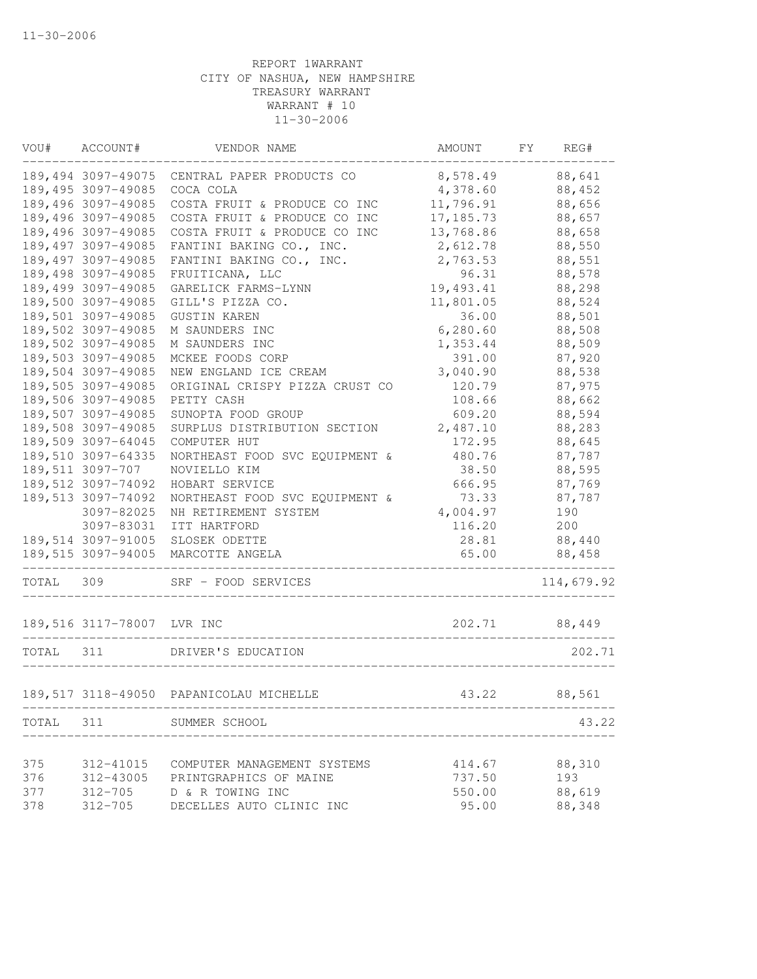| VOU#      | ACCOUNT#                   | VENDOR NAME                                           | AMOUNT     | FY<br>REG# |  |
|-----------|----------------------------|-------------------------------------------------------|------------|------------|--|
|           | 189,494 3097-49075         | CENTRAL PAPER PRODUCTS CO                             | 8,578.49   | 88,641     |  |
|           | 189,495 3097-49085         | COCA COLA                                             | 4,378.60   | 88,452     |  |
|           | 189,496 3097-49085         | COSTA FRUIT & PRODUCE CO INC                          | 11,796.91  | 88,656     |  |
|           | 189,496 3097-49085         | COSTA FRUIT & PRODUCE CO INC                          | 17, 185.73 | 88,657     |  |
|           | 189,496 3097-49085         | COSTA FRUIT & PRODUCE CO INC                          | 13,768.86  | 88,658     |  |
|           | 189,497 3097-49085         | FANTINI BAKING CO., INC.                              | 2,612.78   | 88,550     |  |
|           | 189,497 3097-49085         | FANTINI BAKING CO., INC.                              | 2,763.53   | 88,551     |  |
|           | 189,498 3097-49085         | FRUITICANA, LLC                                       | 96.31      | 88,578     |  |
|           | 189,499 3097-49085         | GARELICK FARMS-LYNN                                   | 19,493.41  | 88,298     |  |
|           | 189,500 3097-49085         | GILL'S PIZZA CO.                                      | 11,801.05  | 88,524     |  |
|           | 189,501 3097-49085         | <b>GUSTIN KAREN</b>                                   | 36.00      | 88,501     |  |
|           | 189,502 3097-49085         | M SAUNDERS INC                                        | 6, 280.60  | 88,508     |  |
|           | 189,502 3097-49085         | M SAUNDERS INC                                        | 1,353.44   | 88,509     |  |
|           | 189,503 3097-49085         | MCKEE FOODS CORP                                      | 391.00     | 87,920     |  |
|           | 189,504 3097-49085         | NEW ENGLAND ICE CREAM                                 | 3,040.90   | 88,538     |  |
|           | 189,505 3097-49085         | ORIGINAL CRISPY PIZZA CRUST CO                        | 120.79     | 87,975     |  |
|           | 189,506 3097-49085         | PETTY CASH                                            | 108.66     | 88,662     |  |
|           | 189,507 3097-49085         | SUNOPTA FOOD GROUP                                    | 609.20     | 88,594     |  |
|           | 189,508 3097-49085         | SURPLUS DISTRIBUTION SECTION                          | 2,487.10   | 88,283     |  |
|           | 189,509 3097-64045         | COMPUTER HUT                                          | 172.95     | 88,645     |  |
|           | 189,510 3097-64335         | NORTHEAST FOOD SVC EQUIPMENT &                        | 480.76     | 87,787     |  |
|           | 189,511 3097-707           | NOVIELLO KIM                                          | 38.50      | 88,595     |  |
|           | 189,512 3097-74092         | HOBART SERVICE                                        | 666.95     | 87,769     |  |
|           | 189,513 3097-74092         | NORTHEAST FOOD SVC EQUIPMENT &                        | 73.33      | 87,787     |  |
|           | 3097-82025                 | NH RETIREMENT SYSTEM                                  | 4,004.97   | 190        |  |
|           | 3097-83031                 | ITT HARTFORD                                          | 116.20     | 200        |  |
|           | 189,514 3097-91005         | SLOSEK ODETTE                                         | 28.81      | 88,440     |  |
|           | 189,515 3097-94005         | MARCOTTE ANGELA                                       | 65.00      | 88,458     |  |
| TOTAL     | 309                        | SRF - FOOD SERVICES                                   |            | 114,679.92 |  |
|           | 189,516 3117-78007 LVR INC |                                                       | 202.71     | 88,449     |  |
| TOTAL 311 |                            | DRIVER'S EDUCATION                                    |            | 202.71     |  |
|           |                            |                                                       |            | 88,561     |  |
|           |                            | 189,517 3118-49050 PAPANICOLAU MICHELLE               | 43.22      |            |  |
|           |                            | TOTAL 311 SUMMER SCHOOL<br>__________________________ |            | 43.22      |  |
| 375       |                            | 312-41015 COMPUTER MANAGEMENT SYSTEMS                 | 414.67     | 88,310     |  |
| 376       | 312-43005                  | PRINTGRAPHICS OF MAINE                                | 737.50     | 193        |  |
| 377       | $312 - 705$                | D & R TOWING INC                                      | 550.00     | 88,619     |  |
| 378       | 312-705                    | DECELLES AUTO CLINIC INC                              | 95.00      | 88,348     |  |
|           |                            |                                                       |            |            |  |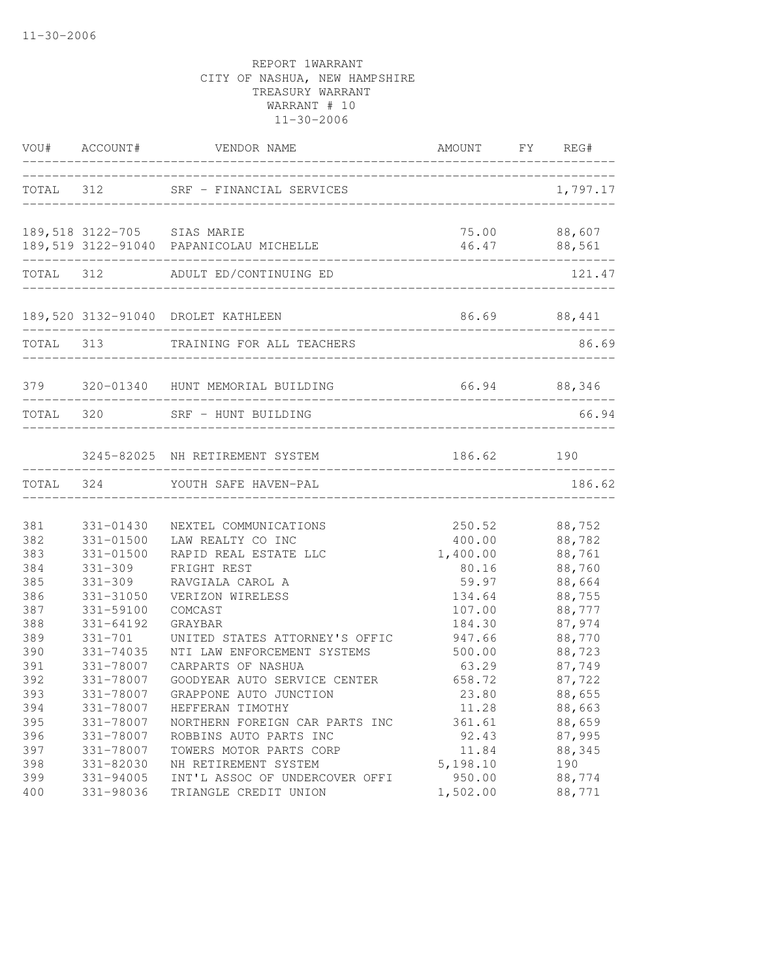|     |                                | VOU# ACCOUNT# VENDOR NAME                                       | AMOUNT FY REG#                     |              |
|-----|--------------------------------|-----------------------------------------------------------------|------------------------------------|--------------|
|     |                                | TOTAL 312 SRF - FINANCIAL SERVICES                              |                                    | 1,797.17     |
|     | 189,518 3122-705 SIAS MARIE    | 189,519 3122-91040 PAPANICOLAU MICHELLE                         | 46.47 88,561                       | 75.00 88,607 |
|     |                                | TOTAL 312 ADULT ED/CONTINUING ED                                | _______________________________    | 121.47       |
|     |                                | 189,520 3132-91040 DROLET KATHLEEN                              | _______________________________    | 86.69 88,441 |
|     |                                | TOTAL 313 TRAINING FOR ALL TEACHERS                             | __________________________________ | 86.69        |
|     | ______________________________ | 379 320-01340 HUNT MEMORIAL BUILDING                            | 66.94 88,346                       |              |
|     | TOTAL 320                      | SRF - HUNT BUILDING                                             |                                    | 66.94        |
|     |                                | 3245-82025 NH RETIREMENT SYSTEM<br>____________________________ | 186.62 190                         |              |
|     |                                | TOTAL 324 YOUTH SAFE HAVEN-PAL                                  |                                    | 186.62       |
| 381 | 331-01430                      | NEXTEL COMMUNICATIONS                                           | 250.52                             | 88,752       |
| 382 | 331-01500                      | LAW REALTY CO INC                                               | 400.00                             | 88,782       |
| 383 | 331-01500                      | RAPID REAL ESTATE LLC                                           | 1,400.00                           | 88,761       |
| 384 | $331 - 309$                    | FRIGHT REST                                                     | 80.16                              | 88,760       |
| 385 | $331 - 309$                    | RAVGIALA CAROL A                                                | 59.97                              | 88,664       |
| 386 | 331-31050                      | VERIZON WIRELESS                                                | 134.64                             | 88,755       |
| 387 | 331-59100                      | COMCAST                                                         | 107.00                             | 88,777       |
| 388 | 331-64192                      | GRAYBAR                                                         | 184.30                             | 87,974       |
| 389 | $331 - 701$                    | UNITED STATES ATTORNEY'S OFFIC                                  | 947.66                             | 88,770       |
| 390 | 331-74035                      | NTI LAW ENFORCEMENT SYSTEMS                                     | 500.00                             | 88,723       |
| 391 | 331-78007                      | CARPARTS OF NASHUA                                              | 63.29                              | 87,749       |
| 392 | 331-78007                      | GOODYEAR AUTO SERVICE CENTER                                    | 658.72                             | 87,722       |
| 393 | 331-78007                      | GRAPPONE AUTO JUNCTION                                          | 23.80                              | 88,655       |
| 394 | 331-78007                      | HEFFERAN TIMOTHY                                                | 11.28                              | 88,663       |
| 395 | 331-78007                      | NORTHERN FOREIGN CAR PARTS INC                                  | 361.61                             | 88,659       |
| 396 | 331-78007                      | ROBBINS AUTO PARTS INC                                          | 92.43                              | 87,995       |
| 397 | 331-78007                      | TOWERS MOTOR PARTS CORP                                         | 11.84                              | 88,345       |
| 398 | 331-82030                      | NH RETIREMENT SYSTEM                                            | 5,198.10                           | 190          |
| 399 | 331-94005                      | INT'L ASSOC OF UNDERCOVER OFFI                                  | 950.00                             | 88,774       |
| 400 | 331-98036                      | TRIANGLE CREDIT UNION                                           | 1,502.00                           | 88,771       |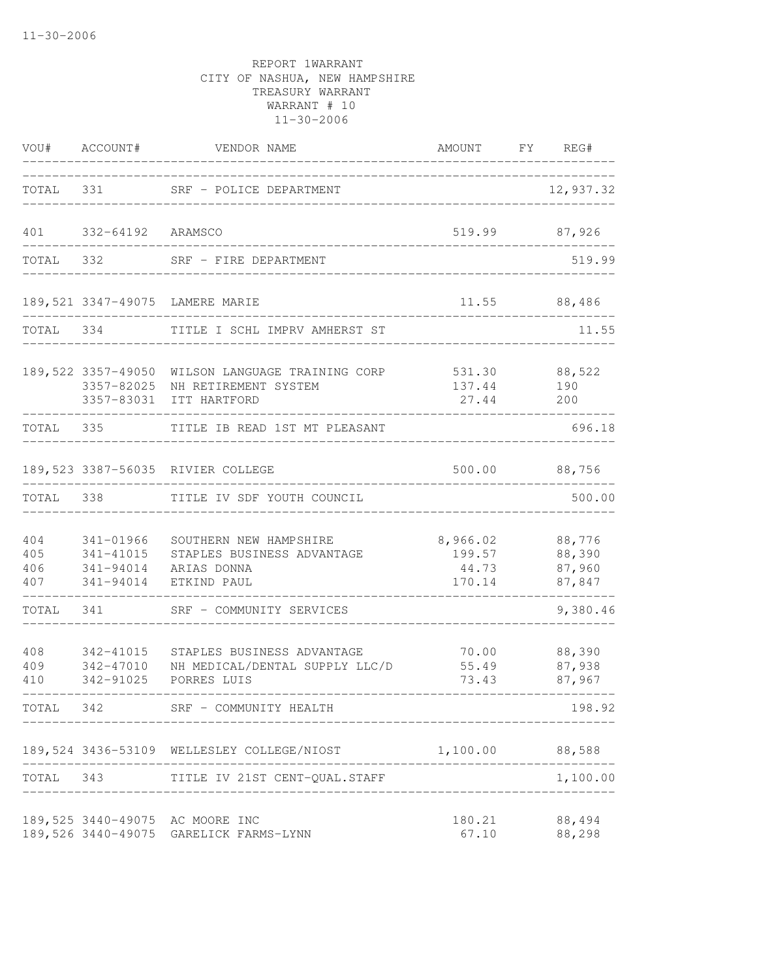|                          | VOU# ACCOUNT#                                    | VENDOR NAME                                                                                       | AMOUNT FY REG#                        |                                      |
|--------------------------|--------------------------------------------------|---------------------------------------------------------------------------------------------------|---------------------------------------|--------------------------------------|
|                          | TOTAL 331                                        | SRF - POLICE DEPARTMENT                                                                           |                                       | 12,937.32                            |
| 401                      | 332-64192 ARAMSCO                                |                                                                                                   | 519.99                                | 87,926                               |
| TOTAL                    | 332                                              | SRF - FIRE DEPARTMENT                                                                             |                                       | 519.99                               |
|                          |                                                  | 189,521 3347-49075 LAMERE MARIE                                                                   | 11.55                                 | 88,486                               |
| TOTAL 334                |                                                  | TITLE I SCHL IMPRV AMHERST ST                                                                     |                                       | 11.55                                |
|                          | 189,522 3357-49050<br>3357-82025                 | WILSON LANGUAGE TRAINING CORP<br>NH RETIREMENT SYSTEM<br>3357-83031 ITT HARTFORD                  | 137.44<br>27.44                       | 531.30 88,522<br>190<br>200          |
| TOTAL 335                |                                                  | TITLE IB READ 1ST MT PLEASANT                                                                     |                                       | 696.18                               |
|                          |                                                  | 189,523 3387-56035 RIVIER COLLEGE                                                                 | 500.00                                | 88,756                               |
| TOTAL                    | 338                                              | TITLE IV SDF YOUTH COUNCIL                                                                        |                                       | 500.00                               |
| 404<br>405<br>406<br>407 | 341-01966<br>341-41015<br>341-94014<br>341-94014 | SOUTHERN NEW HAMPSHIRE<br>STAPLES BUSINESS ADVANTAGE<br>ARIAS DONNA<br>ETKIND PAUL                | 8,966.02<br>199.57<br>44.73<br>170.14 | 88,776<br>88,390<br>87,960<br>87,847 |
| TOTAL                    | 341                                              | SRF - COMMUNITY SERVICES                                                                          |                                       | 9,380.46                             |
| 408<br>409<br>410        | 342-41015<br>342-47010<br>342-91025              | STAPLES BUSINESS ADVANTAGE<br>NH MEDICAL/DENTAL SUPPLY LLC/D<br>PORRES LUIS<br>------------------ | 70.00<br>55.49<br>73.43               | 88,390<br>87,938<br>87,967           |
| TOTAL 342                |                                                  | SRF - COMMUNITY HEALTH                                                                            |                                       | 198.92                               |
|                          |                                                  | 189,524 3436-53109 WELLESLEY COLLEGE/NIOST                                                        | 1,100.00 88,588                       |                                      |
| TOTAL 343                |                                                  | TITLE IV 21ST CENT-QUAL.STAFF                                                                     |                                       | 1,100.00                             |
|                          |                                                  | 189,525 3440-49075 AC MOORE INC<br>189,526 3440-49075 GARELICK FARMS-LYNN                         | 180.21<br>67.10                       | 88,494<br>88,298                     |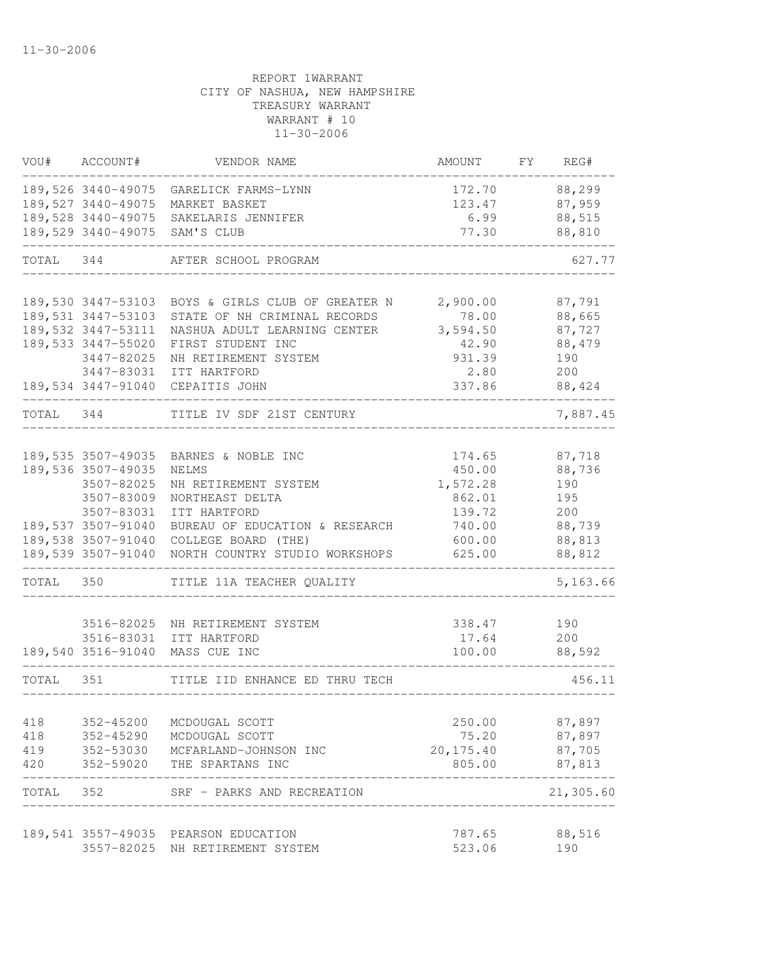| VOU#       | ACCOUNT#                                 | VENDOR NAME                                                            | AMOUNT                  | FY | REG#                |
|------------|------------------------------------------|------------------------------------------------------------------------|-------------------------|----|---------------------|
|            | 189,527 3440-49075                       | 189,526 3440-49075 GARELICK FARMS-LYNN<br>MARKET BASKET                | 172.70<br>123.47 87,959 |    | 88,299              |
|            |                                          | 189,528 3440-49075 SAKELARIS JENNIFER<br>189,529 3440-49075 SAM'S CLUB | 6.99<br>77.30           |    | 88,515<br>88,810    |
| TOTAL 344  |                                          | AFTER SCHOOL PROGRAM                                                   |                         |    | 627.77              |
|            |                                          |                                                                        |                         |    |                     |
|            |                                          | 189,530 3447-53103 BOYS & GIRLS CLUB OF GREATER N                      | 2,900.00                |    | 87,791              |
|            | 189,531 3447-53103<br>189,532 3447-53111 | STATE OF NH CRIMINAL RECORDS<br>NASHUA ADULT LEARNING CENTER           | 78.00<br>3,594.50       |    | 88,665<br>87,727    |
|            | 189,533 3447-55020                       | FIRST STUDENT INC                                                      | 42.90                   |    | 88,479              |
|            | 3447-82025                               | NH RETIREMENT SYSTEM                                                   | 931.39                  |    | 190                 |
|            | 3447-83031                               | ITT HARTFORD                                                           | 2.80                    |    | 200                 |
|            |                                          | 189,534 3447-91040 CEPAITIS JOHN                                       | 337.86                  |    | 88,424              |
|            |                                          | TOTAL 344 TITLE IV SDF 21ST CENTURY                                    |                         |    | 7,887.45            |
|            |                                          |                                                                        |                         |    |                     |
|            |                                          | 189,535 3507-49035 BARNES & NOBLE INC                                  | 174.65                  |    | 87,718              |
|            | 189,536 3507-49035                       | NELMS<br>NH RETIREMENT SYSTEM                                          | 450.00                  |    | 88,736              |
|            | 3507-82025<br>3507-83009                 | NORTHEAST DELTA                                                        | 1,572.28<br>862.01      |    | 190<br>195          |
|            | 3507-83031                               | ITT HARTFORD                                                           | 139.72                  |    | 200                 |
|            | 189,537 3507-91040                       | BUREAU OF EDUCATION & RESEARCH                                         | 740.00                  |    | 88,739              |
|            | 189,538 3507-91040                       | COLLEGE BOARD (THE)                                                    | 600.00                  |    | 88,813              |
|            | 189,539 3507-91040                       | NORTH COUNTRY STUDIO WORKSHOPS                                         | 625.00                  |    | 88,812              |
| TOTAL 350  |                                          | TITLE 11A TEACHER QUALITY                                              |                         |    | 5,163.66            |
|            |                                          |                                                                        |                         |    |                     |
|            | 3516-82025                               | NH RETIREMENT SYSTEM                                                   | 338.47                  |    | 190                 |
|            |                                          | 3516-83031 ITT HARTFORD<br>189,540 3516-91040 MASS CUE INC             | 17.64<br>100.00         |    | 200<br>88,592       |
|            |                                          |                                                                        |                         |    |                     |
| TOTAL 351  |                                          | TITLE IID ENHANCE ED THRU TECH                                         |                         |    | 456.11              |
|            |                                          |                                                                        |                         |    |                     |
| 418        | 352-45200                                | MCDOUGAL SCOTT                                                         | 250.00                  |    | 87,897              |
| 418        | 352-45290                                | MCDOUGAL SCOTT                                                         | 75.20                   |    | 87,897              |
| 419<br>420 | 352-59020                                | 352-53030 MCFARLAND-JOHNSON INC<br>THE SPARTANS INC                    | 20, 175.40<br>805.00    |    | 87,705<br>87,813    |
| TOTAL 352  |                                          | SRF - PARKS AND RECREATION                                             |                         |    | ------<br>21,305.60 |
|            |                                          |                                                                        |                         |    |                     |
|            |                                          | 189,541 3557-49035 PEARSON EDUCATION                                   | 787.65                  |    | 88,516              |
|            | 3557-82025                               | NH RETIREMENT SYSTEM                                                   | 523.06                  |    | 190                 |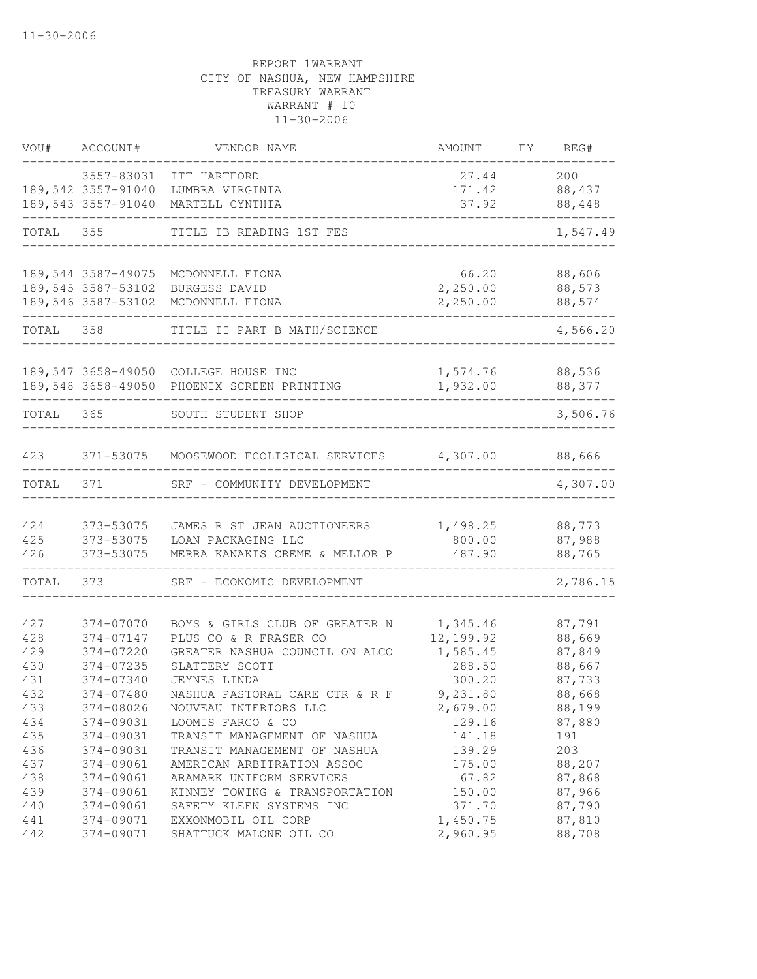| VOU#       | ACCOUNT#               | VENDOR NAME                                | AMOUNT             | FY. | REG#             |
|------------|------------------------|--------------------------------------------|--------------------|-----|------------------|
|            | 3557-83031             | ITT HARTFORD                               | 27.44              |     | 200              |
|            | 189,542 3557-91040     | LUMBRA VIRGINIA                            | 171.42             |     | 88,437           |
|            | 189,543 3557-91040     | MARTELL CYNTHIA                            | 37.92              |     | 88,448           |
| TOTAL 355  |                        | TITLE IB READING 1ST FES                   |                    |     | 1,547.49         |
|            |                        |                                            |                    |     |                  |
|            | 189,544 3587-49075     | MCDONNELL FIONA                            | 66.20              |     | 88,606           |
|            | 189,545 3587-53102     | BURGESS DAVID                              | 2,250.00           |     | 88,573           |
|            | 189,546 3587-53102     | MCDONNELL FIONA                            | 2,250.00           |     | 88,574           |
| TOTAL      | 358                    | TITLE II PART B MATH/SCIENCE               |                    |     | 4,566.20         |
|            |                        |                                            |                    |     |                  |
|            |                        | 189,547 3658-49050 COLLEGE HOUSE INC       | 1,574.76           |     | 88,536           |
|            |                        | 189,548 3658-49050 PHOENIX SCREEN PRINTING | 1,932.00           |     | 88,377           |
| TOTAL 365  |                        | SOUTH STUDENT SHOP                         |                    |     | 3,506.76         |
|            |                        |                                            |                    |     |                  |
| 423        | 371-53075              | MOOSEWOOD ECOLIGICAL SERVICES 4,307.00     |                    |     | 88,666           |
| TOTAL      | 371                    | SRF - COMMUNITY DEVELOPMENT                |                    |     | 4,307.00         |
|            |                        |                                            |                    |     |                  |
| 424        | 373-53075              | JAMES R ST JEAN AUCTIONEERS                | 1,498.25           |     | 88,773           |
| 425        | 373-53075              | LOAN PACKAGING LLC                         | 800.00             |     | 87,988           |
| 426        | 373-53075              | MERRA KANAKIS CREME & MELLOR P             | 487.90             |     | 88,765           |
| TOTAL      | 373                    | SRF - ECONOMIC DEVELOPMENT                 |                    |     | 2,786.15         |
|            |                        |                                            |                    |     |                  |
| 427        | 374-07070              | BOYS & GIRLS CLUB OF GREATER N             | 1,345.46           |     | 87,791           |
| 428        | 374-07147              | PLUS CO & R FRASER CO                      | 12,199.92          |     | 88,669           |
| 429<br>430 | 374-07220              | GREATER NASHUA COUNCIL ON ALCO             | 1,585.45<br>288.50 |     | 87,849           |
| 431        | 374-07235<br>374-07340 | SLATTERY SCOTT<br><b>JEYNES LINDA</b>      | 300.20             |     | 88,667           |
| 432        |                        |                                            |                    |     | 87,733           |
|            | 374-07480              | NASHUA PASTORAL CARE CTR & R F             | 9,231.80           |     | 88,668           |
| 433        | 374-08026              | NOUVEAU INTERIORS LLC                      | 2,679.00           |     | 88,199           |
| 434        | 374-09031              | LOOMIS FARGO & CO                          | 129.16             |     | 87,880           |
| 435<br>436 | 374-09031<br>374-09031 | TRANSIT MANAGEMENT OF NASHUA               | 141.18             |     | 191<br>203       |
|            |                        | TRANSIT MANAGEMENT OF NASHUA               | 139.29             |     |                  |
| 437        | 374-09061<br>374-09061 | AMERICAN ARBITRATION ASSOC                 | 175.00             |     | 88,207<br>87,868 |
| 438        |                        | ARAMARK UNIFORM SERVICES                   | 67.82              |     |                  |
| 439        | 374-09061              | KINNEY TOWING & TRANSPORTATION             | 150.00             |     | 87,966           |
| 440        | 374-09061              | SAFETY KLEEN SYSTEMS INC                   | 371.70             |     | 87,790           |
| 441        | 374-09071              | EXXONMOBIL OIL CORP                        | 1,450.75           |     | 87,810           |
| 442        | 374-09071              | SHATTUCK MALONE OIL CO                     | 2,960.95           |     | 88,708           |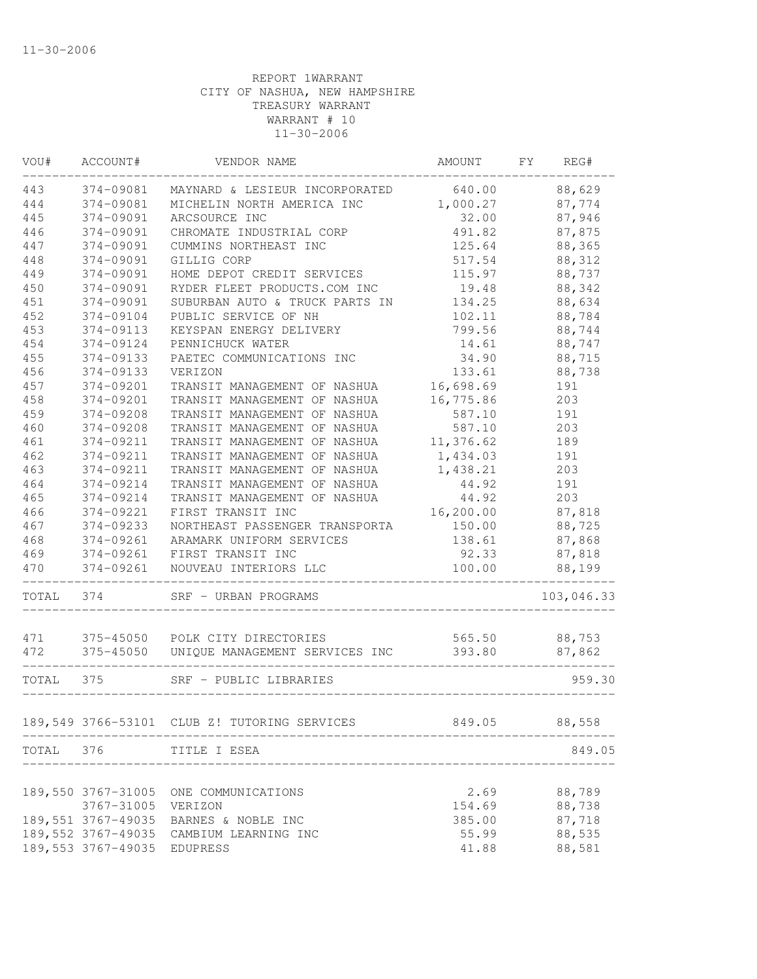| VOU#  | ACCOUNT#            | VENDOR NAME                                  | AMOUNT    | FY. | REG#       |
|-------|---------------------|----------------------------------------------|-----------|-----|------------|
| 443   | 374-09081           | MAYNARD & LESIEUR INCORPORATED               | 640.00    |     | 88,629     |
| 444   | 374-09081           | MICHELIN NORTH AMERICA INC                   | 1,000.27  |     | 87,774     |
| 445   | 374-09091           | ARCSOURCE INC                                | 32.00     |     | 87,946     |
| 446   | 374-09091           | CHROMATE INDUSTRIAL CORP                     | 491.82    |     | 87,875     |
| 447   | 374-09091           | CUMMINS NORTHEAST INC                        | 125.64    |     | 88,365     |
| 448   | 374-09091           | GILLIG CORP                                  | 517.54    |     | 88,312     |
| 449   | 374-09091           | HOME DEPOT CREDIT SERVICES                   | 115.97    |     | 88,737     |
| 450   | 374-09091           | RYDER FLEET PRODUCTS.COM INC                 | 19.48     |     | 88,342     |
| 451   | 374-09091           | SUBURBAN AUTO & TRUCK PARTS IN               | 134.25    |     | 88,634     |
| 452   | 374-09104           | PUBLIC SERVICE OF NH                         | 102.11    |     | 88,784     |
| 453   | 374-09113           | KEYSPAN ENERGY DELIVERY                      | 799.56    |     | 88,744     |
| 454   | 374-09124           | PENNICHUCK WATER                             | 14.61     |     | 88,747     |
| 455   | 374-09133           | PAETEC COMMUNICATIONS INC                    | 34.90     |     | 88,715     |
| 456   | 374-09133           | VERIZON                                      | 133.61    |     | 88,738     |
| 457   | 374-09201           | TRANSIT MANAGEMENT OF NASHUA                 | 16,698.69 |     | 191        |
| 458   | 374-09201           | TRANSIT MANAGEMENT OF NASHUA                 | 16,775.86 |     | 203        |
| 459   | 374-09208           | TRANSIT MANAGEMENT OF NASHUA                 | 587.10    |     | 191        |
| 460   | 374-09208           | TRANSIT MANAGEMENT OF NASHUA                 | 587.10    |     | 203        |
| 461   | 374-09211           | TRANSIT MANAGEMENT OF NASHUA                 | 11,376.62 |     | 189        |
| 462   | 374-09211           | TRANSIT MANAGEMENT OF NASHUA                 | 1,434.03  |     | 191        |
| 463   | 374-09211           | TRANSIT MANAGEMENT OF NASHUA                 | 1,438.21  |     | 203        |
| 464   | 374-09214           | TRANSIT MANAGEMENT OF NASHUA                 | 44.92     |     | 191        |
| 465   | 374-09214           | TRANSIT MANAGEMENT OF NASHUA                 | 44.92     |     | 203        |
| 466   | 374-09221           | FIRST TRANSIT INC                            | 16,200.00 |     | 87,818     |
| 467   | 374-09233           | NORTHEAST PASSENGER TRANSPORTA               | 150.00    |     | 88,725     |
| 468   | 374-09261           | ARAMARK UNIFORM SERVICES                     | 138.61    |     | 87,868     |
| 469   | 374-09261           | FIRST TRANSIT INC                            | 92.33     |     | 87,818     |
| 470   | 374-09261           | NOUVEAU INTERIORS LLC                        | 100.00    |     | 88,199     |
| TOTAL | 374                 | SRF - URBAN PROGRAMS                         |           |     | 103,046.33 |
|       |                     |                                              |           |     |            |
| 471   |                     | 375-45050 POLK CITY DIRECTORIES              | 565.50    |     | 88,753     |
| 472   | 375-45050           | UNIQUE MANAGEMENT SERVICES INC               | 393.80    |     | 87,862     |
| TOTAL | 375                 | SRF - PUBLIC LIBRARIES                       |           |     | 959.30     |
|       |                     | 189,549 3766-53101 CLUB Z! TUTORING SERVICES | 849.05    |     | 88,558     |
|       |                     |                                              |           |     |            |
| TOTAL | 376                 | TITLE I ESEA                                 |           |     | 849.05     |
|       | 189,550 3767-31005  | ONE COMMUNICATIONS                           | 2.69      |     | 88,789     |
|       | 3767-31005          | VERIZON                                      | 154.69    |     | 88,738     |
|       | 189, 551 3767-49035 | BARNES & NOBLE INC                           | 385.00    |     | 87,718     |
|       | 189, 552 3767-49035 | CAMBIUM LEARNING INC                         | 55.99     |     | 88,535     |
|       | 189, 553 3767-49035 | EDUPRESS                                     | 41.88     |     | 88,581     |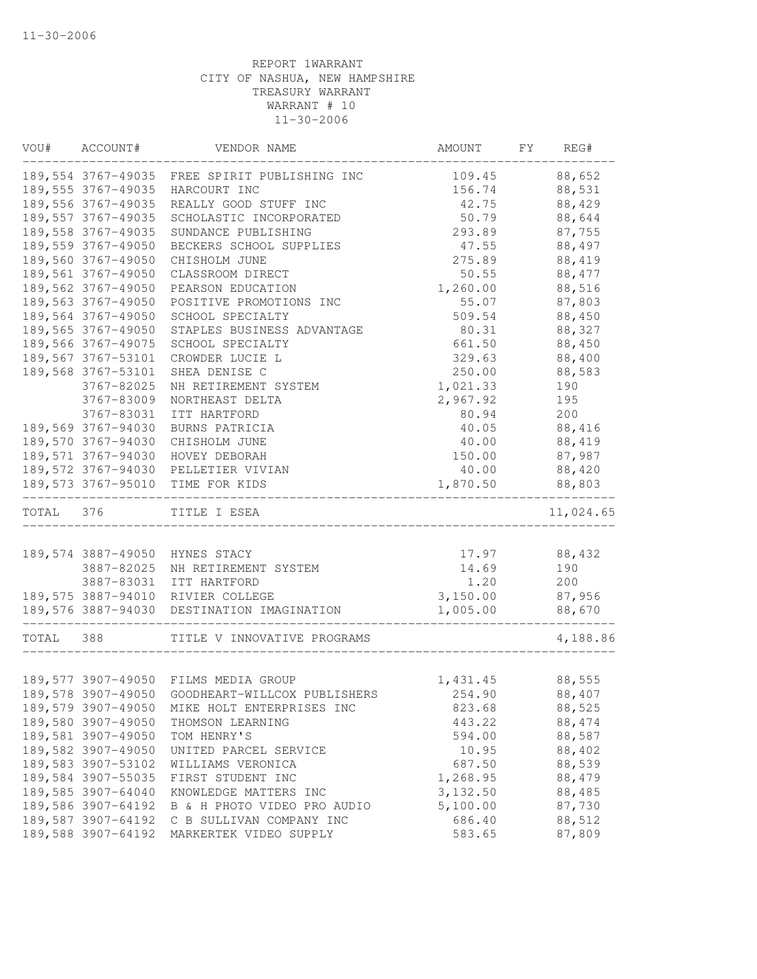|           | VOU# ACCOUNT#       | VENDOR NAME                                     | AMOUNT   | FY | REG#      |
|-----------|---------------------|-------------------------------------------------|----------|----|-----------|
|           |                     | 189,554 3767-49035 FREE SPIRIT PUBLISHING INC   | 109.45   |    | 88,652    |
|           | 189,555 3767-49035  | HARCOURT INC                                    | 156.74   |    | 88,531    |
|           | 189,556 3767-49035  | REALLY GOOD STUFF INC                           | 42.75    |    | 88,429    |
|           | 189, 557 3767-49035 | SCHOLASTIC INCORPORATED                         | 50.79    |    | 88,644    |
|           | 189, 558 3767-49035 | SUNDANCE PUBLISHING                             | 293.89   |    | 87,755    |
|           | 189,559 3767-49050  | BECKERS SCHOOL SUPPLIES                         | 47.55    |    | 88,497    |
|           | 189,560 3767-49050  | CHISHOLM JUNE                                   | 275.89   |    | 88,419    |
|           | 189,561 3767-49050  | CLASSROOM DIRECT                                | 50.55    |    | 88, 477   |
|           | 189,562 3767-49050  | PEARSON EDUCATION                               | 1,260.00 |    | 88,516    |
|           | 189,563 3767-49050  | POSITIVE PROMOTIONS INC                         | 55.07    |    | 87,803    |
|           | 189,564 3767-49050  | SCHOOL SPECIALTY                                | 509.54   |    | 88,450    |
|           | 189,565 3767-49050  | STAPLES BUSINESS ADVANTAGE                      | 80.31    |    | 88,327    |
|           | 189,566 3767-49075  | SCHOOL SPECIALTY                                | 661.50   |    | 88,450    |
|           | 189,567 3767-53101  | CROWDER LUCIE L                                 | 329.63   |    | 88,400    |
|           | 189,568 3767-53101  | SHEA DENISE C                                   | 250.00   |    | 88,583    |
|           | 3767-82025          | NH RETIREMENT SYSTEM                            | 1,021.33 |    | 190       |
|           | 3767-83009          | NORTHEAST DELTA                                 | 2,967.92 |    | 195       |
|           | 3767-83031          | ITT HARTFORD                                    | 80.94    |    | 200       |
|           | 189,569 3767-94030  | BURNS PATRICIA                                  | 40.05    |    | 88,416    |
|           | 189,570 3767-94030  | CHISHOLM JUNE                                   | 40.00    |    | 88,419    |
|           | 189,571 3767-94030  | HOVEY DEBORAH                                   | 150.00   |    | 87,987    |
|           |                     | 189,572 3767-94030 PELLETIER VIVIAN             | 40.00    |    | 88,420    |
|           |                     | 189,573 3767-95010 TIME FOR KIDS                | 1,870.50 |    | 88,803    |
| TOTAL 376 |                     | TITLE I ESEA                                    |          |    | 11,024.65 |
|           |                     |                                                 |          |    |           |
|           |                     | 189,574 3887-49050 HYNES STACY                  | 17.97    |    | 88,432    |
|           | 3887-82025          | NH RETIREMENT SYSTEM                            | 14.69    |    | 190       |
|           | 3887-83031          | ITT HARTFORD                                    | 1.20     |    | 200       |
|           |                     | 189,575 3887-94010 RIVIER COLLEGE               | 3,150.00 |    | 87,956    |
|           |                     | 189,576 3887-94030 DESTINATION IMAGINATION      | 1,005.00 |    | 88,670    |
| TOTAL     | 388                 | TITLE V INNOVATIVE PROGRAMS                     |          |    | 4,188.86  |
|           |                     |                                                 |          |    |           |
|           |                     | 189,577 3907-49050 FILMS MEDIA GROUP            | 1,431.45 |    | 88,555    |
|           |                     | 189,578 3907-49050 GOODHEART-WILLCOX PUBLISHERS | 254.90   |    | 88,407    |
|           | 189,579 3907-49050  | MIKE HOLT ENTERPRISES INC                       | 823.68   |    | 88,525    |
|           | 189,580 3907-49050  | THOMSON LEARNING                                | 443.22   |    | 88,474    |
|           | 189,581 3907-49050  | TOM HENRY'S                                     | 594.00   |    | 88,587    |
|           | 189,582 3907-49050  | UNITED PARCEL SERVICE                           | 10.95    |    | 88,402    |
|           | 189,583 3907-53102  | WILLIAMS VERONICA                               | 687.50   |    | 88,539    |
|           | 189,584 3907-55035  | FIRST STUDENT INC                               | 1,268.95 |    | 88,479    |
|           | 189,585 3907-64040  | KNOWLEDGE MATTERS INC                           | 3,132.50 |    | 88,485    |
|           | 189,586 3907-64192  | B & H PHOTO VIDEO PRO AUDIO                     | 5,100.00 |    | 87,730    |
|           | 189,587 3907-64192  | C B SULLIVAN COMPANY INC                        | 686.40   |    | 88,512    |
|           | 189,588 3907-64192  | MARKERTEK VIDEO SUPPLY                          | 583.65   |    | 87,809    |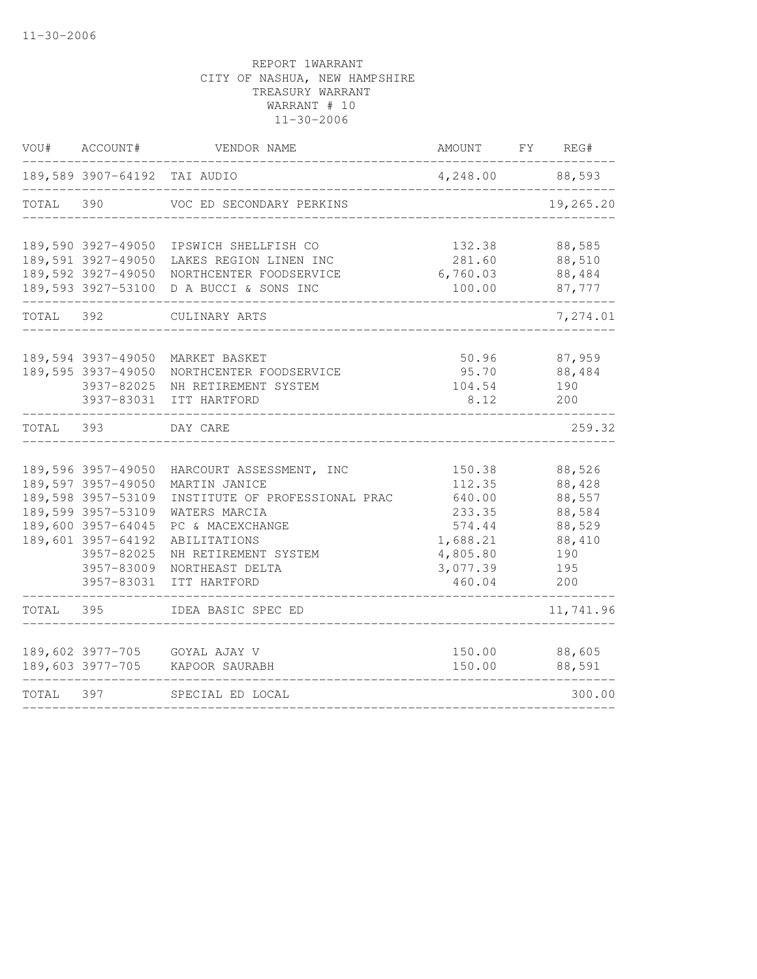| VOU#      | ACCOUNT#                                                                                                                                                                   | VENDOR NAME                                                                                                                                                                                 | AMOUNT                                                                                       | FY | REG#                                                                          |
|-----------|----------------------------------------------------------------------------------------------------------------------------------------------------------------------------|---------------------------------------------------------------------------------------------------------------------------------------------------------------------------------------------|----------------------------------------------------------------------------------------------|----|-------------------------------------------------------------------------------|
|           | 189,589 3907-64192 TAI AUDIO                                                                                                                                               |                                                                                                                                                                                             | 4,248.00                                                                                     |    | 88,593                                                                        |
| TOTAL     | 390                                                                                                                                                                        | VOC ED SECONDARY PERKINS                                                                                                                                                                    |                                                                                              |    | 19,265.20                                                                     |
|           | 189,590 3927-49050<br>189,591 3927-49050<br>189,592 3927-49050                                                                                                             | IPSWICH SHELLFISH CO<br>LAKES REGION LINEN INC<br>NORTHCENTER FOODSERVICE<br>189,593 3927-53100 D A BUCCI & SONS INC                                                                        | 132.38<br>281.60<br>6,760.03<br>100.00                                                       |    | 88,585<br>88,510<br>88,484<br>87,777                                          |
| TOTAL 392 |                                                                                                                                                                            | CULINARY ARTS                                                                                                                                                                               |                                                                                              |    | 7,274.01                                                                      |
|           | 189,594 3937-49050<br>189,595 3937-49050<br>3937-82025<br>3937-83031                                                                                                       | MARKET BASKET<br>NORTHCENTER FOODSERVICE<br>NH RETIREMENT SYSTEM<br>ITT HARTFORD                                                                                                            | 50.96<br>95.70<br>104.54<br>8.12                                                             |    | 87,959<br>88,484<br>190<br>200                                                |
| TOTAL 393 |                                                                                                                                                                            | DAY CARE                                                                                                                                                                                    |                                                                                              |    | 259.32                                                                        |
|           | 189,596 3957-49050<br>189,597 3957-49050<br>189,598 3957-53109<br>189,599 3957-53109<br>189,600 3957-64045<br>189,601 3957-64192<br>3957-82025<br>3957-83009<br>3957-83031 | HARCOURT ASSESSMENT, INC<br>MARTIN JANICE<br>INSTITUTE OF PROFESSIONAL PRAC<br>WATERS MARCIA<br>PC & MACEXCHANGE<br>ABILITATIONS<br>NH RETIREMENT SYSTEM<br>NORTHEAST DELTA<br>ITT HARTFORD | 150.38<br>112.35<br>640.00<br>233.35<br>574.44<br>1,688.21<br>4,805.80<br>3,077.39<br>460.04 |    | 88,526<br>88,428<br>88,557<br>88,584<br>88,529<br>88,410<br>190<br>195<br>200 |
| TOTAL     | 395                                                                                                                                                                        | IDEA BASIC SPEC ED                                                                                                                                                                          |                                                                                              |    | 11,741.96                                                                     |
|           | 189,602 3977-705<br>189,603 3977-705                                                                                                                                       | GOYAL AJAY V<br>KAPOOR SAURABH                                                                                                                                                              | 150.00<br>150.00                                                                             |    | 88,605<br>88,591                                                              |
| TOTAL     | 397                                                                                                                                                                        | SPECIAL ED LOCAL                                                                                                                                                                            |                                                                                              |    | 300.00                                                                        |
|           |                                                                                                                                                                            |                                                                                                                                                                                             |                                                                                              |    |                                                                               |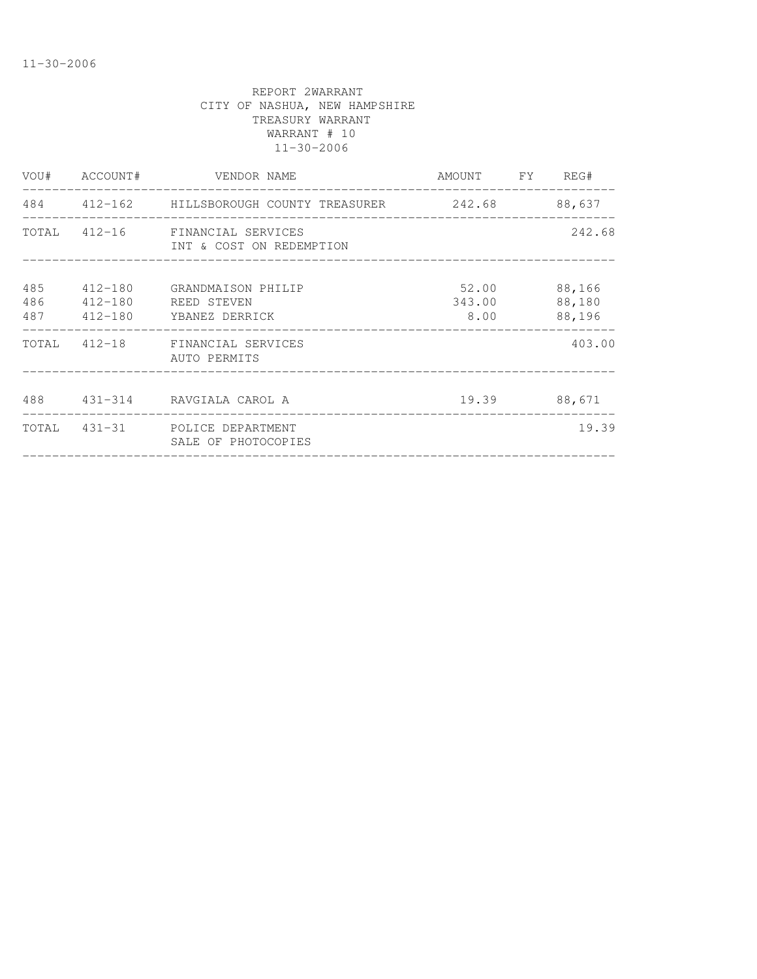|            | VOU# ACCOUNT#          | VENDOR NAME                                                 | AMOUNT FY REG#          |                            |
|------------|------------------------|-------------------------------------------------------------|-------------------------|----------------------------|
|            |                        | 484  412-162  HILLSBOROUGH COUNTY TREASURER  242.68  88,637 |                         |                            |
|            |                        | TOTAL 412-16 FINANCIAL SERVICES<br>INT & COST ON REDEMPTION |                         | 242.68                     |
| 485<br>486 | 412-180<br>487 412-180 | 412-180 GRANDMAISON PHILIP<br>REED STEVEN<br>YBANEZ DERRICK | 52.00<br>343.00<br>8.00 | 88,166<br>88,180<br>88,196 |
|            |                        | TOTAL 412-18 FINANCIAL SERVICES<br>AUTO PERMITS             |                         | 403.00                     |
|            |                        | 488 431-314 RAVGIALA CAROL A                                |                         | 19.39 88,671               |
|            |                        | TOTAL 431-31 POLICE DEPARTMENT<br>SALE OF PHOTOCOPIES       |                         | 19.39                      |
|            |                        |                                                             |                         |                            |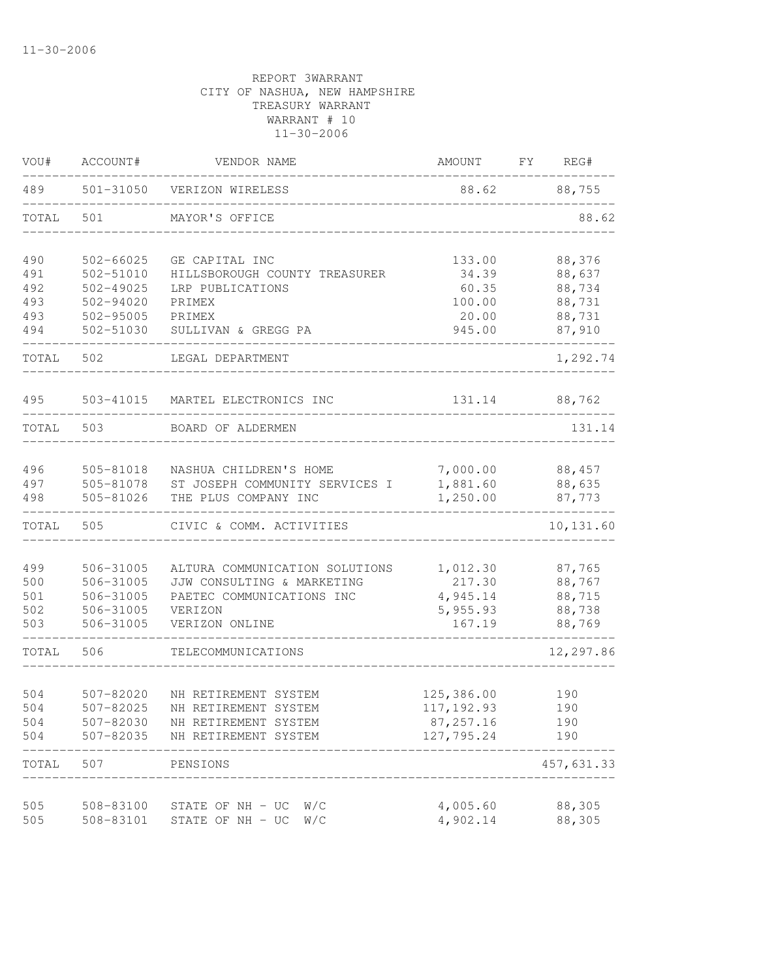| VOU#  | ACCOUNT#      | VENDOR NAME                    | AMOUNT      | FY<br>REG# |
|-------|---------------|--------------------------------|-------------|------------|
| 489   | 501-31050     | VERIZON WIRELESS               | 88.62       | 88,755     |
| TOTAL | 501           | MAYOR'S OFFICE                 |             | 88.62      |
| 490   | $502 - 66025$ | GE CAPITAL INC                 | 133.00      | 88,376     |
| 491   | 502-51010     | HILLSBOROUGH COUNTY TREASURER  | 34.39       | 88,637     |
| 492   | $502 - 49025$ | LRP PUBLICATIONS               | 60.35       | 88,734     |
| 493   | 502-94020     | PRIMEX                         | 100.00      | 88,731     |
| 493   | 502-95005     | PRIMEX                         | 20.00       | 88,731     |
| 494   | 502-51030     | SULLIVAN & GREGG PA            | 945.00      | 87,910     |
| TOTAL | 502           | LEGAL DEPARTMENT               |             | 1,292.74   |
| 495   | 503-41015     | MARTEL ELECTRONICS INC         | 131.14      | 88,762     |
| TOTAL | 503           | BOARD OF ALDERMEN              |             | 131.14     |
|       |               |                                |             |            |
| 496   | 505-81018     | NASHUA CHILDREN'S HOME         | 7,000.00    | 88,457     |
| 497   | 505-81078     | ST JOSEPH COMMUNITY SERVICES I | 1,881.60    | 88,635     |
| 498   | 505-81026     | THE PLUS COMPANY INC           | 1,250.00    | 87,773     |
| TOTAL | 505           | CIVIC & COMM. ACTIVITIES       |             | 10,131.60  |
|       |               |                                |             |            |
| 499   | 506-31005     | ALTURA COMMUNICATION SOLUTIONS | 1,012.30    | 87,765     |
| 500   | 506-31005     | JJW CONSULTING & MARKETING     | 217.30      | 88,767     |
| 501   | 506-31005     | PAETEC COMMUNICATIONS INC      | 4,945.14    | 88,715     |
| 502   | 506-31005     | VERIZON                        | 5,955.93    | 88,738     |
| 503   | 506-31005     | VERIZON ONLINE                 | 167.19      | 88,769     |
| TOTAL | 506           | TELECOMMUNICATIONS             |             | 12,297.86  |
|       |               |                                |             |            |
| 504   | 507-82020     | NH RETIREMENT SYSTEM           | 125,386.00  | 190        |
| 504   | 507-82025     | NH RETIREMENT SYSTEM           | 117, 192.93 | 190        |
| 504   | 507-82030     | NH RETIREMENT SYSTEM           | 87, 257.16  | 190        |
| 504   | 507-82035     | NH RETIREMENT SYSTEM           | 127,795.24  | 190        |
| TOTAL | 507           | PENSIONS                       |             | 457,631.33 |
| 505   | 508-83100     | STATE OF NH - UC<br>W/C        | 4,005.60    | 88,305     |
| 505   | 508-83101     | STATE OF NH - UC<br>W/C        | 4,902.14    | 88,305     |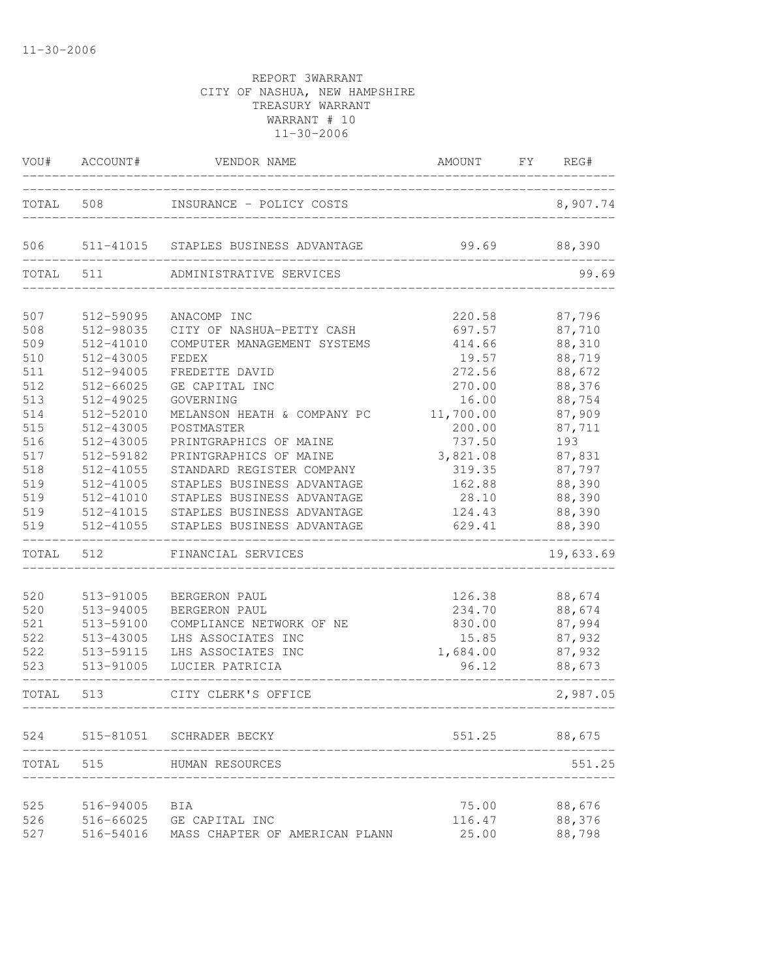| VOU#  | ACCOUNT#  | VENDOR NAME                          | AMOUNT    | FY | REG#      |
|-------|-----------|--------------------------------------|-----------|----|-----------|
| TOTAL | 508       | INSURANCE - POLICY COSTS             |           |    | 8,907.74  |
| 506   |           | 511-41015 STAPLES BUSINESS ADVANTAGE | 99.69     |    | 88,390    |
| TOTAL | 511       | ADMINISTRATIVE SERVICES              |           |    | 99.69     |
|       |           |                                      |           |    |           |
| 507   | 512-59095 | ANACOMP INC                          | 220.58    |    | 87,796    |
| 508   | 512-98035 | CITY OF NASHUA-PETTY CASH            | 697.57    |    | 87,710    |
| 509   | 512-41010 | COMPUTER MANAGEMENT SYSTEMS          | 414.66    |    | 88,310    |
| 510   | 512-43005 | FEDEX                                | 19.57     |    | 88,719    |
| 511   | 512-94005 | FREDETTE DAVID                       | 272.56    |    | 88,672    |
| 512   | 512-66025 | GE CAPITAL INC                       | 270.00    |    | 88,376    |
| 513   | 512-49025 | GOVERNING                            | 16.00     |    | 88,754    |
| 514   | 512-52010 | MELANSON HEATH & COMPANY PC          | 11,700.00 |    | 87,909    |
| 515   | 512-43005 | POSTMASTER                           | 200.00    |    | 87,711    |
| 516   | 512-43005 | PRINTGRAPHICS OF MAINE               | 737.50    |    | 193       |
| 517   | 512-59182 | PRINTGRAPHICS OF MAINE               | 3,821.08  |    | 87,831    |
| 518   | 512-41055 | STANDARD REGISTER COMPANY            | 319.35    |    | 87,797    |
| 519   | 512-41005 | STAPLES BUSINESS ADVANTAGE           | 162.88    |    | 88,390    |
| 519   | 512-41010 | STAPLES BUSINESS ADVANTAGE           | 28.10     |    | 88,390    |
| 519   |           | 512-41015 STAPLES BUSINESS ADVANTAGE | 124.43    |    | 88,390    |
| 519   |           | 512-41055 STAPLES BUSINESS ADVANTAGE | 629.41    |    | 88,390    |
| TOTAL | 512       | FINANCIAL SERVICES                   |           |    | 19,633.69 |
| 520   | 513-91005 | BERGERON PAUL                        | 126.38    |    | 88,674    |
| 520   | 513-94005 | BERGERON PAUL                        | 234.70    |    | 88,674    |
| 521   | 513-59100 | COMPLIANCE NETWORK OF NE             | 830.00    |    | 87,994    |
| 522   | 513-43005 | LHS ASSOCIATES INC                   | 15.85     |    | 87,932    |
| 522   | 513-59115 | LHS ASSOCIATES INC                   | 1,684.00  |    | 87,932    |
| 523   | 513-91005 | LUCIER PATRICIA                      | 96.12     |    | 88,673    |
| TOTAL | 513       | CITY CLERK'S OFFICE                  |           |    | 2,987.05  |
| 524   |           | 515-81051 SCHRADER BECKY             | 551.25    |    | 88,675    |
|       |           |                                      |           |    |           |
| TOTAL | 515       | HUMAN RESOURCES                      |           |    | 551.25    |
| 525   | 516-94005 | BIA                                  | 75.00     |    | 88,676    |
| 526   | 516-66025 | GE CAPITAL INC                       | 116.47    |    | 88,376    |
| 527   | 516-54016 | MASS CHAPTER OF AMERICAN PLANN       | 25.00     |    | 88,798    |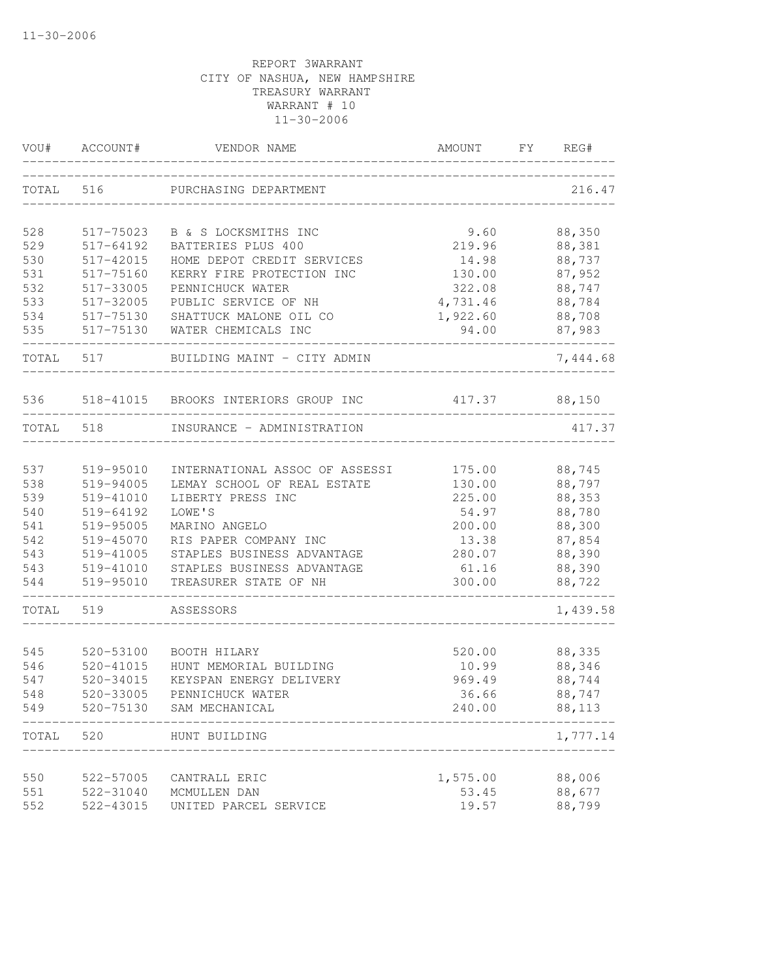| VOU#       | ACCOUNT#               | VENDOR NAME                            | AMOUNT          | FY | REG#             |
|------------|------------------------|----------------------------------------|-----------------|----|------------------|
| TOTAL 516  |                        | PURCHASING DEPARTMENT                  |                 |    | 216.47           |
| 528        | 517-75023              | B & S LOCKSMITHS INC                   | 9.60            |    | 88,350           |
| 529        | 517-64192              | BATTERIES PLUS 400                     | 219.96          |    | 88,381           |
| 530        | 517-42015              | HOME DEPOT CREDIT SERVICES             | 14.98           |    | 88,737           |
| 531        | 517-75160              | KERRY FIRE PROTECTION INC              | 130.00          |    | 87,952           |
| 532        | 517-33005              | PENNICHUCK WATER                       | 322.08          |    | 88,747           |
| 533        | 517-32005              | PUBLIC SERVICE OF NH                   | 4,731.46        |    | 88,784           |
| 534        | 517-75130              | SHATTUCK MALONE OIL CO                 | 1,922.60        |    | 88,708           |
| 535        | 517-75130              | WATER CHEMICALS INC                    | 94.00           |    | 87,983           |
| TOTAL      | 517                    | BUILDING MAINT - CITY ADMIN            |                 |    | 7,444.68         |
| 536        | 518-41015              | BROOKS INTERIORS GROUP INC             | 417.37          |    | 88,150           |
| TOTAL      | 518                    | INSURANCE - ADMINISTRATION             |                 |    | 417.37           |
|            |                        |                                        |                 |    |                  |
| 537        | 519-95010              | INTERNATIONAL ASSOC OF ASSESSI         | 175.00          |    | 88,745           |
| 538        | 519-94005              | LEMAY SCHOOL OF REAL ESTATE            | 130.00          |    | 88,797           |
| 539        | 519-41010              | LIBERTY PRESS INC                      | 225.00          |    | 88,353           |
| 540        | 519-64192              | LOWE'S                                 | 54.97           |    | 88,780           |
| 541<br>542 | 519-95005<br>519-45070 | MARINO ANGELO<br>RIS PAPER COMPANY INC | 200.00<br>13.38 |    | 88,300<br>87,854 |
| 543        | 519-41005              | STAPLES BUSINESS ADVANTAGE             | 280.07          |    | 88,390           |
| 543        | 519-41010              | STAPLES BUSINESS ADVANTAGE             | 61.16           |    | 88,390           |
| 544        | 519-95010              | TREASURER STATE OF NH                  | 300.00          |    | 88,722           |
| TOTAL      | 519                    | ASSESSORS                              |                 |    | 1,439.58         |
|            |                        |                                        |                 |    |                  |
| 545        | 520-53100              | BOOTH HILARY                           | 520.00          |    | 88,335           |
| 546        | 520-41015              | HUNT MEMORIAL BUILDING                 | 10.99           |    | 88,346           |
| 547        | 520-34015              | KEYSPAN ENERGY DELIVERY                | 969.49          |    | 88,744           |
| 548        | 520-33005              | PENNICHUCK WATER                       | 36.66           |    | 88,747           |
| 549        | 520-75130              | SAM MECHANICAL                         | 240.00          |    | 88,113           |
| TOTAL      | 520                    | HUNT BUILDING                          |                 |    | 1,777.14         |
|            |                        |                                        |                 |    |                  |
| 550        | 522-57005              | CANTRALL ERIC                          | 1,575.00        |    | 88,006           |
| 551        | 522-31040              | MCMULLEN DAN                           | 53.45           |    | 88,677           |
| 552        | 522-43015              | UNITED PARCEL SERVICE                  | 19.57           |    | 88,799           |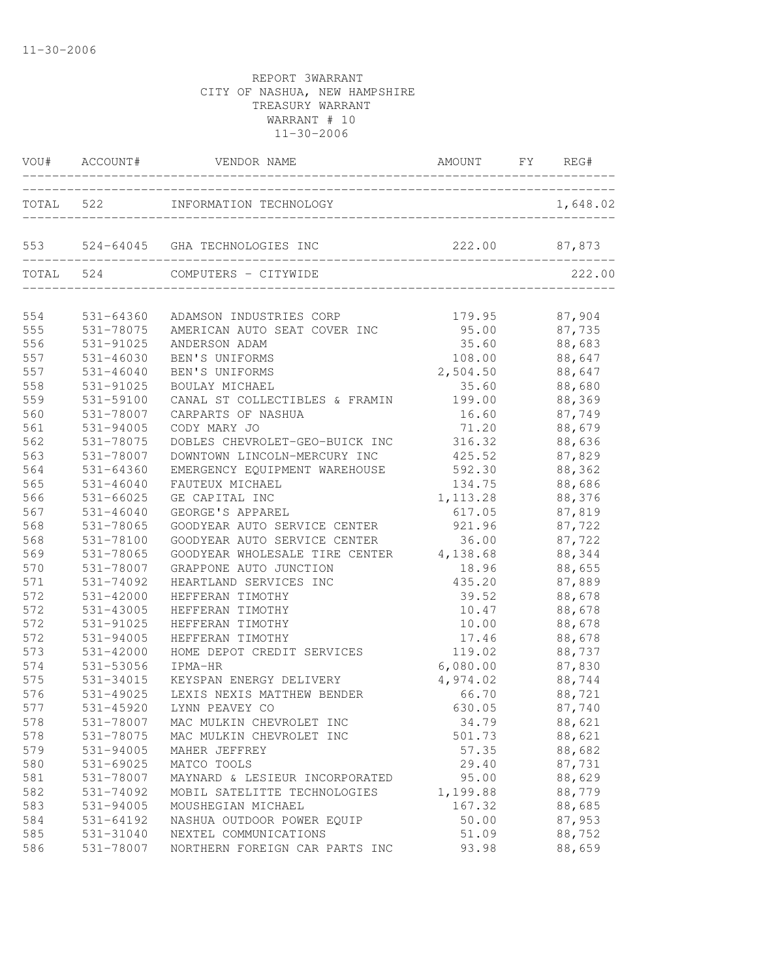| TOTAL 522<br>INFORMATION TECHNOLOGY<br>222.00 87,873<br>553 524-64045 GHA TECHNOLOGIES INC           | 1,648.02         |
|------------------------------------------------------------------------------------------------------|------------------|
|                                                                                                      |                  |
| ________________                                                                                     |                  |
| TOTAL 524<br>COMPUTERS - CITYWIDE                                                                    | 222.00           |
| 554<br>531-64360<br>179.95<br>ADAMSON INDUSTRIES CORP                                                | 87,904           |
| 555<br>531-78075<br>AMERICAN AUTO SEAT COVER INC<br>95.00                                            | 87,735           |
| 556<br>531-91025<br>ANDERSON ADAM<br>35.60                                                           | 88,683           |
| 557<br>531-46030<br>BEN'S UNIFORMS<br>108.00                                                         | 88,647           |
| 557<br>531-46040<br>BEN'S UNIFORMS<br>2,504.50                                                       | 88,647           |
| 558<br>35.60<br>531-91025<br>BOULAY MICHAEL                                                          | 88,680           |
| 559<br>199.00<br>531-59100<br>CANAL ST COLLECTIBLES & FRAMIN                                         | 88,369           |
| 560<br>531-78007<br>CARPARTS OF NASHUA<br>16.60                                                      | 87,749           |
| 561<br>71.20<br>$531 - 94005$<br>CODY MARY JO                                                        | 88,679           |
| 562<br>316.32<br>531-78075<br>DOBLES CHEVROLET-GEO-BUICK INC                                         | 88,636           |
| 563<br>531-78007<br>DOWNTOWN LINCOLN-MERCURY INC<br>425.52                                           | 87,829           |
| 564<br>531-64360<br>592.30<br>EMERGENCY EQUIPMENT WAREHOUSE                                          | 88,362           |
| 565<br>531-46040<br>134.75<br>FAUTEUX MICHAEL                                                        | 88,686           |
| 566<br>531-66025<br>GE CAPITAL INC<br>1, 113.28                                                      | 88,376           |
| 567<br>531-46040<br>GEORGE'S APPAREL<br>617.05                                                       | 87,819           |
| 568<br>921.96<br>531-78065<br>GOODYEAR AUTO SERVICE CENTER                                           | 87,722           |
| 568<br>531-78100<br>GOODYEAR AUTO SERVICE CENTER<br>36.00<br>GOODYEAR WHOLESALE TIRE CENTER 4,138.68 | 87,722           |
| 569<br>531-78065                                                                                     | 88,344           |
| 570<br>531-78007<br>GRAPPONE AUTO JUNCTION<br>18.96                                                  | 88,655           |
| 571<br>531-74092<br>HEARTLAND SERVICES INC<br>435.20                                                 | 87,889           |
| 572<br>531-42000<br>39.52<br>HEFFERAN TIMOTHY                                                        | 88,678           |
| 572<br>531-43005<br>HEFFERAN TIMOTHY<br>10.47<br>572<br>10.00                                        | 88,678           |
| 531-91025<br>HEFFERAN TIMOTHY<br>572<br>531-94005<br>17.46<br>HEFFERAN TIMOTHY                       | 88,678<br>88,678 |
| 573<br>531-42000<br>HOME DEPOT CREDIT SERVICES<br>119.02                                             | 88,737           |
| 574<br>6,080.00<br>531-53056<br>IPMA-HR                                                              | 87,830           |
| 575<br>531-34015<br>KEYSPAN ENERGY DELIVERY<br>4,974.02                                              | 88,744           |
| 576<br>LEXIS NEXIS MATTHEW BENDER<br>531-49025<br>66.70                                              | 88,721           |
| 531-45920<br>LYNN PEAVEY CO<br>630.05<br>577                                                         | 87,740           |
| 531-78007<br>578<br>MAC MULKIN CHEVROLET INC<br>34.79                                                | 88,621           |
| 578<br>531-78075<br>501.73<br>MAC MULKIN CHEVROLET INC                                               | 88,621           |
| 579<br>531-94005<br>57.35<br>MAHER JEFFREY                                                           | 88,682           |
| 580<br>531-69025<br>MATCO TOOLS<br>29.40                                                             | 87,731           |
| 581<br>531-78007<br>MAYNARD & LESIEUR INCORPORATED<br>95.00                                          | 88,629           |
| 582<br>531-74092<br>1,199.88<br>MOBIL SATELITTE TECHNOLOGIES                                         | 88,779           |
| 583<br>531-94005<br>MOUSHEGIAN MICHAEL<br>167.32                                                     | 88,685           |
| 584<br>531-64192<br>NASHUA OUTDOOR POWER EQUIP<br>50.00                                              | 87,953           |
| 585<br>531-31040<br>NEXTEL COMMUNICATIONS<br>51.09                                                   | 88,752           |
| 531-78007<br>93.98<br>586<br>NORTHERN FOREIGN CAR PARTS INC                                          | 88,659           |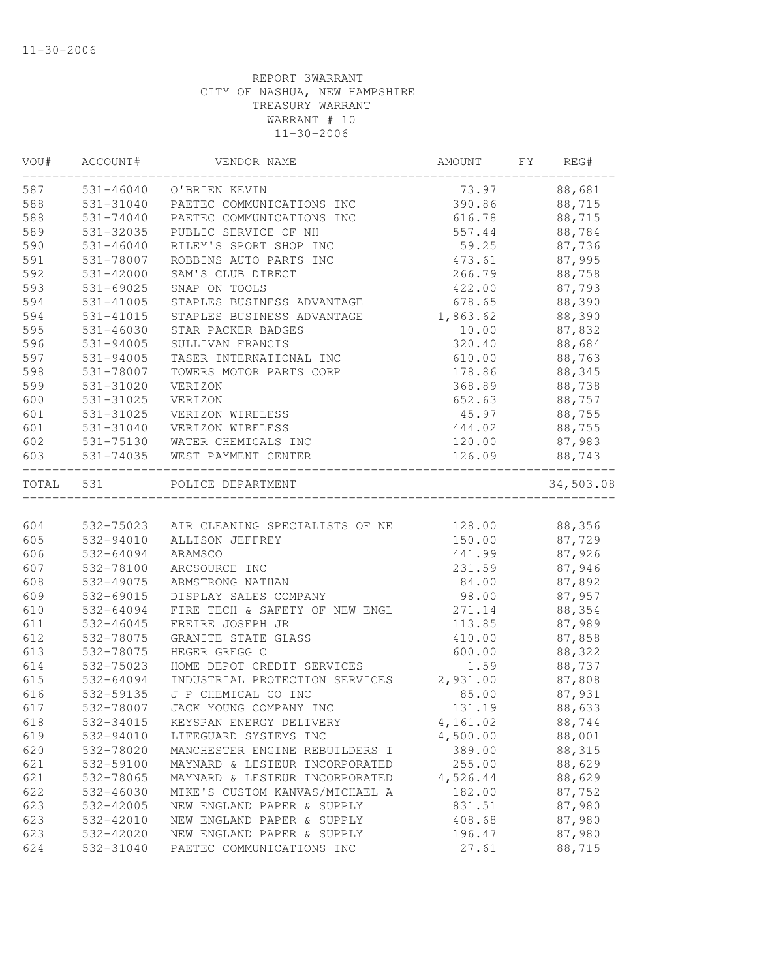| VOU#      | ACCOUNT#      | VENDOR NAME                              | AMOUNT   | FY | REG#      |
|-----------|---------------|------------------------------------------|----------|----|-----------|
| 587       |               | 531-46040 O'BRIEN KEVIN                  | 73.97    |    | 88,681    |
| 588       | 531-31040     | PAETEC COMMUNICATIONS INC                | 390.86   |    | 88,715    |
| 588       | 531-74040     | PAETEC COMMUNICATIONS INC                | 616.78   |    | 88,715    |
| 589       | 531-32035     | PUBLIC SERVICE OF NH                     | 557.44   |    | 88,784    |
| 590       | 531-46040     | RILEY'S SPORT SHOP INC                   | 59.25    |    | 87,736    |
| 591       | 531-78007     | ROBBINS AUTO PARTS INC                   | 473.61   |    | 87,995    |
| 592       | 531-42000     | SAM'S CLUB DIRECT                        | 266.79   |    | 88,758    |
| 593       | 531-69025     | SNAP ON TOOLS                            | 422.00   |    | 87,793    |
| 594       | $531 - 41005$ | STAPLES BUSINESS ADVANTAGE               | 678.65   |    | 88,390    |
| 594       | 531-41015     | STAPLES BUSINESS ADVANTAGE               | 1,863.62 |    | 88,390    |
| 595       | $531 - 46030$ | STAR PACKER BADGES                       | 10.00    |    | 87,832    |
| 596       | 531-94005     | SULLIVAN FRANCIS                         | 320.40   |    | 88,684    |
| 597       | 531-94005     | TASER INTERNATIONAL INC                  | 610.00   |    | 88,763    |
| 598       | 531-78007     | TOWERS MOTOR PARTS CORP                  | 178.86   |    | 88,345    |
| 599       | 531-31020     | VERIZON                                  | 368.89   |    | 88,738    |
| 600       | 531-31025     | VERIZON                                  | 652.63   |    | 88,757    |
| 601       | 531-31025     | VERIZON WIRELESS                         | 45.97    |    | 88,755    |
| 601       | 531-31040     | VERIZON WIRELESS                         | 444.02   |    | 88,755    |
| 602       |               | 531-75130 WATER CHEMICALS INC            | 120.00   |    | 87,983    |
| 603       |               | 531-74035 WEST PAYMENT CENTER            | 126.09   |    | 88,743    |
| TOTAL 531 |               | POLICE DEPARTMENT                        |          |    | 34,503.08 |
|           |               |                                          |          |    |           |
| 604       |               | 532-75023 AIR CLEANING SPECIALISTS OF NE | 128.00   |    | 88,356    |
| 605       | 532-94010     | ALLISON JEFFREY                          | 150.00   |    | 87,729    |
| 606       | 532-64094     | ARAMSCO                                  | 441.99   |    | 87,926    |
| 607       | 532-78100     | ARCSOURCE INC                            | 231.59   |    | 87,946    |
| 608       | 532-49075     | ARMSTRONG NATHAN                         | 84.00    |    | 87,892    |
| 609       | 532-69015     | DISPLAY SALES COMPANY                    | 98.00    |    | 87,957    |
| 610       | 532-64094     | FIRE TECH & SAFETY OF NEW ENGL           | 271.14   |    | 88,354    |
| 611       | 532-46045     | FREIRE JOSEPH JR                         | 113.85   |    | 87,989    |
| 612       | 532-78075     | GRANITE STATE GLASS                      | 410.00   |    | 87,858    |
| 613       | 532-78075     | HEGER GREGG C                            | 600.00   |    | 88,322    |
| 614       | 532-75023     | HOME DEPOT CREDIT SERVICES               | 1.59     |    | 88,737    |
| 615       | 532-64094     | INDUSTRIAL PROTECTION SERVICES 2,931.00  |          |    | 87,808    |
| 616       | 532-59135     | J P CHEMICAL CO INC                      | 85.00    |    | 87,931    |
| 617       | 532-78007     | JACK YOUNG COMPANY INC                   | 131.19   |    | 88,633    |
| 618       | 532-34015     | KEYSPAN ENERGY DELIVERY                  | 4,161.02 |    | 88,744    |
| 619       | 532-94010     | LIFEGUARD SYSTEMS INC                    | 4,500.00 |    | 88,001    |
| 620       | 532-78020     | MANCHESTER ENGINE REBUILDERS I           | 389.00   |    | 88,315    |
| 621       | 532-59100     | MAYNARD & LESIEUR INCORPORATED           | 255.00   |    | 88,629    |
| 621       | 532-78065     | MAYNARD & LESIEUR INCORPORATED           | 4,526.44 |    | 88,629    |
| 622       | 532-46030     | MIKE'S CUSTOM KANVAS/MICHAEL A           | 182.00   |    | 87,752    |
| 623       | 532-42005     | NEW ENGLAND PAPER & SUPPLY               | 831.51   |    | 87,980    |
| 623       | 532-42010     | NEW ENGLAND PAPER & SUPPLY               | 408.68   |    | 87,980    |
| 623       | 532-42020     | NEW ENGLAND PAPER & SUPPLY               | 196.47   |    | 87,980    |
| 624       | 532-31040     | PAETEC COMMUNICATIONS INC                | 27.61    |    | 88,715    |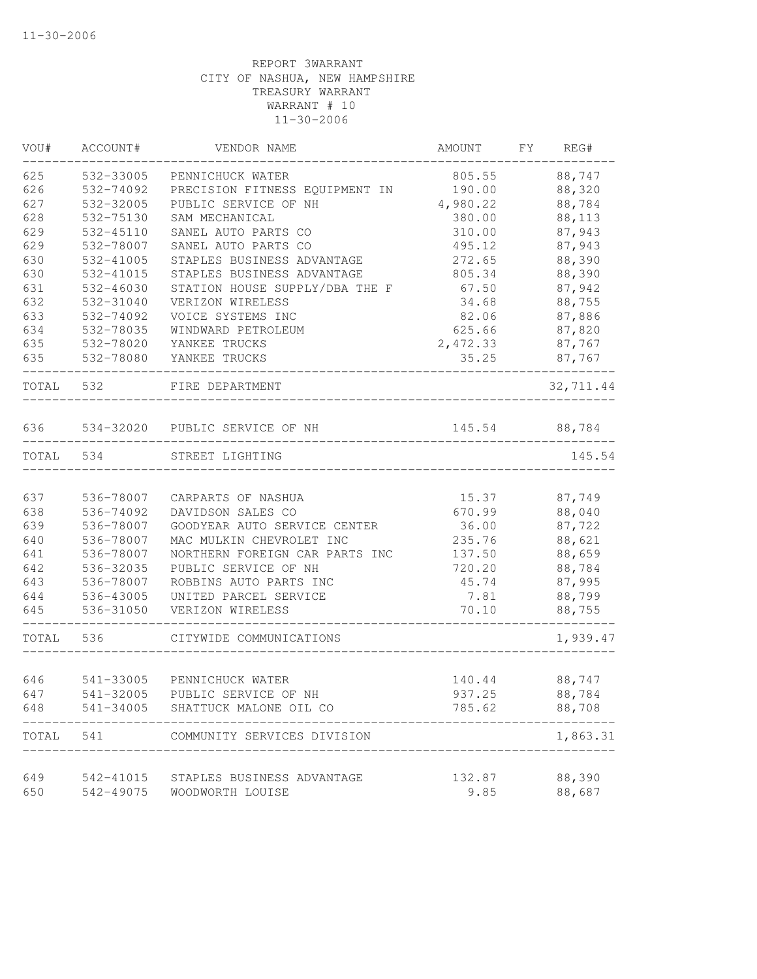| VOU#  | ACCOUNT#               | VENDOR NAME                              | AMOUNT   | FY<br>REG# |
|-------|------------------------|------------------------------------------|----------|------------|
| 625   | 532-33005              | PENNICHUCK WATER                         | 805.55   | 88,747     |
| 626   | 532-74092              | PRECISION FITNESS EQUIPMENT IN           | 190.00   | 88,320     |
| 627   | 532-32005              | PUBLIC SERVICE OF NH                     | 4,980.22 | 88,784     |
| 628   | 532-75130              | SAM MECHANICAL                           | 380.00   | 88,113     |
| 629   | 532-45110              | SANEL AUTO PARTS CO                      | 310.00   | 87,943     |
| 629   | 532-78007              | SANEL AUTO PARTS CO                      | 495.12   | 87,943     |
| 630   | 532-41005              | STAPLES BUSINESS ADVANTAGE               | 272.65   | 88,390     |
| 630   | 532-41015              | STAPLES BUSINESS ADVANTAGE               | 805.34   | 88,390     |
| 631   | 532-46030              | STATION HOUSE SUPPLY/DBA THE F           | 67.50    | 87,942     |
| 632   | 532-31040              | VERIZON WIRELESS                         | 34.68    | 88,755     |
| 633   | 532-74092              | VOICE SYSTEMS INC                        | 82.06    | 87,886     |
| 634   | 532-78035              | WINDWARD PETROLEUM                       | 625.66   | 87,820     |
| 635   | 532-78020              | YANKEE TRUCKS                            | 2,472.33 | 87,767     |
| 635   | 532-78080              | YANKEE TRUCKS                            | 35.25    | 87,767     |
| TOTAL | 532                    | FIRE DEPARTMENT                          |          | 32,711.44  |
| 636   |                        | 534-32020 PUBLIC SERVICE OF NH           | 145.54   | 88,784     |
| TOTAL | 534                    | STREET LIGHTING                          |          | 145.54     |
|       |                        |                                          |          |            |
| 637   | 536-78007              | CARPARTS OF NASHUA                       | 15.37    | 87,749     |
| 638   | 536-74092              | DAVIDSON SALES CO                        | 670.99   | 88,040     |
| 639   | 536-78007              | GOODYEAR AUTO SERVICE CENTER             | 36.00    | 87,722     |
| 640   | 536-78007              | MAC MULKIN CHEVROLET INC                 | 235.76   | 88,621     |
| 641   | 536-78007              | NORTHERN FOREIGN CAR PARTS INC           | 137.50   | 88,659     |
| 642   | 536-32035              | PUBLIC SERVICE OF NH                     | 720.20   | 88,784     |
| 643   | 536-78007              | ROBBINS AUTO PARTS INC                   | 45.74    | 87,995     |
| 644   | 536-43005              | UNITED PARCEL SERVICE                    | 7.81     | 88,799     |
| 645   | 536-31050              | VERIZON WIRELESS                         | 70.10    | 88,755     |
| TOTAL | 536                    | CITYWIDE COMMUNICATIONS                  |          | 1,939.47   |
|       |                        |                                          |          |            |
| 646   | 541-33005<br>541-32005 | PENNICHUCK WATER<br>PUBLIC SERVICE OF NH | 140.44   | 88,747     |
| 647   |                        |                                          | 937.25   | 88,784     |
| 648   | 541-34005              | SHATTUCK MALONE OIL CO                   | 785.62   | 88,708     |
| TOTAL | 541                    | COMMUNITY SERVICES DIVISION              |          | 1,863.31   |
| 649   | 542-41015              | STAPLES BUSINESS ADVANTAGE               | 132.87   | 88,390     |
| 650   | 542-49075              | WOODWORTH LOUISE                         | 9.85     | 88,687     |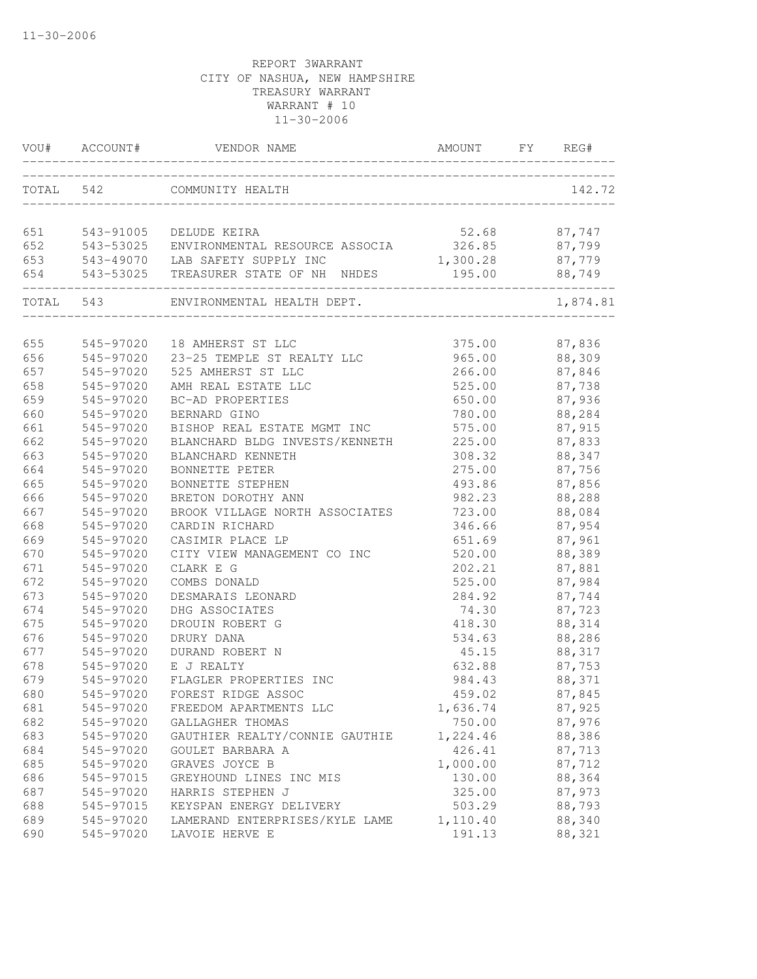|     | VOU# ACCOUNT# | VENDOR NAME                                       | AMOUNT        | FY REG#  |
|-----|---------------|---------------------------------------------------|---------------|----------|
|     | TOTAL 542     | COMMUNITY HEALTH<br>_____________________________ |               | 142.72   |
| 651 | 543-91005     | DELUDE KEIRA                                      | 52.68 87,747  |          |
| 652 |               | 543-53025 ENVIRONMENTAL RESOURCE ASSOCIA          | 326.85 87,799 |          |
| 653 |               | 543-49070 LAB SAFETY SUPPLY INC                   | 1,300.28      | 87,779   |
| 654 |               | 543-53025 TREASURER STATE OF NH NHDES             | 195.00        | 88,749   |
|     |               | TOTAL 543 ENVIRONMENTAL HEALTH DEPT.              |               | 1,874.81 |
| 655 | 545-97020     | 18 AMHERST ST LLC                                 | 375.00        | 87,836   |
| 656 | 545-97020     | 23-25 TEMPLE ST REALTY LLC                        | 965.00        | 88,309   |
| 657 | 545-97020     | 525 AMHERST ST LLC                                | 266.00        | 87,846   |
| 658 | 545-97020     | AMH REAL ESTATE LLC                               | 525.00        | 87,738   |
| 659 | 545-97020     | BC-AD PROPERTIES                                  | 650.00        | 87,936   |
| 660 | 545-97020     | BERNARD GINO                                      | 780.00        | 88,284   |
| 661 | 545-97020     | BISHOP REAL ESTATE MGMT INC                       | 575.00        | 87,915   |
| 662 | 545-97020     | BLANCHARD BLDG INVESTS/KENNETH                    | 225.00        | 87,833   |
| 663 | 545-97020     | BLANCHARD KENNETH                                 | 308.32        | 88,347   |
| 664 | 545-97020     | BONNETTE PETER                                    | 275.00        | 87,756   |
| 665 | 545-97020     | BONNETTE STEPHEN                                  | 493.86        | 87,856   |
| 666 | 545-97020     | BRETON DOROTHY ANN                                | 982.23        | 88,288   |
| 667 | 545-97020     | BROOK VILLAGE NORTH ASSOCIATES                    | 723.00        | 88,084   |
| 668 | 545-97020     | CARDIN RICHARD                                    | 346.66        | 87,954   |
| 669 | 545-97020     | CASIMIR PLACE LP                                  | 651.69        | 87,961   |
| 670 | 545-97020     | CITY VIEW MANAGEMENT CO INC                       | 520.00        | 88,389   |
| 671 | 545-97020     | CLARK E G                                         | 202.21        | 87,881   |
| 672 | 545-97020     | COMBS DONALD                                      | 525.00        | 87,984   |
| 673 | 545-97020     | DESMARAIS LEONARD                                 | 284.92        | 87,744   |
| 674 | 545-97020     | DHG ASSOCIATES                                    | 74.30         | 87,723   |
| 675 | 545-97020     | DROUIN ROBERT G                                   | 418.30        | 88,314   |
| 676 | 545-97020     | DRURY DANA                                        | 534.63        | 88,286   |
| 677 | 545-97020     | DURAND ROBERT N                                   | 45.15         | 88,317   |
| 678 | 545-97020     | E J REALTY                                        | 632.88        | 87,753   |
| 679 | 545-97020     | FLAGLER PROPERTIES INC                            | 984.43        | 88,371   |
| 680 | 545-97020     | FOREST RIDGE ASSOC                                | 459.02        | 87,845   |
| 681 | 545-97020     | FREEDOM APARTMENTS LLC                            | 1,636.74      | 87,925   |
| 682 | 545-97020     | GALLAGHER THOMAS                                  | 750.00        | 87,976   |
| 683 | 545-97020     | GAUTHIER REALTY/CONNIE GAUTHIE                    | 1,224.46      | 88,386   |
| 684 | 545-97020     | GOULET BARBARA A                                  | 426.41        | 87,713   |
| 685 | 545-97020     | GRAVES JOYCE B                                    | 1,000.00      | 87,712   |
| 686 | 545-97015     | GREYHOUND LINES INC MIS                           | 130.00        | 88,364   |
| 687 | 545-97020     | HARRIS STEPHEN J                                  | 325.00        | 87,973   |
| 688 | 545-97015     | KEYSPAN ENERGY DELIVERY                           | 503.29        | 88,793   |
| 689 | 545-97020     | LAMERAND ENTERPRISES/KYLE LAME                    | 1,110.40      | 88,340   |
| 690 | 545-97020     | LAVOIE HERVE E                                    | 191.13        | 88,321   |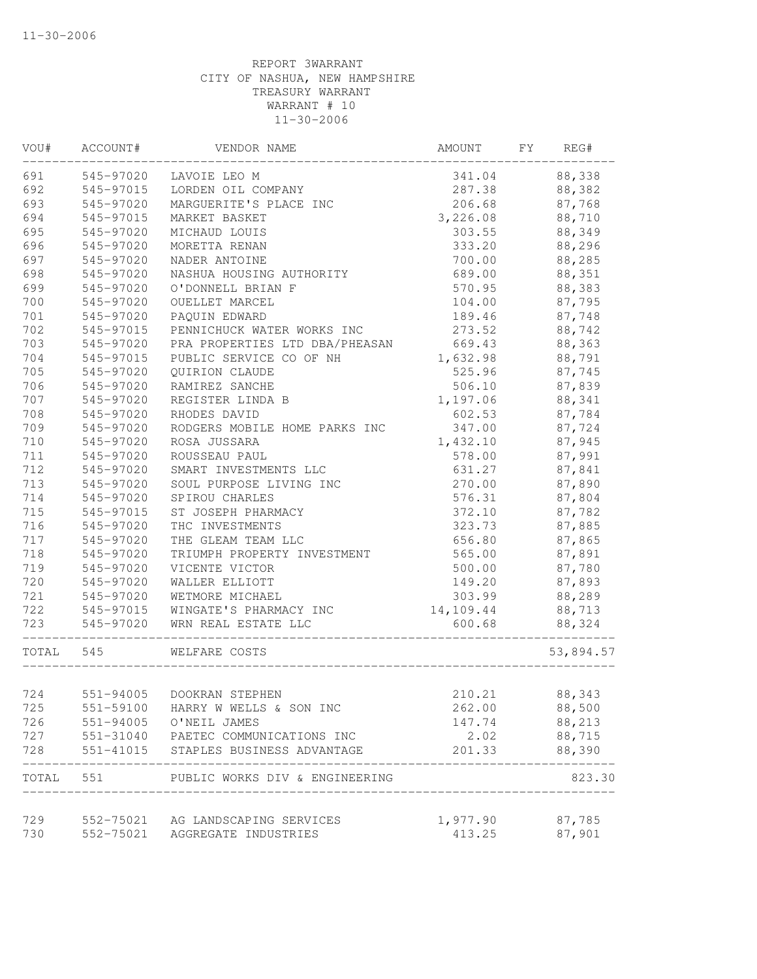| VOU#  | ACCOUNT#  | VENDOR NAME                          | AMOUNT    | FY | REG#      |
|-------|-----------|--------------------------------------|-----------|----|-----------|
| 691   | 545-97020 | LAVOIE LEO M                         | 341.04    |    | 88,338    |
| 692   | 545-97015 | LORDEN OIL COMPANY                   | 287.38    |    | 88,382    |
| 693   | 545-97020 | MARGUERITE'S PLACE INC               | 206.68    |    | 87,768    |
| 694   | 545-97015 | MARKET BASKET                        | 3,226.08  |    | 88,710    |
| 695   | 545-97020 | MICHAUD LOUIS                        | 303.55    |    | 88,349    |
| 696   | 545-97020 | MORETTA RENAN                        | 333.20    |    | 88,296    |
| 697   | 545-97020 | NADER ANTOINE                        | 700.00    |    | 88,285    |
| 698   | 545-97020 | NASHUA HOUSING AUTHORITY             | 689.00    |    | 88,351    |
| 699   | 545-97020 | O'DONNELL BRIAN F                    | 570.95    |    | 88,383    |
| 700   | 545-97020 | OUELLET MARCEL                       | 104.00    |    | 87,795    |
| 701   | 545-97020 | PAQUIN EDWARD                        | 189.46    |    | 87,748    |
| 702   | 545-97015 | PENNICHUCK WATER WORKS INC           | 273.52    |    | 88,742    |
| 703   | 545-97020 | PRA PROPERTIES LTD DBA/PHEASAN       | 669.43    |    | 88,363    |
| 704   | 545-97015 | PUBLIC SERVICE CO OF NH              | 1,632.98  |    | 88,791    |
| 705   | 545-97020 | QUIRION CLAUDE                       | 525.96    |    | 87,745    |
| 706   | 545-97020 | RAMIREZ SANCHE                       | 506.10    |    | 87,839    |
| 707   | 545-97020 | REGISTER LINDA B                     | 1,197.06  |    | 88,341    |
| 708   | 545-97020 | RHODES DAVID                         | 602.53    |    | 87,784    |
| 709   | 545-97020 | RODGERS MOBILE HOME PARKS INC        | 347.00    |    | 87,724    |
| 710   | 545-97020 | ROSA JUSSARA                         | 1,432.10  |    | 87,945    |
| 711   | 545-97020 | ROUSSEAU PAUL                        | 578.00    |    | 87,991    |
| 712   | 545-97020 | SMART INVESTMENTS LLC                | 631.27    |    | 87,841    |
| 713   | 545-97020 | SOUL PURPOSE LIVING INC              | 270.00    |    | 87,890    |
| 714   | 545-97020 | SPIROU CHARLES                       | 576.31    |    | 87,804    |
| 715   | 545-97015 | ST JOSEPH PHARMACY                   | 372.10    |    | 87,782    |
| 716   | 545-97020 | THC INVESTMENTS                      | 323.73    |    | 87,885    |
| 717   | 545-97020 | THE GLEAM TEAM LLC                   | 656.80    |    | 87,865    |
| 718   | 545-97020 | TRIUMPH PROPERTY INVESTMENT          | 565.00    |    | 87,891    |
| 719   | 545-97020 | VICENTE VICTOR                       | 500.00    |    | 87,780    |
| 720   | 545-97020 | WALLER ELLIOTT                       | 149.20    |    | 87,893    |
| 721   | 545-97020 | WETMORE MICHAEL                      | 303.99    |    | 88,289    |
| 722   | 545-97015 | WINGATE'S PHARMACY INC               | 14,109.44 |    | 88,713    |
| 723   | 545-97020 | WRN REAL ESTATE LLC                  | 600.68    |    | 88,324    |
| TOTAL | 545       | WELFARE COSTS                        |           |    | 53,894.57 |
|       |           |                                      |           |    |           |
| 724   | 551-94005 | DOOKRAN STEPHEN                      | 210.21    |    | 88,343    |
| 725   | 551-59100 | HARRY W WELLS & SON INC              | 262.00    |    | 88,500    |
| 726   | 551-94005 | O'NEIL JAMES                         | 147.74    |    | 88,213    |
| 727   |           | 551-31040 PAETEC COMMUNICATIONS INC  | 2.02      |    | 88,715    |
| 728   |           | 551-41015 STAPLES BUSINESS ADVANTAGE | 201.33    |    | 88,390    |
| TOTAL | 551       | PUBLIC WORKS DIV & ENGINEERING       |           |    | 823.30    |
| 729   |           | 552-75021 AG LANDSCAPING SERVICES    | 1,977.90  |    | 87,785    |
| 730   |           | 552-75021 AGGREGATE INDUSTRIES       | 413.25    |    | 87,901    |
|       |           |                                      |           |    |           |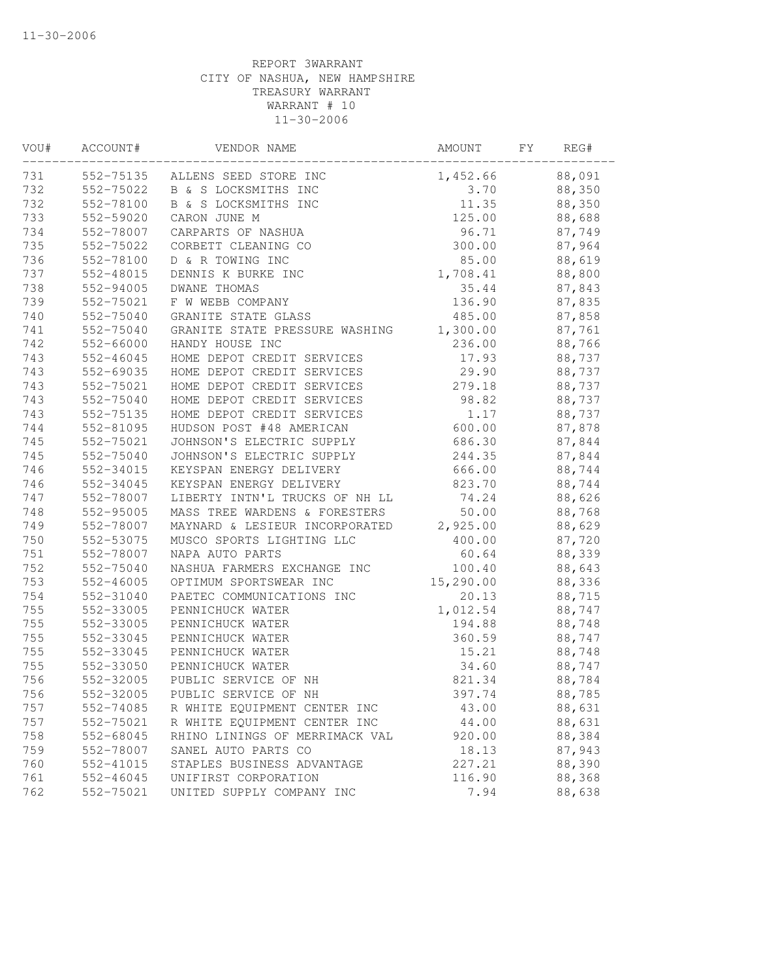| VOU# | ACCOUNT#      | VENDOR NAME                     | AMOUNT     | FY | REG#   |  |
|------|---------------|---------------------------------|------------|----|--------|--|
| 731  |               | 552-75135 ALLENS SEED STORE INC | 1,452.66   |    | 88,091 |  |
| 732  | 552-75022     | B & S LOCKSMITHS INC            | 3.70       |    | 88,350 |  |
| 732  | 552-78100     | B & S LOCKSMITHS INC            | 11.35      |    | 88,350 |  |
| 733  | 552-59020     | CARON JUNE M                    | 125.00     |    | 88,688 |  |
| 734  | 552-78007     | CARPARTS OF NASHUA              | 96.71      |    | 87,749 |  |
| 735  | 552-75022     | CORBETT CLEANING CO             | 300.00     |    | 87,964 |  |
| 736  | 552-78100     | D & R TOWING INC                | 85.00      |    | 88,619 |  |
| 737  | 552-48015     | DENNIS K BURKE INC              | 1,708.41   |    | 88,800 |  |
| 738  | 552-94005     | <b>DWANE THOMAS</b>             | 35.44      |    | 87,843 |  |
| 739  | 552-75021     | F W WEBB COMPANY                | 136.90     |    | 87,835 |  |
| 740  | 552-75040     | GRANITE STATE GLASS             | 485.00     |    | 87,858 |  |
| 741  | 552-75040     | GRANITE STATE PRESSURE WASHING  | 1,300.00   |    | 87,761 |  |
| 742  | 552-66000     | HANDY HOUSE INC                 | 236.00     |    | 88,766 |  |
| 743  | 552-46045     | HOME DEPOT CREDIT SERVICES      | 17.93      |    | 88,737 |  |
| 743  | 552-69035     | HOME DEPOT CREDIT SERVICES      | 29.90      |    | 88,737 |  |
| 743  | 552-75021     | HOME DEPOT CREDIT SERVICES      | 279.18     |    | 88,737 |  |
| 743  | 552-75040     | HOME DEPOT CREDIT SERVICES      | 98.82      |    | 88,737 |  |
| 743  | 552-75135     | HOME DEPOT CREDIT SERVICES      | 1.17       |    | 88,737 |  |
| 744  | 552-81095     | HUDSON POST #48 AMERICAN        | 600.00     |    | 87,878 |  |
| 745  | 552-75021     | JOHNSON'S ELECTRIC SUPPLY       | 686.30     |    | 87,844 |  |
| 745  | 552-75040     | JOHNSON'S ELECTRIC SUPPLY       | 244.35     |    | 87,844 |  |
| 746  | 552-34015     | KEYSPAN ENERGY DELIVERY         | 666.00     |    | 88,744 |  |
| 746  | 552-34045     | KEYSPAN ENERGY DELIVERY         | 823.70     |    | 88,744 |  |
| 747  | 552-78007     | LIBERTY INTN'L TRUCKS OF NH LL  | 74.24      |    | 88,626 |  |
| 748  | 552-95005     | MASS TREE WARDENS & FORESTERS   | 50.00      |    | 88,768 |  |
| 749  | 552-78007     | MAYNARD & LESIEUR INCORPORATED  | 2,925.00   |    | 88,629 |  |
| 750  | 552-53075     | MUSCO SPORTS LIGHTING LLC       | 400.00     |    | 87,720 |  |
| 751  | 552-78007     | NAPA AUTO PARTS                 | 60.64      |    | 88,339 |  |
| 752  | 552-75040     | NASHUA FARMERS EXCHANGE INC     | 100.40     |    | 88,643 |  |
| 753  | $552 - 46005$ | OPTIMUM SPORTSWEAR INC          | 15, 290.00 |    | 88,336 |  |
| 754  | 552-31040     | PAETEC COMMUNICATIONS INC       | 20.13      |    | 88,715 |  |
| 755  | 552-33005     | PENNICHUCK WATER                | 1,012.54   |    | 88,747 |  |
| 755  | 552-33005     | PENNICHUCK WATER                | 194.88     |    | 88,748 |  |
| 755  | 552-33045     | PENNICHUCK WATER                | 360.59     |    | 88,747 |  |
| 755  | 552-33045     | PENNICHUCK WATER                | 15.21      |    | 88,748 |  |
| 755  | 552-33050     | PENNICHUCK WATER                | 34.60      |    | 88,747 |  |
| 756  | 552-32005     | PUBLIC SERVICE OF NH            | 821.34     |    | 88,784 |  |
| 756  | 552-32005     | PUBLIC SERVICE OF NH            | 397.74     |    | 88,785 |  |
| 757  | 552-74085     | R WHITE EQUIPMENT CENTER INC    | 43.00      |    | 88,631 |  |
| 757  | 552-75021     | R WHITE EQUIPMENT CENTER INC    | 44.00      |    | 88,631 |  |
| 758  | 552-68045     | RHINO LININGS OF MERRIMACK VAL  | 920.00     |    | 88,384 |  |
| 759  | 552-78007     | SANEL AUTO PARTS CO             | 18.13      |    | 87,943 |  |
| 760  | 552-41015     | STAPLES BUSINESS ADVANTAGE      | 227.21     |    | 88,390 |  |
| 761  | 552-46045     | UNIFIRST CORPORATION            | 116.90     |    | 88,368 |  |
| 762  | 552-75021     | UNITED SUPPLY COMPANY INC       | 7.94       |    | 88,638 |  |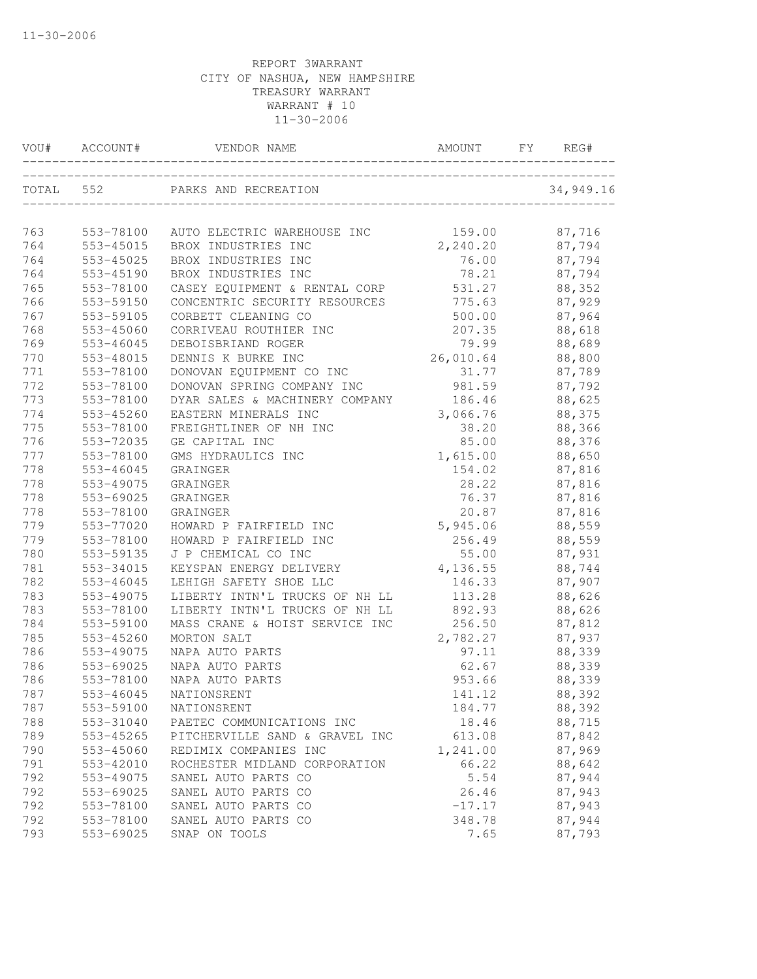|           | VOU# ACCOUNT# | VENDOR NAME                        | AMOUNT    | FY | REG#      |
|-----------|---------------|------------------------------------|-----------|----|-----------|
| TOTAL 552 |               | PARKS AND RECREATION               |           |    | 34,949.16 |
|           |               |                                    |           |    |           |
| 763       | 553-78100     | AUTO ELECTRIC WAREHOUSE INC 159.00 |           |    | 87,716    |
| 764       | 553-45015     | BROX INDUSTRIES INC                | 2,240.20  |    | 87,794    |
| 764       | 553-45025     | BROX INDUSTRIES INC                | 76.00     |    | 87,794    |
| 764       | 553-45190     | BROX INDUSTRIES INC                | 78.21     |    | 87,794    |
| 765       | 553-78100     | CASEY EQUIPMENT & RENTAL CORP      | 531.27    |    | 88,352    |
| 766       | 553-59150     | CONCENTRIC SECURITY RESOURCES      | 775.63    |    | 87,929    |
| 767       | 553-59105     | CORBETT CLEANING CO                | 500.00    |    | 87,964    |
| 768       | 553-45060     | CORRIVEAU ROUTHIER INC             | 207.35    |    | 88,618    |
| 769       | 553-46045     | DEBOISBRIAND ROGER                 | 79.99     |    | 88,689    |
| 770       | 553-48015     | DENNIS K BURKE INC                 | 26,010.64 |    | 88,800    |
| 771       | 553-78100     | DONOVAN EQUIPMENT CO INC           | 31.77     |    | 87,789    |
| 772       | 553-78100     | DONOVAN SPRING COMPANY INC         | 981.59    |    | 87,792    |
| 773       | 553-78100     | DYAR SALES & MACHINERY COMPANY     | 186.46    |    | 88,625    |
| 774       | 553-45260     | EASTERN MINERALS INC               | 3,066.76  |    | 88,375    |
| 775       | 553-78100     | FREIGHTLINER OF NH INC             | 38.20     |    | 88,366    |
| 776       | 553-72035     | GE CAPITAL INC                     | 85.00     |    | 88,376    |
| 777       | 553-78100     | GMS HYDRAULICS INC                 | 1,615.00  |    | 88,650    |
| 778       | 553-46045     | GRAINGER                           | 154.02    |    | 87,816    |
| 778       | 553-49075     | GRAINGER                           | 28.22     |    | 87,816    |
| 778       | 553-69025     | GRAINGER                           | 76.37     |    | 87,816    |
| 778       | 553-78100     | GRAINGER                           | 20.87     |    | 87,816    |
| 779       | 553-77020     | HOWARD P FAIRFIELD INC             | 5,945.06  |    | 88,559    |
| 779       | 553-78100     | HOWARD P FAIRFIELD INC             | 256.49    |    | 88,559    |
| 780       | 553-59135     | J P CHEMICAL CO INC                | 55.00     |    | 87,931    |
| 781       | 553-34015     | KEYSPAN ENERGY DELIVERY            | 4,136.55  |    | 88,744    |
| 782       | 553-46045     | LEHIGH SAFETY SHOE LLC             | 146.33    |    | 87,907    |
| 783       | 553-49075     | LIBERTY INTN'L TRUCKS OF NH LL     | 113.28    |    | 88,626    |
| 783       | 553-78100     | LIBERTY INTN'L TRUCKS OF NH LL     | 892.93    |    | 88,626    |
| 784       | 553-59100     | MASS CRANE & HOIST SERVICE INC     | 256.50    |    | 87,812    |
| 785       | 553-45260     | MORTON SALT                        | 2,782.27  |    | 87,937    |
| 786       | 553-49075     | NAPA AUTO PARTS                    | 97.11     |    | 88,339    |
| 786       | 553-69025     | NAPA AUTO PARTS                    | 62.67     |    | 88,339    |
| 786       | 553-78100     | NAPA AUTO PARTS                    | 953.66    |    | 88,339    |
| 787       | 553-46045     | NATIONSRENT                        | 141.12    |    | 88,392    |
| 787       | 553-59100     | NATIONSRENT                        | 184.77    |    | 88,392    |
| 788       | 553-31040     | PAETEC COMMUNICATIONS INC          | 18.46     |    | 88,715    |
| 789       | 553-45265     | PITCHERVILLE SAND & GRAVEL INC     | 613.08    |    | 87,842    |
| 790       | 553-45060     | REDIMIX COMPANIES INC              | 1,241.00  |    | 87,969    |
| 791       | 553-42010     | ROCHESTER MIDLAND CORPORATION      | 66.22     |    | 88,642    |
| 792       | 553-49075     | SANEL AUTO PARTS CO                | 5.54      |    | 87,944    |
| 792       | 553-69025     | SANEL AUTO PARTS CO                | 26.46     |    | 87,943    |
| 792       | 553-78100     | SANEL AUTO PARTS CO                | $-17.17$  |    | 87,943    |
| 792       | 553-78100     | SANEL AUTO PARTS CO                | 348.78    |    | 87,944    |
| 793       | 553-69025     | SNAP ON TOOLS                      | 7.65      |    | 87,793    |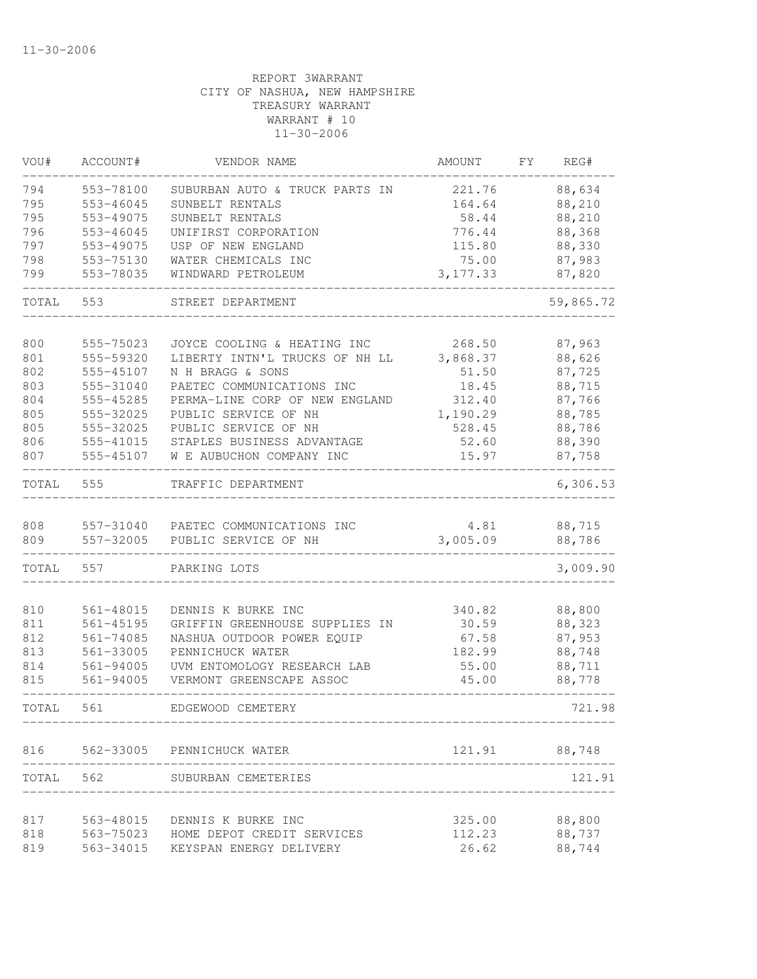| VOU#  | ACCOUNT#      | VENDOR NAME                          | AMOUNT    | FY. | REG#      |
|-------|---------------|--------------------------------------|-----------|-----|-----------|
| 794   | 553-78100     | SUBURBAN AUTO & TRUCK PARTS IN       | 221.76    |     | 88,634    |
| 795   | 553-46045     | SUNBELT RENTALS                      | 164.64    |     | 88,210    |
| 795   | 553-49075     | SUNBELT RENTALS                      | 58.44     |     | 88,210    |
| 796   | 553-46045     | UNIFIRST CORPORATION                 | 776.44    |     | 88,368    |
| 797   | 553-49075     | USP OF NEW ENGLAND                   | 115.80    |     | 88,330    |
| 798   | 553-75130     | WATER CHEMICALS INC                  | 75.00     |     | 87,983    |
| 799   | 553-78035     | WINDWARD PETROLEUM                   | 3, 177.33 |     | 87,820    |
| TOTAL | 553           | STREET DEPARTMENT                    |           |     | 59,865.72 |
|       |               |                                      |           |     |           |
| 800   | 555-75023     | JOYCE COOLING & HEATING INC          | 268.50    |     | 87,963    |
| 801   | 555-59320     | LIBERTY INTN'L TRUCKS OF NH LL       | 3,868.37  |     | 88,626    |
| 802   | 555-45107     | N H BRAGG & SONS                     | 51.50     |     | 87,725    |
| 803   | 555-31040     | PAETEC COMMUNICATIONS INC            | 18.45     |     | 88,715    |
| 804   | 555-45285     | PERMA-LINE CORP OF NEW ENGLAND       | 312.40    |     | 87,766    |
| 805   | 555-32025     | PUBLIC SERVICE OF NH                 | 1,190.29  |     | 88,785    |
| 805   | 555-32025     | PUBLIC SERVICE OF NH                 | 528.45    |     | 88,786    |
| 806   | 555-41015     | STAPLES BUSINESS ADVANTAGE           | 52.60     |     | 88,390    |
| 807   | 555-45107     | W E AUBUCHON COMPANY INC             | 15.97     |     | 87,758    |
| TOTAL | 555           | TRAFFIC DEPARTMENT                   |           |     | 6,306.53  |
| 808   | 557-31040     | PAETEC COMMUNICATIONS INC            | 4.81      |     | 88,715    |
| 809   | 557-32005     | PUBLIC SERVICE OF NH                 | 3,005.09  |     | 88,786    |
| TOTAL | 557           | PARKING LOTS                         |           |     | 3,009.90  |
| 810   | 561-48015     | DENNIS K BURKE INC                   | 340.82    |     | 88,800    |
| 811   | $561 - 45195$ | GRIFFIN GREENHOUSE SUPPLIES IN       | 30.59     |     | 88,323    |
| 812   | 561-74085     | NASHUA OUTDOOR POWER EQUIP           | 67.58     |     | 87,953    |
| 813   | 561-33005     | PENNICHUCK WATER                     | 182.99    |     | 88,748    |
| 814   | 561-94005     | UVM ENTOMOLOGY RESEARCH LAB          | 55.00     |     | 88,711    |
| 815   | 561-94005     | VERMONT GREENSCAPE ASSOC             | 45.00     |     | 88,778    |
|       |               |                                      |           |     |           |
| TOTAL | 561           | EDGEWOOD CEMETERY                    |           |     | 721.98    |
| 816   |               | 562-33005 PENNICHUCK WATER           | 121.91    |     | 88,748    |
| TOTAL | 562           | SUBURBAN CEMETERIES                  |           |     | 121.91    |
|       |               |                                      |           |     |           |
| 817   | 563-48015     | DENNIS K BURKE INC                   | 325.00    |     | 88,800    |
| 818   |               | 563-75023 HOME DEPOT CREDIT SERVICES | 112.23    |     | 88,737    |
| 819   | 563-34015     | KEYSPAN ENERGY DELIVERY              | 26.62     |     | 88,744    |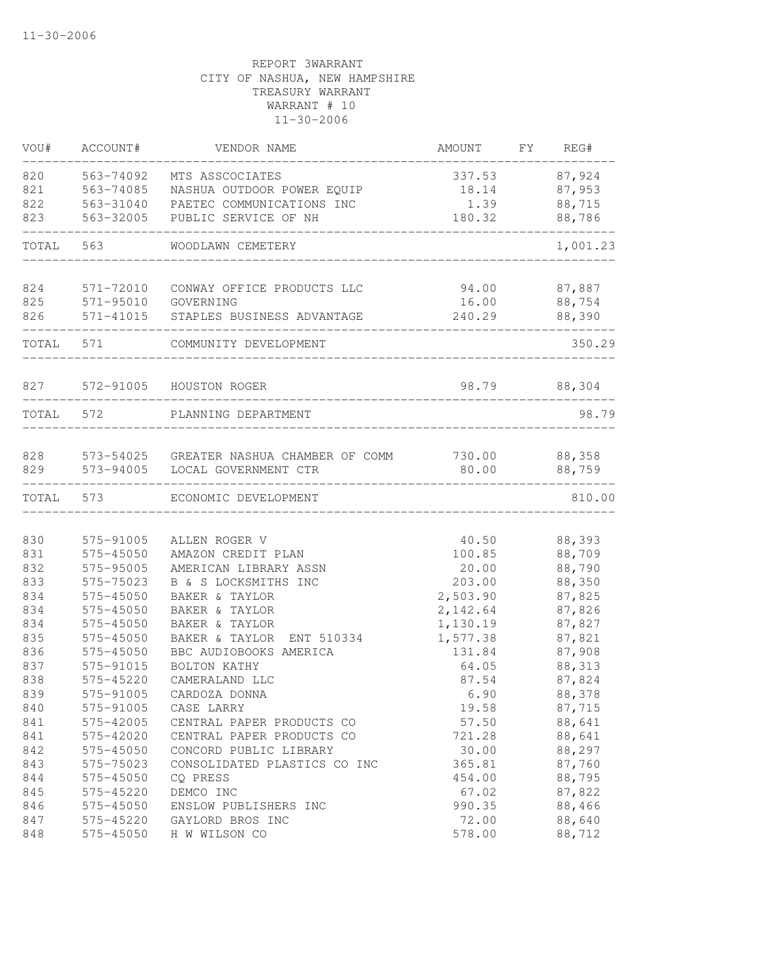| VOU#      | ACCOUNT#  | VENDOR NAME                              | AMOUNT   | FY. | REG#         |
|-----------|-----------|------------------------------------------|----------|-----|--------------|
| 820       | 563-74092 | MTS ASSCOCIATES                          | 337.53   |     | 87,924       |
| 821       | 563-74085 | NASHUA OUTDOOR POWER EQUIP               | 18.14    |     | 87,953       |
| 822       | 563-31040 | PAETEC COMMUNICATIONS INC                | 1.39     |     | 88,715       |
| 823       | 563-32005 | PUBLIC SERVICE OF NH                     | 180.32   |     | 88,786       |
| TOTAL     | 563       | WOODLAWN CEMETERY                        |          |     | 1,001.23     |
| 824       | 571-72010 | CONWAY OFFICE PRODUCTS LLC               | 94.00    |     | 87,887       |
| 825       | 571-95010 | GOVERNING                                | 16.00    |     | 88,754       |
| 826       | 571-41015 | STAPLES BUSINESS ADVANTAGE               | 240.29   |     | 88,390       |
| TOTAL     | 571       | COMMUNITY DEVELOPMENT                    |          |     | 350.29       |
| 827       |           | 572-91005 HOUSTON ROGER                  |          |     | 98.79 88,304 |
| TOTAL 572 |           | PLANNING DEPARTMENT                      |          |     | 98.79        |
|           |           |                                          |          |     |              |
| 828       |           | 573-54025 GREATER NASHUA CHAMBER OF COMM | 730.00   |     | 88,358       |
| 829       | 573-94005 | LOCAL GOVERNMENT CTR                     | 80.00    |     | 88,759       |
| TOTAL     | 573       | ECONOMIC DEVELOPMENT                     |          |     | 810.00       |
| 830       | 575-91005 | ALLEN ROGER V                            | 40.50    |     | 88,393       |
| 831       | 575-45050 | AMAZON CREDIT PLAN                       | 100.85   |     | 88,709       |
| 832       | 575-95005 | AMERICAN LIBRARY ASSN                    | 20.00    |     | 88,790       |
| 833       | 575-75023 | B & S LOCKSMITHS INC                     | 203.00   |     | 88,350       |
| 834       | 575-45050 | BAKER & TAYLOR                           | 2,503.90 |     | 87,825       |
| 834       | 575-45050 | BAKER & TAYLOR                           | 2,142.64 |     | 87,826       |
| 834       | 575-45050 | BAKER & TAYLOR                           | 1,130.19 |     | 87,827       |
| 835       | 575-45050 | BAKER & TAYLOR<br>ENT 510334             | 1,577.38 |     | 87,821       |
| 836       | 575-45050 | BBC AUDIOBOOKS AMERICA                   | 131.84   |     | 87,908       |
| 837       | 575-91015 | BOLTON KATHY                             | 64.05    |     | 88,313       |
| 838       | 575-45220 | CAMERALAND LLC                           | 87.54    |     | 87,824       |
| 839       | 575-91005 | CARDOZA DONNA                            | 6.90     |     | 88,378       |
| 840       | 575-91005 | CASE LARRY                               | 19.58    |     | 87,715       |
| 841       | 575-42005 | CENTRAL PAPER PRODUCTS CO                | 57.50    |     | 88,641       |
| 841       | 575-42020 | CENTRAL PAPER PRODUCTS CO                | 721.28   |     | 88,641       |
| 842       | 575-45050 | CONCORD PUBLIC LIBRARY                   | 30.00    |     | 88,297       |
| 843       | 575-75023 | CONSOLIDATED PLASTICS CO INC             | 365.81   |     | 87,760       |
| 844       | 575-45050 | CQ PRESS                                 | 454.00   |     | 88,795       |
| 845       | 575-45220 | DEMCO INC                                | 67.02    |     | 87,822       |
| 846       | 575-45050 | ENSLOW PUBLISHERS INC                    | 990.35   |     | 88,466       |
| 847       | 575-45220 | GAYLORD BROS INC                         | 72.00    |     | 88,640       |
| 848       | 575-45050 | H W WILSON CO                            | 578.00   |     | 88,712       |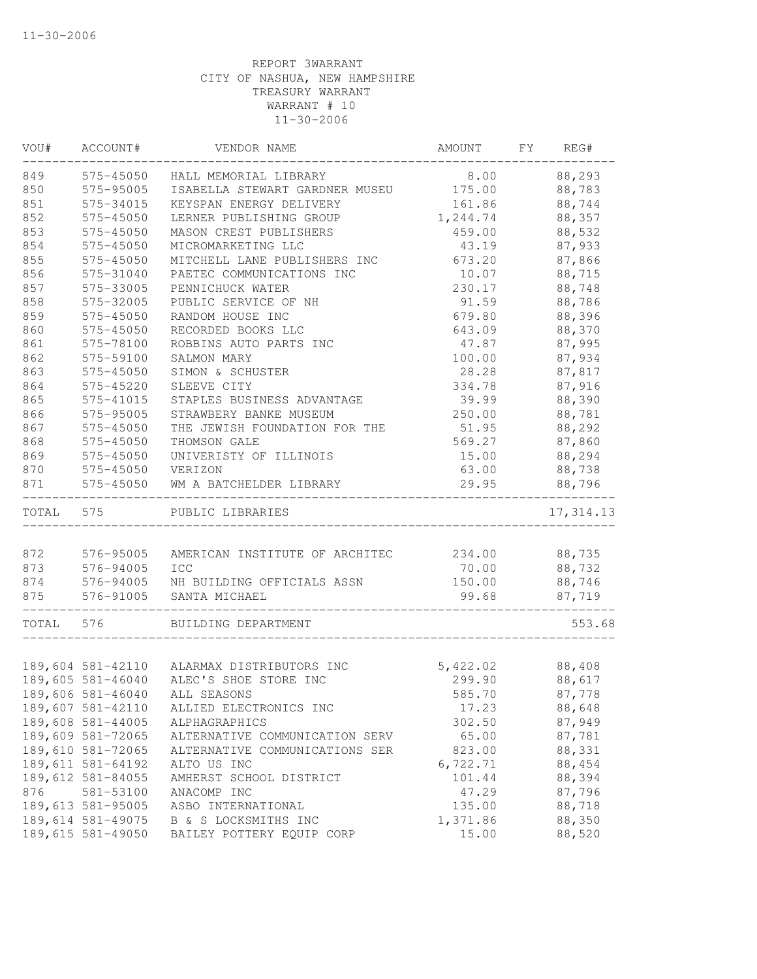| VOU#  | ACCOUNT#          | VENDOR NAME                                | AMOUNT   | FY | REG#       |
|-------|-------------------|--------------------------------------------|----------|----|------------|
| 849   | 575-45050         | HALL MEMORIAL LIBRARY                      | 8.00     |    | 88,293     |
| 850   | 575-95005         | ISABELLA STEWART GARDNER MUSEU             | 175.00   |    | 88,783     |
| 851   | 575-34015         | KEYSPAN ENERGY DELIVERY                    | 161.86   |    | 88,744     |
| 852   | 575-45050         | LERNER PUBLISHING GROUP                    | 1,244.74 |    | 88,357     |
| 853   | 575-45050         | MASON CREST PUBLISHERS                     | 459.00   |    | 88,532     |
| 854   | 575-45050         | MICROMARKETING LLC                         | 43.19    |    | 87,933     |
| 855   | 575-45050         | MITCHELL LANE PUBLISHERS INC               | 673.20   |    | 87,866     |
| 856   | 575-31040         | PAETEC COMMUNICATIONS INC                  | 10.07    |    | 88,715     |
| 857   | 575-33005         | PENNICHUCK WATER                           | 230.17   |    | 88,748     |
| 858   | 575-32005         | PUBLIC SERVICE OF NH                       | 91.59    |    | 88,786     |
| 859   | 575-45050         | RANDOM HOUSE INC                           | 679.80   |    | 88,396     |
| 860   | 575-45050         | RECORDED BOOKS LLC                         | 643.09   |    | 88,370     |
| 861   | 575-78100         | ROBBINS AUTO PARTS INC                     | 47.87    |    | 87,995     |
| 862   | 575-59100         | SALMON MARY                                | 100.00   |    | 87,934     |
| 863   | 575-45050         | SIMON & SCHUSTER                           | 28.28    |    | 87,817     |
| 864   | 575-45220         | SLEEVE CITY                                | 334.78   |    | 87,916     |
| 865   | 575-41015         | STAPLES BUSINESS ADVANTAGE                 | 39.99    |    | 88,390     |
| 866   | 575-95005         | STRAWBERY BANKE MUSEUM                     | 250.00   |    | 88,781     |
| 867   | 575-45050         | THE JEWISH FOUNDATION FOR THE              | 51.95    |    | 88,292     |
| 868   | 575-45050         | THOMSON GALE                               | 569.27   |    | 87,860     |
| 869   | 575-45050         | UNIVERISTY OF ILLINOIS                     | 15.00    |    | 88,294     |
| 870   | 575-45050         | VERIZON                                    | 63.00    |    | 88,738     |
| 871   | 575-45050         | WM A BATCHELDER LIBRARY                    | 29.95    |    | 88,796     |
| TOTAL | 575               | PUBLIC LIBRARIES                           |          |    | 17, 314.13 |
|       |                   |                                            |          |    |            |
| 872   | 576-95005         | AMERICAN INSTITUTE OF ARCHITEC             | 234.00   |    | 88,735     |
| 873   | 576-94005         | ICC                                        | 70.00    |    | 88,732     |
| 874   | 576-94005         | NH BUILDING OFFICIALS ASSN                 | 150.00   |    | 88,746     |
| 875   | 576-91005         | SANTA MICHAEL                              | 99.68    |    | 87,719     |
| TOTAL | 576               | BUILDING DEPARTMENT                        |          |    | 553.68     |
|       |                   |                                            |          |    |            |
|       |                   | 189,604 581-42110 ALARMAX DISTRIBUTORS INC | 5,422.02 |    | 88,408     |
|       | 189,605 581-46040 | ALEC'S SHOE STORE INC                      | 299.90   |    | 88,617     |
|       | 189,606 581-46040 | ALL SEASONS                                | 585.70   |    | 87,778     |
|       | 189,607 581-42110 | ALLIED ELECTRONICS INC                     | 17.23    |    | 88,648     |
|       | 189,608 581-44005 | ALPHAGRAPHICS                              | 302.50   |    | 87,949     |
|       | 189,609 581-72065 | ALTERNATIVE COMMUNICATION SERV             | 65.00    |    | 87,781     |
|       | 189,610 581-72065 | ALTERNATIVE COMMUNICATIONS SER             | 823.00   |    | 88,331     |
|       | 189,611 581-64192 | ALTO US INC                                | 6,722.71 |    | 88,454     |
|       | 189,612 581-84055 | AMHERST SCHOOL DISTRICT                    | 101.44   |    | 88,394     |
| 876   | 581-53100         | ANACOMP INC                                | 47.29    |    | 87,796     |
|       | 189,613 581-95005 | ASBO INTERNATIONAL                         | 135.00   |    | 88,718     |
|       | 189,614 581-49075 | B & S LOCKSMITHS INC                       | 1,371.86 |    | 88,350     |
|       | 189,615 581-49050 | BAILEY POTTERY EQUIP CORP                  | 15.00    |    | 88,520     |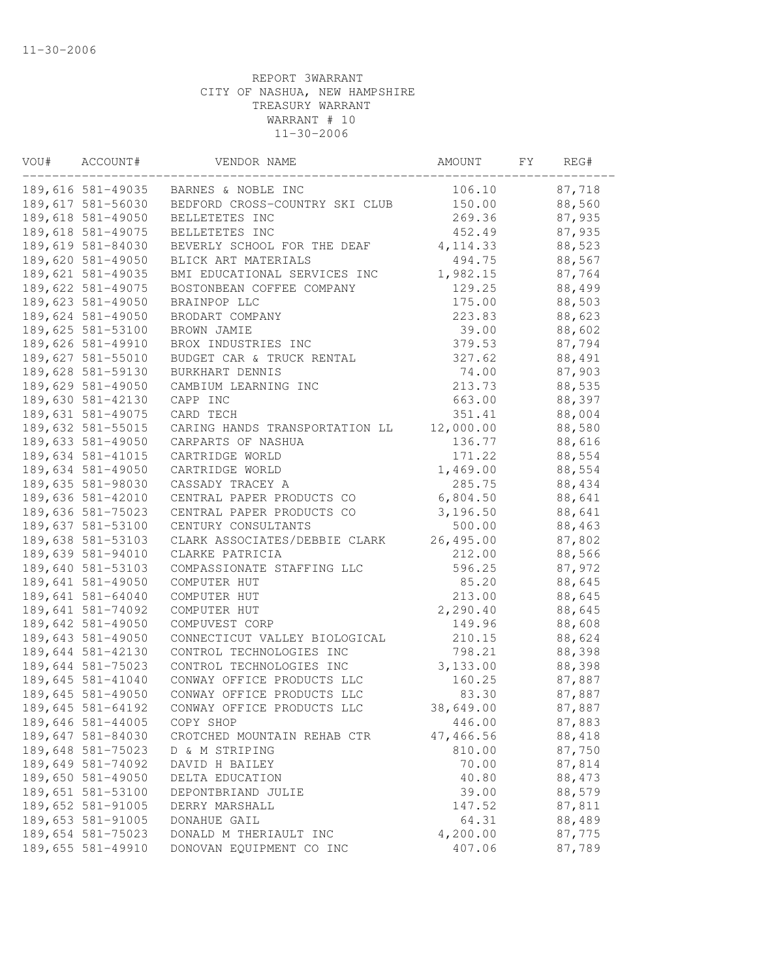| VOU# | ACCOUNT#          | VENDOR NAME                    | AMOUNT    | FΥ | REG#   |  |
|------|-------------------|--------------------------------|-----------|----|--------|--|
|      | 189,616 581-49035 | BARNES & NOBLE INC             | 106.10    |    | 87,718 |  |
|      | 189,617 581-56030 | BEDFORD CROSS-COUNTRY SKI CLUB | 150.00    |    | 88,560 |  |
|      | 189,618 581-49050 | BELLETETES INC                 | 269.36    |    | 87,935 |  |
|      | 189,618 581-49075 | BELLETETES INC                 | 452.49    |    | 87,935 |  |
|      | 189,619 581-84030 | BEVERLY SCHOOL FOR THE DEAF    | 4, 114.33 |    | 88,523 |  |
|      | 189,620 581-49050 | BLICK ART MATERIALS            | 494.75    |    | 88,567 |  |
|      | 189,621 581-49035 | BMI EDUCATIONAL SERVICES INC   | 1,982.15  |    | 87,764 |  |
|      | 189,622 581-49075 | BOSTONBEAN COFFEE COMPANY      | 129.25    |    | 88,499 |  |
|      | 189,623 581-49050 | BRAINPOP LLC                   | 175.00    |    | 88,503 |  |
|      | 189,624 581-49050 | BRODART COMPANY                | 223.83    |    | 88,623 |  |
|      | 189,625 581-53100 | BROWN JAMIE                    | 39.00     |    | 88,602 |  |
|      | 189,626 581-49910 | BROX INDUSTRIES INC            | 379.53    |    | 87,794 |  |
|      | 189,627 581-55010 | BUDGET CAR & TRUCK RENTAL      | 327.62    |    | 88,491 |  |
|      | 189,628 581-59130 | BURKHART DENNIS                | 74.00     |    | 87,903 |  |
|      | 189,629 581-49050 | CAMBIUM LEARNING INC           | 213.73    |    | 88,535 |  |
|      | 189,630 581-42130 | CAPP INC                       | 663.00    |    | 88,397 |  |
|      | 189,631 581-49075 | CARD TECH                      | 351.41    |    | 88,004 |  |
|      | 189,632 581-55015 | CARING HANDS TRANSPORTATION LL | 12,000.00 |    | 88,580 |  |
|      | 189,633 581-49050 | CARPARTS OF NASHUA             | 136.77    |    | 88,616 |  |
|      | 189,634 581-41015 | CARTRIDGE WORLD                | 171.22    |    | 88,554 |  |
|      | 189,634 581-49050 | CARTRIDGE WORLD                | 1,469.00  |    | 88,554 |  |
|      | 189,635 581-98030 | CASSADY TRACEY A               | 285.75    |    | 88,434 |  |
|      | 189,636 581-42010 | CENTRAL PAPER PRODUCTS CO      | 6,804.50  |    | 88,641 |  |
|      | 189,636 581-75023 | CENTRAL PAPER PRODUCTS CO      | 3,196.50  |    | 88,641 |  |
|      | 189,637 581-53100 | CENTURY CONSULTANTS            | 500.00    |    | 88,463 |  |
|      | 189,638 581-53103 | CLARK ASSOCIATES/DEBBIE CLARK  | 26,495.00 |    | 87,802 |  |
|      | 189,639 581-94010 | CLARKE PATRICIA                | 212.00    |    | 88,566 |  |
|      | 189,640 581-53103 | COMPASSIONATE STAFFING LLC     | 596.25    |    | 87,972 |  |
|      | 189,641 581-49050 | COMPUTER HUT                   | 85.20     |    | 88,645 |  |
|      | 189,641 581-64040 | COMPUTER HUT                   | 213.00    |    | 88,645 |  |
|      | 189,641 581-74092 | COMPUTER HUT                   | 2,290.40  |    | 88,645 |  |
|      | 189,642 581-49050 | COMPUVEST CORP                 | 149.96    |    | 88,608 |  |
|      | 189,643 581-49050 | CONNECTICUT VALLEY BIOLOGICAL  | 210.15    |    | 88,624 |  |
|      | 189,644 581-42130 | CONTROL TECHNOLOGIES INC       | 798.21    |    | 88,398 |  |
|      | 189,644 581-75023 | CONTROL TECHNOLOGIES INC       | 3,133.00  |    | 88,398 |  |
|      | 189,645 581-41040 | CONWAY OFFICE PRODUCTS LLC     | 160.25    |    | 87,887 |  |
|      | 189,645 581-49050 | CONWAY OFFICE PRODUCTS LLC     | 83.30     |    | 87,887 |  |
|      | 189,645 581-64192 | CONWAY OFFICE PRODUCTS LLC     | 38,649.00 |    | 87,887 |  |
|      | 189,646 581-44005 | COPY SHOP                      | 446.00    |    | 87,883 |  |
|      | 189,647 581-84030 | CROTCHED MOUNTAIN REHAB CTR    | 47,466.56 |    | 88,418 |  |
|      | 189,648 581-75023 | D & M STRIPING                 | 810.00    |    | 87,750 |  |
|      | 189,649 581-74092 | DAVID H BAILEY                 | 70.00     |    | 87,814 |  |
|      | 189,650 581-49050 | DELTA EDUCATION                | 40.80     |    | 88,473 |  |
|      | 189,651 581-53100 | DEPONTBRIAND JULIE             | 39.00     |    | 88,579 |  |
|      | 189,652 581-91005 | DERRY MARSHALL                 | 147.52    |    | 87,811 |  |
|      | 189,653 581-91005 | DONAHUE GAIL                   | 64.31     |    | 88,489 |  |
|      | 189,654 581-75023 | DONALD M THERIAULT INC         | 4,200.00  |    | 87,775 |  |
|      | 189,655 581-49910 | DONOVAN EQUIPMENT CO INC       | 407.06    |    | 87,789 |  |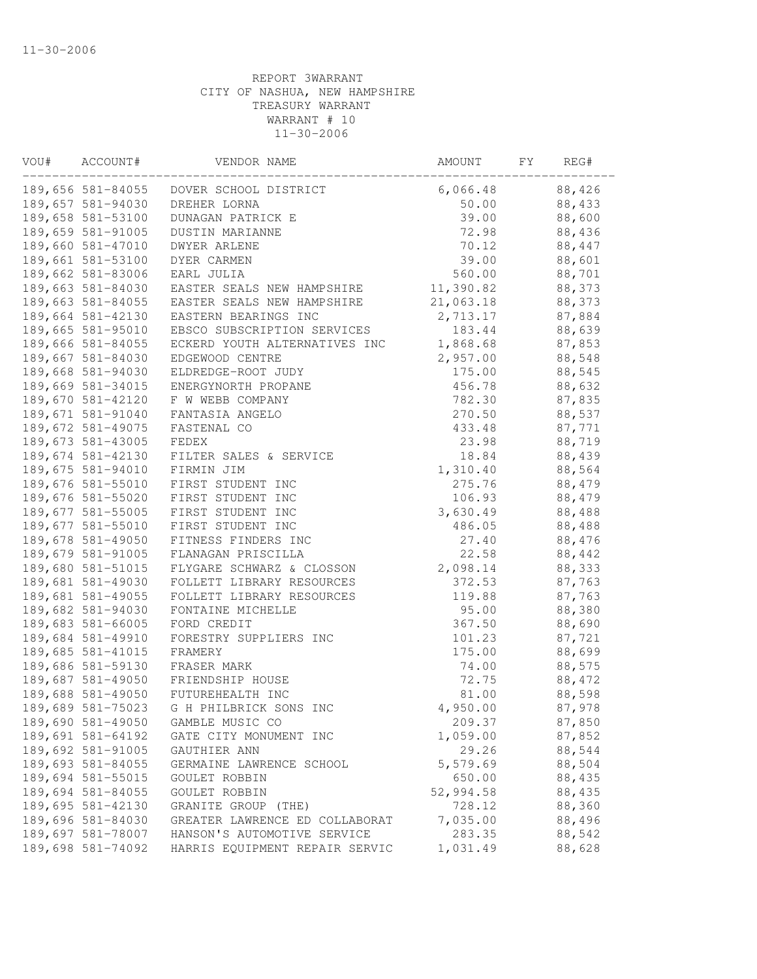| VOU# | ACCOUNT#          | VENDOR NAME                    | AMOUNT    | FY. | REG#   |  |
|------|-------------------|--------------------------------|-----------|-----|--------|--|
|      | 189,656 581-84055 | DOVER SCHOOL DISTRICT          | 6,066.48  |     | 88,426 |  |
|      | 189,657 581-94030 | DREHER LORNA                   | 50.00     |     | 88,433 |  |
|      | 189,658 581-53100 | DUNAGAN PATRICK E              | 39.00     |     | 88,600 |  |
|      | 189,659 581-91005 | DUSTIN MARIANNE                | 72.98     |     | 88,436 |  |
|      | 189,660 581-47010 | <b>DWYER ARLENE</b>            | 70.12     |     | 88,447 |  |
|      | 189,661 581-53100 | DYER CARMEN                    | 39.00     |     | 88,601 |  |
|      | 189,662 581-83006 | EARL JULIA                     | 560.00    |     | 88,701 |  |
|      | 189,663 581-84030 | EASTER SEALS NEW HAMPSHIRE     | 11,390.82 |     | 88,373 |  |
|      | 189,663 581-84055 | EASTER SEALS NEW HAMPSHIRE     | 21,063.18 |     | 88,373 |  |
|      | 189,664 581-42130 | EASTERN BEARINGS INC           | 2,713.17  |     | 87,884 |  |
|      | 189,665 581-95010 | EBSCO SUBSCRIPTION SERVICES    | 183.44    |     | 88,639 |  |
|      | 189,666 581-84055 | ECKERD YOUTH ALTERNATIVES INC  | 1,868.68  |     | 87,853 |  |
|      | 189,667 581-84030 | EDGEWOOD CENTRE                | 2,957.00  |     | 88,548 |  |
|      | 189,668 581-94030 | ELDREDGE-ROOT JUDY             | 175.00    |     | 88,545 |  |
|      | 189,669 581-34015 | ENERGYNORTH PROPANE            | 456.78    |     | 88,632 |  |
|      | 189,670 581-42120 | F W WEBB COMPANY               | 782.30    |     | 87,835 |  |
|      | 189,671 581-91040 | FANTASIA ANGELO                | 270.50    |     | 88,537 |  |
|      | 189,672 581-49075 | FASTENAL CO                    | 433.48    |     | 87,771 |  |
|      | 189,673 581-43005 | FEDEX                          | 23.98     |     | 88,719 |  |
|      | 189,674 581-42130 | FILTER SALES & SERVICE         | 18.84     |     | 88,439 |  |
|      | 189,675 581-94010 | FIRMIN JIM                     | 1,310.40  |     | 88,564 |  |
|      | 189,676 581-55010 | FIRST STUDENT INC              | 275.76    |     | 88,479 |  |
|      | 189,676 581-55020 | FIRST STUDENT INC              | 106.93    |     | 88,479 |  |
|      | 189,677 581-55005 | FIRST STUDENT INC              | 3,630.49  |     | 88,488 |  |
|      | 189,677 581-55010 | FIRST STUDENT INC              | 486.05    |     | 88,488 |  |
|      | 189,678 581-49050 | FITNESS FINDERS INC            | 27.40     |     | 88,476 |  |
|      | 189,679 581-91005 | FLANAGAN PRISCILLA             | 22.58     |     | 88,442 |  |
|      | 189,680 581-51015 | FLYGARE SCHWARZ & CLOSSON      | 2,098.14  |     | 88,333 |  |
|      | 189,681 581-49030 | FOLLETT LIBRARY RESOURCES      | 372.53    |     | 87,763 |  |
|      | 189,681 581-49055 | FOLLETT LIBRARY RESOURCES      | 119.88    |     | 87,763 |  |
|      | 189,682 581-94030 | FONTAINE MICHELLE              | 95.00     |     | 88,380 |  |
|      | 189,683 581-66005 | FORD CREDIT                    | 367.50    |     | 88,690 |  |
|      | 189,684 581-49910 | FORESTRY SUPPLIERS INC         | 101.23    |     | 87,721 |  |
|      | 189,685 581-41015 | FRAMERY                        | 175.00    |     | 88,699 |  |
|      | 189,686 581-59130 | FRASER MARK                    | 74.00     |     | 88,575 |  |
|      | 189,687 581-49050 | FRIENDSHIP HOUSE               | 72.75     |     | 88,472 |  |
|      | 189,688 581-49050 | FUTUREHEALTH INC               | 81.00     |     | 88,598 |  |
|      | 189,689 581-75023 | G H PHILBRICK SONS INC         | 4,950.00  |     | 87,978 |  |
|      | 189,690 581-49050 | GAMBLE MUSIC CO                | 209.37    |     | 87,850 |  |
|      | 189,691 581-64192 | GATE CITY MONUMENT INC         | 1,059.00  |     | 87,852 |  |
|      | 189,692 581-91005 | GAUTHIER ANN                   | 29.26     |     | 88,544 |  |
|      | 189,693 581-84055 | GERMAINE LAWRENCE SCHOOL       | 5,579.69  |     | 88,504 |  |
|      | 189,694 581-55015 | GOULET ROBBIN                  | 650.00    |     | 88,435 |  |
|      | 189,694 581-84055 | GOULET ROBBIN                  | 52,994.58 |     | 88,435 |  |
|      | 189,695 581-42130 | GRANITE GROUP (THE)            | 728.12    |     | 88,360 |  |
|      | 189,696 581-84030 | GREATER LAWRENCE ED COLLABORAT | 7,035.00  |     | 88,496 |  |
|      | 189,697 581-78007 | HANSON'S AUTOMOTIVE SERVICE    | 283.35    |     | 88,542 |  |
|      | 189,698 581-74092 | HARRIS EQUIPMENT REPAIR SERVIC | 1,031.49  |     | 88,628 |  |
|      |                   |                                |           |     |        |  |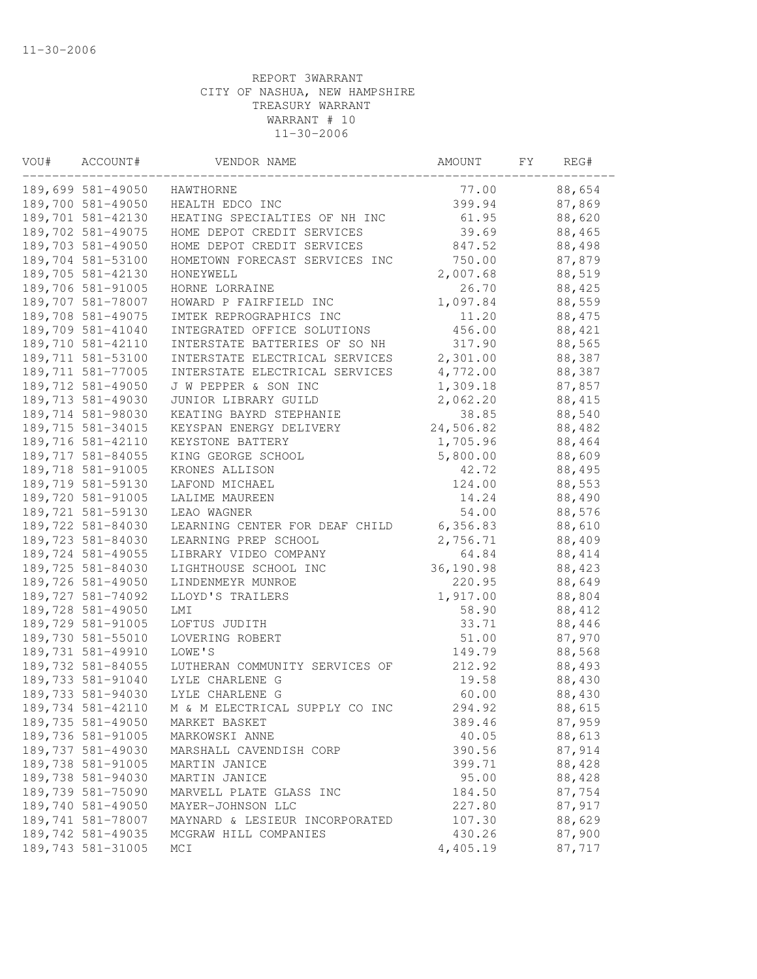| VOU# | ACCOUNT#          | VENDOR NAME                    | AMOUNT    | FΥ | REG#   |  |
|------|-------------------|--------------------------------|-----------|----|--------|--|
|      | 189,699 581-49050 | HAWTHORNE                      | 77.00     |    | 88,654 |  |
|      | 189,700 581-49050 | HEALTH EDCO INC                | 399.94    |    | 87,869 |  |
|      | 189,701 581-42130 | HEATING SPECIALTIES OF NH INC  | 61.95     |    | 88,620 |  |
|      | 189,702 581-49075 | HOME DEPOT CREDIT SERVICES     | 39.69     |    | 88,465 |  |
|      | 189,703 581-49050 | HOME DEPOT CREDIT SERVICES     | 847.52    |    | 88,498 |  |
|      | 189,704 581-53100 | HOMETOWN FORECAST SERVICES INC | 750.00    |    | 87,879 |  |
|      | 189,705 581-42130 | HONEYWELL                      | 2,007.68  |    | 88,519 |  |
|      | 189,706 581-91005 | HORNE LORRAINE                 | 26.70     |    | 88,425 |  |
|      | 189,707 581-78007 | HOWARD P FAIRFIELD INC         | 1,097.84  |    | 88,559 |  |
|      | 189,708 581-49075 | IMTEK REPROGRAPHICS INC        | 11.20     |    | 88,475 |  |
|      | 189,709 581-41040 | INTEGRATED OFFICE SOLUTIONS    | 456.00    |    | 88,421 |  |
|      | 189,710 581-42110 | INTERSTATE BATTERIES OF SO NH  | 317.90    |    | 88,565 |  |
|      | 189,711 581-53100 | INTERSTATE ELECTRICAL SERVICES | 2,301.00  |    | 88,387 |  |
|      | 189,711 581-77005 | INTERSTATE ELECTRICAL SERVICES | 4,772.00  |    | 88,387 |  |
|      | 189,712 581-49050 | J W PEPPER & SON INC           | 1,309.18  |    | 87,857 |  |
|      | 189,713 581-49030 | JUNIOR LIBRARY GUILD           | 2,062.20  |    | 88,415 |  |
|      | 189,714 581-98030 | KEATING BAYRD STEPHANIE        | 38.85     |    | 88,540 |  |
|      | 189,715 581-34015 | KEYSPAN ENERGY DELIVERY        | 24,506.82 |    | 88,482 |  |
|      | 189,716 581-42110 | KEYSTONE BATTERY               | 1,705.96  |    | 88,464 |  |
|      | 189,717 581-84055 | KING GEORGE SCHOOL             | 5,800.00  |    | 88,609 |  |
|      | 189,718 581-91005 | KRONES ALLISON                 | 42.72     |    | 88,495 |  |
|      | 189,719 581-59130 | LAFOND MICHAEL                 | 124.00    |    | 88,553 |  |
|      | 189,720 581-91005 | LALIME MAUREEN                 | 14.24     |    | 88,490 |  |
|      | 189,721 581-59130 | LEAO WAGNER                    | 54.00     |    | 88,576 |  |
|      | 189,722 581-84030 | LEARNING CENTER FOR DEAF CHILD | 6,356.83  |    | 88,610 |  |
|      | 189,723 581-84030 | LEARNING PREP SCHOOL           | 2,756.71  |    | 88,409 |  |
|      | 189,724 581-49055 | LIBRARY VIDEO COMPANY          | 64.84     |    | 88,414 |  |
|      | 189,725 581-84030 | LIGHTHOUSE SCHOOL INC          | 36,190.98 |    | 88,423 |  |
|      | 189,726 581-49050 | LINDENMEYR MUNROE              | 220.95    |    | 88,649 |  |
|      | 189,727 581-74092 | LLOYD'S TRAILERS               | 1,917.00  |    | 88,804 |  |
|      | 189,728 581-49050 | LMI                            | 58.90     |    | 88,412 |  |
|      | 189,729 581-91005 | LOFTUS JUDITH                  | 33.71     |    | 88,446 |  |
|      | 189,730 581-55010 | LOVERING ROBERT                | 51.00     |    | 87,970 |  |
|      | 189,731 581-49910 | LOWE'S                         | 149.79    |    | 88,568 |  |
|      | 189,732 581-84055 | LUTHERAN COMMUNITY SERVICES OF | 212.92    |    | 88,493 |  |
|      | 189,733 581-91040 | LYLE CHARLENE G                | 19.58     |    | 88,430 |  |
|      | 189,733 581-94030 | LYLE CHARLENE G                | 60.00     |    | 88,430 |  |
|      | 189,734 581-42110 | M & M ELECTRICAL SUPPLY CO INC | 294.92    |    | 88,615 |  |
|      | 189,735 581-49050 | MARKET BASKET                  | 389.46    |    | 87,959 |  |
|      | 189,736 581-91005 | MARKOWSKI ANNE                 | 40.05     |    | 88,613 |  |
|      | 189,737 581-49030 | MARSHALL CAVENDISH CORP        | 390.56    |    | 87,914 |  |
|      | 189,738 581-91005 | MARTIN JANICE                  | 399.71    |    | 88,428 |  |
|      | 189,738 581-94030 | MARTIN JANICE                  | 95.00     |    | 88,428 |  |
|      | 189,739 581-75090 | MARVELL PLATE GLASS INC        | 184.50    |    | 87,754 |  |
|      | 189,740 581-49050 | MAYER-JOHNSON LLC              | 227.80    |    | 87,917 |  |
|      | 189,741 581-78007 | MAYNARD & LESIEUR INCORPORATED | 107.30    |    | 88,629 |  |
|      | 189,742 581-49035 | MCGRAW HILL COMPANIES          | 430.26    |    | 87,900 |  |
|      | 189,743 581-31005 | MCI                            | 4,405.19  |    | 87,717 |  |
|      |                   |                                |           |    |        |  |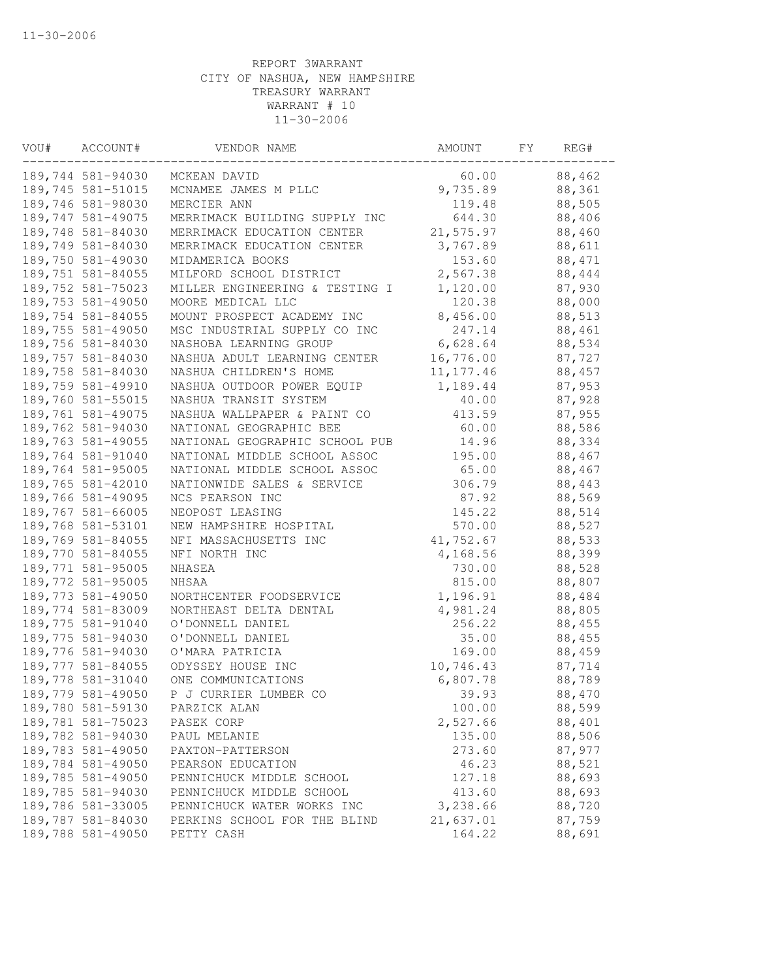| ACCOUNT#          | VENDOR NAME                                                                                                                                                                                                                                                                                                                                                                                                                                                                                                                                                                                                                                                                                                                                                                                                                | AMOUNT                                                                                                                                                                                                                                                                                                                                                                                                                                                                                      | FΥ                                                                                                                                                                                                                                                                                                                                                                                                                   | REG#   |                                                                                                                                                                                                                                                                                                                                                                                                                                            |
|-------------------|----------------------------------------------------------------------------------------------------------------------------------------------------------------------------------------------------------------------------------------------------------------------------------------------------------------------------------------------------------------------------------------------------------------------------------------------------------------------------------------------------------------------------------------------------------------------------------------------------------------------------------------------------------------------------------------------------------------------------------------------------------------------------------------------------------------------------|---------------------------------------------------------------------------------------------------------------------------------------------------------------------------------------------------------------------------------------------------------------------------------------------------------------------------------------------------------------------------------------------------------------------------------------------------------------------------------------------|----------------------------------------------------------------------------------------------------------------------------------------------------------------------------------------------------------------------------------------------------------------------------------------------------------------------------------------------------------------------------------------------------------------------|--------|--------------------------------------------------------------------------------------------------------------------------------------------------------------------------------------------------------------------------------------------------------------------------------------------------------------------------------------------------------------------------------------------------------------------------------------------|
| 189,744 581-94030 | MCKEAN DAVID                                                                                                                                                                                                                                                                                                                                                                                                                                                                                                                                                                                                                                                                                                                                                                                                               | 60.00                                                                                                                                                                                                                                                                                                                                                                                                                                                                                       |                                                                                                                                                                                                                                                                                                                                                                                                                      | 88,462 |                                                                                                                                                                                                                                                                                                                                                                                                                                            |
| 189,745 581-51015 | MCNAMEE JAMES M PLLC                                                                                                                                                                                                                                                                                                                                                                                                                                                                                                                                                                                                                                                                                                                                                                                                       |                                                                                                                                                                                                                                                                                                                                                                                                                                                                                             |                                                                                                                                                                                                                                                                                                                                                                                                                      | 88,361 |                                                                                                                                                                                                                                                                                                                                                                                                                                            |
|                   | MERCIER ANN                                                                                                                                                                                                                                                                                                                                                                                                                                                                                                                                                                                                                                                                                                                                                                                                                |                                                                                                                                                                                                                                                                                                                                                                                                                                                                                             |                                                                                                                                                                                                                                                                                                                                                                                                                      |        |                                                                                                                                                                                                                                                                                                                                                                                                                                            |
| 189,747 581-49075 | MERRIMACK BUILDING SUPPLY INC                                                                                                                                                                                                                                                                                                                                                                                                                                                                                                                                                                                                                                                                                                                                                                                              |                                                                                                                                                                                                                                                                                                                                                                                                                                                                                             |                                                                                                                                                                                                                                                                                                                                                                                                                      |        |                                                                                                                                                                                                                                                                                                                                                                                                                                            |
|                   | MERRIMACK EDUCATION CENTER                                                                                                                                                                                                                                                                                                                                                                                                                                                                                                                                                                                                                                                                                                                                                                                                 |                                                                                                                                                                                                                                                                                                                                                                                                                                                                                             |                                                                                                                                                                                                                                                                                                                                                                                                                      |        |                                                                                                                                                                                                                                                                                                                                                                                                                                            |
|                   | MERRIMACK EDUCATION CENTER                                                                                                                                                                                                                                                                                                                                                                                                                                                                                                                                                                                                                                                                                                                                                                                                 |                                                                                                                                                                                                                                                                                                                                                                                                                                                                                             |                                                                                                                                                                                                                                                                                                                                                                                                                      |        |                                                                                                                                                                                                                                                                                                                                                                                                                                            |
|                   | MIDAMERICA BOOKS                                                                                                                                                                                                                                                                                                                                                                                                                                                                                                                                                                                                                                                                                                                                                                                                           |                                                                                                                                                                                                                                                                                                                                                                                                                                                                                             |                                                                                                                                                                                                                                                                                                                                                                                                                      |        |                                                                                                                                                                                                                                                                                                                                                                                                                                            |
|                   | MILFORD SCHOOL DISTRICT                                                                                                                                                                                                                                                                                                                                                                                                                                                                                                                                                                                                                                                                                                                                                                                                    |                                                                                                                                                                                                                                                                                                                                                                                                                                                                                             |                                                                                                                                                                                                                                                                                                                                                                                                                      |        |                                                                                                                                                                                                                                                                                                                                                                                                                                            |
|                   | MILLER ENGINEERING & TESTING I                                                                                                                                                                                                                                                                                                                                                                                                                                                                                                                                                                                                                                                                                                                                                                                             |                                                                                                                                                                                                                                                                                                                                                                                                                                                                                             |                                                                                                                                                                                                                                                                                                                                                                                                                      |        |                                                                                                                                                                                                                                                                                                                                                                                                                                            |
|                   | MOORE MEDICAL LLC                                                                                                                                                                                                                                                                                                                                                                                                                                                                                                                                                                                                                                                                                                                                                                                                          |                                                                                                                                                                                                                                                                                                                                                                                                                                                                                             |                                                                                                                                                                                                                                                                                                                                                                                                                      |        |                                                                                                                                                                                                                                                                                                                                                                                                                                            |
|                   |                                                                                                                                                                                                                                                                                                                                                                                                                                                                                                                                                                                                                                                                                                                                                                                                                            |                                                                                                                                                                                                                                                                                                                                                                                                                                                                                             |                                                                                                                                                                                                                                                                                                                                                                                                                      |        |                                                                                                                                                                                                                                                                                                                                                                                                                                            |
| 189,755 581-49050 | MSC INDUSTRIAL SUPPLY CO INC                                                                                                                                                                                                                                                                                                                                                                                                                                                                                                                                                                                                                                                                                                                                                                                               | 247.14                                                                                                                                                                                                                                                                                                                                                                                                                                                                                      |                                                                                                                                                                                                                                                                                                                                                                                                                      |        |                                                                                                                                                                                                                                                                                                                                                                                                                                            |
| 189,756 581-84030 | NASHOBA LEARNING GROUP                                                                                                                                                                                                                                                                                                                                                                                                                                                                                                                                                                                                                                                                                                                                                                                                     |                                                                                                                                                                                                                                                                                                                                                                                                                                                                                             |                                                                                                                                                                                                                                                                                                                                                                                                                      |        |                                                                                                                                                                                                                                                                                                                                                                                                                                            |
|                   | NASHUA ADULT LEARNING CENTER                                                                                                                                                                                                                                                                                                                                                                                                                                                                                                                                                                                                                                                                                                                                                                                               |                                                                                                                                                                                                                                                                                                                                                                                                                                                                                             |                                                                                                                                                                                                                                                                                                                                                                                                                      |        |                                                                                                                                                                                                                                                                                                                                                                                                                                            |
|                   |                                                                                                                                                                                                                                                                                                                                                                                                                                                                                                                                                                                                                                                                                                                                                                                                                            |                                                                                                                                                                                                                                                                                                                                                                                                                                                                                             |                                                                                                                                                                                                                                                                                                                                                                                                                      |        |                                                                                                                                                                                                                                                                                                                                                                                                                                            |
|                   |                                                                                                                                                                                                                                                                                                                                                                                                                                                                                                                                                                                                                                                                                                                                                                                                                            |                                                                                                                                                                                                                                                                                                                                                                                                                                                                                             |                                                                                                                                                                                                                                                                                                                                                                                                                      |        |                                                                                                                                                                                                                                                                                                                                                                                                                                            |
|                   | NASHUA TRANSIT SYSTEM                                                                                                                                                                                                                                                                                                                                                                                                                                                                                                                                                                                                                                                                                                                                                                                                      |                                                                                                                                                                                                                                                                                                                                                                                                                                                                                             |                                                                                                                                                                                                                                                                                                                                                                                                                      |        |                                                                                                                                                                                                                                                                                                                                                                                                                                            |
|                   |                                                                                                                                                                                                                                                                                                                                                                                                                                                                                                                                                                                                                                                                                                                                                                                                                            | 413.59                                                                                                                                                                                                                                                                                                                                                                                                                                                                                      |                                                                                                                                                                                                                                                                                                                                                                                                                      |        |                                                                                                                                                                                                                                                                                                                                                                                                                                            |
| 189,762 581-94030 | NATIONAL GEOGRAPHIC BEE                                                                                                                                                                                                                                                                                                                                                                                                                                                                                                                                                                                                                                                                                                                                                                                                    | 60.00                                                                                                                                                                                                                                                                                                                                                                                                                                                                                       |                                                                                                                                                                                                                                                                                                                                                                                                                      | 88,586 |                                                                                                                                                                                                                                                                                                                                                                                                                                            |
|                   |                                                                                                                                                                                                                                                                                                                                                                                                                                                                                                                                                                                                                                                                                                                                                                                                                            | 14.96                                                                                                                                                                                                                                                                                                                                                                                                                                                                                       |                                                                                                                                                                                                                                                                                                                                                                                                                      | 88,334 |                                                                                                                                                                                                                                                                                                                                                                                                                                            |
| 189,764 581-91040 |                                                                                                                                                                                                                                                                                                                                                                                                                                                                                                                                                                                                                                                                                                                                                                                                                            |                                                                                                                                                                                                                                                                                                                                                                                                                                                                                             |                                                                                                                                                                                                                                                                                                                                                                                                                      |        |                                                                                                                                                                                                                                                                                                                                                                                                                                            |
| 189,764 581-95005 | NATIONAL MIDDLE SCHOOL ASSOC                                                                                                                                                                                                                                                                                                                                                                                                                                                                                                                                                                                                                                                                                                                                                                                               | 65.00                                                                                                                                                                                                                                                                                                                                                                                                                                                                                       |                                                                                                                                                                                                                                                                                                                                                                                                                      |        |                                                                                                                                                                                                                                                                                                                                                                                                                                            |
|                   | NATIONWIDE SALES & SERVICE                                                                                                                                                                                                                                                                                                                                                                                                                                                                                                                                                                                                                                                                                                                                                                                                 | 306.79                                                                                                                                                                                                                                                                                                                                                                                                                                                                                      |                                                                                                                                                                                                                                                                                                                                                                                                                      |        |                                                                                                                                                                                                                                                                                                                                                                                                                                            |
|                   | NCS PEARSON INC                                                                                                                                                                                                                                                                                                                                                                                                                                                                                                                                                                                                                                                                                                                                                                                                            |                                                                                                                                                                                                                                                                                                                                                                                                                                                                                             |                                                                                                                                                                                                                                                                                                                                                                                                                      |        |                                                                                                                                                                                                                                                                                                                                                                                                                                            |
|                   | NEOPOST LEASING                                                                                                                                                                                                                                                                                                                                                                                                                                                                                                                                                                                                                                                                                                                                                                                                            |                                                                                                                                                                                                                                                                                                                                                                                                                                                                                             |                                                                                                                                                                                                                                                                                                                                                                                                                      |        |                                                                                                                                                                                                                                                                                                                                                                                                                                            |
|                   | NEW HAMPSHIRE HOSPITAL                                                                                                                                                                                                                                                                                                                                                                                                                                                                                                                                                                                                                                                                                                                                                                                                     | 570.00                                                                                                                                                                                                                                                                                                                                                                                                                                                                                      |                                                                                                                                                                                                                                                                                                                                                                                                                      |        |                                                                                                                                                                                                                                                                                                                                                                                                                                            |
|                   |                                                                                                                                                                                                                                                                                                                                                                                                                                                                                                                                                                                                                                                                                                                                                                                                                            |                                                                                                                                                                                                                                                                                                                                                                                                                                                                                             |                                                                                                                                                                                                                                                                                                                                                                                                                      |        |                                                                                                                                                                                                                                                                                                                                                                                                                                            |
|                   |                                                                                                                                                                                                                                                                                                                                                                                                                                                                                                                                                                                                                                                                                                                                                                                                                            |                                                                                                                                                                                                                                                                                                                                                                                                                                                                                             |                                                                                                                                                                                                                                                                                                                                                                                                                      |        |                                                                                                                                                                                                                                                                                                                                                                                                                                            |
|                   |                                                                                                                                                                                                                                                                                                                                                                                                                                                                                                                                                                                                                                                                                                                                                                                                                            |                                                                                                                                                                                                                                                                                                                                                                                                                                                                                             |                                                                                                                                                                                                                                                                                                                                                                                                                      |        |                                                                                                                                                                                                                                                                                                                                                                                                                                            |
|                   |                                                                                                                                                                                                                                                                                                                                                                                                                                                                                                                                                                                                                                                                                                                                                                                                                            |                                                                                                                                                                                                                                                                                                                                                                                                                                                                                             |                                                                                                                                                                                                                                                                                                                                                                                                                      |        |                                                                                                                                                                                                                                                                                                                                                                                                                                            |
|                   |                                                                                                                                                                                                                                                                                                                                                                                                                                                                                                                                                                                                                                                                                                                                                                                                                            |                                                                                                                                                                                                                                                                                                                                                                                                                                                                                             |                                                                                                                                                                                                                                                                                                                                                                                                                      |        |                                                                                                                                                                                                                                                                                                                                                                                                                                            |
|                   |                                                                                                                                                                                                                                                                                                                                                                                                                                                                                                                                                                                                                                                                                                                                                                                                                            |                                                                                                                                                                                                                                                                                                                                                                                                                                                                                             |                                                                                                                                                                                                                                                                                                                                                                                                                      |        |                                                                                                                                                                                                                                                                                                                                                                                                                                            |
|                   |                                                                                                                                                                                                                                                                                                                                                                                                                                                                                                                                                                                                                                                                                                                                                                                                                            |                                                                                                                                                                                                                                                                                                                                                                                                                                                                                             |                                                                                                                                                                                                                                                                                                                                                                                                                      |        |                                                                                                                                                                                                                                                                                                                                                                                                                                            |
|                   |                                                                                                                                                                                                                                                                                                                                                                                                                                                                                                                                                                                                                                                                                                                                                                                                                            |                                                                                                                                                                                                                                                                                                                                                                                                                                                                                             |                                                                                                                                                                                                                                                                                                                                                                                                                      |        |                                                                                                                                                                                                                                                                                                                                                                                                                                            |
|                   |                                                                                                                                                                                                                                                                                                                                                                                                                                                                                                                                                                                                                                                                                                                                                                                                                            |                                                                                                                                                                                                                                                                                                                                                                                                                                                                                             |                                                                                                                                                                                                                                                                                                                                                                                                                      |        |                                                                                                                                                                                                                                                                                                                                                                                                                                            |
|                   |                                                                                                                                                                                                                                                                                                                                                                                                                                                                                                                                                                                                                                                                                                                                                                                                                            |                                                                                                                                                                                                                                                                                                                                                                                                                                                                                             |                                                                                                                                                                                                                                                                                                                                                                                                                      |        |                                                                                                                                                                                                                                                                                                                                                                                                                                            |
|                   |                                                                                                                                                                                                                                                                                                                                                                                                                                                                                                                                                                                                                                                                                                                                                                                                                            |                                                                                                                                                                                                                                                                                                                                                                                                                                                                                             |                                                                                                                                                                                                                                                                                                                                                                                                                      |        |                                                                                                                                                                                                                                                                                                                                                                                                                                            |
|                   |                                                                                                                                                                                                                                                                                                                                                                                                                                                                                                                                                                                                                                                                                                                                                                                                                            |                                                                                                                                                                                                                                                                                                                                                                                                                                                                                             |                                                                                                                                                                                                                                                                                                                                                                                                                      |        |                                                                                                                                                                                                                                                                                                                                                                                                                                            |
| 189,780 581-59130 | PARZICK ALAN                                                                                                                                                                                                                                                                                                                                                                                                                                                                                                                                                                                                                                                                                                                                                                                                               | 100.00                                                                                                                                                                                                                                                                                                                                                                                                                                                                                      |                                                                                                                                                                                                                                                                                                                                                                                                                      |        |                                                                                                                                                                                                                                                                                                                                                                                                                                            |
|                   |                                                                                                                                                                                                                                                                                                                                                                                                                                                                                                                                                                                                                                                                                                                                                                                                                            |                                                                                                                                                                                                                                                                                                                                                                                                                                                                                             |                                                                                                                                                                                                                                                                                                                                                                                                                      |        |                                                                                                                                                                                                                                                                                                                                                                                                                                            |
|                   | PAUL MELANIE                                                                                                                                                                                                                                                                                                                                                                                                                                                                                                                                                                                                                                                                                                                                                                                                               |                                                                                                                                                                                                                                                                                                                                                                                                                                                                                             |                                                                                                                                                                                                                                                                                                                                                                                                                      |        |                                                                                                                                                                                                                                                                                                                                                                                                                                            |
|                   |                                                                                                                                                                                                                                                                                                                                                                                                                                                                                                                                                                                                                                                                                                                                                                                                                            |                                                                                                                                                                                                                                                                                                                                                                                                                                                                                             |                                                                                                                                                                                                                                                                                                                                                                                                                      |        |                                                                                                                                                                                                                                                                                                                                                                                                                                            |
|                   |                                                                                                                                                                                                                                                                                                                                                                                                                                                                                                                                                                                                                                                                                                                                                                                                                            |                                                                                                                                                                                                                                                                                                                                                                                                                                                                                             |                                                                                                                                                                                                                                                                                                                                                                                                                      |        |                                                                                                                                                                                                                                                                                                                                                                                                                                            |
|                   | PENNICHUCK MIDDLE SCHOOL                                                                                                                                                                                                                                                                                                                                                                                                                                                                                                                                                                                                                                                                                                                                                                                                   | 127.18                                                                                                                                                                                                                                                                                                                                                                                                                                                                                      |                                                                                                                                                                                                                                                                                                                                                                                                                      |        |                                                                                                                                                                                                                                                                                                                                                                                                                                            |
|                   | PENNICHUCK MIDDLE SCHOOL                                                                                                                                                                                                                                                                                                                                                                                                                                                                                                                                                                                                                                                                                                                                                                                                   |                                                                                                                                                                                                                                                                                                                                                                                                                                                                                             |                                                                                                                                                                                                                                                                                                                                                                                                                      |        |                                                                                                                                                                                                                                                                                                                                                                                                                                            |
| 189,786 581-33005 | PENNICHUCK WATER WORKS INC                                                                                                                                                                                                                                                                                                                                                                                                                                                                                                                                                                                                                                                                                                                                                                                                 |                                                                                                                                                                                                                                                                                                                                                                                                                                                                                             |                                                                                                                                                                                                                                                                                                                                                                                                                      |        |                                                                                                                                                                                                                                                                                                                                                                                                                                            |
|                   | PERKINS SCHOOL FOR THE BLIND                                                                                                                                                                                                                                                                                                                                                                                                                                                                                                                                                                                                                                                                                                                                                                                               | 21,637.01                                                                                                                                                                                                                                                                                                                                                                                                                                                                                   |                                                                                                                                                                                                                                                                                                                                                                                                                      | 87,759 |                                                                                                                                                                                                                                                                                                                                                                                                                                            |
|                   | PETTY CASH                                                                                                                                                                                                                                                                                                                                                                                                                                                                                                                                                                                                                                                                                                                                                                                                                 |                                                                                                                                                                                                                                                                                                                                                                                                                                                                                             |                                                                                                                                                                                                                                                                                                                                                                                                                      |        |                                                                                                                                                                                                                                                                                                                                                                                                                                            |
|                   | 189,746 581-98030<br>189,748 581-84030<br>189,749 581-84030<br>189,750 581-49030<br>189,751 581-84055<br>189,752 581-75023<br>189,753 581-49050<br>189,754 581-84055<br>189,757 581-84030<br>189,758 581-84030<br>189,759 581-49910<br>189,760 581-55015<br>189,761 581-49075<br>189,763 581-49055<br>189,765 581-42010<br>189,766 581-49095<br>189,767 581-66005<br>189,768 581-53101<br>189,769 581-84055<br>189,770 581-84055<br>189,771 581-95005<br>189,772 581-95005<br>189,773 581-49050<br>189,774 581-83009<br>189,775 581-91040<br>189,775 581-94030<br>189,776 581-94030<br>189,777 581-84055<br>189,778 581-31040<br>189,779 581-49050<br>189,781 581-75023<br>189,782 581-94030<br>189,783 581-49050<br>189,784 581-49050<br>189,785 581-49050<br>189,785 581-94030<br>189,787 581-84030<br>189,788 581-49050 | MOUNT PROSPECT ACADEMY INC<br>NASHUA CHILDREN'S HOME<br>NASHUA OUTDOOR POWER EQUIP<br>NASHUA WALLPAPER & PAINT CO<br>NATIONAL GEOGRAPHIC SCHOOL PUB<br>NATIONAL MIDDLE SCHOOL ASSOC<br>NFI MASSACHUSETTS INC<br>NFI NORTH INC<br>NHASEA<br>NHSAA<br>NORTHCENTER FOODSERVICE<br>NORTHEAST DELTA DENTAL<br>O'DONNELL DANIEL<br>O'DONNELL DANIEL<br>O'MARA PATRICIA<br>ODYSSEY HOUSE INC<br>ONE COMMUNICATIONS<br>P J CURRIER LUMBER CO<br>PASEK CORP<br>PAXTON-PATTERSON<br>PEARSON EDUCATION | 9,735.89<br>119.48<br>644.30<br>21, 575.97<br>3,767.89<br>153.60<br>2,567.38<br>1,120.00<br>120.38<br>8,456.00<br>6,628.64<br>16,776.00<br>11, 177.46<br>1,189.44<br>40.00<br>195.00<br>87.92<br>145.22<br>41,752.67<br>4,168.56<br>730.00<br>815.00<br>1,196.91<br>4,981.24<br>256.22<br>35.00<br>169.00<br>10,746.43<br>6,807.78<br>39.93<br>2,527.66<br>135.00<br>273.60<br>46.23<br>413.60<br>3,238.66<br>164.22 |        | 88,505<br>88,406<br>88,460<br>88,611<br>88,471<br>88,444<br>87,930<br>88,000<br>88,513<br>88,461<br>88,534<br>87,727<br>88,457<br>87,953<br>87,928<br>87,955<br>88,467<br>88,467<br>88,443<br>88,569<br>88,514<br>88,527<br>88,533<br>88,399<br>88,528<br>88,807<br>88,484<br>88,805<br>88,455<br>88,455<br>88,459<br>87,714<br>88,789<br>88,470<br>88,599<br>88,401<br>88,506<br>87,977<br>88,521<br>88,693<br>88,693<br>88,720<br>88,691 |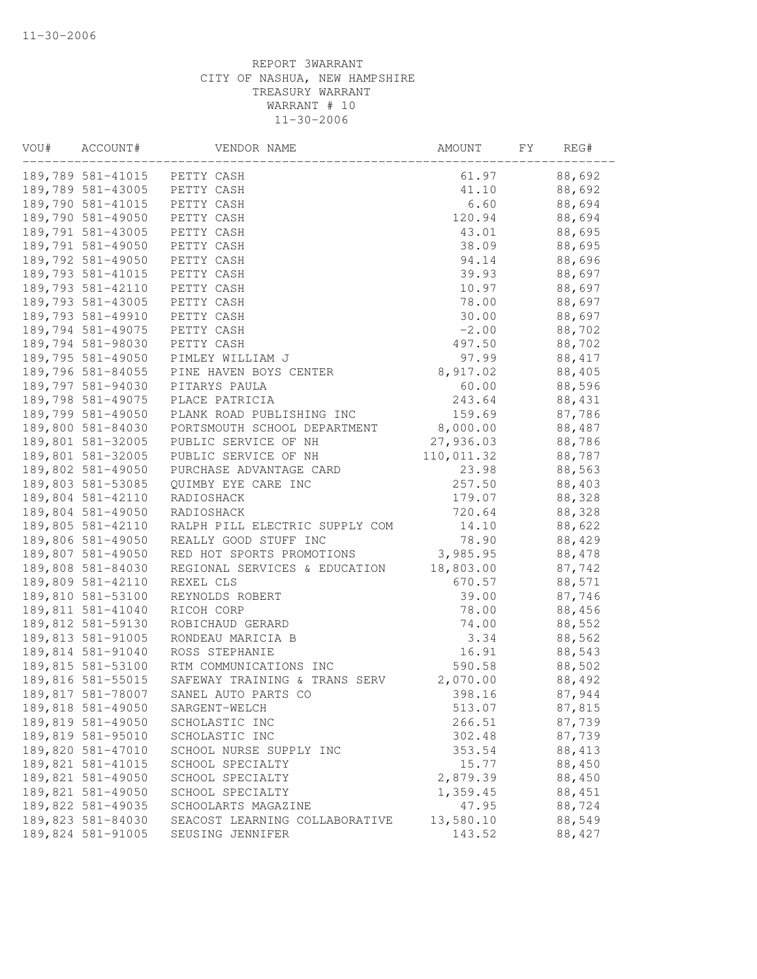| VOU# | ACCOUNT#          | VENDOR NAME                    | AMOUNT     | FY | REG#    |
|------|-------------------|--------------------------------|------------|----|---------|
|      |                   | 189,789 581-41015 PETTY CASH   | 61.97      |    | 88,692  |
|      | 189,789 581-43005 | PETTY CASH                     | 41.10      |    | 88,692  |
|      | 189,790 581-41015 | PETTY CASH                     | 6.60       |    | 88,694  |
|      | 189,790 581-49050 | PETTY CASH                     | 120.94     |    | 88,694  |
|      | 189,791 581-43005 | PETTY CASH                     | 43.01      |    | 88,695  |
|      | 189,791 581-49050 | PETTY CASH                     | 38.09      |    | 88,695  |
|      | 189,792 581-49050 | PETTY CASH                     | 94.14      |    | 88,696  |
|      | 189,793 581-41015 | PETTY CASH                     | 39.93      |    | 88,697  |
|      | 189,793 581-42110 | PETTY CASH                     | 10.97      |    | 88,697  |
|      | 189,793 581-43005 | PETTY CASH                     | 78.00      |    | 88,697  |
|      | 189,793 581-49910 | PETTY CASH                     | 30.00      |    | 88,697  |
|      | 189,794 581-49075 | PETTY CASH                     | $-2.00$    |    | 88,702  |
|      | 189,794 581-98030 | PETTY CASH                     | 497.50     |    | 88,702  |
|      | 189,795 581-49050 | PIMLEY WILLIAM J               | 97.99      |    | 88, 417 |
|      | 189,796 581-84055 | PINE HAVEN BOYS CENTER         | 8,917.02   |    | 88,405  |
|      | 189,797 581-94030 | PITARYS PAULA                  | 60.00      |    | 88,596  |
|      | 189,798 581-49075 | PLACE PATRICIA                 | 243.64     |    | 88,431  |
|      | 189,799 581-49050 | PLANK ROAD PUBLISHING INC      | 159.69     |    | 87,786  |
|      | 189,800 581-84030 | PORTSMOUTH SCHOOL DEPARTMENT   | 8,000.00   |    | 88,487  |
|      | 189,801 581-32005 | PUBLIC SERVICE OF NH           | 27,936.03  |    | 88,786  |
|      | 189,801 581-32005 | PUBLIC SERVICE OF NH           | 110,011.32 |    | 88,787  |
|      | 189,802 581-49050 | PURCHASE ADVANTAGE CARD        | 23.98      |    | 88,563  |
|      | 189,803 581-53085 | OUIMBY EYE CARE INC            | 257.50     |    | 88,403  |
|      | 189,804 581-42110 | RADIOSHACK                     | 179.07     |    | 88,328  |
|      | 189,804 581-49050 | RADIOSHACK                     | 720.64     |    | 88,328  |
|      | 189,805 581-42110 | RALPH PILL ELECTRIC SUPPLY COM | 14.10      |    | 88,622  |
|      | 189,806 581-49050 | REALLY GOOD STUFF INC          | 78.90      |    | 88,429  |
|      | 189,807 581-49050 | RED HOT SPORTS PROMOTIONS      | 3,985.95   |    | 88,478  |
|      | 189,808 581-84030 | REGIONAL SERVICES & EDUCATION  | 18,803.00  |    | 87,742  |
|      | 189,809 581-42110 | REXEL CLS                      | 670.57     |    | 88,571  |
|      | 189,810 581-53100 | REYNOLDS ROBERT                | 39.00      |    | 87,746  |
|      | 189,811 581-41040 | RICOH CORP                     | 78.00      |    | 88,456  |
|      | 189,812 581-59130 | ROBICHAUD GERARD               | 74.00      |    | 88,552  |
|      | 189,813 581-91005 | RONDEAU MARICIA B              | 3.34       |    | 88,562  |
|      | 189,814 581-91040 | ROSS STEPHANIE                 | 16.91      |    | 88,543  |
|      | 189,815 581-53100 | RTM COMMUNICATIONS INC         | 590.58     |    | 88,502  |
|      | 189,816 581-55015 | SAFEWAY TRAINING & TRANS SERV  | 2,070.00   |    | 88,492  |
|      | 189,817 581-78007 | SANEL AUTO PARTS CO            | 398.16     |    | 87,944  |
|      | 189,818 581-49050 | SARGENT-WELCH                  | 513.07     |    | 87,815  |
|      | 189,819 581-49050 | SCHOLASTIC INC                 | 266.51     |    | 87,739  |
|      | 189,819 581-95010 | SCHOLASTIC INC                 | 302.48     |    | 87,739  |
|      | 189,820 581-47010 | SCHOOL NURSE SUPPLY INC        | 353.54     |    | 88, 413 |
|      | 189,821 581-41015 | SCHOOL SPECIALTY               | 15.77      |    | 88,450  |
|      | 189,821 581-49050 | SCHOOL SPECIALTY               | 2,879.39   |    | 88,450  |
|      | 189,821 581-49050 | SCHOOL SPECIALTY               | 1,359.45   |    | 88,451  |
|      | 189,822 581-49035 | SCHOOLARTS MAGAZINE            | 47.95      |    | 88,724  |
|      | 189,823 581-84030 | SEACOST LEARNING COLLABORATIVE | 13,580.10  |    | 88,549  |
|      | 189,824 581-91005 | SEUSING JENNIFER               | 143.52     |    | 88,427  |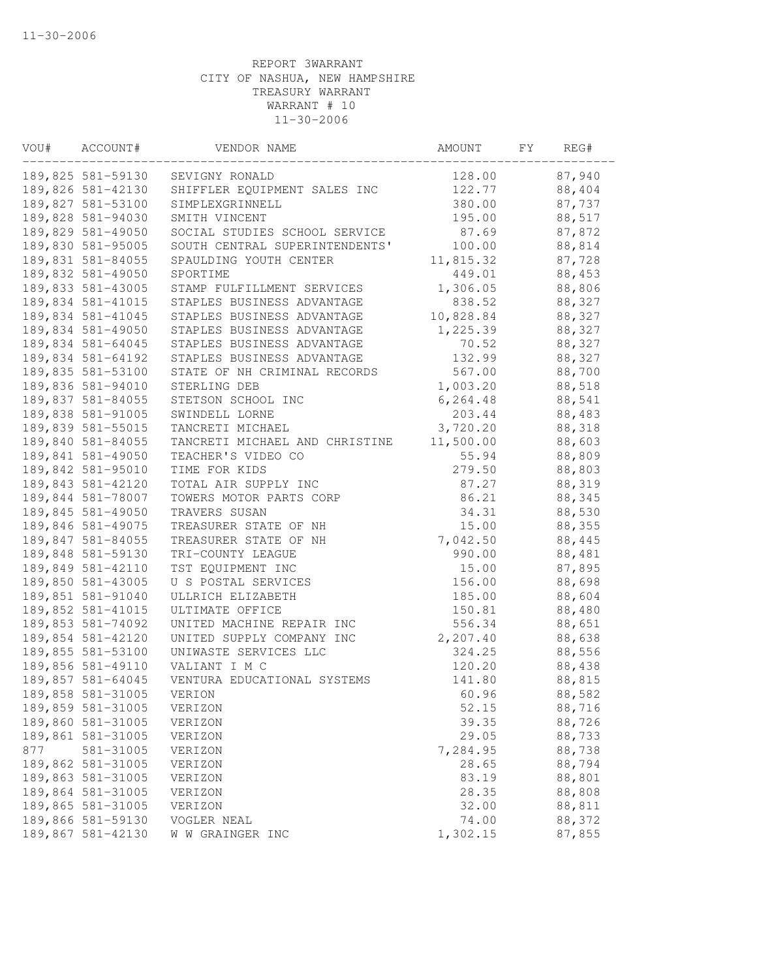| VOU# | ACCOUNT#          | VENDOR NAME                    | AMOUNT    | FΥ | REG#   |
|------|-------------------|--------------------------------|-----------|----|--------|
|      | 189,825 581-59130 | SEVIGNY RONALD                 | 128.00    |    | 87,940 |
|      | 189,826 581-42130 | SHIFFLER EQUIPMENT SALES INC   | 122.77    |    | 88,404 |
|      | 189,827 581-53100 | SIMPLEXGRINNELL                | 380.00    |    | 87,737 |
|      | 189,828 581-94030 | SMITH VINCENT                  | 195.00    |    | 88,517 |
|      | 189,829 581-49050 | SOCIAL STUDIES SCHOOL SERVICE  | 87.69     |    | 87,872 |
|      | 189,830 581-95005 | SOUTH CENTRAL SUPERINTENDENTS' | 100.00    |    | 88,814 |
|      | 189,831 581-84055 | SPAULDING YOUTH CENTER         | 11,815.32 |    | 87,728 |
|      | 189,832 581-49050 | SPORTIME                       | 449.01    |    | 88,453 |
|      | 189,833 581-43005 | STAMP FULFILLMENT SERVICES     | 1,306.05  |    | 88,806 |
|      | 189,834 581-41015 | STAPLES BUSINESS ADVANTAGE     | 838.52    |    | 88,327 |
|      | 189,834 581-41045 | STAPLES BUSINESS ADVANTAGE     | 10,828.84 |    | 88,327 |
|      | 189,834 581-49050 | STAPLES BUSINESS ADVANTAGE     | 1,225.39  |    | 88,327 |
|      | 189,834 581-64045 | STAPLES BUSINESS ADVANTAGE     | 70.52     |    | 88,327 |
|      | 189,834 581-64192 | STAPLES BUSINESS ADVANTAGE     | 132.99    |    | 88,327 |
|      | 189,835 581-53100 | STATE OF NH CRIMINAL RECORDS   | 567.00    |    | 88,700 |
|      | 189,836 581-94010 | STERLING DEB                   | 1,003.20  |    | 88,518 |
|      | 189,837 581-84055 | STETSON SCHOOL INC             | 6, 264.48 |    | 88,541 |
|      | 189,838 581-91005 | SWINDELL LORNE                 | 203.44    |    | 88,483 |
|      | 189,839 581-55015 | TANCRETI MICHAEL               | 3,720.20  |    | 88,318 |
|      | 189,840 581-84055 | TANCRETI MICHAEL AND CHRISTINE | 11,500.00 |    | 88,603 |
|      | 189,841 581-49050 | TEACHER'S VIDEO CO             | 55.94     |    | 88,809 |
|      | 189,842 581-95010 | TIME FOR KIDS                  | 279.50    |    | 88,803 |
|      | 189,843 581-42120 | TOTAL AIR SUPPLY INC           | 87.27     |    | 88,319 |
|      | 189,844 581-78007 | TOWERS MOTOR PARTS CORP        | 86.21     |    | 88,345 |
|      | 189,845 581-49050 | TRAVERS SUSAN                  | 34.31     |    | 88,530 |
|      | 189,846 581-49075 | TREASURER STATE OF NH          | 15.00     |    | 88,355 |
|      | 189,847 581-84055 | TREASURER STATE OF NH          | 7,042.50  |    | 88,445 |
|      | 189,848 581-59130 | TRI-COUNTY LEAGUE              | 990.00    |    | 88,481 |
|      | 189,849 581-42110 | TST EQUIPMENT INC              | 15.00     |    | 87,895 |
|      | 189,850 581-43005 | U S POSTAL SERVICES            | 156.00    |    | 88,698 |
|      | 189,851 581-91040 | ULLRICH ELIZABETH              | 185.00    |    | 88,604 |
|      | 189,852 581-41015 | ULTIMATE OFFICE                | 150.81    |    | 88,480 |
|      | 189,853 581-74092 | UNITED MACHINE REPAIR INC      | 556.34    |    | 88,651 |
|      | 189,854 581-42120 | UNITED SUPPLY COMPANY INC      | 2,207.40  |    | 88,638 |
|      | 189,855 581-53100 | UNIWASTE SERVICES LLC          | 324.25    |    | 88,556 |
|      | 189,856 581-49110 | VALIANT I M C                  | 120.20    |    | 88,438 |
|      | 189,857 581-64045 | VENTURA EDUCATIONAL SYSTEMS    | 141.80    |    | 88,815 |
|      | 189,858 581-31005 | VERION                         | 60.96     |    | 88,582 |
|      | 189,859 581-31005 | VERIZON                        | 52.15     |    | 88,716 |
|      | 189,860 581-31005 | VERIZON                        | 39.35     |    | 88,726 |
|      | 189,861 581-31005 | VERIZON                        | 29.05     |    | 88,733 |
| 877  | 581-31005         | VERIZON                        | 7,284.95  |    | 88,738 |
|      | 189,862 581-31005 | VERIZON                        | 28.65     |    | 88,794 |
|      | 189,863 581-31005 | VERIZON                        | 83.19     |    | 88,801 |
|      | 189,864 581-31005 | VERIZON                        | 28.35     |    | 88,808 |
|      | 189,865 581-31005 | VERIZON                        | 32.00     |    | 88,811 |
|      | 189,866 581-59130 | VOGLER NEAL                    | 74.00     |    | 88,372 |
|      | 189,867 581-42130 | W W GRAINGER INC               | 1,302.15  |    | 87,855 |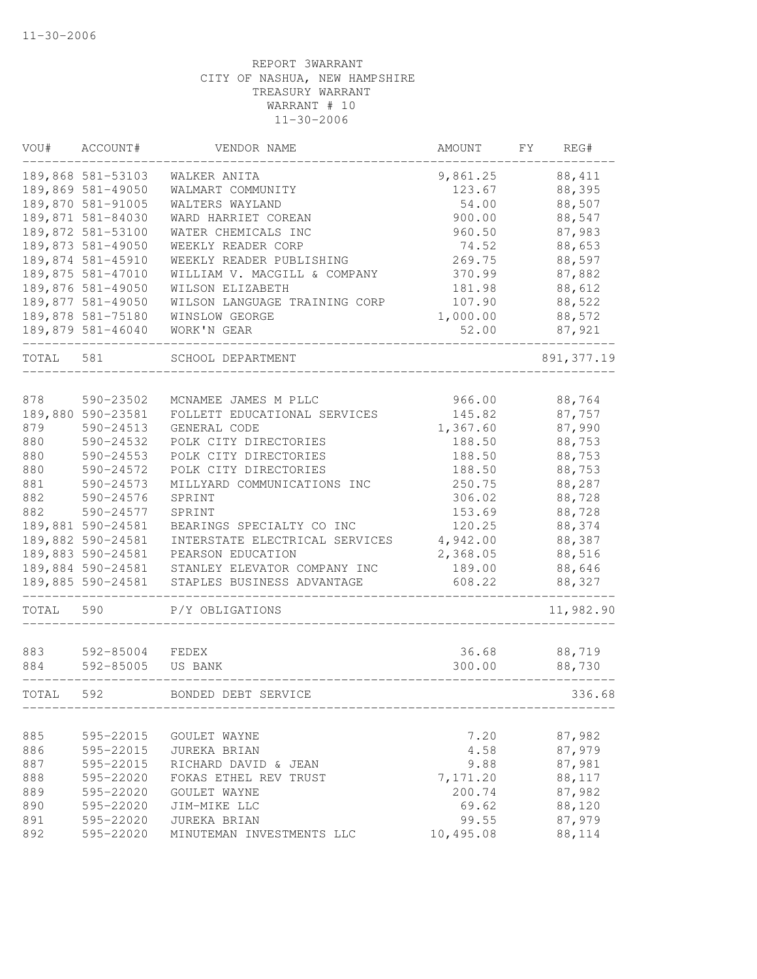| VOU#       | ACCOUNT#               | VENDOR NAME                           | AMOUNT           | FΥ | REG#             |
|------------|------------------------|---------------------------------------|------------------|----|------------------|
|            | 189,868 581-53103      | WALKER ANITA                          | 9,861.25         |    | 88, 411          |
|            | 189,869 581-49050      | WALMART COMMUNITY                     | 123.67           |    | 88,395           |
|            | 189,870 581-91005      | WALTERS WAYLAND                       | 54.00            |    | 88,507           |
|            | 189,871 581-84030      | WARD HARRIET COREAN                   | 900.00           |    | 88,547           |
|            | 189,872 581-53100      | WATER CHEMICALS INC                   | 960.50           |    | 87,983           |
|            | 189,873 581-49050      | WEEKLY READER CORP                    | 74.52            |    | 88,653           |
|            | 189,874 581-45910      | WEEKLY READER PUBLISHING              | 269.75           |    | 88,597           |
|            | 189,875 581-47010      | WILLIAM V. MACGILL & COMPANY          | 370.99           |    | 87,882           |
|            | 189,876 581-49050      | WILSON ELIZABETH                      | 181.98           |    | 88,612           |
|            | 189,877 581-49050      | WILSON LANGUAGE TRAINING CORP         | 107.90           |    | 88,522           |
|            | 189,878 581-75180      | WINSLOW GEORGE                        | 1,000.00         |    | 88,572           |
|            | 189,879 581-46040      | WORK'N GEAR                           | 52.00            |    | 87,921           |
| TOTAL      | 581                    | SCHOOL DEPARTMENT                     |                  |    | 891, 377.19      |
|            |                        |                                       | 966.00           |    |                  |
| 878        | 590-23502              | MCNAMEE JAMES M PLLC                  | 145.82           |    | 88,764           |
|            | 189,880 590-23581      | FOLLETT EDUCATIONAL SERVICES          |                  |    | 87,757           |
| 879<br>880 | 590-24513<br>590-24532 | GENERAL CODE<br>POLK CITY DIRECTORIES | 1,367.60         |    | 87,990           |
| 880        | 590-24553              | POLK CITY DIRECTORIES                 | 188.50<br>188.50 |    | 88,753<br>88,753 |
| 880        | 590-24572              | POLK CITY DIRECTORIES                 | 188.50           |    | 88,753           |
| 881        | 590-24573              | MILLYARD COMMUNICATIONS INC           | 250.75           |    | 88,287           |
| 882        | 590-24576              | SPRINT                                | 306.02           |    | 88,728           |
| 882        | 590-24577              | SPRINT                                | 153.69           |    | 88,728           |
|            | 189,881 590-24581      | BEARINGS SPECIALTY CO INC             | 120.25           |    | 88,374           |
|            | 189,882 590-24581      | INTERSTATE ELECTRICAL SERVICES        | 4,942.00         |    | 88,387           |
|            | 189,883 590-24581      | PEARSON EDUCATION                     | 2,368.05         |    | 88,516           |
|            | 189,884 590-24581      | STANLEY ELEVATOR COMPANY INC          | 189.00           |    | 88,646           |
|            | 189,885 590-24581      | STAPLES BUSINESS ADVANTAGE            | 608.22           |    | 88,327           |
| TOTAL      | 590                    | P/Y OBLIGATIONS                       |                  |    | 11,982.90        |
|            |                        |                                       |                  |    |                  |
| 883        | 592-85004              | FEDEX                                 | 36.68            |    | 88,719           |
| 884        | 592-85005              | US BANK                               | 300.00           |    | 88,730           |
| TOTAL      | 592                    | BONDED DEBT SERVICE                   |                  |    | 336.68           |
|            |                        |                                       |                  |    |                  |
| 885        | 595-22015              | GOULET WAYNE                          | 7.20             |    | 87,982           |
| 886        | 595-22015              | JUREKA BRIAN                          | 4.58             |    | 87,979           |
| 887        | 595-22015              | RICHARD DAVID & JEAN                  | 9.88             |    | 87,981           |
| 888        | 595-22020              | FOKAS ETHEL REV TRUST                 | 7,171.20         |    | 88,117           |
| 889        | 595-22020              | GOULET WAYNE                          | 200.74           |    | 87,982           |
| 890        | 595-22020              | JIM-MIKE LLC                          | 69.62            |    | 88,120           |
| 891        | 595-22020              | JUREKA BRIAN                          | 99.55            |    | 87,979           |
| 892        | 595-22020              | MINUTEMAN INVESTMENTS LLC             | 10,495.08        |    | 88,114           |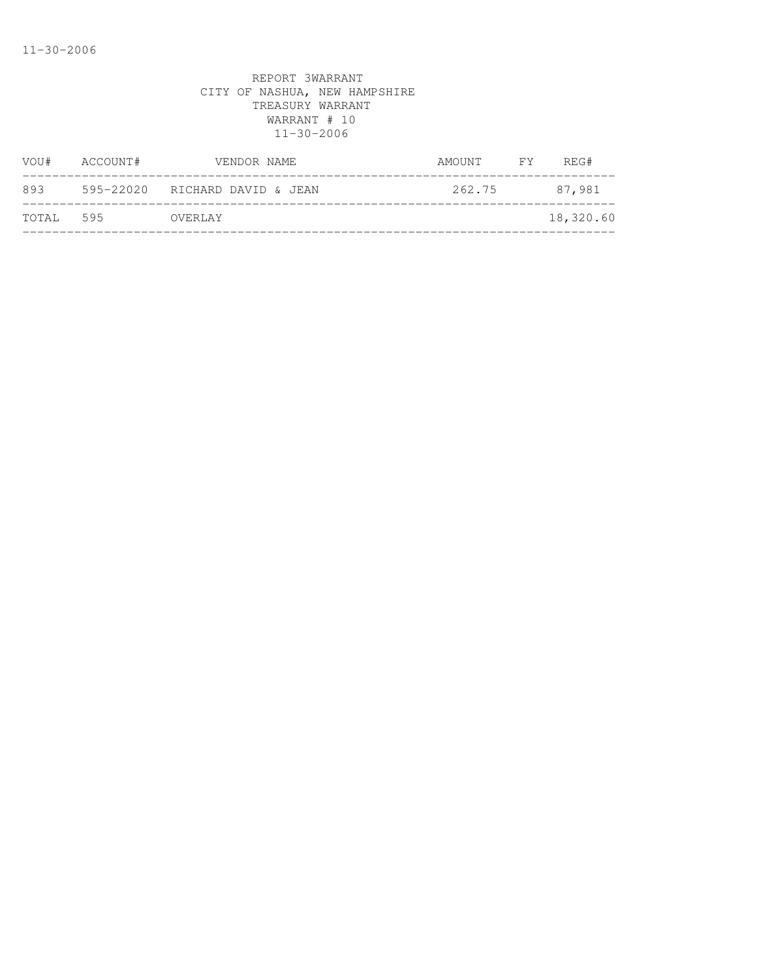| ACCOUNT#  | VENDOR NAME | AMOUNT                                    | <b>FY</b> | REG#      |
|-----------|-------------|-------------------------------------------|-----------|-----------|
|           |             | 262.75                                    |           | 87,981    |
| TOTAL 595 |             |                                           |           | 18,320.60 |
|           |             | 595-22020 RICHARD DAVID & JEAN<br>OVERLAY |           |           |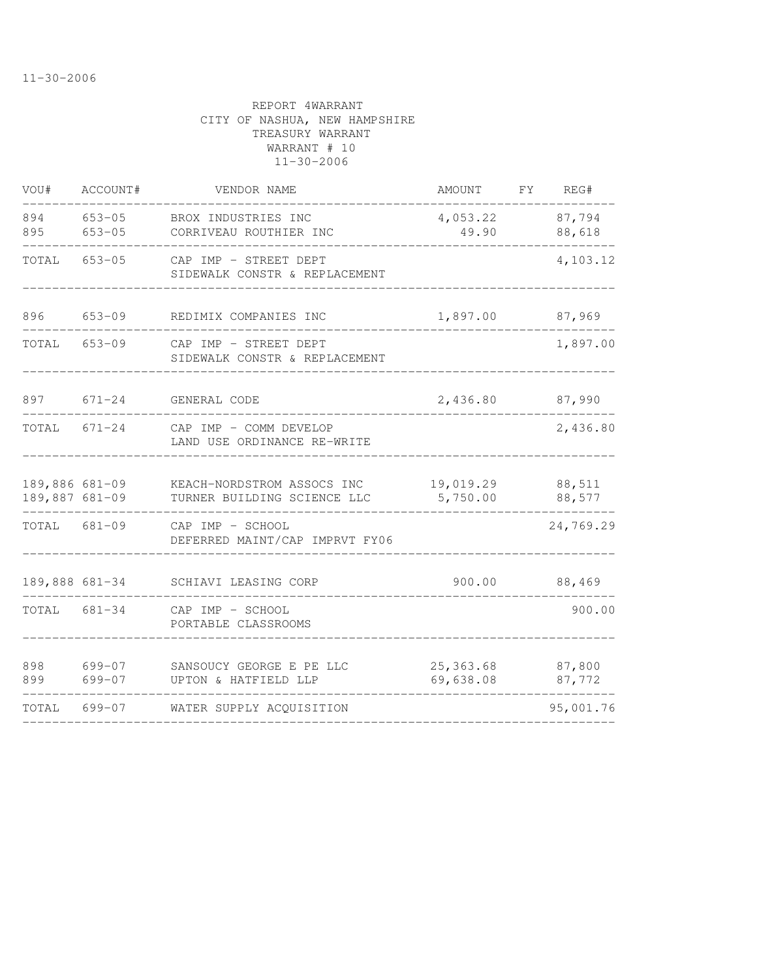| VOU#                             | ACCOUNT#             | VENDOR NAME                                               | AMOUNT                 | FY | REG#             |
|----------------------------------|----------------------|-----------------------------------------------------------|------------------------|----|------------------|
| 894<br>895                       | 653-05<br>$653 - 05$ | BROX INDUSTRIES INC<br>CORRIVEAU ROUTHIER INC             | 4,053.22<br>49.90      |    | 87,794<br>88,618 |
| TOTAL                            | $653 - 05$           | CAP IMP - STREET DEPT<br>SIDEWALK CONSTR & REPLACEMENT    |                        |    | 4,103.12         |
| 896                              | $653 - 09$           | REDIMIX COMPANIES INC                                     | 1,897.00               |    | 87,969           |
| TOTAL                            | $653 - 09$           | CAP IMP - STREET DEPT<br>SIDEWALK CONSTR & REPLACEMENT    |                        |    | 1,897.00         |
| 897                              | $671 - 24$           | GENERAL CODE                                              | 2,436.80               |    | 87,990           |
| TOTAL                            | 671-24               | CAP IMP - COMM DEVELOP<br>LAND USE ORDINANCE RE-WRITE     |                        |    | 2,436.80         |
| 189,886 681-09<br>189,887 681-09 |                      | KEACH-NORDSTROM ASSOCS INC<br>TURNER BUILDING SCIENCE LLC | 19,019.29<br>5,750.00  |    | 88,511<br>88,577 |
| TOTAL 681-09                     |                      | CAP IMP - SCHOOL<br>DEFERRED MAINT/CAP IMPRVT FY06        |                        |    | 24,769.29        |
|                                  | 189,888 681-34       | SCHIAVI LEASING CORP                                      | 900.00                 |    | 88,469           |
| TOTAL 681-34                     |                      | CAP IMP - SCHOOL<br>PORTABLE CLASSROOMS                   |                        |    | 900.00           |
| 898<br>899                       | 699-07<br>$699 - 07$ | SANSOUCY GEORGE E PE LLC<br>UPTON & HATFIELD LLP          | 25,363.68<br>69,638.08 |    | 87,800<br>87,772 |
| TOTAL                            | 699-07               | WATER SUPPLY ACQUISITION                                  |                        |    | 95,001.76        |
|                                  |                      |                                                           |                        |    |                  |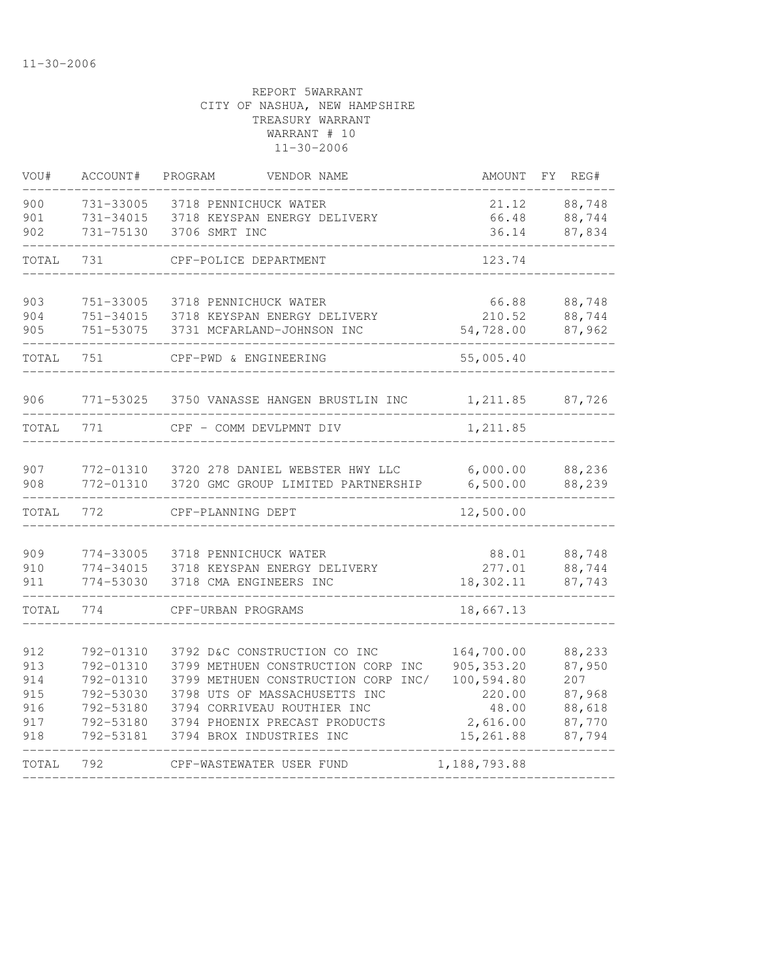| VOU#                                          | ACCOUNT#                                                                                | PROGRAM<br>VENDOR NAME                                                                                                                                                                                                                 | <b>AMOUNT</b>                                                                       | FΥ | REG#                                                            |
|-----------------------------------------------|-----------------------------------------------------------------------------------------|----------------------------------------------------------------------------------------------------------------------------------------------------------------------------------------------------------------------------------------|-------------------------------------------------------------------------------------|----|-----------------------------------------------------------------|
| 900<br>901<br>902                             | 731-33005<br>731-34015<br>731-75130                                                     | 3718 PENNICHUCK WATER<br>3718 KEYSPAN ENERGY DELIVERY<br>3706 SMRT INC                                                                                                                                                                 | 21.12<br>66.48<br>36.14                                                             |    | 88,748<br>88,744<br>87,834                                      |
| TOTAL                                         | 731                                                                                     | CPF-POLICE DEPARTMENT                                                                                                                                                                                                                  | 123.74                                                                              |    |                                                                 |
| 903<br>904<br>905                             | 751-33005<br>751-34015<br>751-53075                                                     | 3718 PENNICHUCK WATER<br>3718 KEYSPAN ENERGY DELIVERY<br>3731 MCFARLAND-JOHNSON INC                                                                                                                                                    | 66.88<br>210.52<br>54,728.00                                                        |    | 88,748<br>88,744<br>87,962                                      |
| TOTAL                                         | 751                                                                                     | CPF-PWD & ENGINEERING                                                                                                                                                                                                                  | 55,005.40                                                                           |    |                                                                 |
| 906                                           | 771-53025                                                                               | 3750 VANASSE HANGEN BRUSTLIN INC                                                                                                                                                                                                       | 1,211.85                                                                            |    | 87,726                                                          |
| TOTAL                                         | 771                                                                                     | CPF - COMM DEVLPMNT DIV                                                                                                                                                                                                                | 1,211.85                                                                            |    |                                                                 |
| 907<br>908                                    | 772-01310<br>772-01310                                                                  | 3720 278 DANIEL WEBSTER HWY LLC<br>3720 GMC GROUP LIMITED PARTNERSHIP                                                                                                                                                                  | 6,000.00<br>6,500.00                                                                |    | 88,236<br>88,239                                                |
| TOTAL                                         | 772                                                                                     | CPF-PLANNING DEPT                                                                                                                                                                                                                      | 12,500.00                                                                           |    |                                                                 |
| 909<br>910<br>911                             | 774-33005<br>774-34015<br>774-53030                                                     | 3718 PENNICHUCK WATER<br>3718 KEYSPAN ENERGY DELIVERY<br>3718 CMA ENGINEERS INC                                                                                                                                                        | 88.01<br>277.01<br>18,302.11                                                        |    | 88,748<br>88,744<br>87,743                                      |
| TOTAL                                         | 774                                                                                     | CPF-URBAN PROGRAMS                                                                                                                                                                                                                     | 18,667.13                                                                           |    |                                                                 |
| 912<br>913<br>914<br>915<br>916<br>917<br>918 | 792-01310<br>792-01310<br>792-01310<br>792-53030<br>792-53180<br>792-53180<br>792-53181 | 3792 D&C CONSTRUCTION CO INC<br>3799 METHUEN CONSTRUCTION CORP INC<br>3799 METHUEN CONSTRUCTION CORP INC/<br>3798 UTS OF MASSACHUSETTS INC<br>3794 CORRIVEAU ROUTHIER INC<br>3794 PHOENIX PRECAST PRODUCTS<br>3794 BROX INDUSTRIES INC | 164,700.00<br>905, 353.20<br>100,594.80<br>220.00<br>48.00<br>2,616.00<br>15,261.88 |    | 88,233<br>87,950<br>207<br>87,968<br>88,618<br>87,770<br>87,794 |
| TOTAL                                         | 792                                                                                     | CPF-WASTEWATER USER FUND                                                                                                                                                                                                               | 1,188,793.88                                                                        |    |                                                                 |
|                                               |                                                                                         |                                                                                                                                                                                                                                        |                                                                                     |    |                                                                 |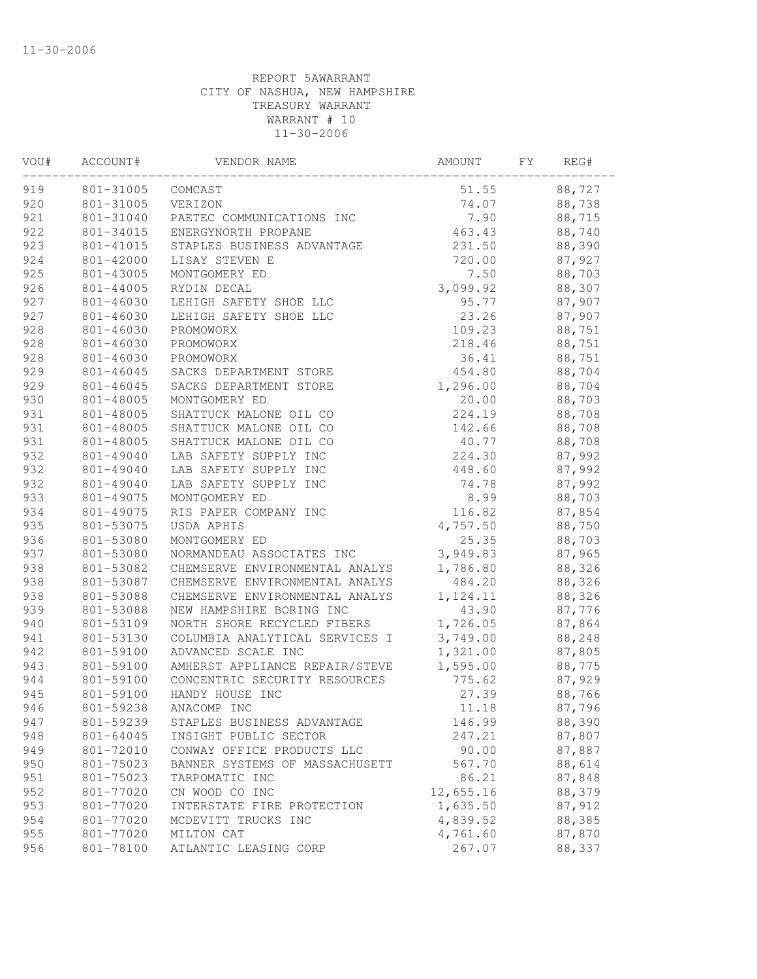| VOU# | ACCOUNT#  | VENDOR NAME                    | AMOUNT    | FΥ | REG#   |  |
|------|-----------|--------------------------------|-----------|----|--------|--|
| 919  | 801-31005 | COMCAST                        | 51.55     |    | 88,727 |  |
| 920  | 801-31005 | VERIZON                        | 74.07     |    | 88,738 |  |
| 921  | 801-31040 | PAETEC COMMUNICATIONS INC      | 7.90      |    | 88,715 |  |
| 922  | 801-34015 | ENERGYNORTH PROPANE            | 463.43    |    | 88,740 |  |
| 923  | 801-41015 | STAPLES BUSINESS ADVANTAGE     | 231.50    |    | 88,390 |  |
| 924  | 801-42000 | LISAY STEVEN E                 | 720.00    |    | 87,927 |  |
| 925  | 801-43005 | MONTGOMERY ED                  | 7.50      |    | 88,703 |  |
| 926  | 801-44005 | RYDIN DECAL                    | 3,099.92  |    | 88,307 |  |
| 927  | 801-46030 | LEHIGH SAFETY SHOE LLC         | 95.77     |    | 87,907 |  |
| 927  | 801-46030 | LEHIGH SAFETY SHOE LLC         | 23.26     |    | 87,907 |  |
| 928  | 801-46030 | PROMOWORX                      | 109.23    |    | 88,751 |  |
| 928  | 801-46030 | PROMOWORX                      | 218.46    |    | 88,751 |  |
| 928  | 801-46030 | PROMOWORX                      | 36.41     |    | 88,751 |  |
| 929  | 801-46045 | SACKS DEPARTMENT STORE         | 454.80    |    | 88,704 |  |
| 929  | 801-46045 | SACKS DEPARTMENT STORE         | 1,296.00  |    | 88,704 |  |
| 930  | 801-48005 | MONTGOMERY ED                  | 20.00     |    | 88,703 |  |
| 931  | 801-48005 | SHATTUCK MALONE OIL CO         | 224.19    |    | 88,708 |  |
| 931  | 801-48005 | SHATTUCK MALONE OIL CO         | 142.66    |    | 88,708 |  |
| 931  | 801-48005 | SHATTUCK MALONE OIL CO         | 40.77     |    | 88,708 |  |
| 932  | 801-49040 | LAB SAFETY SUPPLY INC          | 224.30    |    | 87,992 |  |
| 932  | 801-49040 | LAB SAFETY SUPPLY INC          | 448.60    |    | 87,992 |  |
| 932  | 801-49040 | LAB SAFETY SUPPLY INC          | 74.78     |    | 87,992 |  |
| 933  | 801-49075 | MONTGOMERY ED                  | 8.99      |    | 88,703 |  |
| 934  | 801-49075 | RIS PAPER COMPANY INC          | 116.82    |    | 87,854 |  |
| 935  | 801-53075 | USDA APHIS                     | 4,757.50  |    | 88,750 |  |
| 936  | 801-53080 | MONTGOMERY ED                  | 25.35     |    | 88,703 |  |
| 937  | 801-53080 | NORMANDEAU ASSOCIATES INC      | 3,949.83  |    | 87,965 |  |
| 938  | 801-53082 | CHEMSERVE ENVIRONMENTAL ANALYS | 1,786.80  |    | 88,326 |  |
| 938  | 801-53087 | CHEMSERVE ENVIRONMENTAL ANALYS | 484.20    |    | 88,326 |  |
| 938  | 801-53088 | CHEMSERVE ENVIRONMENTAL ANALYS | 1,124.11  |    | 88,326 |  |
| 939  | 801-53088 | NEW HAMPSHIRE BORING INC       | 43.90     |    | 87,776 |  |
| 940  | 801-53109 | NORTH SHORE RECYCLED FIBERS    | 1,726.05  |    | 87,864 |  |
| 941  | 801-53130 | COLUMBIA ANALYTICAL SERVICES I | 3,749.00  |    | 88,248 |  |
| 942  | 801-59100 | ADVANCED SCALE INC             | 1,321.00  |    | 87,805 |  |
| 943  | 801-59100 | AMHERST APPLIANCE REPAIR/STEVE | 1,595.00  |    | 88,775 |  |
| 944  | 801-59100 | CONCENTRIC SECURITY RESOURCES  | 775.62    |    | 87,929 |  |
| 945  | 801-59100 | HANDY HOUSE INC                | 27.39     |    | 88,766 |  |
| 946  | 801-59238 | ANACOMP INC                    | 11.18     |    | 87,796 |  |
| 947  | 801-59239 | STAPLES BUSINESS ADVANTAGE     | 146.99    |    | 88,390 |  |
| 948  | 801-64045 | INSIGHT PUBLIC SECTOR          | 247.21    |    | 87,807 |  |
| 949  | 801-72010 | CONWAY OFFICE PRODUCTS LLC     | 90.00     |    | 87,887 |  |
| 950  | 801-75023 | BANNER SYSTEMS OF MASSACHUSETT | 567.70    |    | 88,614 |  |
| 951  | 801-75023 | TARPOMATIC INC                 | 86.21     |    | 87,848 |  |
| 952  | 801-77020 | CN WOOD CO INC                 | 12,655.16 |    | 88,379 |  |
| 953  | 801-77020 | INTERSTATE FIRE PROTECTION     | 1,635.50  |    | 87,912 |  |
| 954  | 801-77020 | MCDEVITT TRUCKS INC            | 4,839.52  |    | 88,385 |  |
| 955  | 801-77020 | MILTON CAT                     | 4,761.60  |    | 87,870 |  |
|      | 801-78100 |                                |           |    |        |  |
| 956  |           | ATLANTIC LEASING CORP          | 267.07    |    | 88,337 |  |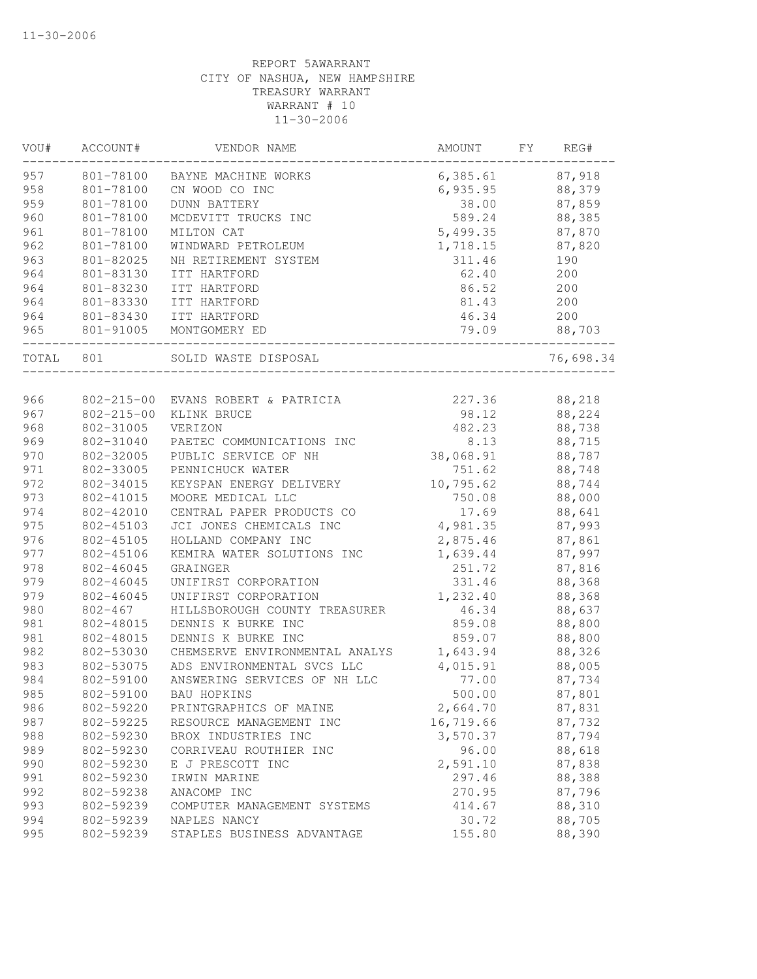| VOU#       | ACCOUNT#               | VENDOR NAME                                       | AMOUNT          | FΥ | REG#             |
|------------|------------------------|---------------------------------------------------|-----------------|----|------------------|
| 957        | 801-78100              | BAYNE MACHINE WORKS                               | 6,385.61        |    | 87,918           |
| 958        | 801-78100              | CN WOOD CO INC                                    | 6,935.95        |    | 88,379           |
| 959        | 801-78100              | <b>DUNN BATTERY</b>                               | 38.00           |    | 87,859           |
| 960        | 801-78100              | MCDEVITT TRUCKS INC                               | 589.24          |    | 88,385           |
| 961        | 801-78100              | MILTON CAT                                        | 5,499.35        |    | 87,870           |
| 962        | 801-78100              | WINDWARD PETROLEUM                                | 1,718.15        |    | 87,820           |
| 963        | 801-82025              | NH RETIREMENT SYSTEM                              | 311.46          |    | 190              |
| 964        | 801-83130              | ITT HARTFORD                                      | 62.40           |    | 200              |
| 964        | 801-83230              | ITT HARTFORD                                      | 86.52           |    | 200              |
| 964        | 801-83330              | ITT HARTFORD                                      | 81.43           |    | 200              |
| 964        | 801-83430              | ITT HARTFORD                                      | 46.34           |    | 200              |
| 965        | 801-91005              | MONTGOMERY ED                                     | 79.09           |    | 88,703           |
| TOTAL      | 801                    | SOLID WASTE DISPOSAL                              |                 |    | 76,698.34        |
|            |                        |                                                   |                 |    |                  |
| 966<br>967 | $802 - 215 - 00$       | 802-215-00 EVANS ROBERT & PATRICIA                | 227.36          |    | 88,218           |
|            |                        | KLINK BRUCE                                       | 98.12           |    | 88,224           |
| 968        | 802-31005<br>802-31040 | VERIZON                                           | 482.23          |    | 88,738           |
| 969        |                        | PAETEC COMMUNICATIONS INC<br>PUBLIC SERVICE OF NH | 8.13            |    | 88,715           |
| 970        | 802-32005              | PENNICHUCK WATER                                  | 38,068.91       |    | 88,787<br>88,748 |
| 971<br>972 | 802-33005              | KEYSPAN ENERGY DELIVERY                           | 751.62          |    |                  |
| 973        | 802-34015              |                                                   | 10,795.62       |    | 88,744           |
| 974        | 802-41015<br>802-42010 | MOORE MEDICAL LLC<br>CENTRAL PAPER PRODUCTS CO    | 750.08<br>17.69 |    | 88,000           |
| 975        | 802-45103              | JCI JONES CHEMICALS INC                           | 4,981.35        |    | 88,641<br>87,993 |
| 976        | 802-45105              | HOLLAND COMPANY INC                               | 2,875.46        |    | 87,861           |
| 977        | 802-45106              | KEMIRA WATER SOLUTIONS INC                        | 1,639.44        |    | 87,997           |
| 978        | 802-46045              | GRAINGER                                          | 251.72          |    | 87,816           |
| 979        | 802-46045              | UNIFIRST CORPORATION                              | 331.46          |    | 88,368           |
| 979        | 802-46045              | UNIFIRST CORPORATION                              | 1,232.40        |    | 88,368           |
| 980        | $802 - 467$            | HILLSBOROUGH COUNTY TREASURER                     | 46.34           |    | 88,637           |
| 981        | 802-48015              | DENNIS K BURKE INC                                | 859.08          |    | 88,800           |
| 981        | 802-48015              | DENNIS K BURKE INC                                | 859.07          |    | 88,800           |
| 982        | 802-53030              | CHEMSERVE ENVIRONMENTAL ANALYS                    | 1,643.94        |    | 88,326           |
| 983        | 802-53075              | ADS ENVIRONMENTAL SVCS LLC                        | 4,015.91        |    | 88,005           |
| 984        | 802-59100              | ANSWERING SERVICES OF NH LLC                      | 77.00           |    | 87,734           |
| 985        | 802-59100              | BAU HOPKINS                                       | 500.00          |    | 87,801           |
| 986        | 802-59220              | PRINTGRAPHICS OF MAINE                            | 2,664.70        |    | 87,831           |
| 987        | 802-59225              | RESOURCE MANAGEMENT INC                           | 16,719.66       |    | 87,732           |
| 988        | 802-59230              | BROX INDUSTRIES INC                               | 3,570.37        |    | 87,794           |
| 989        | 802-59230              | CORRIVEAU ROUTHIER INC                            | 96.00           |    | 88,618           |
| 990        | 802-59230              | E J PRESCOTT INC                                  | 2,591.10        |    | 87,838           |
| 991        | 802-59230              | IRWIN MARINE                                      | 297.46          |    | 88,388           |
| 992        | 802-59238              | ANACOMP INC                                       | 270.95          |    | 87,796           |
| 993        | 802-59239              | COMPUTER MANAGEMENT SYSTEMS                       | 414.67          |    | 88,310           |
| 994        | 802-59239              | NAPLES NANCY                                      | 30.72           |    | 88,705           |
| 995        | 802-59239              | STAPLES BUSINESS ADVANTAGE                        | 155.80          |    | 88,390           |
|            |                        |                                                   |                 |    |                  |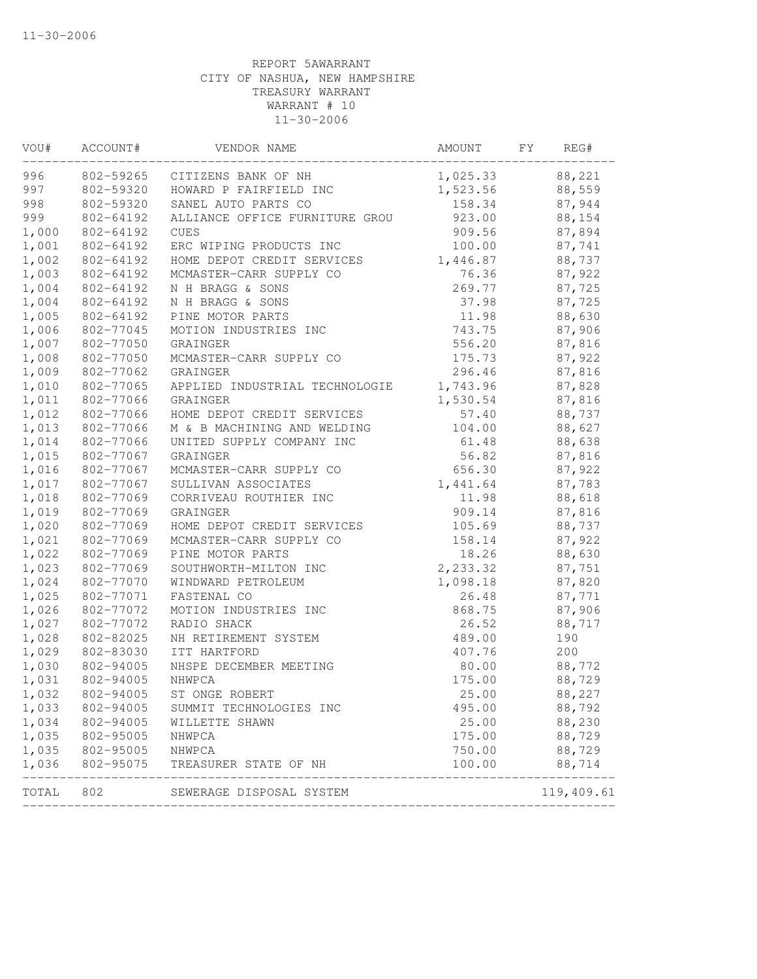| VOU#           | ACCOUNT#               | VENDOR NAME                    | AMOUNT   | FY | REG#       |
|----------------|------------------------|--------------------------------|----------|----|------------|
| 996            | 802-59265              | CITIZENS BANK OF NH            | 1,025.33 |    | 88,221     |
| 997            | 802-59320              | HOWARD P FAIRFIELD INC         | 1,523.56 |    | 88,559     |
| 998            | 802-59320              | SANEL AUTO PARTS CO            | 158.34   |    | 87,944     |
| 999            | 802-64192              | ALLIANCE OFFICE FURNITURE GROU | 923.00   |    | 88,154     |
| 1,000          | 802-64192              | <b>CUES</b>                    | 909.56   |    | 87,894     |
| 1,001          | 802-64192              | ERC WIPING PRODUCTS INC        | 100.00   |    | 87,741     |
| 1,002          | 802-64192              | HOME DEPOT CREDIT SERVICES     | 1,446.87 |    | 88,737     |
| 1,003          | 802-64192              | MCMASTER-CARR SUPPLY CO        | 76.36    |    | 87,922     |
| 1,004          | 802-64192              | N H BRAGG & SONS               | 269.77   |    | 87,725     |
| 1,004          | 802-64192              | N H BRAGG & SONS               | 37.98    |    | 87,725     |
| 1,005          | 802-64192              | PINE MOTOR PARTS               | 11.98    |    | 88,630     |
| 1,006          | 802-77045              | MOTION INDUSTRIES INC          | 743.75   |    | 87,906     |
| 1,007          | 802-77050              | GRAINGER                       | 556.20   |    | 87,816     |
| 1,008          | 802-77050              | MCMASTER-CARR SUPPLY CO        | 175.73   |    | 87,922     |
| 1,009          | 802-77062              | GRAINGER                       | 296.46   |    | 87,816     |
| 1,010          | 802-77065              | APPLIED INDUSTRIAL TECHNOLOGIE | 1,743.96 |    | 87,828     |
| 1,011          | 802-77066              | GRAINGER                       | 1,530.54 |    | 87,816     |
| 1,012          | 802-77066              | HOME DEPOT CREDIT SERVICES     | 57.40    |    | 88,737     |
| 1,013          | 802-77066              | M & B MACHINING AND WELDING    | 104.00   |    | 88,627     |
| 1,014          | 802-77066              | UNITED SUPPLY COMPANY INC      | 61.48    |    | 88,638     |
| 1,015          | 802-77067              | GRAINGER                       | 56.82    |    | 87,816     |
| 1,016          | 802-77067              | MCMASTER-CARR SUPPLY CO        | 656.30   |    | 87,922     |
| 1,017          | 802-77067              | SULLIVAN ASSOCIATES            | 1,441.64 |    | 87,783     |
| 1,018          | 802-77069              | CORRIVEAU ROUTHIER INC         | 11.98    |    | 88,618     |
| 1,019          | 802-77069              | GRAINGER                       | 909.14   |    | 87,816     |
| 1,020          | 802-77069              | HOME DEPOT CREDIT SERVICES     | 105.69   |    | 88,737     |
| 1,021          | 802-77069              | MCMASTER-CARR SUPPLY CO        | 158.14   |    | 87,922     |
| 1,022          | 802-77069              | PINE MOTOR PARTS               | 18.26    |    | 88,630     |
| 1,023          | 802-77069              | SOUTHWORTH-MILTON INC          | 2,233.32 |    | 87,751     |
| 1,024          | 802-77070              | WINDWARD PETROLEUM             | 1,098.18 |    | 87,820     |
| 1,025          | 802-77071              | FASTENAL CO                    | 26.48    |    | 87,771     |
| 1,026          | 802-77072              | MOTION INDUSTRIES INC          | 868.75   |    | 87,906     |
| 1,027          | 802-77072              | RADIO SHACK                    | 26.52    |    | 88,717     |
| 1,028          | 802-82025              | NH RETIREMENT SYSTEM           | 489.00   |    | 190        |
| 1,029          | 802-83030              | ITT HARTFORD                   | 407.76   |    | 200        |
| 1,030          | 802-94005              | NHSPE DECEMBER MEETING         | 80.00    |    | 88,772     |
| 1,031          | 802-94005              | NHWPCA                         | 175.00   |    | 88,729     |
| 1,032          | 802-94005              | ST ONGE ROBERT                 | 25.00    |    | 88,227     |
| 1,033          | 802-94005              | SUMMIT TECHNOLOGIES INC        | 495.00   |    | 88,792     |
| 1,034          | 802-94005              |                                | 25.00    |    | 88,230     |
|                |                        | WILLETTE SHAWN                 |          |    |            |
| 1,035<br>1,035 | 802-95005<br>802-95005 | NHWPCA                         | 175.00   |    | 88,729     |
|                |                        | NHWPCA                         | 750.00   |    | 88,729     |
| 1,036          | 802-95075              | TREASURER STATE OF NH          | 100.00   |    | 88,714     |
| TOTAL          | 802                    | SEWERAGE DISPOSAL SYSTEM       |          |    | 119,409.61 |
|                |                        |                                |          |    |            |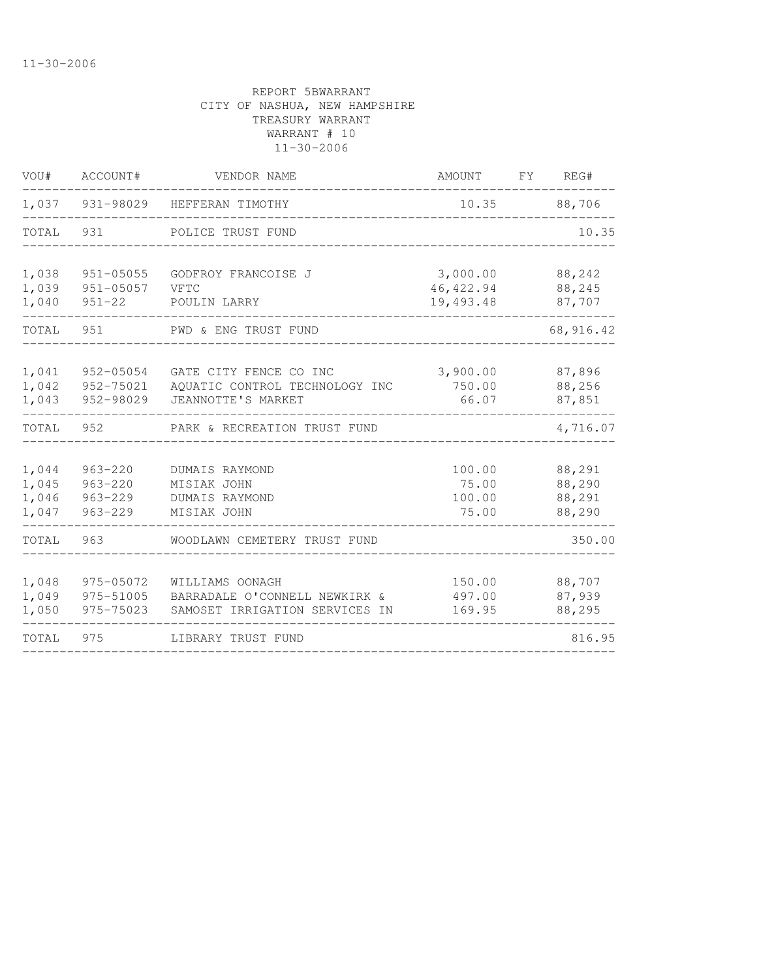| VOU#                             | ACCOUNT#                                                 | VENDOR NAME                                                                        | AMOUNT                              | FY. | REG#                                 |
|----------------------------------|----------------------------------------------------------|------------------------------------------------------------------------------------|-------------------------------------|-----|--------------------------------------|
| 1,037                            | 931-98029                                                | HEFFERAN TIMOTHY                                                                   | 10.35                               |     | 88,706                               |
| TOTAL                            | 931                                                      | POLICE TRUST FUND                                                                  |                                     |     | 10.35                                |
| 1,038<br>1,039<br>1,040          | 951-05055<br>$951 - 05057$<br>$951 - 22$                 | GODFROY FRANCOISE J<br>VFTC<br>POULIN LARRY                                        | 3,000.00<br>46, 422.94<br>19,493.48 |     | 88,242<br>88,245<br>87,707           |
| TOTAL                            | 951                                                      | PWD & ENG TRUST FUND                                                               |                                     |     | 68, 916.42                           |
| 1,041<br>1,042<br>1,043          | 952-05054<br>952-75021<br>952-98029                      | GATE CITY FENCE CO INC<br>AQUATIC CONTROL TECHNOLOGY INC<br>JEANNOTTE'S MARKET     | 3,900.00<br>750.00<br>66.07         |     | 87,896<br>88,256<br>87,851           |
| TOTAL                            | 952                                                      | PARK & RECREATION TRUST FUND                                                       |                                     |     | 4,716.07                             |
| 1,044<br>1,045<br>1,046<br>1,047 | $963 - 220$<br>$963 - 220$<br>$963 - 229$<br>$963 - 229$ | DUMAIS RAYMOND<br>MISIAK JOHN<br>DUMAIS RAYMOND<br>MISIAK JOHN                     | 100.00<br>75.00<br>100.00<br>75.00  |     | 88,291<br>88,290<br>88,291<br>88,290 |
| TOTAL                            | 963                                                      | WOODLAWN CEMETERY TRUST FUND                                                       |                                     |     | 350.00                               |
| 1,048<br>1,049<br>1,050          | 975-05072<br>975-51005<br>975-75023                      | WILLIAMS OONAGH<br>BARRADALE O'CONNELL NEWKIRK &<br>SAMOSET IRRIGATION SERVICES IN | 150.00<br>497.00<br>169.95          |     | 88,707<br>87,939<br>88,295           |
| TOTAL                            | 975                                                      | LIBRARY TRUST FUND                                                                 |                                     |     | 816.95                               |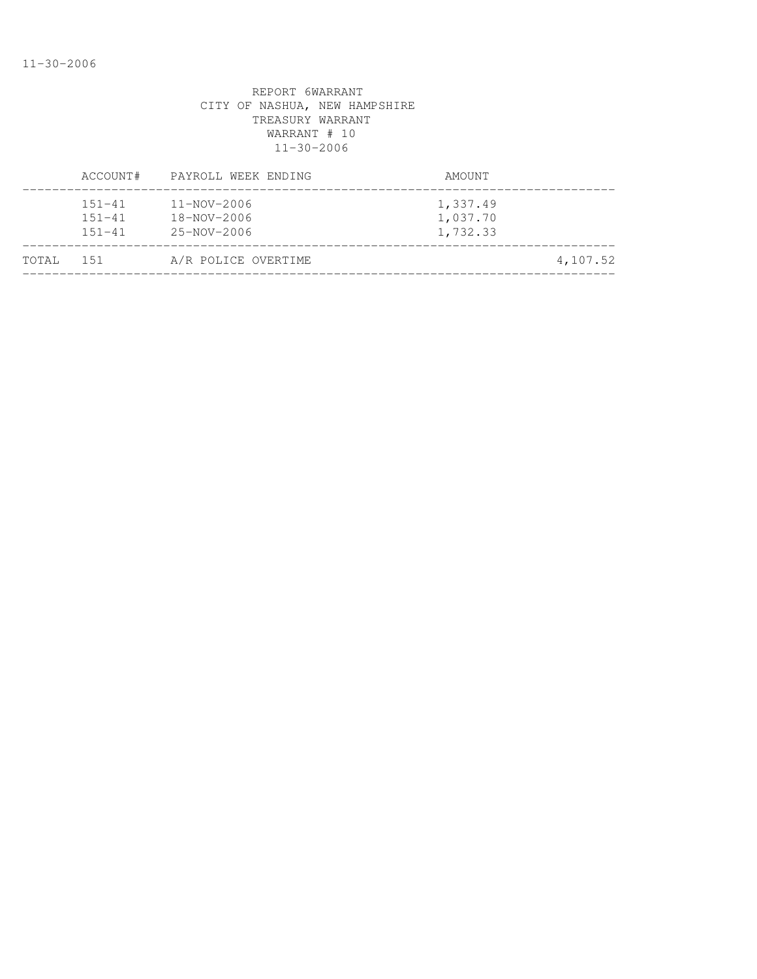|       | ACCOUNT#                               | PAYROLL WEEK ENDING                                   | AMOUNT                           |          |
|-------|----------------------------------------|-------------------------------------------------------|----------------------------------|----------|
|       | $151 - 41$<br>$151 - 41$<br>$151 - 41$ | $11 - NOV - 2006$<br>$18 - NOV - 2006$<br>25-NOV-2006 | 1,337.49<br>1,037.70<br>1,732.33 |          |
| TOTAL | 1.51                                   | A/R POLICE OVERTIME                                   |                                  | 4,107.52 |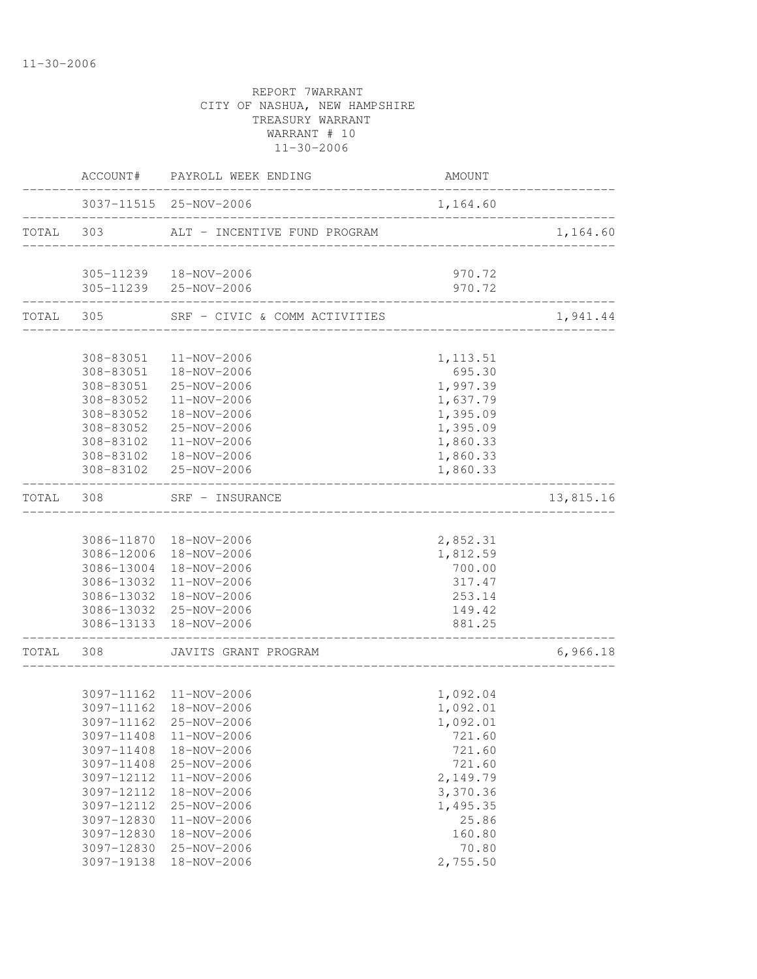|       | ACCOUNT#   | PAYROLL WEEK ENDING           | AMOUNT                      |           |
|-------|------------|-------------------------------|-----------------------------|-----------|
|       |            | 3037-11515 25-NOV-2006        | 1,164.60                    |           |
| TOTAL | 303        | ALT - INCENTIVE FUND PROGRAM  |                             | 1,164.60  |
|       |            | 305-11239  18-NOV-2006        | 970.72                      |           |
|       |            | 305-11239 25-NOV-2006         | 970.72<br>---------------   |           |
|       | TOTAL 305  | SRF - CIVIC & COMM ACTIVITIES | ___________________________ | 1,941.44  |
|       |            |                               |                             |           |
|       | 308-83051  | 11-NOV-2006                   | 1, 113.51                   |           |
|       | 308-83051  | 18-NOV-2006                   | 695.30                      |           |
|       | 308-83051  | 25-NOV-2006                   | 1,997.39                    |           |
|       | 308-83052  | 11-NOV-2006                   | 1,637.79                    |           |
|       | 308-83052  | 18-NOV-2006                   | 1,395.09                    |           |
|       | 308-83052  | 25-NOV-2006<br>11-NOV-2006    | 1,395.09                    |           |
|       | 308-83102  | 308-83102  18-NOV-2006        | 1,860.33<br>1,860.33        |           |
|       |            | 308-83102 25-NOV-2006         | 1,860.33                    |           |
| TOTAL | 308        | SRF - INSURANCE               |                             | 13,815.16 |
|       |            |                               |                             |           |
|       |            | 3086-11870  18-NOV-2006       | 2,852.31                    |           |
|       | 3086-12006 | 18-NOV-2006                   | 1,812.59                    |           |
|       | 3086-13004 | 18-NOV-2006                   | 700.00                      |           |
|       | 3086-13032 | 11-NOV-2006                   | 317.47                      |           |
|       | 3086-13032 | 18-NOV-2006                   | 253.14                      |           |
|       |            | 3086-13032 25-NOV-2006        | 149.42                      |           |
|       |            | 3086-13133 18-NOV-2006        | 881.25                      |           |
| TOTAL | 308        | JAVITS GRANT PROGRAM          |                             | 6,966.18  |
|       |            |                               |                             |           |
|       |            | 3097-11162 11-NOV-2006        | 1,092.04                    |           |
|       |            | 3097-11162  18-NOV-2006       | 1,092.01                    |           |
|       |            | 3097-11162 25-NOV-2006        | 1,092.01                    |           |
|       | 3097-11408 | 11-NOV-2006                   | 721.60                      |           |
|       | 3097-11408 | 18-NOV-2006                   | 721.60                      |           |
|       | 3097-11408 | 25-NOV-2006                   | 721.60                      |           |
|       | 3097-12112 | 11-NOV-2006                   | 2,149.79                    |           |
|       | 3097-12112 | 18-NOV-2006                   | 3,370.36                    |           |
|       | 3097-12112 | 25-NOV-2006                   | 1,495.35                    |           |
|       | 3097-12830 | $11 - NOV - 2006$             | 25.86                       |           |
|       | 3097-12830 | 18-NOV-2006                   | 160.80                      |           |
|       | 3097-12830 | 25-NOV-2006                   | 70.80                       |           |
|       | 3097-19138 | 18-NOV-2006                   | 2,755.50                    |           |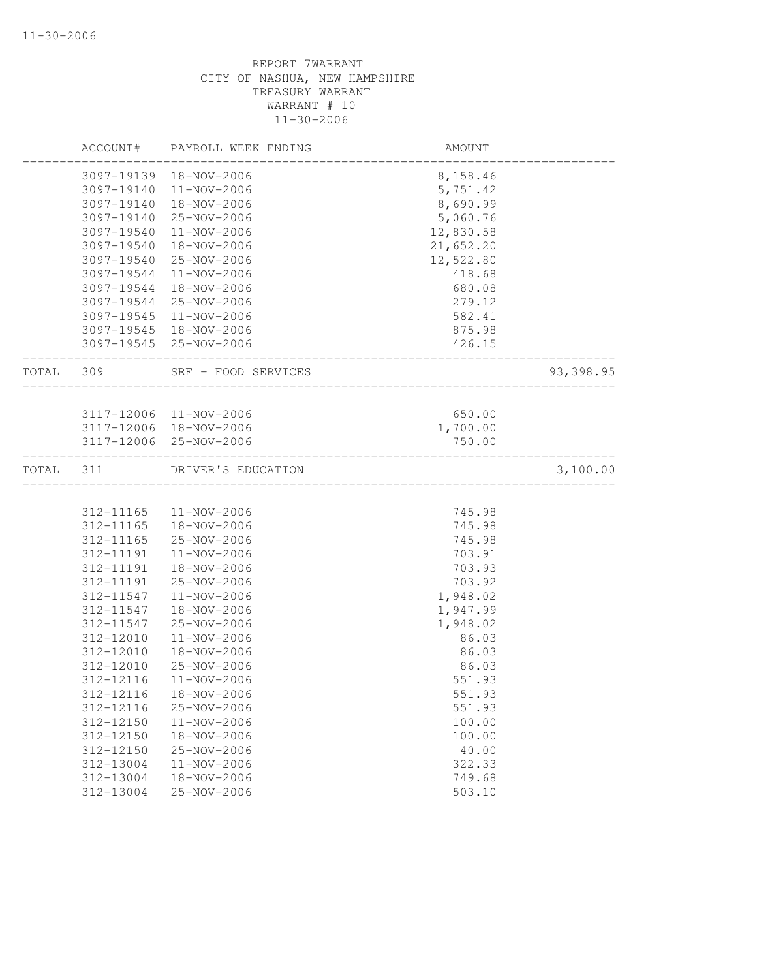|           | ACCOUNT#   | PAYROLL WEEK ENDING    | AMOUNT                |           |
|-----------|------------|------------------------|-----------------------|-----------|
|           | 3097-19139 | 18-NOV-2006            | 8,158.46              |           |
|           | 3097-19140 | 11-NOV-2006            | 5,751.42              |           |
|           | 3097-19140 | 18-NOV-2006            | 8,690.99              |           |
|           | 3097-19140 | 25-NOV-2006            | 5,060.76              |           |
|           | 3097-19540 | 11-NOV-2006            | 12,830.58             |           |
|           | 3097-19540 | 18-NOV-2006            | 21,652.20             |           |
|           | 3097-19540 | 25-NOV-2006            | 12,522.80             |           |
|           | 3097-19544 | 11-NOV-2006            | 418.68                |           |
|           | 3097-19544 | 18-NOV-2006            | 680.08                |           |
|           | 3097-19544 | 25-NOV-2006            | 279.12                |           |
|           | 3097-19545 | 11-NOV-2006            | 582.41                |           |
|           |            | 3097-19545 18-NOV-2006 | 875.98                |           |
|           |            | 3097-19545 25-NOV-2006 | 426.15                |           |
| TOTAL 309 |            | SRF - FOOD SERVICES    | _____________________ | 93,398.95 |
|           |            |                        |                       |           |
|           |            | 3117-12006 11-NOV-2006 | 650.00                |           |
|           |            | 3117-12006 18-NOV-2006 | 1,700.00              |           |
|           |            | 3117-12006 25-NOV-2006 | 750.00                |           |
| TOTAL 311 |            | DRIVER'S EDUCATION     |                       | 3,100.00  |
|           |            |                        |                       |           |
|           | 312-11165  | 11-NOV-2006            | 745.98                |           |
|           | 312-11165  | 18-NOV-2006            | 745.98                |           |
|           | 312-11165  | 25-NOV-2006            | 745.98                |           |
|           | 312-11191  | 11-NOV-2006            | 703.91                |           |
|           | 312-11191  | 18-NOV-2006            | 703.93                |           |
|           | 312-11191  | 25-NOV-2006            | 703.92                |           |
|           | 312-11547  | 11-NOV-2006            | 1,948.02              |           |
|           | 312-11547  | 18-NOV-2006            | 1,947.99              |           |
|           | 312-11547  | 25-NOV-2006            | 1,948.02              |           |
|           | 312-12010  | 11-NOV-2006            | 86.03                 |           |
|           | 312-12010  | 18-NOV-2006            | 86.03                 |           |
|           | 312-12010  | 25-NOV-2006            | 86.03                 |           |
|           | 312-12116  | 11-NOV-2006            | 551.93                |           |
|           |            | 312-12116  18-NOV-2006 | 551.93                |           |
|           | 312-12116  | 25-NOV-2006            | 551.93                |           |
|           | 312-12150  | 11-NOV-2006            | 100.00                |           |
|           | 312-12150  | 18-NOV-2006            | 100.00                |           |
|           | 312-12150  | 25-NOV-2006            | 40.00                 |           |
|           | 312-13004  | 11-NOV-2006            | 322.33                |           |
|           | 312-13004  | $18 - NOV - 2006$      | 749.68                |           |
|           | 312-13004  | 25-NOV-2006            | 503.10                |           |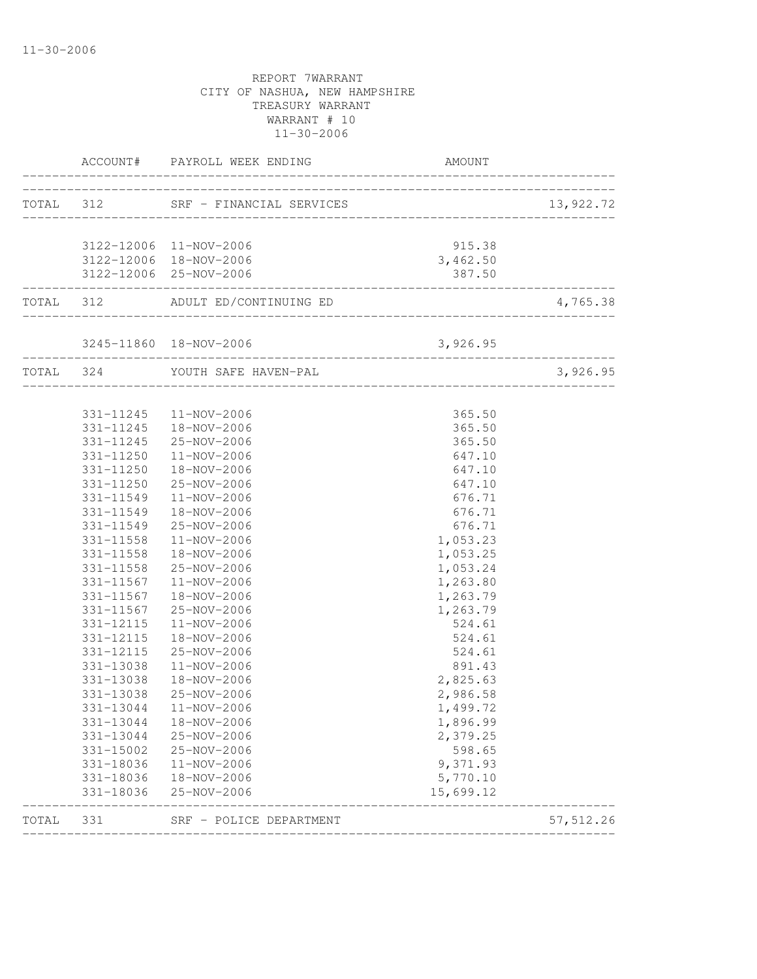|           | ACCOUNT#                 | PAYROLL WEEK ENDING                           | AMOUNT                             |            |
|-----------|--------------------------|-----------------------------------------------|------------------------------------|------------|
| TOTAL 312 |                          | SRF - FINANCIAL SERVICES                      | _______________________________    | 13,922.72  |
|           |                          | 3122-12006 11-NOV-2006                        | 915.38                             |            |
|           |                          | 3122-12006 18-NOV-2006                        | 3,462.50                           |            |
|           | ________________________ | 3122-12006 25-NOV-2006                        | 387.50                             |            |
|           |                          | TOTAL 312 ADULT ED/CONTINUING ED              | __________________________________ | 4,765.38   |
|           |                          | 3245-11860  18-NOV-2006                       | 3,926.95                           |            |
| TOTAL 324 |                          | YOUTH SAFE HAVEN-PAL<br>_____________________ |                                    | 3,926.95   |
|           |                          | 331-11245  11-NOV-2006                        | 365.50                             |            |
|           |                          | 331-11245  18-NOV-2006                        | 365.50                             |            |
|           |                          | 331-11245 25-NOV-2006                         | 365.50                             |            |
|           | 331-11250                | 11-NOV-2006                                   | 647.10                             |            |
|           | 331-11250                | 18-NOV-2006                                   | 647.10                             |            |
|           | 331-11250                | 25-NOV-2006                                   | 647.10                             |            |
|           | 331-11549                | 11-NOV-2006                                   | 676.71                             |            |
|           | 331-11549                | 18-NOV-2006                                   | 676.71                             |            |
|           | 331-11549                | 25-NOV-2006                                   | 676.71                             |            |
|           | 331-11558                | 11-NOV-2006                                   | 1,053.23                           |            |
|           | 331-11558                | 18-NOV-2006                                   | 1,053.25                           |            |
|           | 331-11567                | 331-11558 25-NOV-2006<br>11-NOV-2006          | 1,053.24                           |            |
|           | 331-11567                | 18-NOV-2006                                   | 1,263.80<br>1,263.79               |            |
|           | 331-11567                | 25-NOV-2006                                   | 1,263.79                           |            |
|           | 331-12115                | 11-NOV-2006                                   | 524.61                             |            |
|           | 331-12115                | 18-NOV-2006                                   | 524.61                             |            |
|           | 331-12115                | 25-NOV-2006                                   | 524.61                             |            |
|           | 331-13038                | $11 - NOV - 2006$                             | 891.43                             |            |
|           | 331-13038                | 18-NOV-2006                                   | 2,825.63                           |            |
|           | 331-13038                | 25-NOV-2006                                   | 2,986.58                           |            |
|           | 331-13044                | 11-NOV-2006                                   | 1,499.72                           |            |
|           | 331-13044                | 18-NOV-2006                                   | 1,896.99                           |            |
|           | 331-13044                | 25-NOV-2006                                   | 2,379.25                           |            |
|           | 331-15002                | 25-NOV-2006                                   | 598.65                             |            |
|           | 331-18036                | 11-NOV-2006                                   | 9,371.93                           |            |
|           | 331-18036                | 18-NOV-2006                                   | 5,770.10                           |            |
|           | 331-18036                | 25-NOV-2006                                   | 15,699.12                          |            |
| TOTAL     | 331                      | SRF - POLICE DEPARTMENT                       |                                    | 57, 512.26 |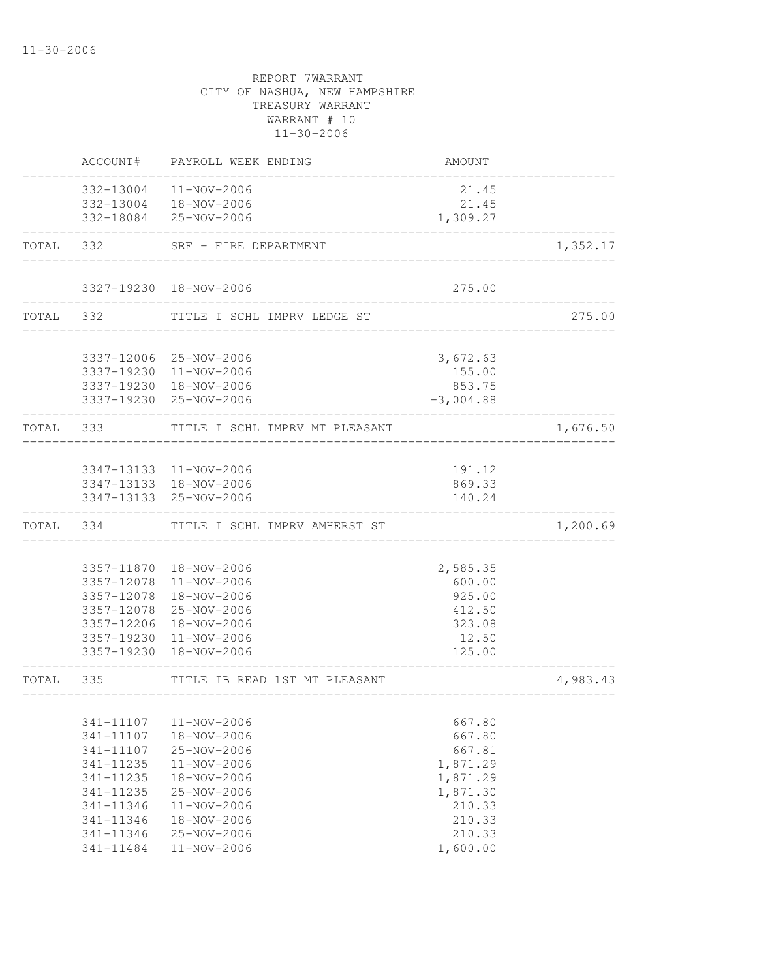|           |           | ACCOUNT# PAYROLL WEEK ENDING                     | AMOUNT                            |          |
|-----------|-----------|--------------------------------------------------|-----------------------------------|----------|
|           |           | 332-13004 11-NOV-2006                            | 21.45                             |          |
|           |           | 332-13004  18-NOV-2006<br>332-18084 25-NOV-2006  | 21.45<br>1,309.27                 |          |
|           |           | TOTAL 332 SRF - FIRE DEPARTMENT                  |                                   | 1,352.17 |
|           |           |                                                  |                                   |          |
|           |           | 3327-19230 18-NOV-2006                           | 275.00                            |          |
|           |           | TOTAL 332 TITLE I SCHL IMPRV LEDGE ST            | _________________________________ | 275.00   |
|           |           | 3337-12006 25-NOV-2006                           | 3,672.63                          |          |
|           |           | 3337-19230 11-NOV-2006                           | 155.00                            |          |
|           |           | 3337-19230 18-NOV-2006                           | 853.75                            |          |
|           |           | 3337-19230 25-NOV-2006                           | $-3,004.88$                       |          |
|           |           | TOTAL 333 TITLE I SCHL IMPRV MT PLEASANT         |                                   | 1,676.50 |
|           |           |                                                  |                                   |          |
|           |           | 3347-13133 11-NOV-2006                           | 191.12                            |          |
|           |           | 3347-13133 18-NOV-2006<br>3347-13133 25-NOV-2006 | 869.33<br>140.24                  |          |
|           |           | TOTAL 334 TITLE I SCHL IMPRV AMHERST ST          |                                   | 1,200.69 |
|           |           |                                                  |                                   |          |
|           |           | 3357-11870  18-NOV-2006                          | 2,585.35                          |          |
|           |           | 3357-12078 11-NOV-2006                           | 600.00                            |          |
|           |           | 3357-12078  18-NOV-2006                          | 925.00                            |          |
|           |           | 3357-12078 25-NOV-2006                           | 412.50                            |          |
|           |           | 3357-12206 18-NOV-2006<br>3357-19230 11-NOV-2006 | 323.08                            |          |
|           |           | 3357-19230 18-NOV-2006                           | 12.50<br>125.00                   |          |
| TOTAL 335 |           | TITLE IB READ 1ST MT PLEASANT                    |                                   | 4,983.43 |
|           |           |                                                  |                                   |          |
|           | 341-11107 | 11-NOV-2006                                      | 667.80                            |          |
|           | 341-11107 | 18-NOV-2006                                      | 667.80                            |          |
|           | 341-11107 | 25-NOV-2006                                      | 667.81                            |          |
|           | 341-11235 | 11-NOV-2006                                      | 1,871.29                          |          |
|           | 341-11235 | 18-NOV-2006                                      | 1,871.29                          |          |
|           | 341-11235 | 25-NOV-2006                                      | 1,871.30                          |          |
|           | 341-11346 | 11-NOV-2006                                      | 210.33                            |          |
|           | 341-11346 | 18-NOV-2006                                      | 210.33                            |          |
|           | 341-11346 | $25 - NOV - 2006$                                | 210.33                            |          |
|           | 341-11484 | $11 - NOV - 2006$                                | 1,600.00                          |          |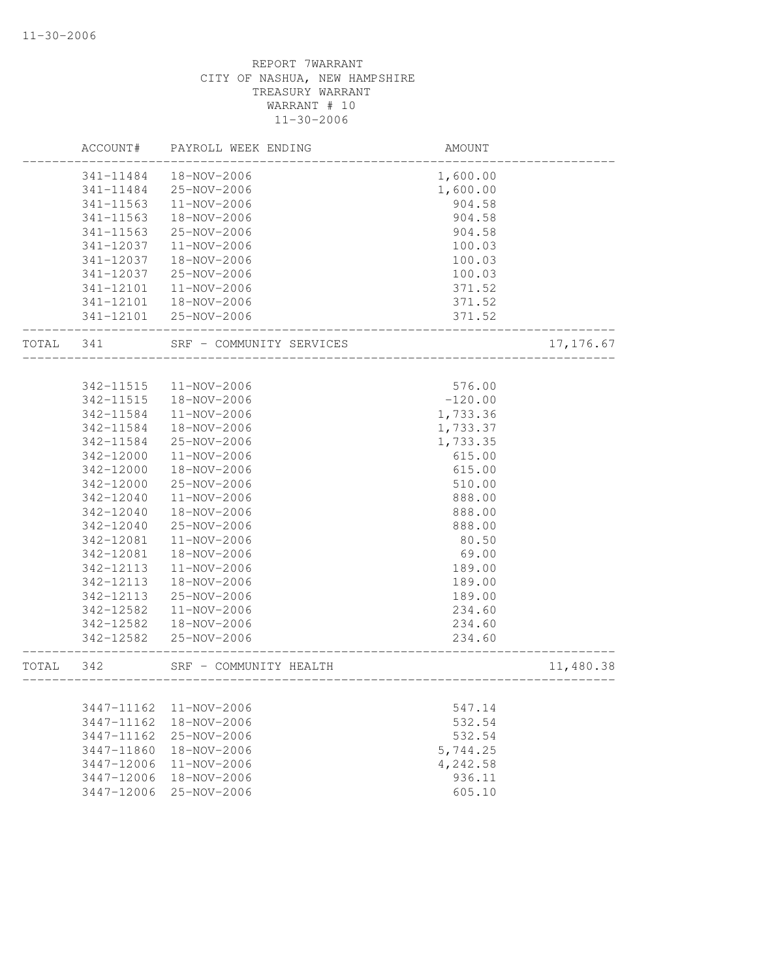|       | ACCOUNT#               | PAYROLL WEEK ENDING              | AMOUNT               |            |
|-------|------------------------|----------------------------------|----------------------|------------|
|       | 341-11484              | 18-NOV-2006                      | 1,600.00             |            |
|       | 341-11484              | 25-NOV-2006                      | 1,600.00             |            |
|       | 341-11563              | 11-NOV-2006                      | 904.58               |            |
|       | 341-11563              | 18-NOV-2006                      | 904.58               |            |
|       | 341-11563              | 25-NOV-2006                      | 904.58               |            |
|       | 341-12037              | 11-NOV-2006                      | 100.03               |            |
|       | 341-12037              | 18-NOV-2006                      | 100.03               |            |
|       | 341-12037              | 25-NOV-2006                      | 100.03               |            |
|       | 341-12101              | $11 - NOV - 2006$                | 371.52               |            |
|       | 341-12101              | 18-NOV-2006                      | 371.52               |            |
|       | 341-12101              | 25-NOV-2006                      | 371.52               |            |
| TOTAL | 341                    | SRF - COMMUNITY SERVICES         |                      | 17, 176.67 |
|       | 342-11515              | 11-NOV-2006                      | 576.00               |            |
|       | 342-11515              | 18-NOV-2006                      | $-120.00$            |            |
|       | 342-11584              | 11-NOV-2006                      | 1,733.36             |            |
|       | 342-11584              | 18-NOV-2006                      |                      |            |
|       | 342-11584              | 25-NOV-2006                      | 1,733.37<br>1,733.35 |            |
|       | 342-12000              | 11-NOV-2006                      |                      |            |
|       | 342-12000              | 18-NOV-2006                      | 615.00<br>615.00     |            |
|       |                        |                                  |                      |            |
|       | 342-12000<br>342-12040 | 25-NOV-2006<br>11-NOV-2006       | 510.00<br>888.00     |            |
|       |                        |                                  |                      |            |
|       | 342-12040              | 18-NOV-2006                      | 888.00               |            |
|       | 342-12040              | 25-NOV-2006                      | 888.00               |            |
|       | 342-12081              | 11-NOV-2006                      | 80.50                |            |
|       | 342-12081              | 18-NOV-2006                      | 69.00                |            |
|       | 342-12113              | 11-NOV-2006                      | 189.00               |            |
|       | 342-12113              | 18-NOV-2006                      | 189.00               |            |
|       | 342-12113              | 25-NOV-2006                      | 189.00               |            |
|       | 342-12582              | 11-NOV-2006                      | 234.60               |            |
|       | 342-12582<br>342-12582 | 18-NOV-2006<br>$25 - NOV - 2006$ | 234.60<br>234.60     |            |
| TOTAL | 342                    | SRF - COMMUNITY HEALTH           | -------------------  | 11,480.38  |
|       |                        |                                  | _________________    |            |
|       | 3447-11162             | 11-NOV-2006                      | 547.14               |            |
|       | 3447-11162             | 18-NOV-2006                      | 532.54               |            |
|       | 3447-11162             | 25-NOV-2006                      | 532.54               |            |
|       | 3447-11860             | 18-NOV-2006                      | 5,744.25             |            |
|       | 3447-12006             | 11-NOV-2006                      | 4,242.58             |            |
|       | 3447-12006             | 18-NOV-2006                      | 936.11               |            |
|       | 3447-12006             | 25-NOV-2006                      | 605.10               |            |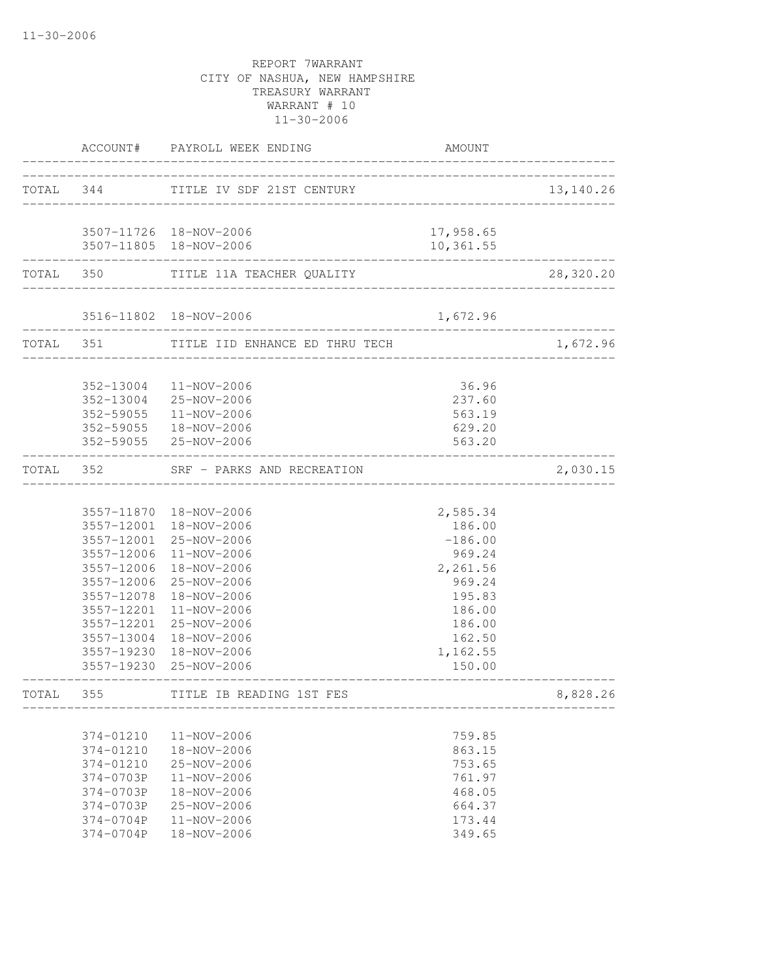|       |                                                                                                      | ACCOUNT# PAYROLL WEEK ENDING                                                                                                                                                                                                                                                                          | AMOUNT                                                                                                                        |           |
|-------|------------------------------------------------------------------------------------------------------|-------------------------------------------------------------------------------------------------------------------------------------------------------------------------------------------------------------------------------------------------------------------------------------------------------|-------------------------------------------------------------------------------------------------------------------------------|-----------|
|       | TOTAL 344                                                                                            | TITLE IV SDF 21ST CENTURY                                                                                                                                                                                                                                                                             |                                                                                                                               | 13,140.26 |
|       |                                                                                                      | 3507-11726 18-NOV-2006<br>3507-11805 18-NOV-2006                                                                                                                                                                                                                                                      | 17,958.65<br>10,361.55                                                                                                        |           |
|       |                                                                                                      | TOTAL 350 TITLE 11A TEACHER QUALITY                                                                                                                                                                                                                                                                   |                                                                                                                               | 28,320.20 |
|       |                                                                                                      | 3516-11802 18-NOV-2006                                                                                                                                                                                                                                                                                | 1,672.96                                                                                                                      |           |
|       |                                                                                                      | TOTAL 351 TITLE IID ENHANCE ED THRU TECH                                                                                                                                                                                                                                                              |                                                                                                                               | 1,672.96  |
|       |                                                                                                      | 352-13004 11-NOV-2006<br>352-13004 25-NOV-2006<br>352-59055  11-NOV-2006<br>352-59055  18-NOV-2006<br>352-59055 25-NOV-2006                                                                                                                                                                           | 36.96<br>237.60<br>563.19<br>629.20<br>563.20                                                                                 |           |
|       | TOTAL 352                                                                                            | SRF - PARKS AND RECREATION                                                                                                                                                                                                                                                                            |                                                                                                                               | 2,030.15  |
|       | 3557-12078<br>3557-12201                                                                             | 3557-11870  18-NOV-2006<br>3557-12001 18-NOV-2006<br>3557-12001 25-NOV-2006<br>3557-12006 11-NOV-2006<br>3557-12006 18-NOV-2006<br>3557-12006 25-NOV-2006<br>18-NOV-2006<br>$11 - NOV - 2006$<br>3557-12201 25-NOV-2006<br>3557-13004 18-NOV-2006<br>3557-19230 18-NOV-2006<br>3557-19230 25-NOV-2006 | 2,585.34<br>186.00<br>$-186.00$<br>969.24<br>2,261.56<br>969.24<br>195.83<br>186.00<br>186.00<br>162.50<br>1,162.55<br>150.00 |           |
| TOTAL | 355                                                                                                  | TITLE IB READING 1ST FES                                                                                                                                                                                                                                                                              |                                                                                                                               | 8,828.26  |
|       | 374-01210<br>374-01210<br>374-01210<br>374-0703P<br>374-0703P<br>374-0703P<br>374-0704P<br>374-0704P | 11-NOV-2006<br>18-NOV-2006<br>25-NOV-2006<br>$11 - NOV - 2006$<br>18-NOV-2006<br>25-NOV-2006<br>11-NOV-2006<br>18-NOV-2006                                                                                                                                                                            | 759.85<br>863.15<br>753.65<br>761.97<br>468.05<br>664.37<br>173.44<br>349.65                                                  |           |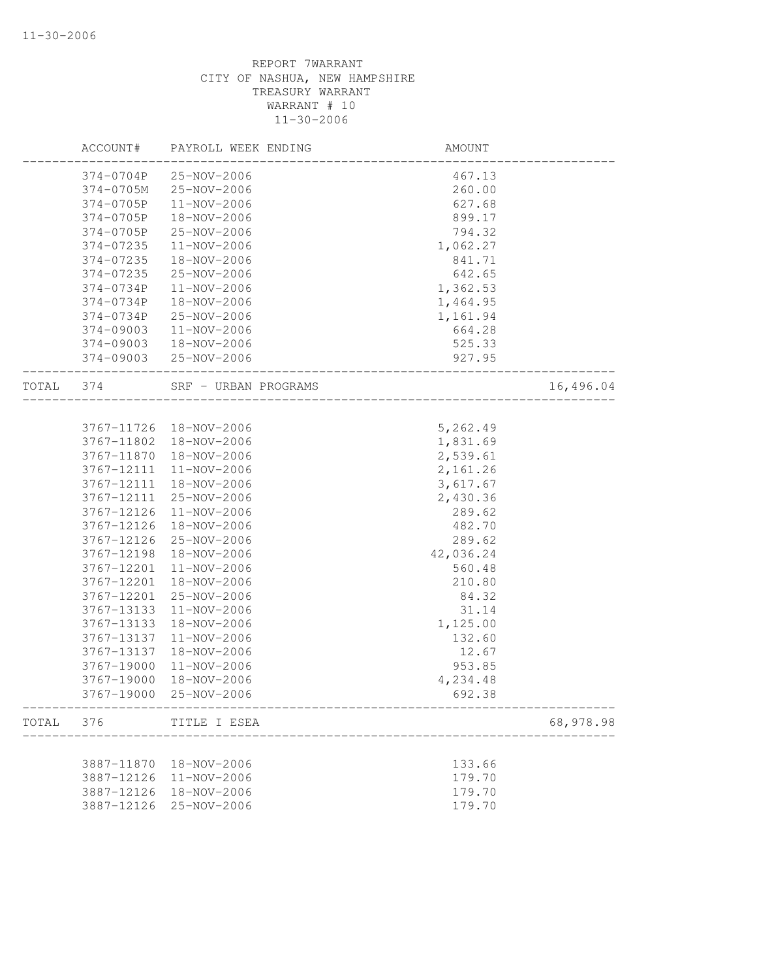|           | ACCOUNT#   | PAYROLL WEEK ENDING   | AMOUNT                              |           |
|-----------|------------|-----------------------|-------------------------------------|-----------|
|           | 374-0704P  | 25-NOV-2006           | 467.13                              |           |
|           | 374-0705M  | 25-NOV-2006           | 260.00                              |           |
|           | 374-0705P  | 11-NOV-2006           | 627.68                              |           |
|           | 374-0705P  | 18-NOV-2006           | 899.17                              |           |
|           | 374-0705P  | 25-NOV-2006           | 794.32                              |           |
|           | 374-07235  | 11-NOV-2006           | 1,062.27                            |           |
|           | 374-07235  | 18-NOV-2006           | 841.71                              |           |
|           | 374-07235  | 25-NOV-2006           | 642.65                              |           |
|           | 374-0734P  | 11-NOV-2006           | 1,362.53                            |           |
|           | 374-0734P  | 18-NOV-2006           | 1,464.95                            |           |
|           | 374-0734P  | 25-NOV-2006           | 1,161.94                            |           |
|           | 374-09003  | 11-NOV-2006           | 664.28                              |           |
|           | 374-09003  | 18-NOV-2006           | 525.33                              |           |
|           |            | 374-09003 25-NOV-2006 | 927.95                              |           |
| TOTAL 374 |            | SRF - URBAN PROGRAMS  | . _ _ _ _ _ _ _ _ _ _ _ _ _ _ _ _ _ | 16,496.04 |
|           |            |                       |                                     |           |
|           | 3767-11726 | 18-NOV-2006           | 5,262.49                            |           |
|           | 3767-11802 | 18-NOV-2006           | 1,831.69                            |           |
|           | 3767-11870 | 18-NOV-2006           | 2,539.61                            |           |
|           | 3767-12111 | 11-NOV-2006           | 2,161.26                            |           |
|           | 3767-12111 | 18-NOV-2006           | 3,617.67                            |           |
|           | 3767-12111 | 25-NOV-2006           | 2,430.36                            |           |
|           | 3767-12126 | 11-NOV-2006           | 289.62                              |           |
|           | 3767-12126 | 18-NOV-2006           | 482.70                              |           |
|           | 3767-12126 | 25-NOV-2006           | 289.62                              |           |
|           | 3767-12198 | 18-NOV-2006           | 42,036.24                           |           |
|           | 3767-12201 | 11-NOV-2006           | 560.48                              |           |
|           | 3767-12201 | 18-NOV-2006           | 210.80                              |           |
|           | 3767-12201 | 25-NOV-2006           | 84.32                               |           |
|           | 3767-13133 | 11-NOV-2006           | 31.14                               |           |
|           | 3767-13133 | 18-NOV-2006           | 1,125.00                            |           |
|           | 3767-13137 | 11-NOV-2006           | 132.60                              |           |
|           | 3767-13137 | 18-NOV-2006           | 12.67                               |           |
|           | 3767-19000 | 11-NOV-2006           | 953.85                              |           |
|           | 3767-19000 | 18-NOV-2006           | 4,234.48                            |           |
|           | 3767-19000 | 25-NOV-2006           | 692.38                              |           |
| TOTAL     | 376        | TITLE I ESEA          |                                     | 68,978.98 |
|           |            |                       |                                     |           |
|           | 3887-11870 | 18-NOV-2006           | 133.66                              |           |
|           | 3887-12126 | 11-NOV-2006           | 179.70                              |           |
|           | 3887-12126 | 18-NOV-2006           | 179.70                              |           |
|           | 3887-12126 | 25-NOV-2006           | 179.70                              |           |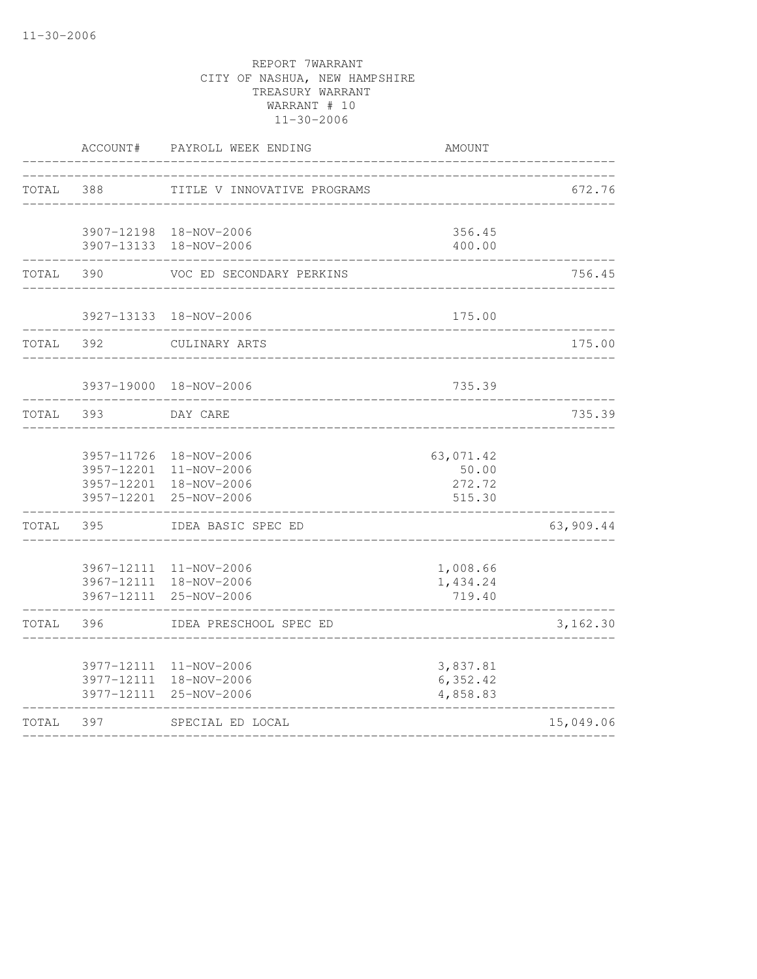|       | ACCOUNT#   | PAYROLL WEEK ENDING                                                                       | AMOUNT                                 |           |
|-------|------------|-------------------------------------------------------------------------------------------|----------------------------------------|-----------|
| TOTAL | 388        | TITLE V INNOVATIVE PROGRAMS                                                               |                                        | 672.76    |
|       |            | 3907-12198 18-NOV-2006<br>3907-13133 18-NOV-2006                                          | 356.45<br>400.00                       |           |
| TOTAL | 390        | VOC ED SECONDARY PERKINS                                                                  |                                        | 756.45    |
|       |            | 3927-13133 18-NOV-2006                                                                    | 175.00                                 |           |
| TOTAL | 392        | CULINARY ARTS                                                                             |                                        | 175.00    |
|       |            | 3937-19000 18-NOV-2006                                                                    | 735.39                                 |           |
| TOTAL | 393        | DAY CARE                                                                                  |                                        | 735.39    |
|       | 3957-12201 | 3957-11726 18-NOV-2006<br>3957-12201 11-NOV-2006<br>3957-12201 18-NOV-2006<br>25-NOV-2006 | 63,071.42<br>50.00<br>272.72<br>515.30 |           |
| TOTAL | 395        | IDEA BASIC SPEC ED                                                                        |                                        | 63,909.44 |
|       | 3967-12111 | 3967-12111 11-NOV-2006<br>3967-12111 18-NOV-2006<br>25-NOV-2006                           | 1,008.66<br>1,434.24<br>719.40         |           |
| TOTAL | 396        | IDEA PRESCHOOL SPEC ED                                                                    |                                        | 3,162.30  |
|       | 3977-12111 | 3977-12111 11-NOV-2006<br>3977-12111 18-NOV-2006<br>25-NOV-2006                           | 3,837.81<br>6,352.42<br>4,858.83       |           |
| TOTAL | 397        | SPECIAL ED LOCAL                                                                          |                                        | 15,049.06 |
|       |            |                                                                                           |                                        |           |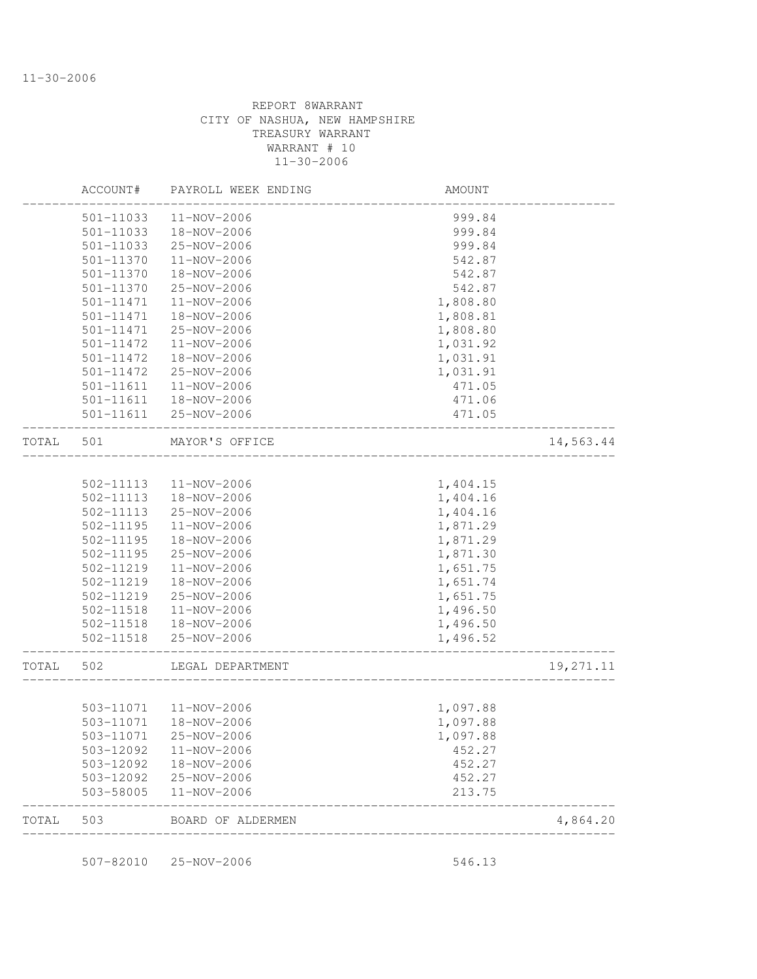|       | ACCOUNT#  | PAYROLL WEEK ENDING    | AMOUNT                            |           |
|-------|-----------|------------------------|-----------------------------------|-----------|
|       | 501-11033 | 11-NOV-2006            | 999.84                            |           |
|       | 501-11033 | 18-NOV-2006            | 999.84                            |           |
|       | 501-11033 | 25-NOV-2006            | 999.84                            |           |
|       | 501-11370 | 11-NOV-2006            | 542.87                            |           |
|       | 501-11370 | 18-NOV-2006            | 542.87                            |           |
|       | 501-11370 | 25-NOV-2006            | 542.87                            |           |
|       | 501-11471 | 11-NOV-2006            | 1,808.80                          |           |
|       | 501-11471 | 18-NOV-2006            | 1,808.81                          |           |
|       | 501-11471 | 25-NOV-2006            | 1,808.80                          |           |
|       | 501-11472 | 11-NOV-2006            | 1,031.92                          |           |
|       | 501-11472 | 18-NOV-2006            | 1,031.91                          |           |
|       | 501-11472 | 25-NOV-2006            | 1,031.91                          |           |
|       | 501-11611 | 11-NOV-2006            | 471.05                            |           |
|       | 501-11611 | 18-NOV-2006            | 471.06                            |           |
|       | 501-11611 | 25-NOV-2006            | 471.05                            |           |
| TOTAL | 501       | MAYOR'S OFFICE         |                                   | 14,563.44 |
|       |           |                        |                                   |           |
|       | 502-11113 | 11-NOV-2006            | 1,404.15                          |           |
|       | 502-11113 | 18-NOV-2006            | 1,404.16                          |           |
|       | 502-11113 | 25-NOV-2006            | 1,404.16                          |           |
|       | 502-11195 | 11-NOV-2006            | 1,871.29                          |           |
|       | 502-11195 | 18-NOV-2006            | 1,871.29                          |           |
|       | 502-11195 | 25-NOV-2006            | 1,871.30                          |           |
|       | 502-11219 | 11-NOV-2006            | 1,651.75                          |           |
|       | 502-11219 | 18-NOV-2006            | 1,651.74                          |           |
|       | 502-11219 | 25-NOV-2006            | 1,651.75                          |           |
|       | 502-11518 | 11-NOV-2006            | 1,496.50                          |           |
|       | 502-11518 | 18-NOV-2006            | 1,496.50                          |           |
|       | 502-11518 | 25-NOV-2006            | 1,496.52<br>_____________________ |           |
| TOTAL | 502       | LEGAL DEPARTMENT       |                                   | 19,271.11 |
|       |           | 503-11071  11-NOV-2006 | 1,097.88                          |           |
|       | 503-11071 | 18-NOV-2006            | 1,097.88                          |           |
|       | 503-11071 | 25-NOV-2006            | 1,097.88                          |           |
|       | 503-12092 | $11 - NOV - 2006$      | 452.27                            |           |
|       | 503-12092 | 18-NOV-2006            | 452.27                            |           |
|       | 503-12092 | 25-NOV-2006            | 452.27                            |           |
|       | 503-58005 | 11-NOV-2006            | 213.75                            |           |
| TOTAL | 503       | BOARD OF ALDERMEN      |                                   | 4,864.20  |

507-82010 25-NOV-2006 546.13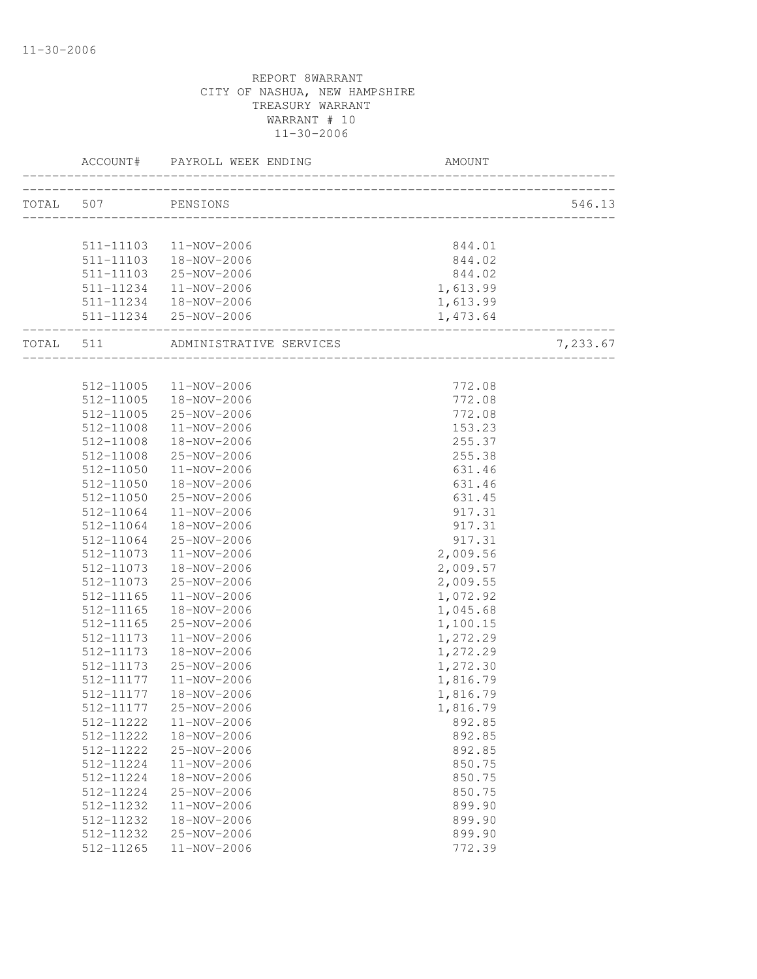|           | ACCOUNT#  | PAYROLL WEEK ENDING     | AMOUNT                       |          |
|-----------|-----------|-------------------------|------------------------------|----------|
| TOTAL 507 |           | PENSIONS                |                              | 546.13   |
|           |           |                         |                              |          |
|           |           | 511-11103  11-NOV-2006  | 844.01                       |          |
|           |           | 511-11103  18-NOV-2006  | 844.02                       |          |
|           |           | 511-11103 25-NOV-2006   | 844.02                       |          |
|           | 511-11234 | 11-NOV-2006             | 1,613.99                     |          |
|           |           | 511-11234  18-NOV-2006  | 1,613.99                     |          |
|           |           | 511-11234 25-NOV-2006   | 1,473.64<br>________________ |          |
| TOTAL     | 511       | ADMINISTRATIVE SERVICES |                              | 7,233.67 |
|           |           |                         |                              |          |
|           | 512-11005 | 11-NOV-2006             | 772.08                       |          |
|           | 512-11005 | 18-NOV-2006             | 772.08                       |          |
|           | 512-11005 | 25-NOV-2006             | 772.08                       |          |
|           | 512-11008 | 11-NOV-2006             | 153.23                       |          |
|           | 512-11008 | 18-NOV-2006             | 255.37                       |          |
|           | 512-11008 | 25-NOV-2006             | 255.38                       |          |
|           | 512-11050 | $11 - NOV - 2006$       | 631.46                       |          |
|           | 512-11050 | 18-NOV-2006             | 631.46                       |          |
|           | 512-11050 | 25-NOV-2006             | 631.45                       |          |
|           | 512-11064 | $11 - NOV - 2006$       | 917.31                       |          |
|           | 512-11064 | 18-NOV-2006             | 917.31                       |          |
|           | 512-11064 | 25-NOV-2006             | 917.31                       |          |
|           | 512-11073 | 11-NOV-2006             | 2,009.56                     |          |
|           | 512-11073 | 18-NOV-2006             | 2,009.57                     |          |
|           | 512-11073 | 25-NOV-2006             | 2,009.55                     |          |
|           | 512-11165 | 11-NOV-2006             | 1,072.92                     |          |
|           | 512-11165 | 18-NOV-2006             | 1,045.68                     |          |
|           | 512-11165 | 25-NOV-2006             | 1,100.15                     |          |
|           | 512-11173 | 11-NOV-2006             | 1,272.29                     |          |
|           | 512-11173 | 18-NOV-2006             | 1,272.29                     |          |
|           | 512-11173 | 25-NOV-2006             | 1,272.30                     |          |
|           | 512-11177 | 11-NOV-2006             | 1,816.79                     |          |
|           | 512-11177 | 18-NOV-2006             | 1,816.79                     |          |
|           | 512-11177 | 25-NOV-2006             | 1,816.79                     |          |
|           | 512-11222 | 11-NOV-2006             | 892.85                       |          |
|           | 512-11222 | 18-NOV-2006             | 892.85                       |          |
|           | 512-11222 | 25-NOV-2006             | 892.85                       |          |
|           | 512-11224 | 11-NOV-2006             | 850.75                       |          |
|           | 512-11224 | 18-NOV-2006             | 850.75                       |          |
|           | 512-11224 | 25-NOV-2006             | 850.75                       |          |
|           | 512-11232 | 11-NOV-2006             | 899.90                       |          |
|           | 512-11232 | 18-NOV-2006             | 899.90                       |          |
|           | 512-11232 | 25-NOV-2006             | 899.90                       |          |
|           | 512-11265 | 11-NOV-2006             | 772.39                       |          |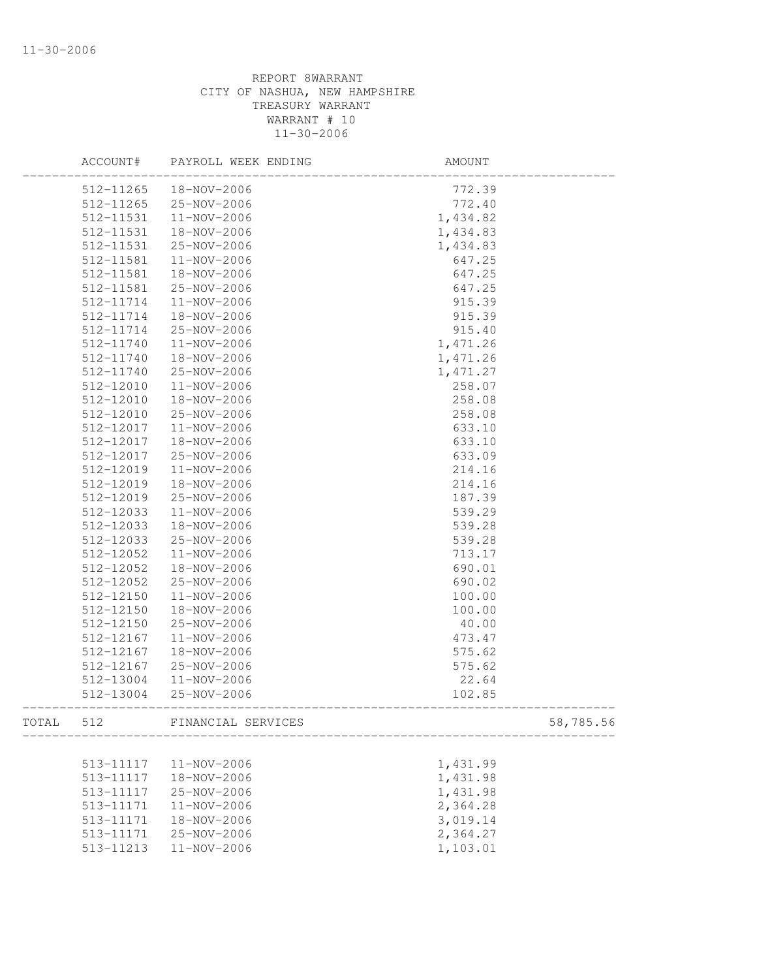|       | ACCOUNT#      | PAYROLL WEEK ENDING | AMOUNT   |           |
|-------|---------------|---------------------|----------|-----------|
|       | 512-11265     | 18-NOV-2006         | 772.39   |           |
|       | $512 - 11265$ | 25-NOV-2006         | 772.40   |           |
|       | 512-11531     | 11-NOV-2006         | 1,434.82 |           |
|       | 512-11531     | 18-NOV-2006         | 1,434.83 |           |
|       | 512-11531     | 25-NOV-2006         | 1,434.83 |           |
|       | 512-11581     | 11-NOV-2006         | 647.25   |           |
|       | 512-11581     | 18-NOV-2006         | 647.25   |           |
|       | 512-11581     | 25-NOV-2006         | 647.25   |           |
|       | 512-11714     | 11-NOV-2006         | 915.39   |           |
|       | 512-11714     | 18-NOV-2006         | 915.39   |           |
|       | 512-11714     | 25-NOV-2006         | 915.40   |           |
|       | 512-11740     | 11-NOV-2006         | 1,471.26 |           |
|       | 512-11740     | 18-NOV-2006         | 1,471.26 |           |
|       | 512-11740     | 25-NOV-2006         | 1,471.27 |           |
|       | 512-12010     | 11-NOV-2006         | 258.07   |           |
|       | 512-12010     | 18-NOV-2006         | 258.08   |           |
|       | 512-12010     | 25-NOV-2006         | 258.08   |           |
|       | 512-12017     | 11-NOV-2006         | 633.10   |           |
|       | 512-12017     | 18-NOV-2006         | 633.10   |           |
|       | 512-12017     | 25-NOV-2006         | 633.09   |           |
|       | 512-12019     | 11-NOV-2006         | 214.16   |           |
|       | 512-12019     | 18-NOV-2006         | 214.16   |           |
|       | 512-12019     | 25-NOV-2006         | 187.39   |           |
|       | 512-12033     | 11-NOV-2006         | 539.29   |           |
|       | 512-12033     | 18-NOV-2006         | 539.28   |           |
|       | 512-12033     | 25-NOV-2006         | 539.28   |           |
|       | 512-12052     | 11-NOV-2006         | 713.17   |           |
|       | 512-12052     | 18-NOV-2006         | 690.01   |           |
|       | 512-12052     | 25-NOV-2006         | 690.02   |           |
|       | 512-12150     | 11-NOV-2006         | 100.00   |           |
|       | 512-12150     | 18-NOV-2006         | 100.00   |           |
|       | 512-12150     | 25-NOV-2006         | 40.00    |           |
|       | 512-12167     | 11-NOV-2006         | 473.47   |           |
|       | 512-12167     | 18-NOV-2006         | 575.62   |           |
|       | 512-12167     | 25-NOV-2006         | 575.62   |           |
|       | 512-13004     | 11-NOV-2006         | 22.64    |           |
|       | 512-13004     | 25-NOV-2006         | 102.85   |           |
| TOTAL | 512           | FINANCIAL SERVICES  |          | 58,785.56 |
|       |               |                     |          |           |
|       | 513-11117     | 11-NOV-2006         | 1,431.99 |           |
|       | 513-11117     | 18-NOV-2006         | 1,431.98 |           |
|       | 513-11117     | 25-NOV-2006         | 1,431.98 |           |
|       | 513-11171     | 11-NOV-2006         | 2,364.28 |           |
|       | 513-11171     | 18-NOV-2006         | 3,019.14 |           |
|       | 513-11171     | 25-NOV-2006         | 2,364.27 |           |
|       | 513-11213     | $11 - NOV - 2006$   | 1,103.01 |           |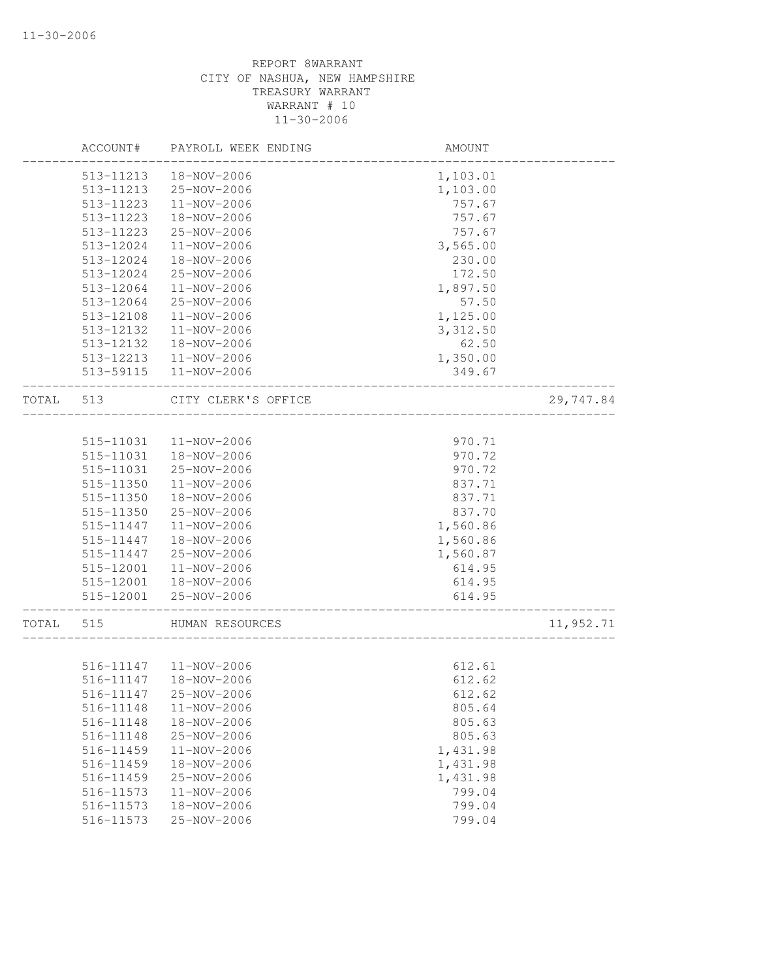|       | ACCOUNT#  | PAYROLL WEEK ENDING    | AMOUNT               |           |
|-------|-----------|------------------------|----------------------|-----------|
|       | 513-11213 | 18-NOV-2006            | 1,103.01             |           |
|       | 513-11213 | 25-NOV-2006            | 1,103.00             |           |
|       | 513-11223 | 11-NOV-2006            | 757.67               |           |
|       | 513-11223 | 18-NOV-2006            | 757.67               |           |
|       | 513-11223 | 25-NOV-2006            | 757.67               |           |
|       | 513-12024 | 11-NOV-2006            | 3,565.00             |           |
|       | 513-12024 | 18-NOV-2006            | 230.00               |           |
|       | 513-12024 | 25-NOV-2006            | 172.50               |           |
|       | 513-12064 | 11-NOV-2006            | 1,897.50             |           |
|       | 513-12064 | 25-NOV-2006            | 57.50                |           |
|       | 513-12108 | 11-NOV-2006            | 1,125.00             |           |
|       | 513-12132 | 11-NOV-2006            | 3,312.50             |           |
|       | 513-12132 | 18-NOV-2006            | 62.50                |           |
|       | 513-12213 | 11-NOV-2006            | 1,350.00             |           |
|       | 513-59115 | 11-NOV-2006            | 349.67               |           |
| TOTAL | 513       | CITY CLERK'S OFFICE    | ____________________ | 29,747.84 |
|       |           |                        |                      |           |
|       | 515-11031 | 11-NOV-2006            | 970.71               |           |
|       | 515-11031 | 18-NOV-2006            | 970.72               |           |
|       | 515-11031 | 25-NOV-2006            | 970.72               |           |
|       | 515-11350 | 11-NOV-2006            | 837.71               |           |
|       | 515-11350 | 18-NOV-2006            | 837.71               |           |
|       | 515-11350 | 25-NOV-2006            | 837.70               |           |
|       | 515-11447 | 11-NOV-2006            | 1,560.86             |           |
|       | 515-11447 | 18-NOV-2006            | 1,560.86             |           |
|       | 515-11447 | 25-NOV-2006            | 1,560.87             |           |
|       | 515-12001 | 11-NOV-2006            | 614.95               |           |
|       | 515-12001 | 18-NOV-2006            | 614.95               |           |
|       | 515-12001 | 25-NOV-2006            | 614.95               |           |
| TOTAL | 515       | HUMAN RESOURCES        |                      | 11,952.71 |
|       |           |                        |                      |           |
|       |           | 516-11147  11-NOV-2006 | 612.61               |           |
|       | 516-11147 | 18-NOV-2006            | 612.62               |           |
|       | 516-11147 | 25-NOV-2006            | 612.62               |           |
|       | 516-11148 | 11-NOV-2006            | 805.64               |           |
|       | 516-11148 | 18-NOV-2006            | 805.63               |           |
|       | 516-11148 | 25-NOV-2006            | 805.63               |           |
|       | 516-11459 | $11 - NOV - 2006$      | 1,431.98             |           |
|       | 516-11459 | 18-NOV-2006            | 1,431.98             |           |
|       | 516-11459 | 25-NOV-2006            | 1,431.98             |           |
|       | 516-11573 | 11-NOV-2006            | 799.04               |           |
|       | 516-11573 | 18-NOV-2006            | 799.04               |           |
|       | 516-11573 | 25-NOV-2006            | 799.04               |           |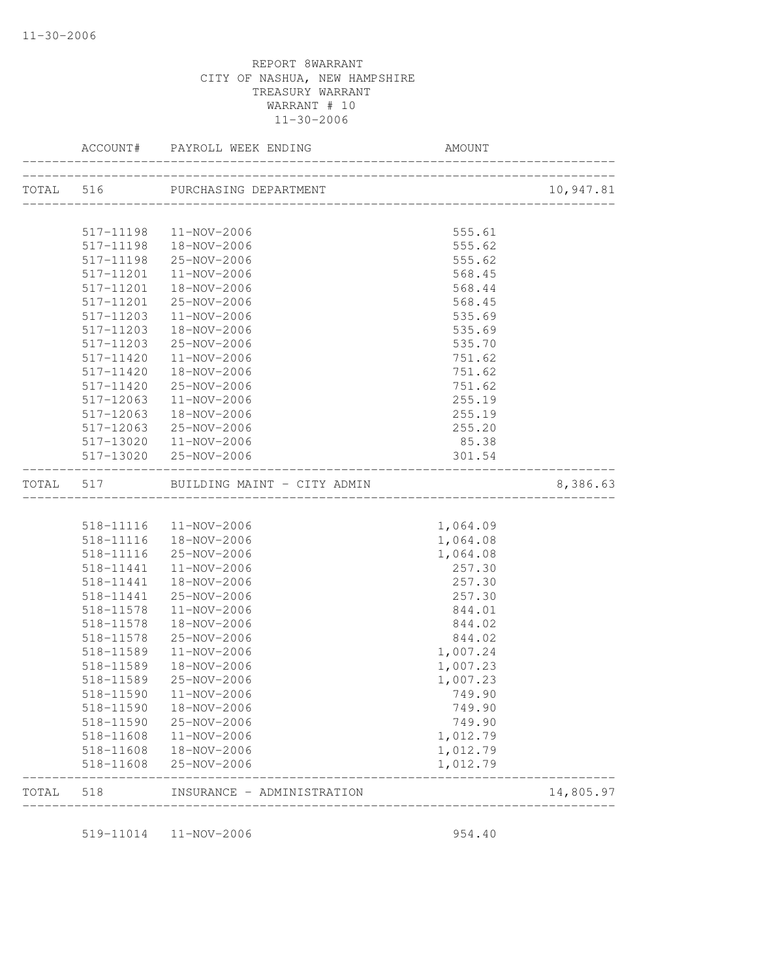|       |           | TOTAL 516 PURCHASING DEPARTMENT       |          | 10,947.81 |
|-------|-----------|---------------------------------------|----------|-----------|
|       |           |                                       |          |           |
|       |           | 517-11198  11-NOV-2006                | 555.61   |           |
|       |           | 517-11198  18-NOV-2006                | 555.62   |           |
|       |           | 517-11198 25-NOV-2006                 | 555.62   |           |
|       | 517-11201 | 11-NOV-2006                           | 568.45   |           |
|       | 517-11201 | 18-NOV-2006                           | 568.44   |           |
|       | 517-11201 | 25-NOV-2006                           | 568.45   |           |
|       | 517-11203 | 11-NOV-2006                           | 535.69   |           |
|       | 517-11203 | 18-NOV-2006                           | 535.69   |           |
|       | 517-11203 | 25-NOV-2006                           | 535.70   |           |
|       | 517-11420 | 11-NOV-2006                           | 751.62   |           |
|       | 517-11420 | 18-NOV-2006                           | 751.62   |           |
|       | 517-11420 | 25-NOV-2006                           | 751.62   |           |
|       | 517-12063 | $11 - NOV - 2006$                     | 255.19   |           |
|       | 517-12063 | 18-NOV-2006                           | 255.19   |           |
|       | 517-12063 | 25-NOV-2006                           | 255.20   |           |
|       |           | 517-13020  11-NOV-2006                | 85.38    |           |
|       |           | 517-13020 25-NOV-2006                 | 301.54   |           |
|       |           | TOTAL 517 BUILDING MAINT - CITY ADMIN |          | 8,386.63  |
|       |           |                                       |          |           |
|       |           | 518-11116  11-NOV-2006                | 1,064.09 |           |
|       |           | 518-11116  18-NOV-2006                | 1,064.08 |           |
|       |           | 518-11116 25-NOV-2006                 | 1,064.08 |           |
|       | 518-11441 | 11-NOV-2006                           | 257.30   |           |
|       | 518-11441 | 18-NOV-2006                           | 257.30   |           |
|       | 518-11441 | 25-NOV-2006                           | 257.30   |           |
|       | 518-11578 | 11-NOV-2006                           | 844.01   |           |
|       | 518-11578 | 18-NOV-2006                           | 844.02   |           |
|       | 518-11578 | 25-NOV-2006                           | 844.02   |           |
|       | 518-11589 | 11-NOV-2006                           | 1,007.24 |           |
|       | 518-11589 | 18-NOV-2006                           | 1,007.23 |           |
|       | 518-11589 | 25-NOV-2006                           | 1,007.23 |           |
|       |           | 518-11590  11-NOV-2006                | 749.90   |           |
|       |           | 518-11590  18-NOV-2006                | 749.90   |           |
|       |           | 518-11590 25-NOV-2006                 | 749.90   |           |
|       | 518-11608 | 11-NOV-2006                           | 1,012.79 |           |
|       |           | 518-11608  18-NOV-2006                | 1,012.79 |           |
|       | 518-11608 | 25-NOV-2006                           | 1,012.79 |           |
| TOTAL | 518       | INSURANCE - ADMINISTRATION            |          | 14,805.97 |

519-11014 11-NOV-2006 954.40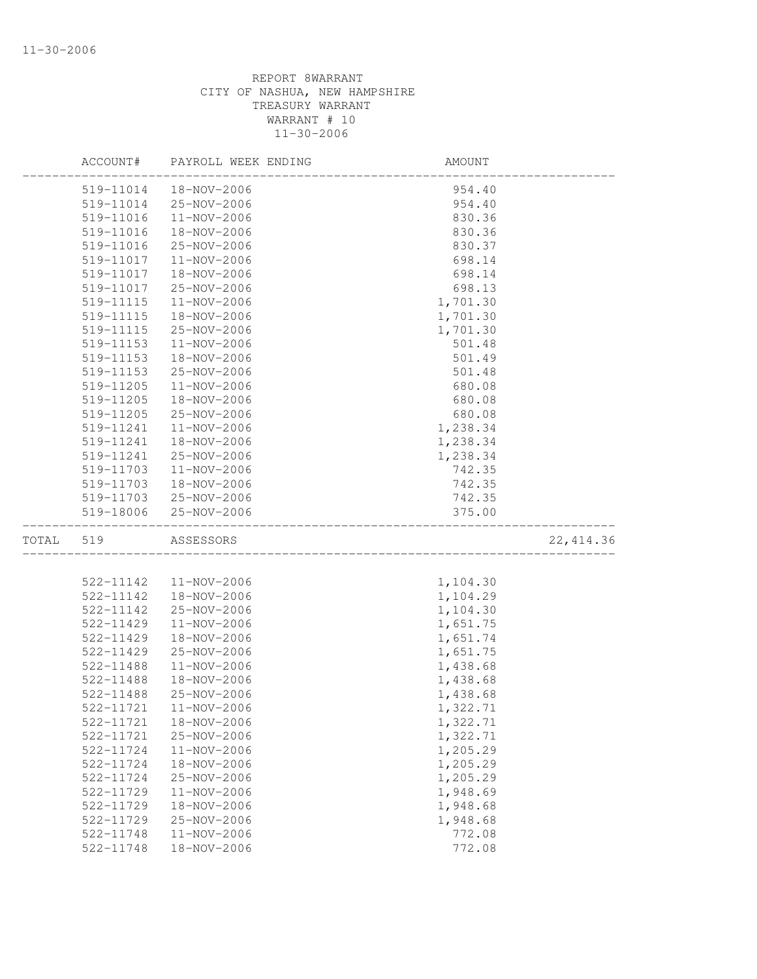|       | ACCOUNT#  | PAYROLL WEEK ENDING | <b>AMOUNT</b>                |            |
|-------|-----------|---------------------|------------------------------|------------|
|       | 519-11014 | 18-NOV-2006         | 954.40                       |            |
|       | 519-11014 | 25-NOV-2006         | 954.40                       |            |
|       | 519-11016 | 11-NOV-2006         | 830.36                       |            |
|       | 519-11016 | 18-NOV-2006         | 830.36                       |            |
|       | 519-11016 | 25-NOV-2006         | 830.37                       |            |
|       | 519-11017 | 11-NOV-2006         | 698.14                       |            |
|       | 519-11017 | 18-NOV-2006         | 698.14                       |            |
|       | 519-11017 | 25-NOV-2006         | 698.13                       |            |
|       | 519-11115 | 11-NOV-2006         | 1,701.30                     |            |
|       | 519-11115 | 18-NOV-2006         | 1,701.30                     |            |
|       | 519-11115 | 25-NOV-2006         | 1,701.30                     |            |
|       | 519-11153 | 11-NOV-2006         | 501.48                       |            |
|       | 519-11153 | 18-NOV-2006         | 501.49                       |            |
|       | 519-11153 | 25-NOV-2006         | 501.48                       |            |
|       | 519-11205 | 11-NOV-2006         | 680.08                       |            |
|       | 519-11205 | 18-NOV-2006         | 680.08                       |            |
|       | 519-11205 | 25-NOV-2006         | 680.08                       |            |
|       | 519-11241 | 11-NOV-2006         | 1,238.34                     |            |
|       | 519-11241 | 18-NOV-2006         | 1,238.34                     |            |
|       | 519-11241 | 25-NOV-2006         | 1,238.34                     |            |
|       | 519-11703 | 11-NOV-2006         | 742.35                       |            |
|       | 519-11703 | 18-NOV-2006         | 742.35                       |            |
|       | 519-11703 | 25-NOV-2006         | 742.35                       |            |
|       | 519-18006 | 25-NOV-2006         | 375.00                       |            |
| TOTAL | 519       | ASSESSORS           | ____________________________ | 22, 414.36 |
|       |           |                     |                              |            |
|       | 522-11142 | 11-NOV-2006         | 1,104.30                     |            |
|       | 522-11142 | 18-NOV-2006         | 1,104.29                     |            |
|       | 522-11142 | 25-NOV-2006         | 1,104.30                     |            |
|       | 522-11429 | 11-NOV-2006         | 1,651.75                     |            |
|       | 522-11429 | 18-NOV-2006         | 1,651.74                     |            |
|       | 522-11429 | 25-NOV-2006         | 1,651.75                     |            |
|       | 522-11488 | 11-NOV-2006         | 1,438.68                     |            |
|       | 522-11488 | 18-NOV-2006         | 1,438.68                     |            |
|       | 522-11488 | 25-NOV-2006         | 1,438.68                     |            |
|       | 522-11721 | 11-NOV-2006         | 1,322.71                     |            |
|       | 522-11721 | 18-NOV-2006         | 1,322.71                     |            |
|       | 522-11721 | 25-NOV-2006         | 1,322.71                     |            |
|       | 522-11724 | 11-NOV-2006         | 1,205.29                     |            |
|       | 522-11724 | 18-NOV-2006         | 1,205.29                     |            |
|       | 522-11724 | 25-NOV-2006         | 1,205.29                     |            |
|       | 522-11729 | 11-NOV-2006         | 1,948.69                     |            |
|       | 522-11729 | 18-NOV-2006         | 1,948.68                     |            |
|       | 522-11729 | 25-NOV-2006         | 1,948.68                     |            |
|       | 522-11748 | 11-NOV-2006         | 772.08                       |            |
|       | 522-11748 | 18-NOV-2006         | 772.08                       |            |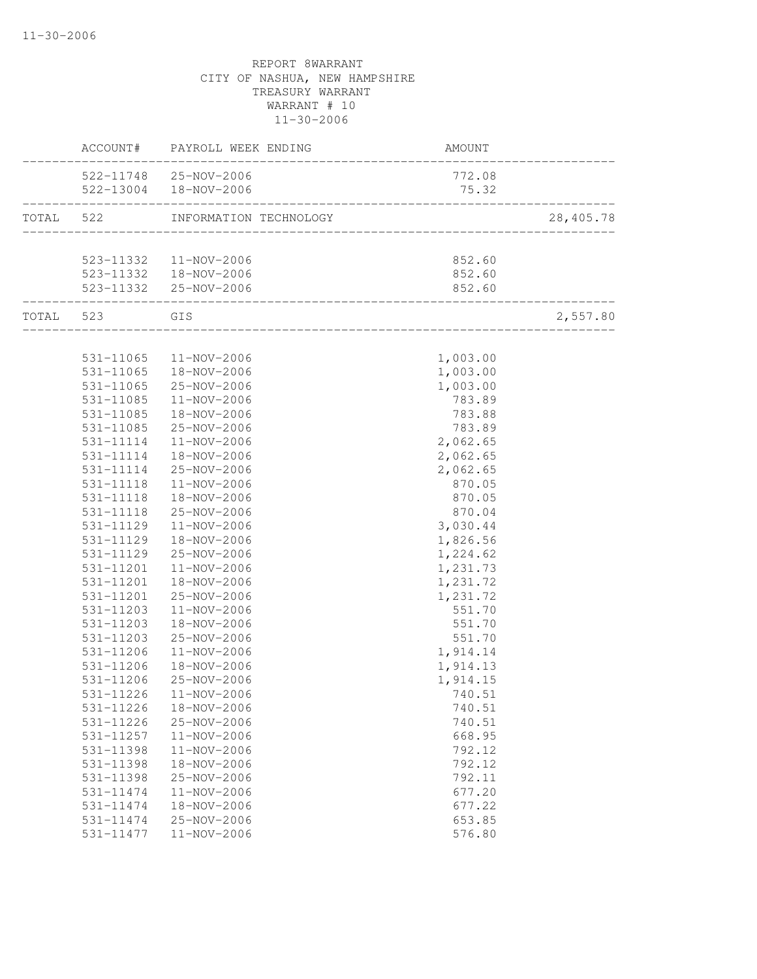|           |                        | ACCOUNT# PAYROLL WEEK ENDING | AMOUNT                                     |           |
|-----------|------------------------|------------------------------|--------------------------------------------|-----------|
|           |                        | 522-11748 25-NOV-2006        | 772.08                                     |           |
|           |                        | 522-13004  18-NOV-2006       | 75.32<br>_________________________________ |           |
| TOTAL 522 |                        | INFORMATION TECHNOLOGY       | .<br>-------------------------------       | 28,405.78 |
|           |                        |                              |                                            |           |
|           |                        | 523-11332  11-NOV-2006       | 852.60                                     |           |
|           |                        | 523-11332  18-NOV-2006       | 852.60                                     |           |
|           | ____________________   | 523-11332 25-NOV-2006        | 852.60                                     |           |
|           | TOTAL 523 GIS          |                              |                                            | 2,557.80  |
|           |                        |                              |                                            |           |
|           |                        | 531-11065  11-NOV-2006       | 1,003.00                                   |           |
|           | 531-11065              | 18-NOV-2006                  | 1,003.00                                   |           |
|           | 531-11065              | 25-NOV-2006                  | 1,003.00                                   |           |
|           | 531-11085              | 11-NOV-2006                  | 783.89                                     |           |
|           | 531-11085              | 18-NOV-2006                  | 783.88                                     |           |
|           | 531-11085              | 25-NOV-2006                  | 783.89                                     |           |
|           | 531-11114              | 11-NOV-2006                  | 2,062.65                                   |           |
|           | 531-11114              | 18-NOV-2006                  | 2,062.65                                   |           |
|           | 531-11114              | 25-NOV-2006                  | 2,062.65                                   |           |
|           | 531-11118              | 11-NOV-2006                  | 870.05                                     |           |
|           | 531-11118              | 18-NOV-2006                  | 870.05                                     |           |
|           | 531-11118              | 25-NOV-2006                  | 870.04                                     |           |
|           | 531-11129              | 11-NOV-2006                  | 3,030.44                                   |           |
|           | 531-11129              | 18-NOV-2006                  | 1,826.56                                   |           |
|           | 531-11129              | 25-NOV-2006                  | 1,224.62                                   |           |
|           | 531-11201              | 11-NOV-2006                  | 1,231.73                                   |           |
|           | 531-11201              | 18-NOV-2006                  | 1,231.72                                   |           |
|           | 531-11201              | 25-NOV-2006                  | 1,231.72                                   |           |
|           | 531-11203              | 11-NOV-2006                  | 551.70                                     |           |
|           | 531-11203              | 18-NOV-2006                  | 551.70                                     |           |
|           | 531-11203              | 25-NOV-2006                  | 551.70                                     |           |
|           | 531-11206              | 11-NOV-2006                  | 1,914.14                                   |           |
|           | 531-11206              | 18-NOV-2006                  | 1,914.13                                   |           |
|           | 531-11206              | 25-NOV-2006                  | 1,914.15                                   |           |
|           |                        | 531-11226  11-NOV-2006       | 740.51                                     |           |
|           | 531-11226              | 18-NOV-2006                  | 740.51                                     |           |
|           | 531-11226              | 25-NOV-2006                  | 740.51                                     |           |
|           | 531-11257              | $11 - NOV - 2006$            | 668.95                                     |           |
|           | 531-11398<br>531-11398 | 11-NOV-2006<br>18-NOV-2006   | 792.12<br>792.12                           |           |
|           | 531-11398              | 25-NOV-2006                  |                                            |           |
|           | $531 - 11474$          | 11-NOV-2006                  | 792.11<br>677.20                           |           |
|           | 531-11474              | 18-NOV-2006                  | 677.22                                     |           |
|           | 531-11474              | 25-NOV-2006                  | 653.85                                     |           |
|           | 531-11477              | 11-NOV-2006                  | 576.80                                     |           |
|           |                        |                              |                                            |           |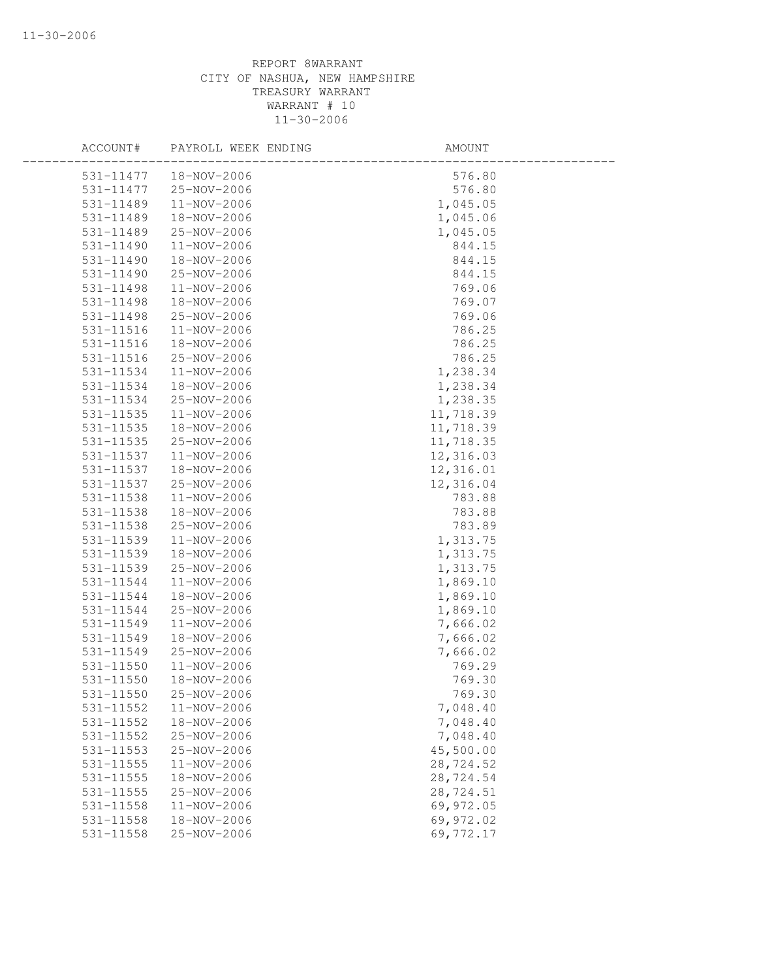| ACCOUNT#      | PAYROLL WEEK ENDING | AMOUNT    |  |
|---------------|---------------------|-----------|--|
| 531-11477     | 18-NOV-2006         | 576.80    |  |
| 531-11477     | 25-NOV-2006         | 576.80    |  |
| 531-11489     | 11-NOV-2006         | 1,045.05  |  |
| 531-11489     | 18-NOV-2006         | 1,045.06  |  |
| 531-11489     | 25-NOV-2006         | 1,045.05  |  |
| 531-11490     | 11-NOV-2006         | 844.15    |  |
| 531-11490     | 18-NOV-2006         | 844.15    |  |
| 531-11490     | 25-NOV-2006         | 844.15    |  |
| 531-11498     | $11 - NOV - 2006$   | 769.06    |  |
| 531-11498     | 18-NOV-2006         | 769.07    |  |
| 531-11498     | 25-NOV-2006         | 769.06    |  |
| 531-11516     | 11-NOV-2006         | 786.25    |  |
| 531-11516     | 18-NOV-2006         | 786.25    |  |
| 531-11516     | 25-NOV-2006         | 786.25    |  |
| 531-11534     | 11-NOV-2006         | 1,238.34  |  |
| 531-11534     | 18-NOV-2006         | 1,238.34  |  |
| 531-11534     | 25-NOV-2006         | 1,238.35  |  |
| 531-11535     | 11-NOV-2006         | 11,718.39 |  |
| 531-11535     | 18-NOV-2006         | 11,718.39 |  |
| $531 - 11535$ | 25-NOV-2006         | 11,718.35 |  |
| 531-11537     | 11-NOV-2006         | 12,316.03 |  |
| 531-11537     | 18-NOV-2006         | 12,316.01 |  |
| 531-11537     | 25-NOV-2006         | 12,316.04 |  |
| 531-11538     | 11-NOV-2006         | 783.88    |  |
| 531-11538     | 18-NOV-2006         | 783.88    |  |
| 531-11538     | 25-NOV-2006         | 783.89    |  |
| 531-11539     | 11-NOV-2006         | 1,313.75  |  |
| 531-11539     | 18-NOV-2006         | 1,313.75  |  |
| 531-11539     | 25-NOV-2006         | 1,313.75  |  |
| 531-11544     | 11-NOV-2006         | 1,869.10  |  |
| 531-11544     | 18-NOV-2006         | 1,869.10  |  |
| 531-11544     | 25-NOV-2006         | 1,869.10  |  |
| 531-11549     | 11-NOV-2006         | 7,666.02  |  |
| 531-11549     | 18-NOV-2006         | 7,666.02  |  |
| 531-11549     | 25-NOV-2006         | 7,666.02  |  |
| $531 - 11550$ | 11-NOV-2006         | 769.29    |  |
| 531-11550     | 18-NOV-2006         | 769.30    |  |
| 531-11550     | 25-NOV-2006         | 769.30    |  |
| 531-11552     | 11-NOV-2006         | 7,048.40  |  |
| 531-11552     | 18-NOV-2006         | 7,048.40  |  |
| 531-11552     | 25-NOV-2006         | 7,048.40  |  |
| 531-11553     | 25-NOV-2006         | 45,500.00 |  |
| 531-11555     | 11-NOV-2006         | 28,724.52 |  |
| $531 - 11555$ | 18-NOV-2006         | 28,724.54 |  |
| 531-11555     | 25-NOV-2006         | 28,724.51 |  |
| 531-11558     | 11-NOV-2006         | 69,972.05 |  |
| $531 - 11558$ | 18-NOV-2006         | 69,972.02 |  |
| 531-11558     | 25-NOV-2006         | 69,772.17 |  |
|               |                     |           |  |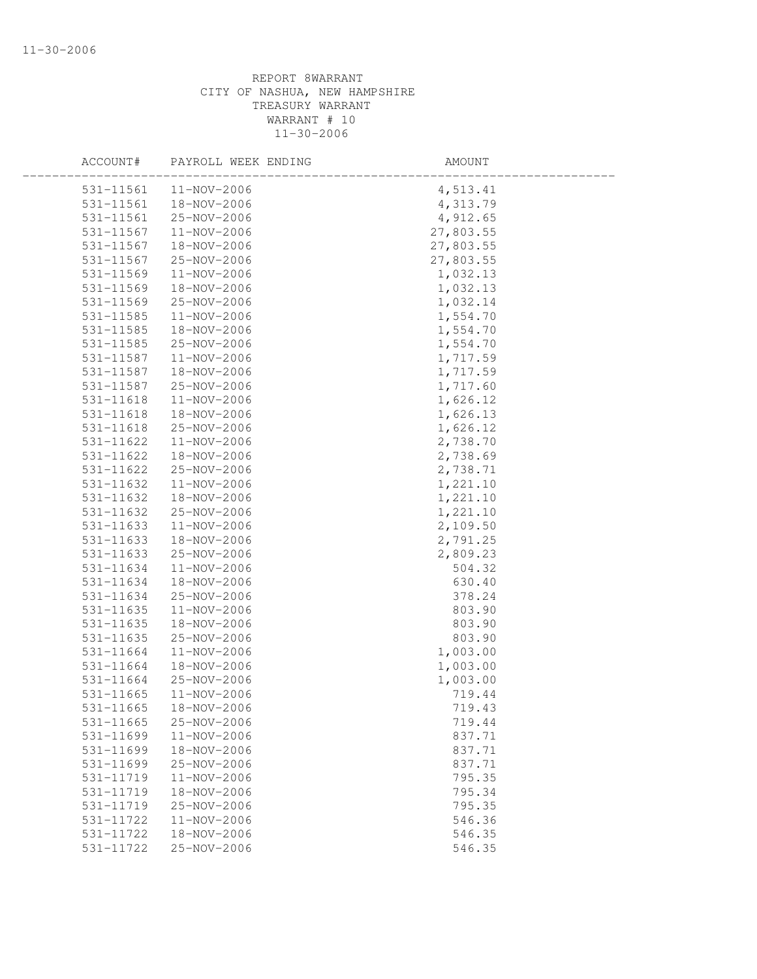| ACCOUNT#  | PAYROLL WEEK ENDING | AMOUNT    |  |
|-----------|---------------------|-----------|--|
| 531-11561 | 11-NOV-2006         | 4,513.41  |  |
| 531-11561 | 18-NOV-2006         | 4,313.79  |  |
| 531-11561 | 25-NOV-2006         | 4,912.65  |  |
| 531-11567 | 11-NOV-2006         | 27,803.55 |  |
| 531-11567 | 18-NOV-2006         | 27,803.55 |  |
| 531-11567 | 25-NOV-2006         | 27,803.55 |  |
| 531-11569 | 11-NOV-2006         | 1,032.13  |  |
| 531-11569 | 18-NOV-2006         | 1,032.13  |  |
| 531-11569 | 25-NOV-2006         | 1,032.14  |  |
| 531-11585 | 11-NOV-2006         | 1,554.70  |  |
| 531-11585 | 18-NOV-2006         | 1,554.70  |  |
| 531-11585 | 25-NOV-2006         | 1,554.70  |  |
| 531-11587 | 11-NOV-2006         | 1,717.59  |  |
| 531-11587 | 18-NOV-2006         | 1,717.59  |  |
| 531-11587 | 25-NOV-2006         | 1,717.60  |  |
| 531-11618 | 11-NOV-2006         | 1,626.12  |  |
| 531-11618 | 18-NOV-2006         | 1,626.13  |  |
| 531-11618 | 25-NOV-2006         | 1,626.12  |  |
| 531-11622 | 11-NOV-2006         | 2,738.70  |  |
| 531-11622 | 18-NOV-2006         | 2,738.69  |  |
| 531-11622 | 25-NOV-2006         | 2,738.71  |  |
| 531-11632 | 11-NOV-2006         | 1,221.10  |  |
| 531-11632 | 18-NOV-2006         | 1,221.10  |  |
| 531-11632 | 25-NOV-2006         | 1,221.10  |  |
| 531-11633 | 11-NOV-2006         | 2,109.50  |  |
| 531-11633 | 18-NOV-2006         | 2,791.25  |  |
| 531-11633 | 25-NOV-2006         | 2,809.23  |  |
| 531-11634 | 11-NOV-2006         | 504.32    |  |
| 531-11634 | 18-NOV-2006         | 630.40    |  |
| 531-11634 | 25-NOV-2006         | 378.24    |  |
| 531-11635 | 11-NOV-2006         | 803.90    |  |
| 531-11635 | 18-NOV-2006         | 803.90    |  |
| 531-11635 | 25-NOV-2006         | 803.90    |  |
| 531-11664 | 11-NOV-2006         | 1,003.00  |  |
| 531-11664 | 18-NOV-2006         | 1,003.00  |  |
| 531-11664 | 25-NOV-2006         | 1,003.00  |  |
| 531-11665 | 11-NOV-2006         | 719.44    |  |
| 531-11665 | 18-NOV-2006         | 719.43    |  |
| 531-11665 | 25-NOV-2006         | 719.44    |  |
| 531-11699 | 11-NOV-2006         | 837.71    |  |
| 531-11699 | 18-NOV-2006         | 837.71    |  |
| 531-11699 | 25-NOV-2006         | 837.71    |  |
| 531-11719 | 11-NOV-2006         | 795.35    |  |
| 531-11719 | 18-NOV-2006         | 795.34    |  |
| 531-11719 | 25-NOV-2006         | 795.35    |  |
| 531-11722 | 11-NOV-2006         | 546.36    |  |
| 531-11722 | 18-NOV-2006         | 546.35    |  |
| 531-11722 | 25-NOV-2006         | 546.35    |  |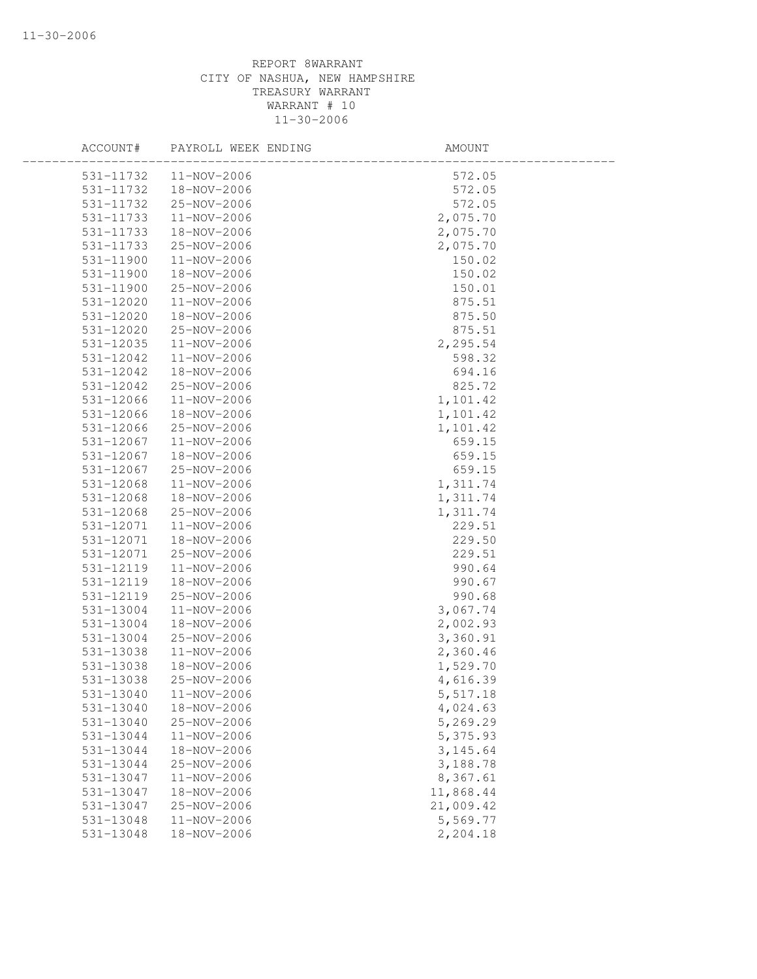| ACCOUNT#  | PAYROLL WEEK ENDING | AMOUNT    |  |
|-----------|---------------------|-----------|--|
| 531-11732 | $11 - NOV - 2006$   | 572.05    |  |
| 531-11732 | 18-NOV-2006         | 572.05    |  |
| 531-11732 | 25-NOV-2006         | 572.05    |  |
| 531-11733 | 11-NOV-2006         | 2,075.70  |  |
| 531-11733 | 18-NOV-2006         | 2,075.70  |  |
| 531-11733 | 25-NOV-2006         | 2,075.70  |  |
| 531-11900 | 11-NOV-2006         | 150.02    |  |
| 531-11900 | 18-NOV-2006         | 150.02    |  |
| 531-11900 | 25-NOV-2006         | 150.01    |  |
| 531-12020 | 11-NOV-2006         | 875.51    |  |
| 531-12020 | 18-NOV-2006         | 875.50    |  |
| 531-12020 | 25-NOV-2006         | 875.51    |  |
| 531-12035 | 11-NOV-2006         | 2,295.54  |  |
| 531-12042 | 11-NOV-2006         | 598.32    |  |
| 531-12042 | 18-NOV-2006         | 694.16    |  |
| 531-12042 | 25-NOV-2006         | 825.72    |  |
| 531-12066 | 11-NOV-2006         | 1,101.42  |  |
| 531-12066 | 18-NOV-2006         | 1,101.42  |  |
| 531-12066 | 25-NOV-2006         | 1,101.42  |  |
| 531-12067 | 11-NOV-2006         | 659.15    |  |
| 531-12067 | 18-NOV-2006         | 659.15    |  |
| 531-12067 | 25-NOV-2006         | 659.15    |  |
| 531-12068 | 11-NOV-2006         | 1,311.74  |  |
| 531-12068 | 18-NOV-2006         | 1,311.74  |  |
| 531-12068 | 25-NOV-2006         | 1,311.74  |  |
| 531-12071 | 11-NOV-2006         | 229.51    |  |
| 531-12071 | 18-NOV-2006         | 229.50    |  |
| 531-12071 | 25-NOV-2006         | 229.51    |  |
| 531-12119 | 11-NOV-2006         | 990.64    |  |
| 531-12119 | 18-NOV-2006         | 990.67    |  |
| 531-12119 | 25-NOV-2006         | 990.68    |  |
| 531-13004 | 11-NOV-2006         | 3,067.74  |  |
| 531-13004 | 18-NOV-2006         | 2,002.93  |  |
| 531-13004 | 25-NOV-2006         | 3,360.91  |  |
| 531-13038 | 11-NOV-2006         | 2,360.46  |  |
| 531-13038 | 18-NOV-2006         | 1,529.70  |  |
| 531-13038 | 25-NOV-2006         | 4,616.39  |  |
| 531-13040 | $11 - NOV - 2006$   | 5,517.18  |  |
| 531-13040 | 18-NOV-2006         | 4,024.63  |  |
| 531-13040 | 25-NOV-2006         | 5,269.29  |  |
| 531-13044 | 11-NOV-2006         | 5,375.93  |  |
| 531-13044 | 18-NOV-2006         | 3, 145.64 |  |
| 531-13044 | 25-NOV-2006         | 3,188.78  |  |
| 531-13047 | 11-NOV-2006         | 8,367.61  |  |
| 531-13047 | 18-NOV-2006         | 11,868.44 |  |
| 531-13047 | 25-NOV-2006         | 21,009.42 |  |
| 531-13048 | 11-NOV-2006         | 5,569.77  |  |
| 531-13048 | $18 - NOV - 2006$   | 2,204.18  |  |
|           |                     |           |  |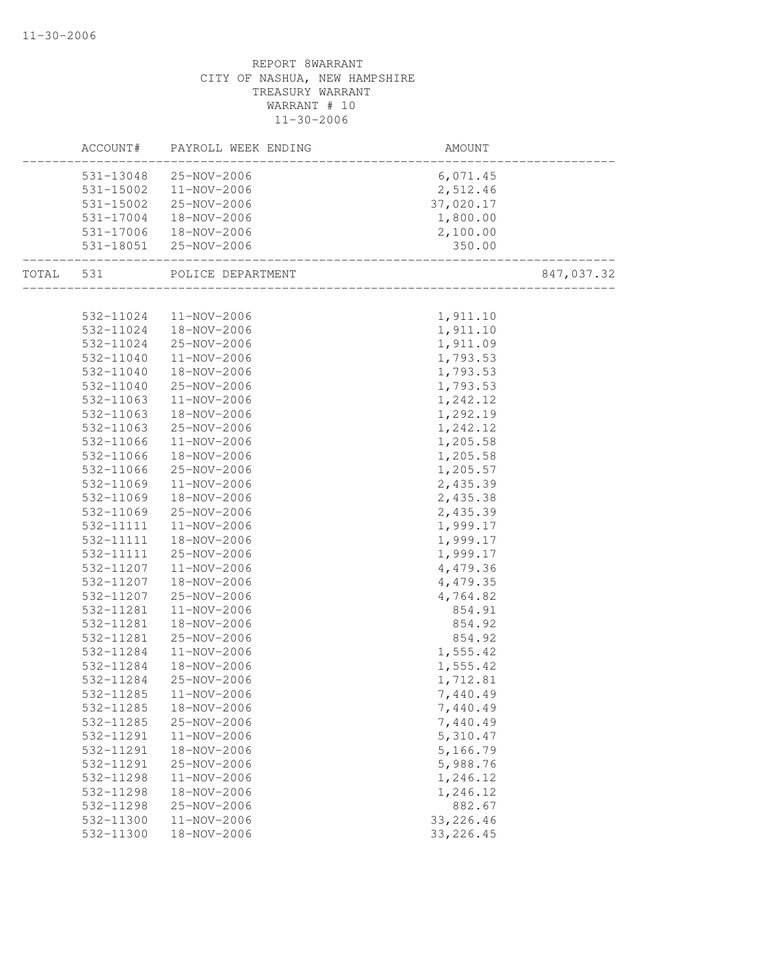|           | ACCOUNT#               | PAYROLL WEEK ENDING        | AMOUNT                                  |            |
|-----------|------------------------|----------------------------|-----------------------------------------|------------|
|           | 531-13048              | 25-NOV-2006                | 6,071.45                                |            |
|           | 531-15002              | 11-NOV-2006                | 2,512.46                                |            |
|           | 531-15002              | 25-NOV-2006                | 37,020.17                               |            |
|           | 531-17004              | 18-NOV-2006                | 1,800.00                                |            |
|           | 531-17006              | $18 - NOV - 2006$          | 2,100.00                                |            |
|           |                        | 531-18051 25-NOV-2006      | 350.00                                  |            |
| TOTAL 531 |                        | POLICE DEPARTMENT          | ____<br>_______________________________ | 847,037.32 |
|           |                        |                            |                                         |            |
|           | 532-11024              | 11-NOV-2006                | 1,911.10                                |            |
|           | 532-11024              | 18-NOV-2006                | 1,911.10                                |            |
|           | 532-11024              | 25-NOV-2006                | 1,911.09                                |            |
|           | 532-11040              | 11-NOV-2006                | 1,793.53                                |            |
|           | 532-11040              | 18-NOV-2006                | 1,793.53                                |            |
|           | 532-11040              | 25-NOV-2006                | 1,793.53                                |            |
|           | 532-11063              | 11-NOV-2006                | 1,242.12                                |            |
|           | 532-11063              | 18-NOV-2006                | 1,292.19                                |            |
|           | 532-11063              | 25-NOV-2006                | 1,242.12                                |            |
|           | 532-11066              | 11-NOV-2006                | 1,205.58                                |            |
|           | 532-11066              | 18-NOV-2006                | 1,205.58                                |            |
|           | 532-11066<br>532-11069 | 25-NOV-2006<br>11-NOV-2006 | 1,205.57<br>2,435.39                    |            |
|           | 532-11069              | 18-NOV-2006                | 2,435.38                                |            |
|           | 532-11069              | 25-NOV-2006                | 2,435.39                                |            |
|           | 532-11111              | 11-NOV-2006                | 1,999.17                                |            |
|           | 532-11111              | 18-NOV-2006                | 1,999.17                                |            |
|           | 532-11111              | 25-NOV-2006                | 1,999.17                                |            |
|           | 532-11207              | 11-NOV-2006                | 4,479.36                                |            |
|           | 532-11207              | 18-NOV-2006                | 4,479.35                                |            |
|           | 532-11207              | 25-NOV-2006                | 4,764.82                                |            |
|           | 532-11281              | 11-NOV-2006                | 854.91                                  |            |
|           | 532-11281              | 18-NOV-2006                | 854.92                                  |            |
|           | 532-11281              | 25-NOV-2006                | 854.92                                  |            |
|           | 532-11284              | 11-NOV-2006                | 1,555.42                                |            |
|           | 532-11284              | 18-NOV-2006                | 1,555.42                                |            |
|           | 532-11284              | 25-NOV-2006                | 1,712.81                                |            |
|           | 532-11285              | $11 - NOV - 2006$          | 7,440.49                                |            |
|           | 532-11285              | 18-NOV-2006                | 7,440.49                                |            |
|           | 532-11285              | 25-NOV-2006                | 7,440.49                                |            |
|           | 532-11291              | 11-NOV-2006                | 5,310.47                                |            |
|           | 532-11291              | 18-NOV-2006                | 5,166.79                                |            |
|           | 532-11291              | 25-NOV-2006                | 5,988.76                                |            |
|           | 532-11298              | 11-NOV-2006                | 1,246.12                                |            |
|           | 532-11298              | 18-NOV-2006                | 1,246.12                                |            |
|           | 532-11298              | 25-NOV-2006                | 882.67                                  |            |
|           | 532-11300              | 11-NOV-2006                | 33, 226.46                              |            |
|           | 532-11300              | 18-NOV-2006                | 33, 226.45                              |            |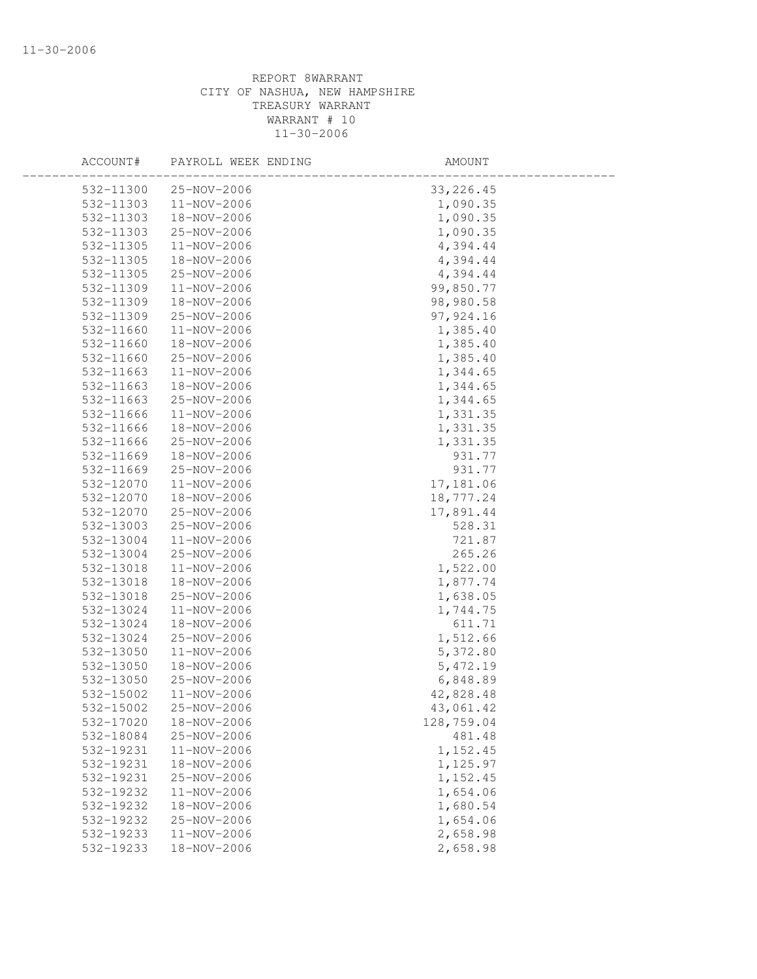| ACCOUNT#  | PAYROLL WEEK ENDING | AMOUNT     |  |
|-----------|---------------------|------------|--|
| 532-11300 | 25-NOV-2006         | 33, 226.45 |  |
| 532-11303 | 11-NOV-2006         | 1,090.35   |  |
| 532-11303 | 18-NOV-2006         | 1,090.35   |  |
| 532-11303 | 25-NOV-2006         | 1,090.35   |  |
| 532-11305 | 11-NOV-2006         | 4,394.44   |  |
| 532-11305 | 18-NOV-2006         | 4,394.44   |  |
| 532-11305 | 25-NOV-2006         | 4,394.44   |  |
| 532-11309 | 11-NOV-2006         | 99,850.77  |  |
| 532-11309 | 18-NOV-2006         | 98,980.58  |  |
| 532-11309 | 25-NOV-2006         | 97, 924.16 |  |
| 532-11660 | 11-NOV-2006         | 1,385.40   |  |
| 532-11660 | 18-NOV-2006         | 1,385.40   |  |
| 532-11660 | 25-NOV-2006         | 1,385.40   |  |
| 532-11663 | 11-NOV-2006         | 1,344.65   |  |
| 532-11663 | 18-NOV-2006         | 1,344.65   |  |
| 532-11663 | 25-NOV-2006         | 1,344.65   |  |
| 532-11666 | 11-NOV-2006         | 1,331.35   |  |
| 532-11666 | 18-NOV-2006         | 1,331.35   |  |
| 532-11666 | 25-NOV-2006         | 1,331.35   |  |
| 532-11669 | 18-NOV-2006         | 931.77     |  |
| 532-11669 | 25-NOV-2006         | 931.77     |  |
| 532-12070 | 11-NOV-2006         | 17,181.06  |  |
| 532-12070 | 18-NOV-2006         | 18,777.24  |  |
| 532-12070 | 25-NOV-2006         | 17,891.44  |  |
| 532-13003 | 25-NOV-2006         | 528.31     |  |
| 532-13004 | 11-NOV-2006         | 721.87     |  |
| 532-13004 | 25-NOV-2006         | 265.26     |  |
| 532-13018 | 11-NOV-2006         | 1,522.00   |  |
| 532-13018 | 18-NOV-2006         | 1,877.74   |  |
| 532-13018 | 25-NOV-2006         | 1,638.05   |  |
| 532-13024 | 11-NOV-2006         | 1,744.75   |  |
| 532-13024 | 18-NOV-2006         | 611.71     |  |
| 532-13024 | 25-NOV-2006         | 1,512.66   |  |
| 532-13050 | 11-NOV-2006         | 5,372.80   |  |
| 532-13050 | 18-NOV-2006         | 5,472.19   |  |
| 532-13050 | 25-NOV-2006         | 6,848.89   |  |
| 532-15002 | 11-NOV-2006         | 42,828.48  |  |
| 532-15002 | 25-NOV-2006         | 43,061.42  |  |
| 532-17020 | 18-NOV-2006         | 128,759.04 |  |
| 532-18084 | 25-NOV-2006         | 481.48     |  |
| 532-19231 | 11-NOV-2006         | 1,152.45   |  |
| 532-19231 | 18-NOV-2006         | 1,125.97   |  |
| 532-19231 | 25-NOV-2006         | 1,152.45   |  |
| 532-19232 | 11-NOV-2006         | 1,654.06   |  |
| 532-19232 | 18-NOV-2006         | 1,680.54   |  |
| 532-19232 | 25-NOV-2006         | 1,654.06   |  |
| 532-19233 | 11-NOV-2006         | 2,658.98   |  |
| 532-19233 | $18 - NOV - 2006$   | 2,658.98   |  |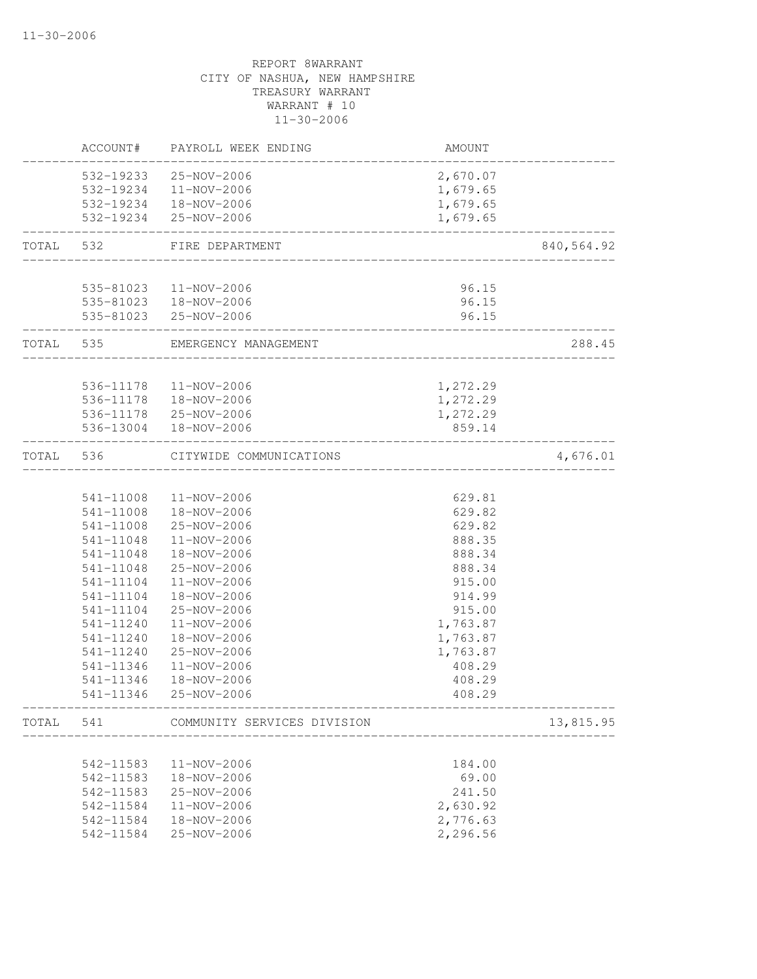|           | ACCOUNT#               | PAYROLL WEEK ENDING         | AMOUNT                               |            |
|-----------|------------------------|-----------------------------|--------------------------------------|------------|
|           |                        | 532-19233 25-NOV-2006       | 2,670.07                             |            |
|           |                        | 532-19234 11-NOV-2006       | 1,679.65                             |            |
|           |                        | 532-19234  18-NOV-2006      | 1,679.65                             |            |
|           |                        | 532-19234 25-NOV-2006       | 1,679.65                             |            |
| TOTAL 532 |                        | FIRE DEPARTMENT             |                                      | 840,564.92 |
|           |                        | 535-81023  11-NOV-2006      | 96.15                                |            |
|           |                        | 535-81023  18-NOV-2006      | 96.15                                |            |
|           |                        | 535-81023 25-NOV-2006       | 96.15                                |            |
| TOTAL 535 |                        | EMERGENCY MANAGEMENT        |                                      | 288.45     |
|           |                        |                             |                                      |            |
|           |                        | 536-11178  11-NOV-2006      | 1,272.29                             |            |
|           |                        | 536-11178  18-NOV-2006      | 1,272.29                             |            |
|           |                        | 536-11178 25-NOV-2006       | 1,272.29                             |            |
|           |                        | 536-13004 18-NOV-2006       | 859.14                               |            |
| TOTAL     | 536                    | CITYWIDE COMMUNICATIONS     | ____________________________________ | 4,676.01   |
|           |                        |                             |                                      |            |
|           |                        | 541-11008 11-NOV-2006       | 629.81                               |            |
|           | 541-11008              | 18-NOV-2006                 | 629.82                               |            |
|           |                        | 541-11008 25-NOV-2006       | 629.82                               |            |
|           | 541-11048              | 11-NOV-2006                 | 888.35                               |            |
|           | 541-11048              | 18-NOV-2006                 | 888.34                               |            |
|           | 541-11048              | 25-NOV-2006                 | 888.34                               |            |
|           | 541-11104              | 11-NOV-2006                 | 915.00                               |            |
|           | 541-11104              | 18-NOV-2006                 | 914.99                               |            |
|           | 541-11104              | 25-NOV-2006                 | 915.00                               |            |
|           | 541-11240              | 11-NOV-2006                 | 1,763.87                             |            |
|           | 541-11240              | 18-NOV-2006                 | 1,763.87                             |            |
|           | 541-11240              | 25-NOV-2006                 | 1,763.87                             |            |
|           | 541-11346              | 11-NOV-2006                 | 408.29                               |            |
|           | 541-11346<br>541-11346 | 18-NOV-2006<br>25-NOV-2006  | 408.29<br>408.29                     |            |
|           |                        |                             |                                      |            |
| TOTAL     | 541                    | COMMUNITY SERVICES DIVISION |                                      | 13,815.95  |
|           | 542-11583              | 11-NOV-2006                 | 184.00                               |            |
|           | 542-11583              | 18-NOV-2006                 | 69.00                                |            |
|           | 542-11583              | 25-NOV-2006                 | 241.50                               |            |
|           | 542-11584              | 11-NOV-2006                 | 2,630.92                             |            |
|           | 542-11584              | 18-NOV-2006                 | 2,776.63                             |            |
|           | 542-11584              | 25-NOV-2006                 | 2,296.56                             |            |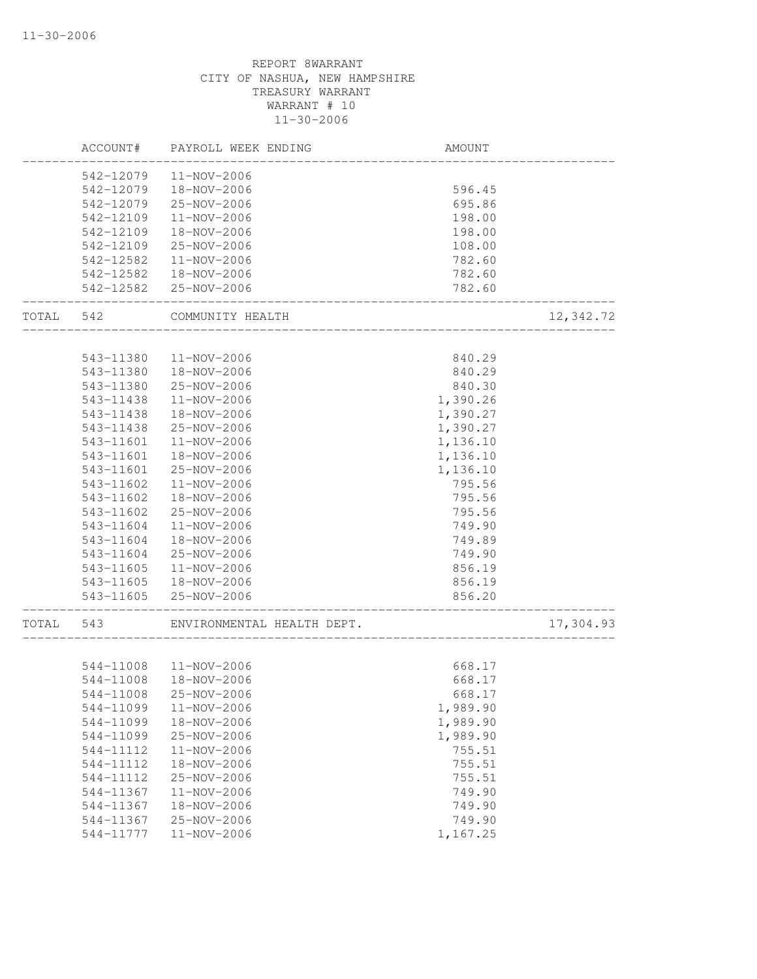|       | ACCOUNT#               | PAYROLL WEEK ENDING                   | AMOUNT                    |           |
|-------|------------------------|---------------------------------------|---------------------------|-----------|
|       | 542-12079              | 11-NOV-2006                           |                           |           |
|       | 542-12079              | 18-NOV-2006                           | 596.45                    |           |
|       | 542-12079              | 25-NOV-2006                           | 695.86                    |           |
|       | 542-12109              | 11-NOV-2006                           | 198.00                    |           |
|       | 542-12109              | 18-NOV-2006                           | 198.00                    |           |
|       | 542-12109              | 25-NOV-2006                           | 108.00                    |           |
|       | 542-12582              | 11-NOV-2006                           | 782.60                    |           |
|       | 542-12582              | 18-NOV-2006                           | 782.60                    |           |
|       |                        | 542-12582 25-NOV-2006                 | 782.60                    |           |
| TOTAL | 542                    | COMMUNITY HEALTH<br>_________________ |                           | 12,342.72 |
|       |                        |                                       |                           |           |
|       | 543-11380              | 11-NOV-2006                           | 840.29                    |           |
|       | 543-11380              | 18-NOV-2006                           | 840.29                    |           |
|       | 543-11380              | 25-NOV-2006                           | 840.30                    |           |
|       | 543-11438              | 11-NOV-2006                           | 1,390.26                  |           |
|       | 543-11438              | 18-NOV-2006                           | 1,390.27                  |           |
|       | 543-11438              | 25-NOV-2006                           | 1,390.27                  |           |
|       | 543-11601              | 11-NOV-2006                           | 1,136.10                  |           |
|       | 543-11601              | 18-NOV-2006                           | 1,136.10                  |           |
|       | 543-11601              | 25-NOV-2006                           | 1,136.10                  |           |
|       | 543-11602              | $11 - NOV - 2006$                     | 795.56                    |           |
|       | 543-11602              | 18-NOV-2006                           | 795.56                    |           |
|       | 543-11602              | 25-NOV-2006                           | 795.56                    |           |
|       | 543-11604              | 11-NOV-2006                           | 749.90                    |           |
|       | 543-11604              | 18-NOV-2006                           | 749.89                    |           |
|       | 543-11604              | 25-NOV-2006                           | 749.90                    |           |
|       | 543-11605              | 11-NOV-2006                           | 856.19                    |           |
|       | 543-11605              | 18-NOV-2006                           | 856.19                    |           |
|       | 543-11605              | 25-NOV-2006                           | 856.20<br>_______________ |           |
| TOTAL | 543                    | ENVIRONMENTAL HEALTH DEPT.            |                           | 17,304.93 |
|       |                        | 544-11008  11-NOV-2006                | 668.17                    |           |
|       | 544-11008              | 18-NOV-2006                           | 668.17                    |           |
|       | 544-11008              | 25-NOV-2006                           | 668.17                    |           |
|       |                        |                                       |                           |           |
|       | 544-11099<br>544-11099 | 11-NOV-2006<br>18-NOV-2006            | 1,989.90                  |           |
|       |                        |                                       | 1,989.90                  |           |
|       | 544-11099              | 25-NOV-2006                           | 1,989.90                  |           |
|       | 544-11112              | 11-NOV-2006                           | 755.51                    |           |
|       | 544-11112              | 18-NOV-2006                           | 755.51                    |           |
|       | 544-11112              | 25-NOV-2006                           | 755.51                    |           |
|       | 544-11367              | 11-NOV-2006                           | 749.90                    |           |
|       | 544-11367              | 18-NOV-2006                           | 749.90                    |           |
|       | 544-11367              | 25-NOV-2006                           | 749.90                    |           |
|       | 544-11777              | $11 - NOV - 2006$                     | 1,167.25                  |           |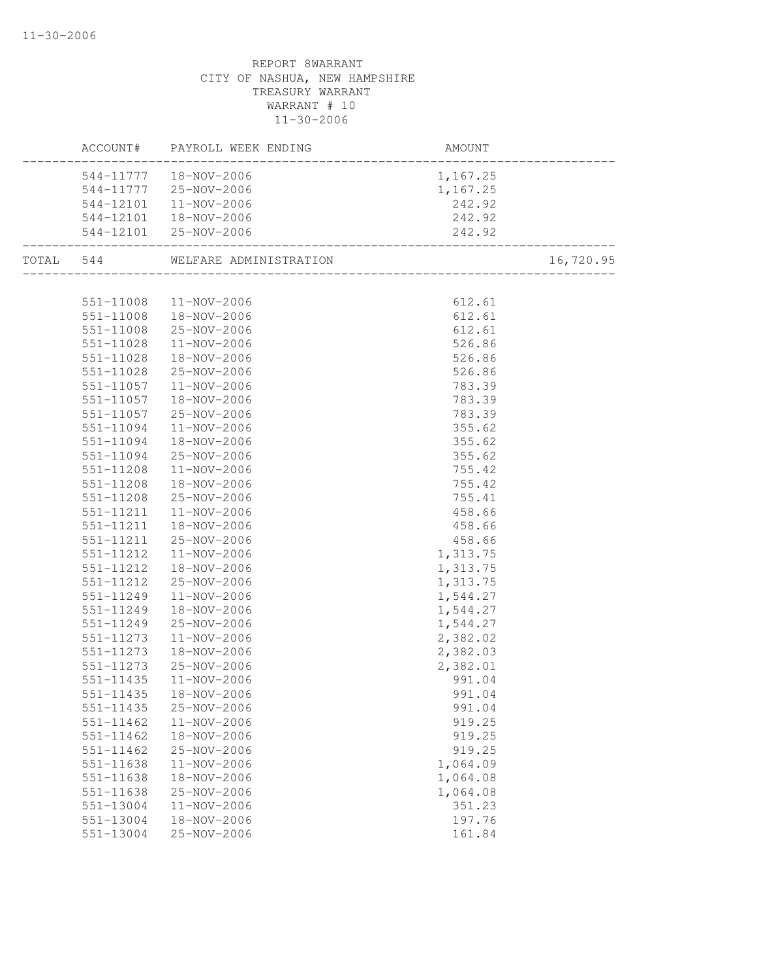|               | ACCOUNT# PAYROLL WEEK ENDING     | <mark>AM</mark><br>-----------------------<br>AMOUNT |           |
|---------------|----------------------------------|------------------------------------------------------|-----------|
|               | 544-11777  18-NOV-2006           | 1,167.25                                             |           |
|               | 544-11777 25-NOV-2006            | 1,167.25<br>242.92                                   |           |
| 544-12101     | $11 - NOV - 2006$                |                                                      |           |
|               | 544-12101  18-NOV-2006           | 242.92                                               |           |
|               | 544-12101 25-NOV-2006            | 242.92                                               |           |
|               | TOTAL 544 WELFARE ADMINISTRATION | DN<br>---------------------------------              | 16,720.95 |
|               |                                  |                                                      |           |
|               | 551-11008  11-NOV-2006           | 612.61                                               |           |
|               | 551-11008  18-NOV-2006           | 612.61                                               |           |
| 551-11008     | 25-NOV-2006                      | 612.61                                               |           |
| 551-11028     | 11-NOV-2006                      | 526.86                                               |           |
| 551-11028     | 18-NOV-2006                      | 526.86                                               |           |
| 551-11028     | 25-NOV-2006                      | 526.86                                               |           |
| 551-11057     | $11 - NOV - 2006$                | 783.39                                               |           |
| 551-11057     | 18-NOV-2006                      | 783.39                                               |           |
| 551-11057     | 25-NOV-2006                      | 783.39                                               |           |
| 551-11094     | 11-NOV-2006                      | 355.62                                               |           |
| 551-11094     | 18-NOV-2006                      | 355.62                                               |           |
| 551-11094     | 25-NOV-2006                      | 355.62                                               |           |
| 551-11208     | 11-NOV-2006                      | 755.42                                               |           |
| 551-11208     | 18-NOV-2006                      | 755.42                                               |           |
| 551-11208     | 25-NOV-2006                      | 755.41<br>458.66<br>458.66<br>458.66<br>1,313.75     |           |
| 551-11211     | 11-NOV-2006                      |                                                      |           |
| 551-11211     | 18-NOV-2006                      |                                                      |           |
| 551-11211     | 25-NOV-2006                      |                                                      |           |
| 551-11212     | 11-NOV-2006                      |                                                      |           |
| 551-11212     | 18-NOV-2006                      | 1,313.75                                             |           |
| 551-11212     | 25-NOV-2006                      | 1,313.75                                             |           |
| 551-11249     | 11-NOV-2006                      | 1,544.27                                             |           |
| 551-11249     | 18-NOV-2006                      | 1,544.27                                             |           |
| 551-11249     | 25-NOV-2006                      | 1,544.27                                             |           |
| 551-11273     | 11-NOV-2006                      | 2,382.02                                             |           |
| 551-11273     | 18-NOV-2006                      | 2,382.03                                             |           |
| 551-11273     | 25-NOV-2006                      | 2,382.01                                             |           |
| 551-11435     | $11 - NOV - 2006$                | 991.04                                               |           |
|               | 551-11435  18-NOV-2006           | 991.04                                               |           |
| 551-11435     | 25-NOV-2006                      | 991.04                                               |           |
| $551 - 11462$ | 11-NOV-2006                      | 919.25                                               |           |
| $551 - 11462$ | 18-NOV-2006                      | 919.25                                               |           |
| 551-11462     | 25-NOV-2006                      | 919.25                                               |           |
| 551-11638     | 11-NOV-2006                      | 1,064.09                                             |           |
| 551-11638     | 18-NOV-2006                      | 1,064.08                                             |           |
| 551-11638     | 25-NOV-2006                      | 1,064.08                                             |           |
| 551-13004     | 11-NOV-2006                      | 351.23                                               |           |
| 551-13004     | 18-NOV-2006                      | 197.76                                               |           |
| 551-13004     | 25-NOV-2006                      | 161.84                                               |           |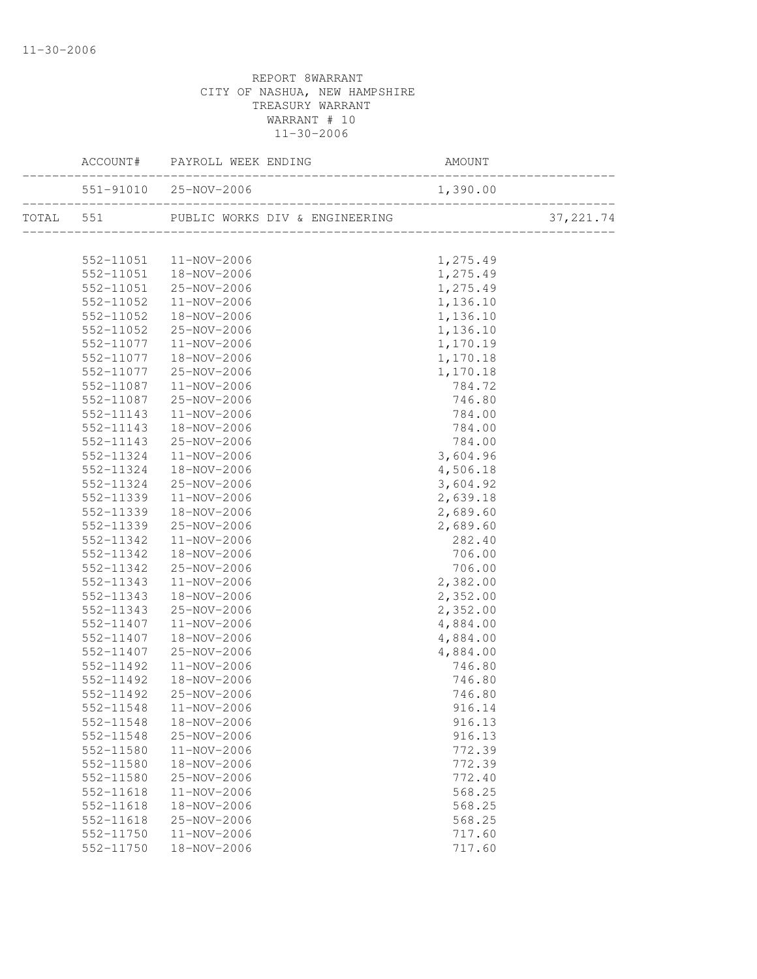|               | ACCOUNT# PAYROLL WEEK ENDING                    |          | _______________ |
|---------------|-------------------------------------------------|----------|-----------------|
|               |                                                 |          |                 |
|               | TOTAL 551 PUBLIC WORKS DIV & ENGINEERING 37,221 |          | 37, 221.74      |
|               |                                                 |          |                 |
|               | 552-11051  11-NOV-2006                          | 1,275.49 |                 |
|               | 552-11051  18-NOV-2006                          | 1,275.49 |                 |
|               | 552-11051 25-NOV-2006                           | 1,275.49 |                 |
| 552-11052     | 11-NOV-2006                                     | 1,136.10 |                 |
| 552-11052     | 18-NOV-2006                                     | 1,136.10 |                 |
| 552-11052     | 25-NOV-2006                                     | 1,136.10 |                 |
| 552-11077     | 11-NOV-2006                                     | 1,170.19 |                 |
| 552-11077     | 18-NOV-2006                                     | 1,170.18 |                 |
| 552-11077     | $25 - NOV - 2006$                               | 1,170.18 |                 |
| 552-11087     | 11-NOV-2006                                     | 784.72   |                 |
| 552-11087     | 25-NOV-2006                                     | 746.80   |                 |
| 552-11143     | 11-NOV-2006                                     | 784.00   |                 |
| 552-11143     | 18-NOV-2006                                     | 784.00   |                 |
| 552-11143     | 25-NOV-2006                                     | 784.00   |                 |
| 552-11324     | $11 - NOV - 2006$                               | 3,604.96 |                 |
| 552-11324     | 18-NOV-2006                                     | 4,506.18 |                 |
| 552-11324     | $25 - NOV - 2006$                               | 3,604.92 |                 |
| 552-11339     | 11-NOV-2006                                     | 2,639.18 |                 |
| 552-11339     | 18-NOV-2006                                     | 2,689.60 |                 |
| 552-11339     | 25-NOV-2006                                     | 2,689.60 |                 |
| 552-11342     | $11 - NOV - 2006$                               | 282.40   |                 |
| 552-11342     | 18-NOV-2006                                     | 706.00   |                 |
| 552-11342     | 25-NOV-2006                                     | 706.00   |                 |
| 552-11343     | $11 - NOV - 2006$                               | 2,382.00 |                 |
| 552-11343     | 18-NOV-2006                                     | 2,352.00 |                 |
| 552-11343     | 25-NOV-2006                                     | 2,352.00 |                 |
| 552-11407     | 11-NOV-2006                                     | 4,884.00 |                 |
| 552-11407     | 18-NOV-2006                                     | 4,884.00 |                 |
| 552-11407     | 25-NOV-2006                                     | 4,884.00 |                 |
| 552-11492     | 11-NOV-2006                                     | 746.80   |                 |
| 552-11492     | 18-NOV-2006                                     | 746.80   |                 |
| 552-11492     | 25-NOV-2006                                     | 746.80   |                 |
|               | 552-11548  11-NOV-2006                          | 916.14   |                 |
| 552-11548     | 18-NOV-2006                                     | 916.13   |                 |
| 552-11548     | 25-NOV-2006                                     | 916.13   |                 |
| 552-11580     | 11-NOV-2006                                     | 772.39   |                 |
| 552-11580     | 18-NOV-2006                                     | 772.39   |                 |
| 552-11580     | 25-NOV-2006                                     | 772.40   |                 |
| $552 - 11618$ | 11-NOV-2006                                     | 568.25   |                 |
| 552-11618     | 18-NOV-2006                                     | 568.25   |                 |
| 552-11618     | 25-NOV-2006                                     | 568.25   |                 |
| 552-11750     | 11-NOV-2006                                     | 717.60   |                 |
| 552-11750     | 18-NOV-2006                                     | 717.60   |                 |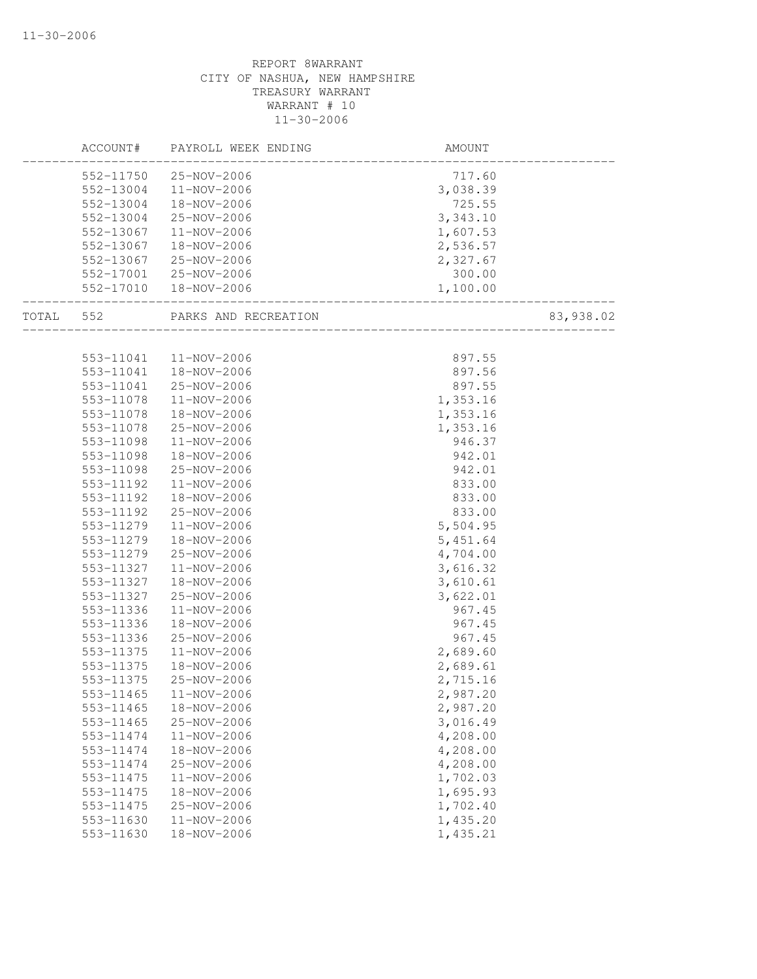|       |           | ACCOUNT# PAYROLL WEEK ENDING | AMOUNT               |           |
|-------|-----------|------------------------------|----------------------|-----------|
|       |           | 552-11750 25-NOV-2006        | 717.60               |           |
|       |           | 552-13004 11-NOV-2006        | 3,038.39             |           |
|       | 552-13004 | 18-NOV-2006                  | 725.55               |           |
|       | 552-13004 | 25-NOV-2006                  | 3,343.10             |           |
|       | 552-13067 | 11-NOV-2006                  | 1,607.53             |           |
|       | 552-13067 | 18-NOV-2006                  | 2,536.57             |           |
|       | 552-13067 | 25-NOV-2006                  | 2,327.67             |           |
|       |           | 552-17001 25-NOV-2006        | 300.00               |           |
|       |           | 552-17010  18-NOV-2006       | 1,100.00             |           |
| TOTAL | 552       | PARKS AND RECREATION         | ____________________ | 83,938.02 |
|       |           |                              |                      |           |
|       |           | 553-11041  11-NOV-2006       | 897.55               |           |
|       | 553-11041 | 18-NOV-2006                  | 897.56               |           |
|       | 553-11041 | 25-NOV-2006                  | 897.55               |           |
|       | 553-11078 | 11-NOV-2006                  | 1,353.16             |           |
|       | 553-11078 | 18-NOV-2006                  | 1,353.16             |           |
|       | 553-11078 | 25-NOV-2006                  | 1,353.16             |           |
|       | 553-11098 | $11 - NOV - 2006$            | 946.37               |           |
|       | 553-11098 | 18-NOV-2006                  | 942.01               |           |
|       | 553-11098 | 25-NOV-2006                  | 942.01               |           |
|       | 553-11192 | 11-NOV-2006                  | 833.00               |           |
|       | 553-11192 | 18-NOV-2006                  | 833.00               |           |
|       | 553-11192 | 25-NOV-2006                  | 833.00               |           |
|       | 553-11279 | 11-NOV-2006                  | 5,504.95             |           |
|       | 553-11279 | 18-NOV-2006                  | 5,451.64             |           |
|       | 553-11279 | 25-NOV-2006                  | 4,704.00             |           |
|       | 553-11327 | 11-NOV-2006                  | 3,616.32             |           |
|       | 553-11327 | 18-NOV-2006                  | 3,610.61             |           |
|       | 553-11327 | 25-NOV-2006                  | 3,622.01             |           |
|       | 553-11336 | 11-NOV-2006                  | 967.45               |           |
|       | 553-11336 | 18-NOV-2006                  | 967.45               |           |
|       | 553-11336 | 25-NOV-2006                  | 967.45               |           |
|       | 553-11375 | 11-NOV-2006                  | 2,689.60             |           |
|       | 553-11375 | 18-NOV-2006                  | 2,689.61             |           |
|       | 553-11375 | 25-NOV-2006                  | 2,715.16             |           |
|       | 553-11465 | 11-NOV-2006                  | 2,987.20             |           |
|       | 553-11465 | 18-NOV-2006                  | 2,987.20             |           |
|       | 553-11465 | 25-NOV-2006                  | 3,016.49             |           |
|       | 553-11474 | 11-NOV-2006                  | 4,208.00             |           |
|       | 553-11474 | 18-NOV-2006                  | 4,208.00             |           |
|       | 553-11474 | 25-NOV-2006                  | 4,208.00             |           |
|       | 553-11475 | 11-NOV-2006                  | 1,702.03             |           |
|       | 553-11475 | 18-NOV-2006                  | 1,695.93             |           |
|       | 553-11475 | 25-NOV-2006                  | 1,702.40             |           |
|       | 553-11630 | 11-NOV-2006                  | 1,435.20             |           |
|       | 553-11630 | 18-NOV-2006                  | 1,435.21             |           |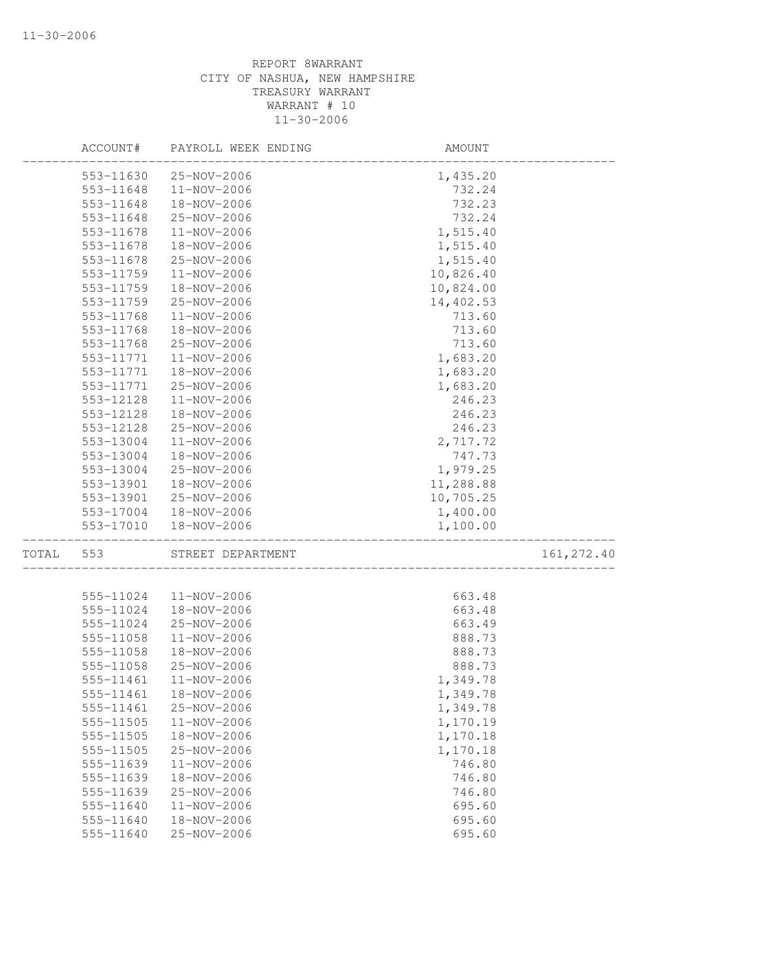|       | ACCOUNT#  | PAYROLL WEEK ENDING | AMOUNT    |             |
|-------|-----------|---------------------|-----------|-------------|
|       | 553-11630 | 25-NOV-2006         | 1,435.20  |             |
|       | 553-11648 | 11-NOV-2006         | 732.24    |             |
|       | 553-11648 | 18-NOV-2006         | 732.23    |             |
|       | 553-11648 | 25-NOV-2006         | 732.24    |             |
|       | 553-11678 | 11-NOV-2006         | 1,515.40  |             |
|       | 553-11678 | 18-NOV-2006         | 1,515.40  |             |
|       | 553-11678 | 25-NOV-2006         | 1,515.40  |             |
|       | 553-11759 | 11-NOV-2006         | 10,826.40 |             |
|       | 553-11759 | 18-NOV-2006         | 10,824.00 |             |
|       | 553-11759 | 25-NOV-2006         | 14,402.53 |             |
|       | 553-11768 | 11-NOV-2006         | 713.60    |             |
|       | 553-11768 | 18-NOV-2006         | 713.60    |             |
|       | 553-11768 | 25-NOV-2006         | 713.60    |             |
|       | 553-11771 | 11-NOV-2006         | 1,683.20  |             |
|       | 553-11771 | 18-NOV-2006         | 1,683.20  |             |
|       | 553-11771 | 25-NOV-2006         | 1,683.20  |             |
|       | 553-12128 | 11-NOV-2006         | 246.23    |             |
|       | 553-12128 | 18-NOV-2006         | 246.23    |             |
|       | 553-12128 | 25-NOV-2006         | 246.23    |             |
|       | 553-13004 | 11-NOV-2006         | 2,717.72  |             |
|       | 553-13004 | 18-NOV-2006         | 747.73    |             |
|       | 553-13004 | 25-NOV-2006         | 1,979.25  |             |
|       | 553-13901 | 18-NOV-2006         | 11,288.88 |             |
|       | 553-13901 | 25-NOV-2006         | 10,705.25 |             |
|       | 553-17004 | 18-NOV-2006         | 1,400.00  |             |
|       | 553-17010 | 18-NOV-2006         | 1,100.00  |             |
| TOTAL | 553       | STREET DEPARTMENT   |           | 161, 272.40 |
|       |           |                     |           |             |
|       | 555-11024 | 11-NOV-2006         | 663.48    |             |
|       | 555-11024 | 18-NOV-2006         | 663.48    |             |
|       | 555-11024 | 25-NOV-2006         | 663.49    |             |
|       | 555-11058 | 11-NOV-2006         | 888.73    |             |
|       | 555-11058 | 18-NOV-2006         | 888.73    |             |
|       | 555-11058 | 25-NOV-2006         | 888.73    |             |
|       | 555-11461 | 11-NOV-2006         | 1,349.78  |             |
|       | 555-11461 | 18-NOV-2006         | 1,349.78  |             |
|       | 555-11461 | 25-NOV-2006         | 1,349.78  |             |
|       | 555-11505 | 11-NOV-2006         | 1,170.19  |             |
|       | 555-11505 | 18-NOV-2006         | 1,170.18  |             |
|       | 555-11505 | 25-NOV-2006         | 1,170.18  |             |
|       | 555-11639 | 11-NOV-2006         | 746.80    |             |
|       | 555-11639 | 18-NOV-2006         | 746.80    |             |
|       | 555-11639 | 25-NOV-2006         | 746.80    |             |
|       | 555-11640 | 11-NOV-2006         | 695.60    |             |
|       | 555-11640 | 18-NOV-2006         | 695.60    |             |
|       | 555-11640 | 25-NOV-2006         | 695.60    |             |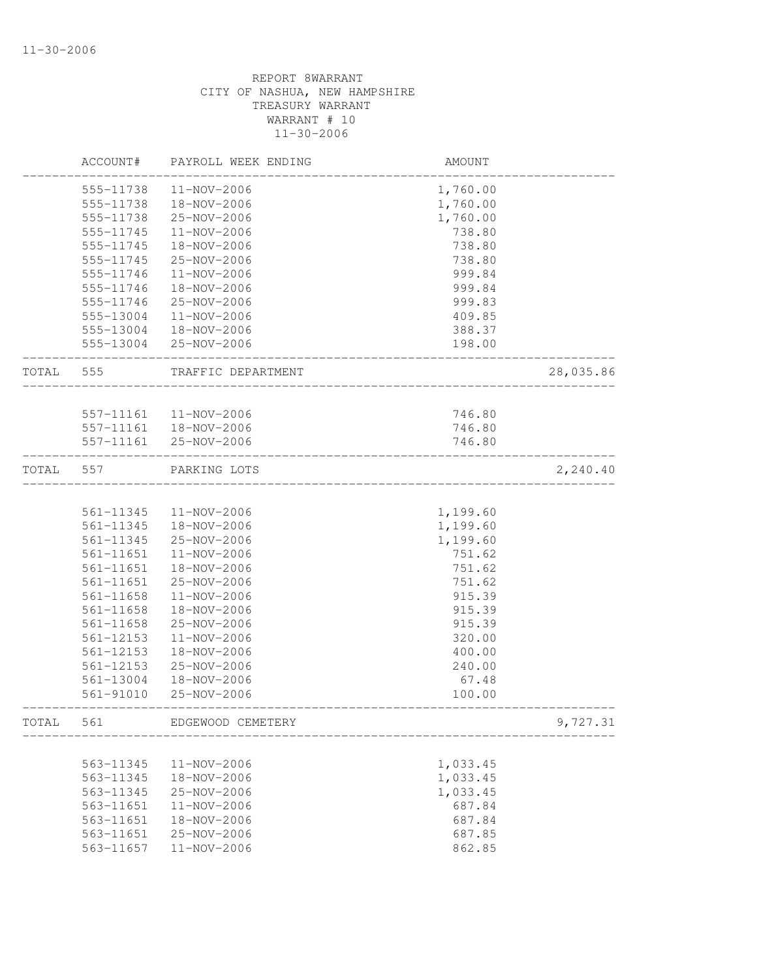|           | ACCOUNT#      | PAYROLL WEEK ENDING    | AMOUNT                        |           |
|-----------|---------------|------------------------|-------------------------------|-----------|
|           | 555-11738     | 11-NOV-2006            | 1,760.00                      |           |
|           | 555-11738     | 18-NOV-2006            | 1,760.00                      |           |
|           | 555-11738     | 25-NOV-2006            | 1,760.00                      |           |
|           | 555-11745     | 11-NOV-2006            | 738.80                        |           |
|           | 555-11745     | 18-NOV-2006            | 738.80                        |           |
|           | 555-11745     | 25-NOV-2006            | 738.80                        |           |
|           | 555-11746     | 11-NOV-2006            | 999.84                        |           |
|           | 555-11746     | 18-NOV-2006            | 999.84                        |           |
|           | 555-11746     | 25-NOV-2006            | 999.83                        |           |
|           | 555-13004     | 11-NOV-2006            | 409.85                        |           |
|           |               | 555-13004 18-NOV-2006  | 388.37                        |           |
|           |               | 555-13004 25-NOV-2006  | 198.00                        |           |
| TOTAL 555 |               | TRAFFIC DEPARTMENT     |                               | 28,035.86 |
|           |               |                        |                               |           |
|           |               | 557-11161  11-NOV-2006 | 746.80                        |           |
|           | $557 - 11161$ | 18-NOV-2006            | 746.80                        |           |
|           |               | 557-11161 25-NOV-2006  | 746.80                        |           |
| TOTAL     | 557           | PARKING LOTS           | _____________________________ | 2,240.40  |
|           |               |                        |                               |           |
|           | 561-11345     | 11-NOV-2006            | 1,199.60                      |           |
|           | 561-11345     | 18-NOV-2006            | 1,199.60                      |           |
|           | 561-11345     | 25-NOV-2006            | 1,199.60                      |           |
|           | 561-11651     | 11-NOV-2006            | 751.62                        |           |
|           | 561-11651     | 18-NOV-2006            | 751.62                        |           |
|           | 561-11651     | 25-NOV-2006            | 751.62                        |           |
|           | 561-11658     | 11-NOV-2006            | 915.39                        |           |
|           | 561-11658     | 18-NOV-2006            | 915.39                        |           |
|           | 561-11658     | 25-NOV-2006            | 915.39                        |           |
|           | 561-12153     | 11-NOV-2006            | 320.00                        |           |
|           | 561-12153     | 18-NOV-2006            | 400.00                        |           |
|           | 561-12153     | 25-NOV-2006            | 240.00                        |           |
|           | 561-13004     | 18-NOV-2006            | 67.48                         |           |
|           | 561-91010     | 25-NOV-2006            | 100.00                        |           |
| TOTAL     | 561           | EDGEWOOD CEMETERY      |                               | 9,727.31  |
|           |               |                        |                               |           |
|           | 563-11345     | 11-NOV-2006            | 1,033.45                      |           |
|           | 563-11345     | 18-NOV-2006            | 1,033.45                      |           |
|           | 563-11345     | 25-NOV-2006            | 1,033.45                      |           |
|           | 563-11651     | $11 - NOV - 2006$      | 687.84                        |           |
|           | 563-11651     | 18-NOV-2006            | 687.84                        |           |
|           | 563-11651     | 25-NOV-2006            | 687.85                        |           |
|           | 563-11657     | 11-NOV-2006            | 862.85                        |           |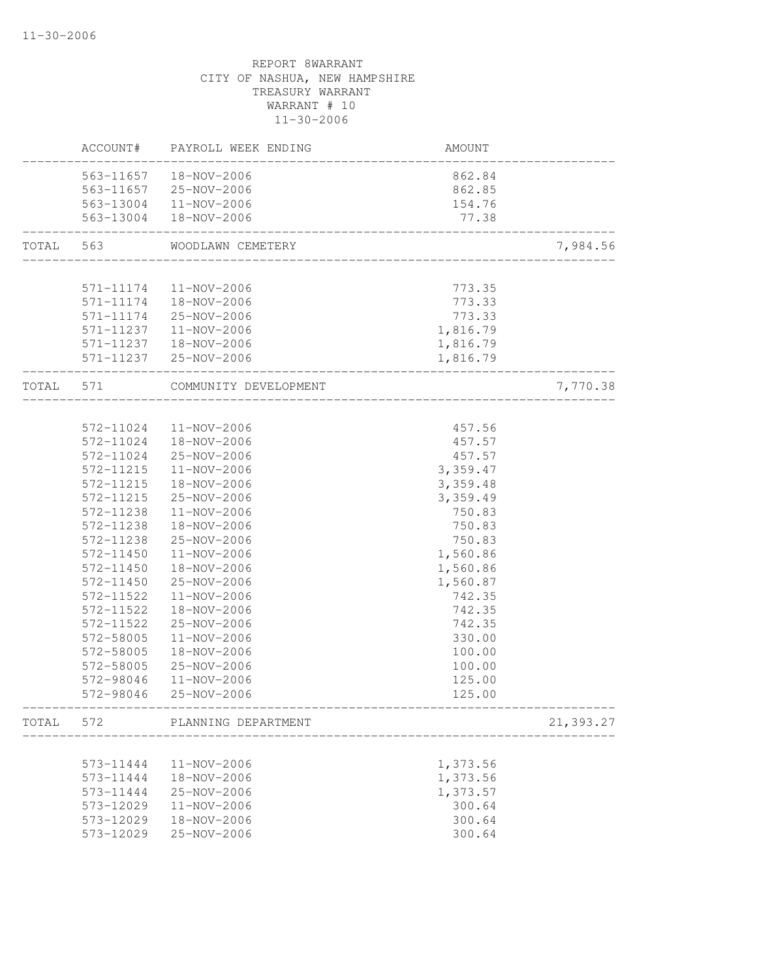|           |                        | ACCOUNT# PAYROLL WEEK ENDING  | AMOUNT                                      |           |
|-----------|------------------------|-------------------------------|---------------------------------------------|-----------|
|           | 563-11657  18-NOV-2006 |                               | 862.84                                      |           |
|           |                        | 563-11657 25-NOV-2006         | 862.85                                      |           |
|           |                        | 563-13004 11-NOV-2006         | 154.76                                      |           |
|           |                        | 563-13004  18-NOV-2006        | 77.38<br>__________________________________ |           |
| TOTAL 563 |                        | WOODLAWN CEMETERY             |                                             | 7,984.56  |
|           | 571-11174              | 11-NOV-2006                   | 773.35                                      |           |
|           |                        | 571-11174  18-NOV-2006        | 773.33                                      |           |
|           |                        | 571-11174 25-NOV-2006         | 773.33                                      |           |
|           |                        | 571-11237   11-NOV-2006       | 1,816.79                                    |           |
|           |                        | 571-11237  18-NOV-2006        |                                             |           |
|           |                        | 571-11237 25-NOV-2006         | 1,816.79<br>1,816.79                        |           |
| TOTAL 571 |                        | COMMUNITY DEVELOPMENT         |                                             | 7,770.38  |
|           |                        |                               |                                             |           |
|           | 572-11024              | 11-NOV-2006                   | 457.56                                      |           |
|           | 572-11024              | 18-NOV-2006                   | 457.57                                      |           |
|           | 572-11024              | 25-NOV-2006                   | 457.57                                      |           |
|           | 572-11215              | 11-NOV-2006                   | 3,359.47                                    |           |
|           | 572-11215              | 18-NOV-2006                   | 3,359.48                                    |           |
|           | 572-11215              | 25-NOV-2006                   | 3,359.49                                    |           |
|           | 572-11238              | 11-NOV-2006                   | 750.83                                      |           |
|           | 572-11238              | 18-NOV-2006                   | 750.83                                      |           |
|           | 572-11238              | 25-NOV-2006                   | 750.83                                      |           |
|           | 572-11450              | 11-NOV-2006                   | 1,560.86                                    |           |
|           | 572-11450              | 18-NOV-2006                   | 1,560.86                                    |           |
|           | 572-11450              | 25-NOV-2006                   | 1,560.87                                    |           |
|           | 572-11522              | 11-NOV-2006                   | 742.35                                      |           |
|           | 572-11522              | 18-NOV-2006                   | 742.35                                      |           |
|           | 572-11522              | 25-NOV-2006                   | 742.35                                      |           |
|           | 572-58005              | 11-NOV-2006                   | 330.00                                      |           |
|           | 572-58005              | 18-NOV-2006                   | 100.00                                      |           |
|           | 572-58005              | 25-NOV-2006                   | 100.00                                      |           |
|           | 572-98046              | 11-NOV-2006                   | 125.00                                      |           |
|           | 572-98046              | 25-NOV-2006                   | 125.00                                      |           |
|           |                        | TOTAL 572 PLANNING DEPARTMENT |                                             | 21,393.27 |
|           |                        |                               |                                             |           |
|           | 573-11444              | 11-NOV-2006                   | 1,373.56                                    |           |
|           | 573-11444              | 18-NOV-2006                   | 1,373.56                                    |           |
|           | 573-11444              | 25-NOV-2006                   | 1,373.57                                    |           |
|           | 573-12029              | 11-NOV-2006                   | 300.64                                      |           |
|           | 573-12029              | 18-NOV-2006                   | 300.64                                      |           |
|           | 573-12029              | 25-NOV-2006                   | 300.64                                      |           |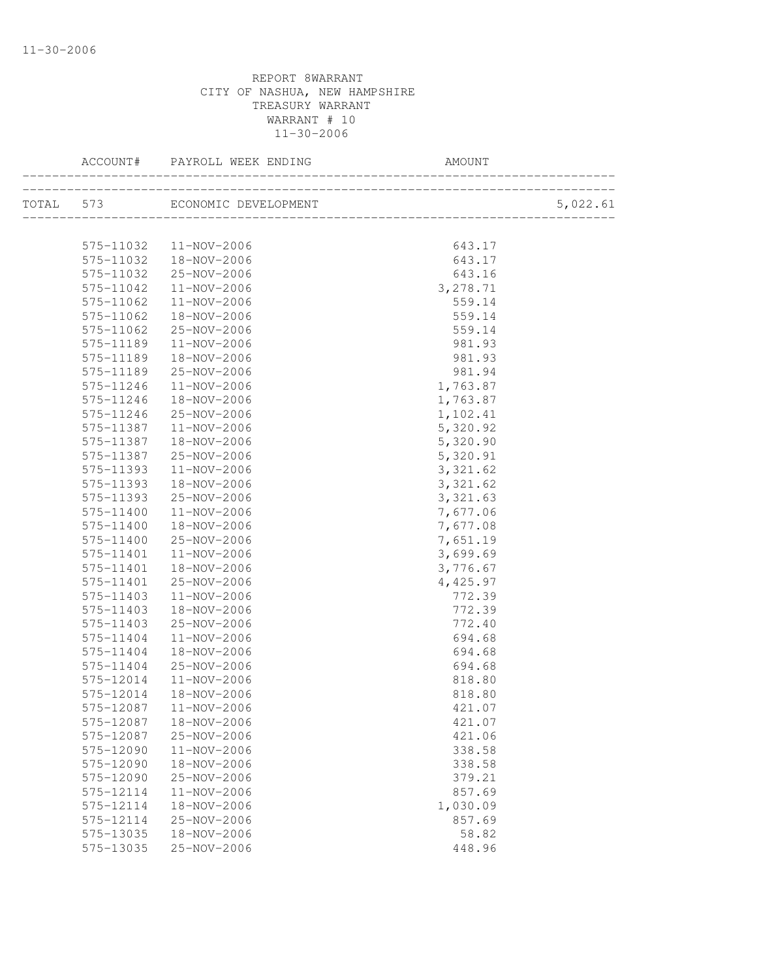| ACCOUNT#  |                                                  |           |          |
|-----------|--------------------------------------------------|-----------|----------|
|           |                                                  |           | 5,022.61 |
|           |                                                  | 643.17    |          |
|           | 575-11032  11-NOV-2006<br>575-11032  18-NOV-2006 | 643.17    |          |
| 575-11032 | 25-NOV-2006                                      | 643.16    |          |
| 575-11042 | 11-NOV-2006                                      | 3,278.71  |          |
| 575-11062 | 11-NOV-2006                                      | 559.14    |          |
| 575-11062 | 18-NOV-2006                                      | 559.14    |          |
| 575-11062 | 25-NOV-2006                                      | 559.14    |          |
| 575-11189 | 11-NOV-2006                                      | 981.93    |          |
| 575-11189 | 18-NOV-2006                                      | 981.93    |          |
| 575-11189 | 25-NOV-2006                                      | 981.94    |          |
| 575-11246 | 11-NOV-2006                                      | 1,763.87  |          |
| 575-11246 | 18-NOV-2006                                      | 1,763.87  |          |
| 575-11246 | 25-NOV-2006                                      | 1,102.41  |          |
| 575-11387 | 11-NOV-2006                                      | 5,320.92  |          |
| 575-11387 | 18-NOV-2006                                      | 5,320.90  |          |
| 575-11387 | 25-NOV-2006                                      | 5,320.91  |          |
| 575-11393 | 11-NOV-2006                                      | 3, 321.62 |          |
| 575-11393 | 18-NOV-2006                                      | 3, 321.62 |          |
| 575-11393 | 25-NOV-2006                                      | 3,321.63  |          |
| 575-11400 | 11-NOV-2006                                      | 7,677.06  |          |
| 575-11400 | 18-NOV-2006                                      | 7,677.08  |          |
| 575-11400 | 25-NOV-2006                                      | 7,651.19  |          |
| 575-11401 | 11-NOV-2006                                      | 3,699.69  |          |
| 575-11401 | 18-NOV-2006                                      | 3,776.67  |          |
| 575-11401 | 25-NOV-2006                                      | 4,425.97  |          |
| 575-11403 | 11-NOV-2006                                      | 772.39    |          |
| 575-11403 | 18-NOV-2006                                      | 772.39    |          |
| 575-11403 | 25-NOV-2006                                      | 772.40    |          |
| 575-11404 | 11-NOV-2006                                      | 694.68    |          |
| 575-11404 | 18-NOV-2006                                      | 694.68    |          |
| 575-11404 | 25-NOV-2006                                      | 694.68    |          |
| 575-12014 | 11-NOV-2006                                      | 818.80    |          |
| 575-12014 | 18-NOV-2006                                      | 818.80    |          |
| 575-12087 | 11-NOV-2006                                      | 421.07    |          |
| 575-12087 | 18-NOV-2006                                      | 421.07    |          |
| 575-12087 | 25-NOV-2006                                      | 421.06    |          |
| 575-12090 | 11-NOV-2006                                      | 338.58    |          |
| 575-12090 | 18-NOV-2006                                      | 338.58    |          |
| 575-12090 | 25-NOV-2006                                      | 379.21    |          |
| 575-12114 | 11-NOV-2006                                      | 857.69    |          |
| 575-12114 | 18-NOV-2006                                      | 1,030.09  |          |
| 575-12114 | 25-NOV-2006                                      | 857.69    |          |
| 575-13035 | 18-NOV-2006                                      | 58.82     |          |
| 575-13035 | 25-NOV-2006                                      | 448.96    |          |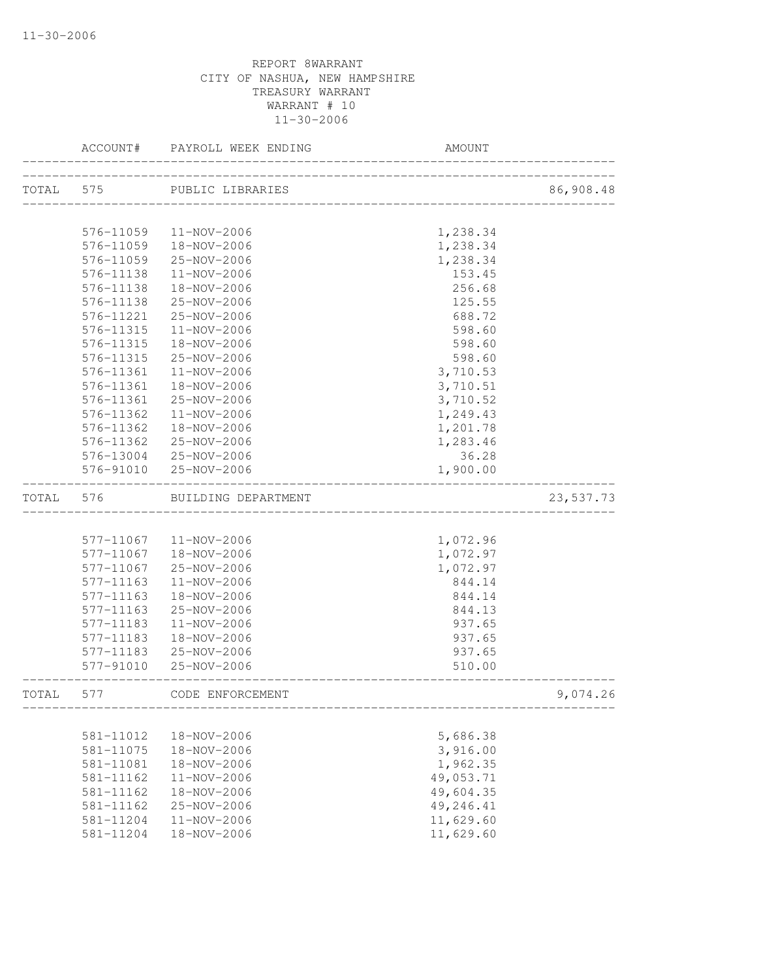|           | ACCOUNT#  | PAYROLL WEEK ENDING    | AMOUNT                   |           |
|-----------|-----------|------------------------|--------------------------|-----------|
| TOTAL 575 |           | PUBLIC LIBRARIES       |                          | 86,908.48 |
|           |           |                        | ________________________ |           |
|           | 576-11059 | 11-NOV-2006            | 1,238.34                 |           |
|           | 576-11059 | 18-NOV-2006            | 1,238.34                 |           |
|           | 576-11059 | 25-NOV-2006            | 1,238.34                 |           |
|           | 576-11138 | 11-NOV-2006            | 153.45                   |           |
|           | 576-11138 | 18-NOV-2006            | 256.68                   |           |
|           | 576-11138 | 25-NOV-2006            | 125.55                   |           |
|           | 576-11221 | 25-NOV-2006            | 688.72                   |           |
|           | 576-11315 | 11-NOV-2006            | 598.60                   |           |
|           | 576-11315 | 18-NOV-2006            | 598.60                   |           |
|           | 576-11315 | 25-NOV-2006            | 598.60                   |           |
|           | 576-11361 | 11-NOV-2006            | 3,710.53                 |           |
|           | 576-11361 | 18-NOV-2006            | 3,710.51                 |           |
|           | 576-11361 | 25-NOV-2006            | 3,710.52                 |           |
|           | 576-11362 | $11 - NOV - 2006$      | 1,249.43                 |           |
|           | 576-11362 | 18-NOV-2006            | 1,201.78                 |           |
|           | 576-11362 | 25-NOV-2006            | 1,283.46                 |           |
|           |           | 576-13004 25-NOV-2006  | 36.28                    |           |
|           | 576-91010 | 25-NOV-2006            | 1,900.00                 |           |
| TOTAL     | 576       | BUILDING DEPARTMENT    |                          | 23,537.73 |
|           |           |                        |                          |           |
|           |           | 577-11067  11-NOV-2006 | 1,072.96                 |           |
|           | 577-11067 | 18-NOV-2006            | 1,072.97                 |           |
|           | 577-11067 | 25-NOV-2006            | 1,072.97                 |           |
|           | 577-11163 | 11-NOV-2006            | 844.14                   |           |
|           | 577-11163 | 18-NOV-2006            | 844.14                   |           |
|           | 577-11163 | 25-NOV-2006            | 844.13                   |           |
|           | 577-11183 | $11 - NOV - 2006$      | 937.65                   |           |
|           | 577-11183 | 18-NOV-2006            | 937.65                   |           |
|           | 577-11183 | 25-NOV-2006            | 937.65                   |           |
|           | 577-91010 | 25-NOV-2006            | 510.00                   |           |
| TOTAL     | 577       | CODE ENFORCEMENT       |                          | 9,074.26  |
|           |           |                        |                          |           |
|           | 581-11012 | 18-NOV-2006            | 5,686.38                 |           |
|           | 581-11075 | 18-NOV-2006            | 3,916.00                 |           |
|           | 581-11081 | 18-NOV-2006            | 1,962.35                 |           |
|           | 581-11162 | 11-NOV-2006            | 49,053.71                |           |
|           | 581-11162 | 18-NOV-2006            | 49,604.35                |           |
|           | 581-11162 | 25-NOV-2006            | 49,246.41                |           |
|           | 581-11204 | $11 - NOV - 2006$      | 11,629.60                |           |
|           | 581-11204 | 18-NOV-2006            | 11,629.60                |           |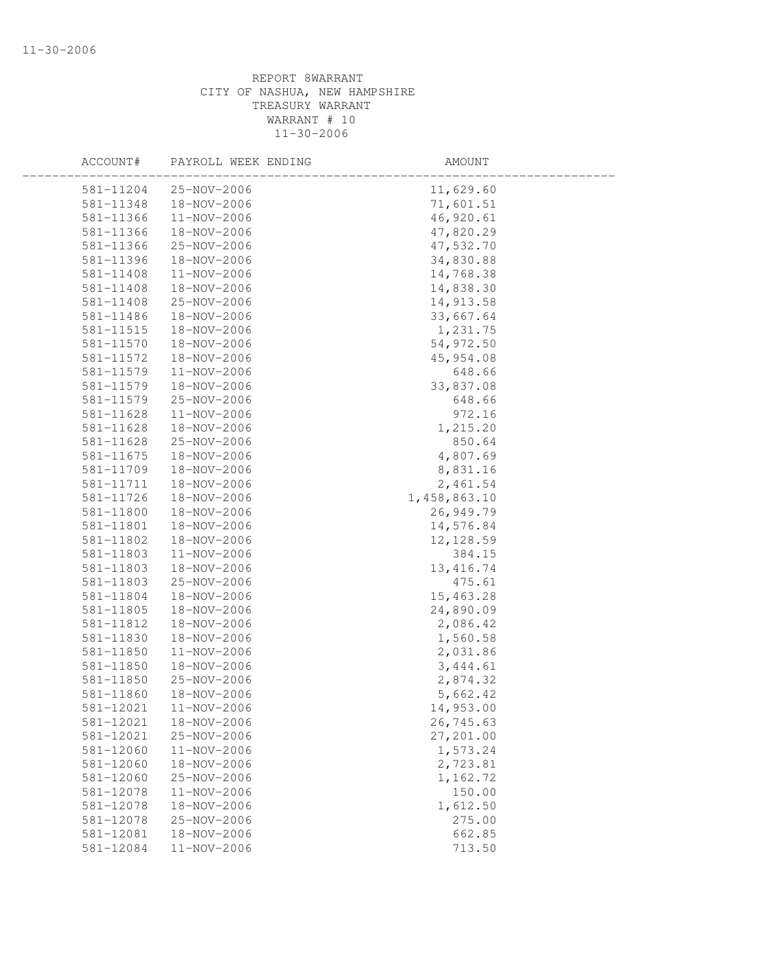| ACCOUNT#  | PAYROLL WEEK ENDING | AMOUNT       |  |
|-----------|---------------------|--------------|--|
| 581-11204 | 25-NOV-2006         | 11,629.60    |  |
| 581-11348 | 18-NOV-2006         | 71,601.51    |  |
| 581-11366 | 11-NOV-2006         | 46,920.61    |  |
| 581-11366 | 18-NOV-2006         | 47,820.29    |  |
| 581-11366 | 25-NOV-2006         | 47,532.70    |  |
| 581-11396 | 18-NOV-2006         | 34,830.88    |  |
| 581-11408 | 11-NOV-2006         | 14,768.38    |  |
| 581-11408 | 18-NOV-2006         | 14,838.30    |  |
| 581-11408 | 25-NOV-2006         | 14,913.58    |  |
| 581-11486 | 18-NOV-2006         | 33,667.64    |  |
| 581-11515 | 18-NOV-2006         | 1,231.75     |  |
| 581-11570 | 18-NOV-2006         | 54,972.50    |  |
| 581-11572 | 18-NOV-2006         | 45, 954.08   |  |
| 581-11579 | 11-NOV-2006         | 648.66       |  |
| 581-11579 | 18-NOV-2006         | 33,837.08    |  |
| 581-11579 | 25-NOV-2006         | 648.66       |  |
| 581-11628 | 11-NOV-2006         | 972.16       |  |
| 581-11628 | 18-NOV-2006         | 1,215.20     |  |
| 581-11628 | 25-NOV-2006         | 850.64       |  |
| 581-11675 | 18-NOV-2006         | 4,807.69     |  |
| 581-11709 | 18-NOV-2006         | 8,831.16     |  |
| 581-11711 | 18-NOV-2006         | 2,461.54     |  |
| 581-11726 | 18-NOV-2006         | 1,458,863.10 |  |
| 581-11800 | 18-NOV-2006         | 26,949.79    |  |
| 581-11801 | 18-NOV-2006         | 14,576.84    |  |
| 581-11802 | 18-NOV-2006         | 12, 128.59   |  |
| 581-11803 | 11-NOV-2006         | 384.15       |  |
| 581-11803 | 18-NOV-2006         | 13, 416.74   |  |
| 581-11803 | 25-NOV-2006         | 475.61       |  |
| 581-11804 | 18-NOV-2006         | 15,463.28    |  |
| 581-11805 | 18-NOV-2006         | 24,890.09    |  |
| 581-11812 | 18-NOV-2006         | 2,086.42     |  |
| 581-11830 | 18-NOV-2006         | 1,560.58     |  |
| 581-11850 | 11-NOV-2006         | 2,031.86     |  |
| 581-11850 | 18-NOV-2006         | 3,444.61     |  |
| 581-11850 | 25-NOV-2006         | 2,874.32     |  |
| 581-11860 | 18-NOV-2006         | 5,662.42     |  |
| 581-12021 | 11-NOV-2006         | 14,953.00    |  |
| 581-12021 | 18-NOV-2006         | 26,745.63    |  |
| 581-12021 | 25-NOV-2006         | 27,201.00    |  |
| 581-12060 | 11-NOV-2006         | 1,573.24     |  |
| 581-12060 | 18-NOV-2006         | 2,723.81     |  |
| 581-12060 | 25-NOV-2006         | 1,162.72     |  |
| 581-12078 | 11-NOV-2006         | 150.00       |  |
| 581-12078 | 18-NOV-2006         | 1,612.50     |  |
| 581-12078 | 25-NOV-2006         | 275.00       |  |
| 581-12081 | 18-NOV-2006         | 662.85       |  |
| 581-12084 | 11-NOV-2006         | 713.50       |  |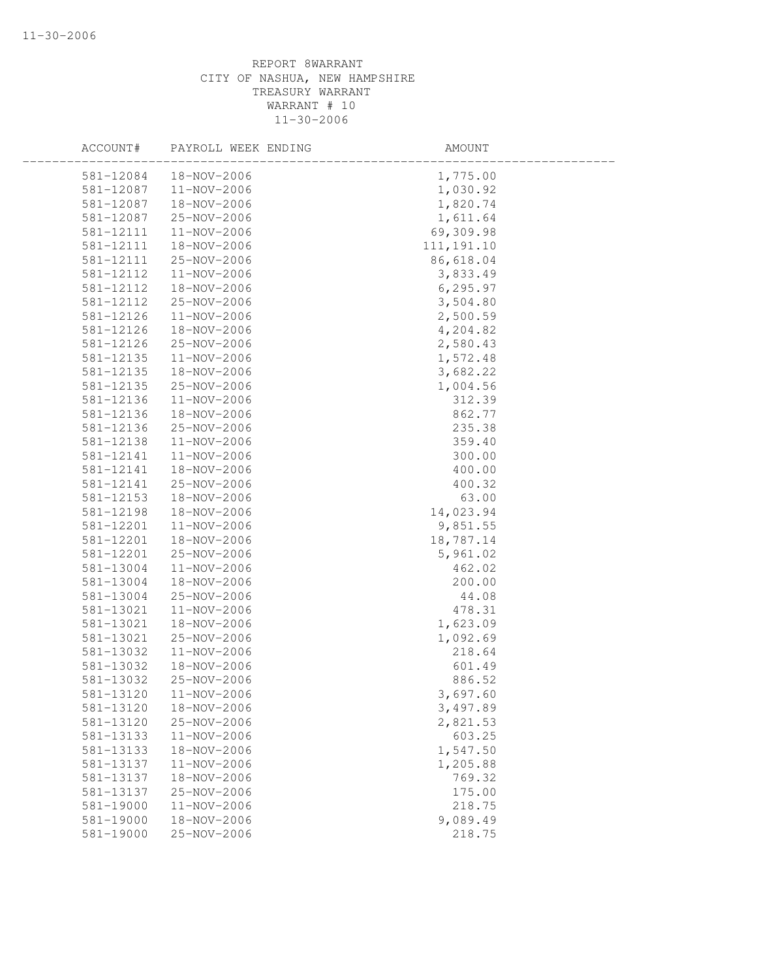| ACCOUNT#  | PAYROLL WEEK ENDING | AMOUNT      |  |
|-----------|---------------------|-------------|--|
| 581-12084 | 18-NOV-2006         | 1,775.00    |  |
| 581-12087 | 11-NOV-2006         | 1,030.92    |  |
| 581-12087 | 18-NOV-2006         | 1,820.74    |  |
| 581-12087 | 25-NOV-2006         | 1,611.64    |  |
| 581-12111 | 11-NOV-2006         | 69,309.98   |  |
| 581-12111 | 18-NOV-2006         | 111, 191.10 |  |
| 581-12111 | 25-NOV-2006         | 86,618.04   |  |
| 581-12112 | 11-NOV-2006         | 3,833.49    |  |
| 581-12112 | 18-NOV-2006         | 6, 295.97   |  |
| 581-12112 | 25-NOV-2006         | 3,504.80    |  |
| 581-12126 | 11-NOV-2006         | 2,500.59    |  |
| 581-12126 | 18-NOV-2006         | 4,204.82    |  |
| 581-12126 | 25-NOV-2006         | 2,580.43    |  |
| 581-12135 | 11-NOV-2006         | 1,572.48    |  |
| 581-12135 | 18-NOV-2006         | 3,682.22    |  |
| 581-12135 | 25-NOV-2006         | 1,004.56    |  |
| 581-12136 | 11-NOV-2006         | 312.39      |  |
| 581-12136 | 18-NOV-2006         | 862.77      |  |
| 581-12136 | 25-NOV-2006         | 235.38      |  |
| 581-12138 | 11-NOV-2006         | 359.40      |  |
| 581-12141 | 11-NOV-2006         | 300.00      |  |
| 581-12141 | 18-NOV-2006         | 400.00      |  |
| 581-12141 | 25-NOV-2006         | 400.32      |  |
| 581-12153 | 18-NOV-2006         | 63.00       |  |
| 581-12198 | 18-NOV-2006         | 14,023.94   |  |
| 581-12201 | 11-NOV-2006         | 9,851.55    |  |
| 581-12201 | 18-NOV-2006         | 18,787.14   |  |
| 581-12201 | 25-NOV-2006         | 5,961.02    |  |
| 581-13004 | 11-NOV-2006         | 462.02      |  |
| 581-13004 | 18-NOV-2006         | 200.00      |  |
| 581-13004 | 25-NOV-2006         | 44.08       |  |
| 581-13021 | 11-NOV-2006         | 478.31      |  |
| 581-13021 | 18-NOV-2006         | 1,623.09    |  |
| 581-13021 | 25-NOV-2006         | 1,092.69    |  |
| 581-13032 | 11-NOV-2006         | 218.64      |  |
| 581-13032 | 18-NOV-2006         | 601.49      |  |
| 581-13032 | 25-NOV-2006         | 886.52      |  |
| 581-13120 | $11 - NOV - 2006$   | 3,697.60    |  |
| 581-13120 | 18-NOV-2006         | 3,497.89    |  |
| 581-13120 | 25-NOV-2006         | 2,821.53    |  |
| 581-13133 | 11-NOV-2006         | 603.25      |  |
| 581-13133 | 18-NOV-2006         | 1,547.50    |  |
| 581-13137 | 11-NOV-2006         | 1,205.88    |  |
| 581-13137 | 18-NOV-2006         | 769.32      |  |
| 581-13137 | 25-NOV-2006         | 175.00      |  |
| 581-19000 | $11 - NOV - 2006$   | 218.75      |  |
| 581-19000 | 18-NOV-2006         | 9,089.49    |  |
| 581-19000 | $25 - NOV - 2006$   | 218.75      |  |
|           |                     |             |  |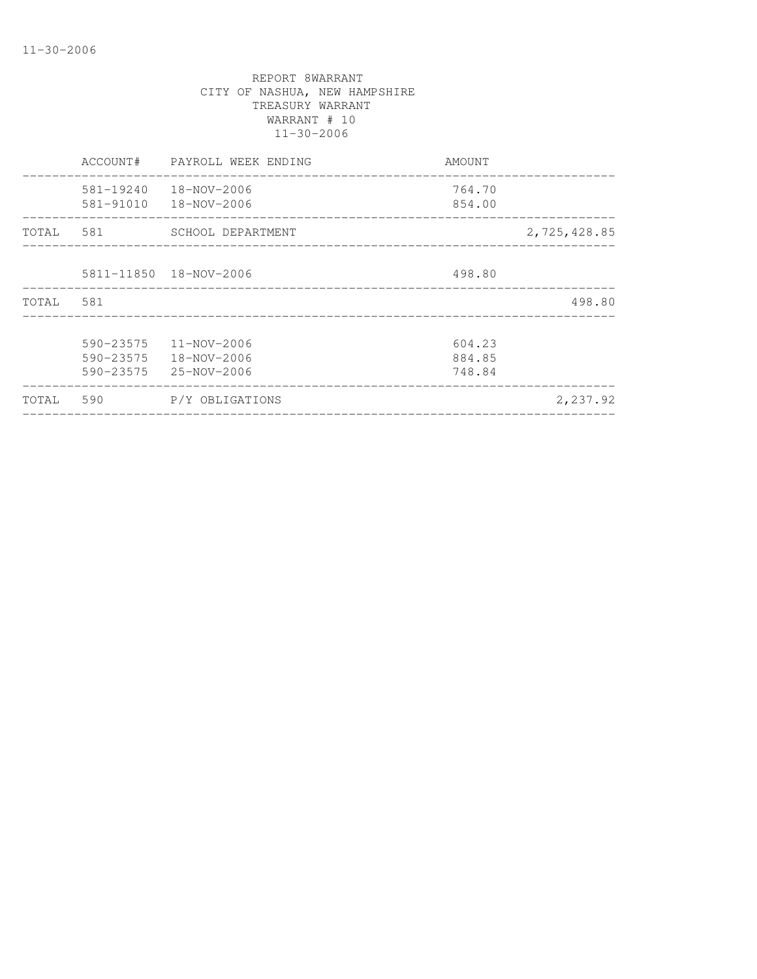|       | ACCOUNT#                            | PAYROLL WEEK ENDING                       | AMOUNT                     |              |
|-------|-------------------------------------|-------------------------------------------|----------------------------|--------------|
|       | 581-19240<br>581-91010              | 18-NOV-2006<br>18-NOV-2006                | 764.70<br>854.00           |              |
| TOTAL | 581                                 | SCHOOL DEPARTMENT                         |                            | 2,725,428.85 |
|       |                                     | 5811-11850  18-NOV-2006                   | 498.80                     |              |
| TOTAL | 581                                 |                                           |                            | 498.80       |
|       | 590-23575<br>590-23575<br>590-23575 | 11-NOV-2006<br>18-NOV-2006<br>25-NOV-2006 | 604.23<br>884.85<br>748.84 |              |
| TOTAL | 590                                 | P/Y OBLIGATIONS                           |                            | 2,237.92     |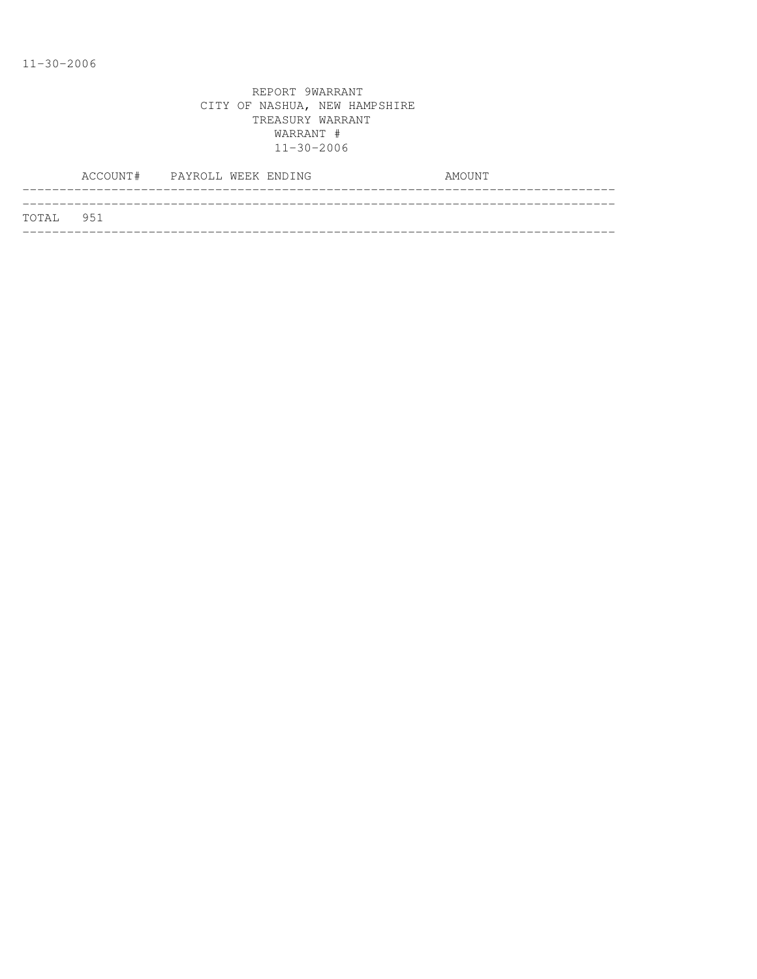|           | ACCOUNT# PAYROLL WEEK ENDING |  |  | AMOUNT |  |
|-----------|------------------------------|--|--|--------|--|
|           |                              |  |  |        |  |
| TOTAL 951 |                              |  |  |        |  |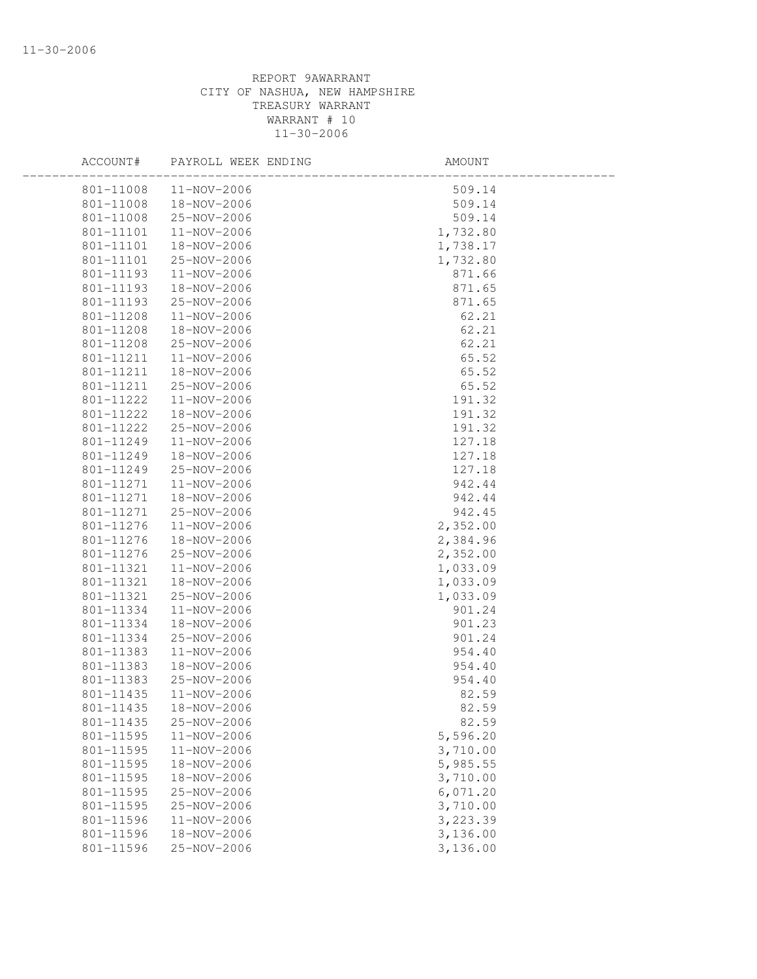| ACCOUNT#      | PAYROLL WEEK ENDING | AMOUNT   |  |
|---------------|---------------------|----------|--|
| 801-11008     | 11-NOV-2006         | 509.14   |  |
| 801-11008     | 18-NOV-2006         | 509.14   |  |
| 801-11008     | 25-NOV-2006         | 509.14   |  |
| 801-11101     | 11-NOV-2006         | 1,732.80 |  |
| 801-11101     | 18-NOV-2006         | 1,738.17 |  |
| 801-11101     | 25-NOV-2006         | 1,732.80 |  |
| 801-11193     | 11-NOV-2006         | 871.66   |  |
| 801-11193     | 18-NOV-2006         | 871.65   |  |
| 801-11193     | 25-NOV-2006         | 871.65   |  |
| 801-11208     | 11-NOV-2006         | 62.21    |  |
| 801-11208     | 18-NOV-2006         | 62.21    |  |
| 801-11208     | 25-NOV-2006         | 62.21    |  |
| 801-11211     | 11-NOV-2006         | 65.52    |  |
| 801-11211     | 18-NOV-2006         | 65.52    |  |
| 801-11211     | 25-NOV-2006         | 65.52    |  |
| 801-11222     | 11-NOV-2006         | 191.32   |  |
| 801-11222     | 18-NOV-2006         | 191.32   |  |
| $801 - 11222$ | 25-NOV-2006         | 191.32   |  |
| 801-11249     | 11-NOV-2006         | 127.18   |  |
| 801-11249     | 18-NOV-2006         | 127.18   |  |
| 801-11249     | 25-NOV-2006         | 127.18   |  |
| 801-11271     | 11-NOV-2006         | 942.44   |  |
| 801-11271     | 18-NOV-2006         | 942.44   |  |
| 801-11271     | 25-NOV-2006         | 942.45   |  |
| 801-11276     | 11-NOV-2006         | 2,352.00 |  |
| 801-11276     | 18-NOV-2006         | 2,384.96 |  |
| 801-11276     | 25-NOV-2006         | 2,352.00 |  |
| 801-11321     | 11-NOV-2006         | 1,033.09 |  |
| 801-11321     | 18-NOV-2006         | 1,033.09 |  |
| 801-11321     | 25-NOV-2006         | 1,033.09 |  |
| 801-11334     | 11-NOV-2006         | 901.24   |  |
| 801-11334     | 18-NOV-2006         | 901.23   |  |
| 801-11334     | 25-NOV-2006         | 901.24   |  |
| 801-11383     | 11-NOV-2006         | 954.40   |  |
| 801-11383     | 18-NOV-2006         | 954.40   |  |
| 801-11383     | 25-NOV-2006         | 954.40   |  |
| 801-11435     | 11-NOV-2006         | 82.59    |  |
| 801-11435     | 18-NOV-2006         | 82.59    |  |
| 801-11435     | 25-NOV-2006         | 82.59    |  |
| 801-11595     | 11-NOV-2006         | 5,596.20 |  |
| 801-11595     | 11-NOV-2006         | 3,710.00 |  |
| 801-11595     | 18-NOV-2006         | 5,985.55 |  |
| 801-11595     | 18-NOV-2006         | 3,710.00 |  |
| 801-11595     | 25-NOV-2006         | 6,071.20 |  |
| 801-11595     | 25-NOV-2006         | 3,710.00 |  |
| 801-11596     | 11-NOV-2006         | 3,223.39 |  |
| 801-11596     | 18-NOV-2006         | 3,136.00 |  |
| 801-11596     | 25-NOV-2006         | 3,136.00 |  |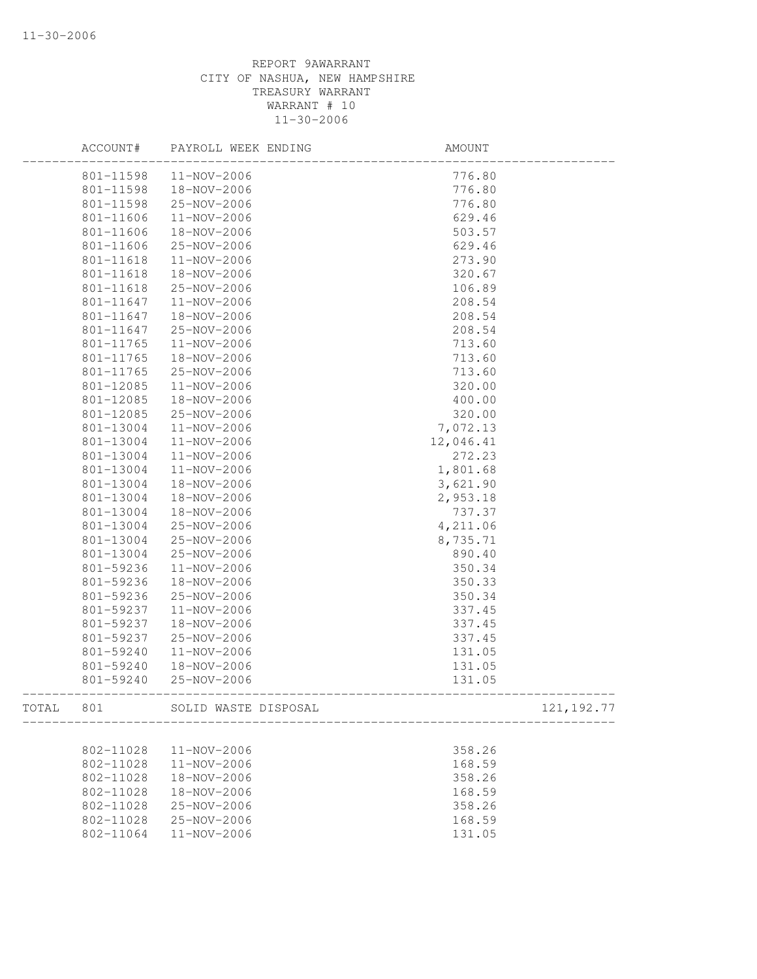|       | ACCOUNT#  | PAYROLL WEEK ENDING  | AMOUNT      |
|-------|-----------|----------------------|-------------|
|       | 801-11598 | 11-NOV-2006          | 776.80      |
|       | 801-11598 | 18-NOV-2006          | 776.80      |
|       | 801-11598 | 25-NOV-2006          | 776.80      |
|       | 801-11606 | 11-NOV-2006          | 629.46      |
|       | 801-11606 | 18-NOV-2006          | 503.57      |
|       | 801-11606 | 25-NOV-2006          | 629.46      |
|       | 801-11618 | 11-NOV-2006          | 273.90      |
|       | 801-11618 | 18-NOV-2006          | 320.67      |
|       | 801-11618 | 25-NOV-2006          | 106.89      |
|       | 801-11647 | 11-NOV-2006          | 208.54      |
|       | 801-11647 | 18-NOV-2006          | 208.54      |
|       | 801-11647 | 25-NOV-2006          | 208.54      |
|       | 801-11765 | 11-NOV-2006          | 713.60      |
|       | 801-11765 | 18-NOV-2006          | 713.60      |
|       | 801-11765 | 25-NOV-2006          | 713.60      |
|       | 801-12085 | 11-NOV-2006          | 320.00      |
|       | 801-12085 | 18-NOV-2006          | 400.00      |
|       | 801-12085 | 25-NOV-2006          | 320.00      |
|       | 801-13004 | 11-NOV-2006          | 7,072.13    |
|       | 801-13004 | 11-NOV-2006          | 12,046.41   |
|       | 801-13004 | 11-NOV-2006          | 272.23      |
|       | 801-13004 | 11-NOV-2006          | 1,801.68    |
|       | 801-13004 | 18-NOV-2006          | 3,621.90    |
|       | 801-13004 | 18-NOV-2006          | 2,953.18    |
|       | 801-13004 | 18-NOV-2006          | 737.37      |
|       | 801-13004 | 25-NOV-2006          | 4,211.06    |
|       | 801-13004 | 25-NOV-2006          | 8,735.71    |
|       | 801-13004 | 25-NOV-2006          | 890.40      |
|       | 801-59236 | 11-NOV-2006          | 350.34      |
|       | 801-59236 | 18-NOV-2006          | 350.33      |
|       | 801-59236 | 25-NOV-2006          | 350.34      |
|       | 801-59237 | 11-NOV-2006          | 337.45      |
|       | 801-59237 | 18-NOV-2006          | 337.45      |
|       | 801-59237 | 25-NOV-2006          | 337.45      |
|       | 801-59240 | 11-NOV-2006          | 131.05      |
|       | 801-59240 | 18-NOV-2006          | 131.05      |
|       | 801-59240 | 25-NOV-2006          | 131.05      |
| TOTAL | 801       | SOLID WASTE DISPOSAL | 121, 192.77 |
|       |           |                      |             |
|       | 802-11028 | 11-NOV-2006          | 358.26      |
|       | 802-11028 | 11-NOV-2006          | 168.59      |
|       | 802-11028 | 18-NOV-2006          | 358.26      |
|       | 802-11028 | 18-NOV-2006          | 168.59      |
|       | 802-11028 | 25-NOV-2006          | 358.26      |
|       | 802-11028 | 25-NOV-2006          | 168.59      |
|       | 802-11064 | 11-NOV-2006          | 131.05      |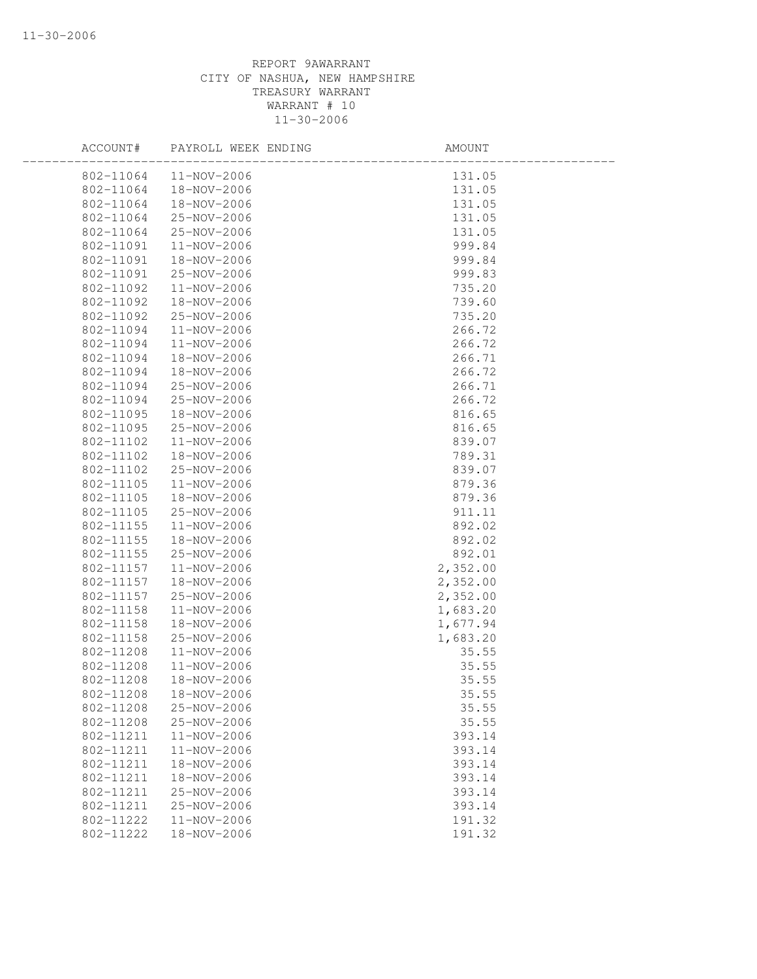| ACCOUNT#      | PAYROLL WEEK ENDING | AMOUNT   |
|---------------|---------------------|----------|
| 802-11064     | 11-NOV-2006         | 131.05   |
| 802-11064     | 18-NOV-2006         | 131.05   |
| 802-11064     | 18-NOV-2006         | 131.05   |
| 802-11064     | 25-NOV-2006         | 131.05   |
| 802-11064     | 25-NOV-2006         | 131.05   |
| 802-11091     | 11-NOV-2006         | 999.84   |
| 802-11091     | 18-NOV-2006         | 999.84   |
| 802-11091     | 25-NOV-2006         | 999.83   |
| 802-11092     | $11 - NOV - 2006$   | 735.20   |
| 802-11092     | 18-NOV-2006         | 739.60   |
| 802-11092     | 25-NOV-2006         | 735.20   |
| 802-11094     | 11-NOV-2006         | 266.72   |
| 802-11094     | 11-NOV-2006         | 266.72   |
| 802-11094     | 18-NOV-2006         | 266.71   |
| 802-11094     | 18-NOV-2006         | 266.72   |
| 802-11094     | 25-NOV-2006         | 266.71   |
| 802-11094     | 25-NOV-2006         | 266.72   |
| 802-11095     | 18-NOV-2006         | 816.65   |
| 802-11095     | 25-NOV-2006         | 816.65   |
| $802 - 11102$ | 11-NOV-2006         | 839.07   |
| 802-11102     | 18-NOV-2006         | 789.31   |
| 802-11102     | 25-NOV-2006         | 839.07   |
| 802-11105     | 11-NOV-2006         | 879.36   |
| 802-11105     | 18-NOV-2006         | 879.36   |
| 802-11105     | 25-NOV-2006         | 911.11   |
| 802-11155     | 11-NOV-2006         | 892.02   |
| 802-11155     | 18-NOV-2006         | 892.02   |
| 802-11155     | 25-NOV-2006         | 892.01   |
| 802-11157     | 11-NOV-2006         | 2,352.00 |
| 802-11157     | 18-NOV-2006         | 2,352.00 |
| 802-11157     | 25-NOV-2006         | 2,352.00 |
| 802-11158     | 11-NOV-2006         | 1,683.20 |
| 802-11158     | 18-NOV-2006         | 1,677.94 |
| 802-11158     | 25-NOV-2006         | 1,683.20 |
| 802-11208     | 11-NOV-2006         | 35.55    |
| 802-11208     | $11 - NOV - 2006$   | 35.55    |
| 802-11208     | 18-NOV-2006         | 35.55    |
| 802-11208     | 18-NOV-2006         | 35.55    |
| 802-11208     | 25-NOV-2006         | 35.55    |
| 802-11208     | 25-NOV-2006         | 35.55    |
| 802-11211     | 11-NOV-2006         | 393.14   |
| 802-11211     | 11-NOV-2006         | 393.14   |
| 802-11211     | 18-NOV-2006         | 393.14   |
| 802-11211     | 18-NOV-2006         | 393.14   |
| 802-11211     | 25-NOV-2006         | 393.14   |
| 802-11211     | 25-NOV-2006         | 393.14   |
| 802-11222     | 11-NOV-2006         | 191.32   |
| 802-11222     | 18-NOV-2006         | 191.32   |
|               |                     |          |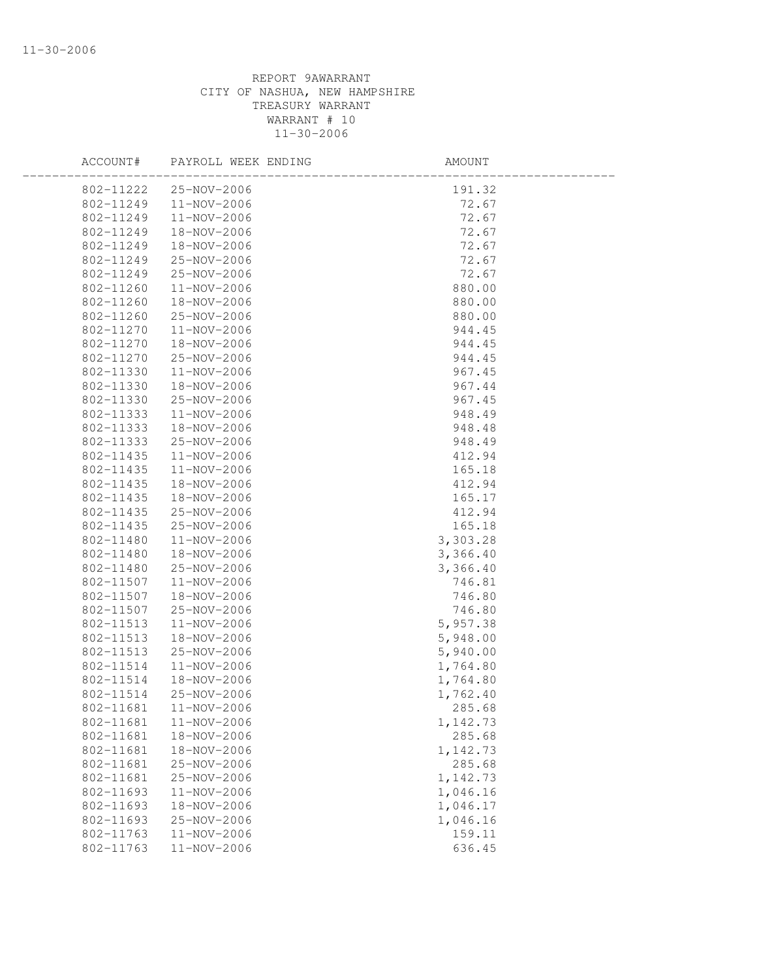| ACCOUNT#  | PAYROLL WEEK ENDING   | AMOUNT   |  |
|-----------|-----------------------|----------|--|
|           | 802-11222 25-NOV-2006 | 191.32   |  |
| 802-11249 | 11-NOV-2006           | 72.67    |  |
| 802-11249 | 11-NOV-2006           | 72.67    |  |
| 802-11249 | 18-NOV-2006           | 72.67    |  |
| 802-11249 | 18-NOV-2006           | 72.67    |  |
| 802-11249 | 25-NOV-2006           | 72.67    |  |
| 802-11249 | 25-NOV-2006           | 72.67    |  |
| 802-11260 | 11-NOV-2006           | 880.00   |  |
| 802-11260 | 18-NOV-2006           | 880.00   |  |
| 802-11260 | 25-NOV-2006           | 880.00   |  |
| 802-11270 | 11-NOV-2006           | 944.45   |  |
| 802-11270 | 18-NOV-2006           | 944.45   |  |
| 802-11270 | 25-NOV-2006           | 944.45   |  |
| 802-11330 | 11-NOV-2006           | 967.45   |  |
| 802-11330 | 18-NOV-2006           | 967.44   |  |
| 802-11330 | 25-NOV-2006           | 967.45   |  |
| 802-11333 | 11-NOV-2006           | 948.49   |  |
| 802-11333 | 18-NOV-2006           | 948.48   |  |
| 802-11333 | 25-NOV-2006           | 948.49   |  |
| 802-11435 | 11-NOV-2006           | 412.94   |  |
| 802-11435 | 11-NOV-2006           | 165.18   |  |
| 802-11435 | 18-NOV-2006           | 412.94   |  |
| 802-11435 | 18-NOV-2006           | 165.17   |  |
| 802-11435 | 25-NOV-2006           | 412.94   |  |
| 802-11435 | 25-NOV-2006           | 165.18   |  |
| 802-11480 | 11-NOV-2006           | 3,303.28 |  |
| 802-11480 | 18-NOV-2006           | 3,366.40 |  |
| 802-11480 | 25-NOV-2006           | 3,366.40 |  |
| 802-11507 | 11-NOV-2006           | 746.81   |  |
| 802-11507 | 18-NOV-2006           | 746.80   |  |
| 802-11507 | 25-NOV-2006           | 746.80   |  |
| 802-11513 | 11-NOV-2006           | 5,957.38 |  |
| 802-11513 | 18-NOV-2006           | 5,948.00 |  |
| 802-11513 | 25-NOV-2006           | 5,940.00 |  |
| 802-11514 | 11-NOV-2006           | 1,764.80 |  |
| 802-11514 | 18-NOV-2006           | 1,764.80 |  |
| 802-11514 | 25-NOV-2006           | 1,762.40 |  |
| 802-11681 | 11-NOV-2006           | 285.68   |  |
| 802-11681 | 11-NOV-2006           | 1,142.73 |  |
| 802-11681 | 18-NOV-2006           | 285.68   |  |
| 802-11681 | 18-NOV-2006           | 1,142.73 |  |
| 802-11681 | 25-NOV-2006           | 285.68   |  |
| 802-11681 | 25-NOV-2006           | 1,142.73 |  |
| 802-11693 | $11 - NOV - 2006$     | 1,046.16 |  |
| 802-11693 | 18-NOV-2006           | 1,046.17 |  |
| 802-11693 | 25-NOV-2006           | 1,046.16 |  |
| 802-11763 | 11-NOV-2006           | 159.11   |  |
| 802-11763 | 11-NOV-2006           | 636.45   |  |